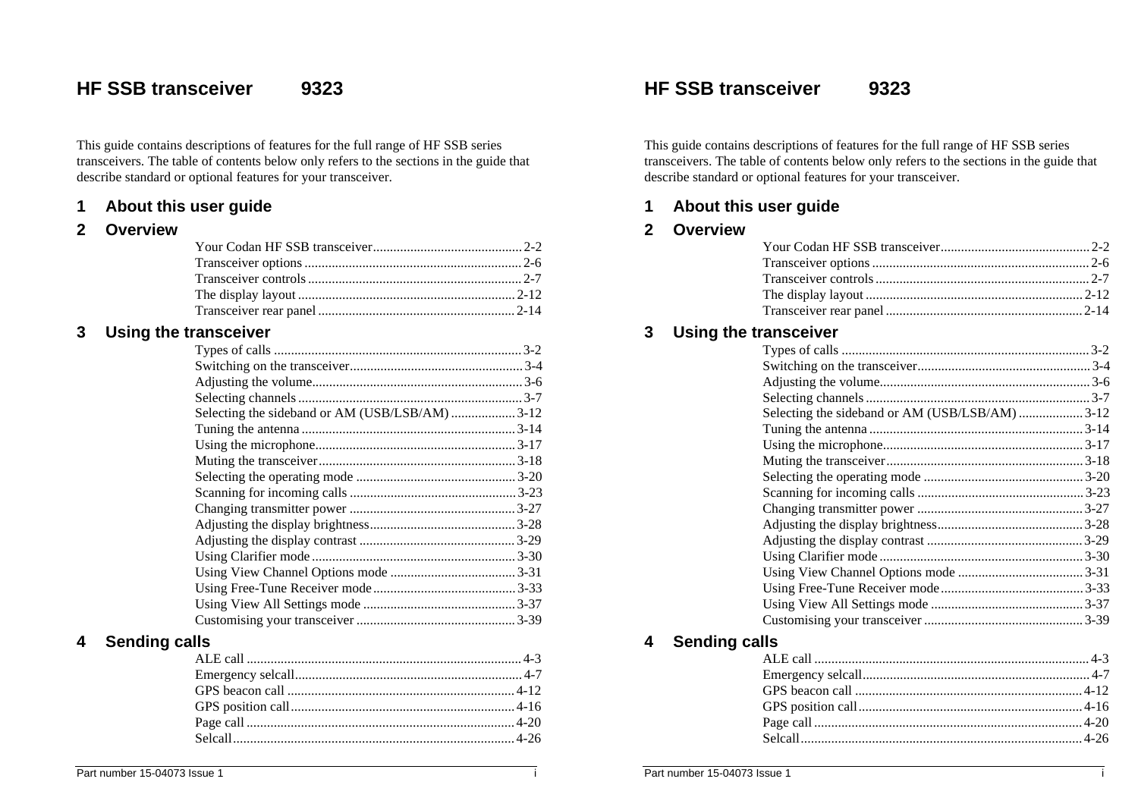# **HF SSB transceiver 9323**

This guide contains descriptions of features for the full range of HF SSB series transceivers. The table of contents below only refers to the sections in the guide that describe standard or optional features for your transceiver.

#### **1 About this user guide**

#### **2 Overview**

### **3 Using the transceiver**

| Selecting the sideband or AM (USB/LSB/AM) 3-12 |
|------------------------------------------------|
|                                                |
|                                                |
|                                                |
|                                                |
|                                                |
|                                                |
|                                                |
|                                                |
|                                                |
|                                                |
|                                                |
|                                                |
|                                                |
|                                                |

#### **4 Sending calls**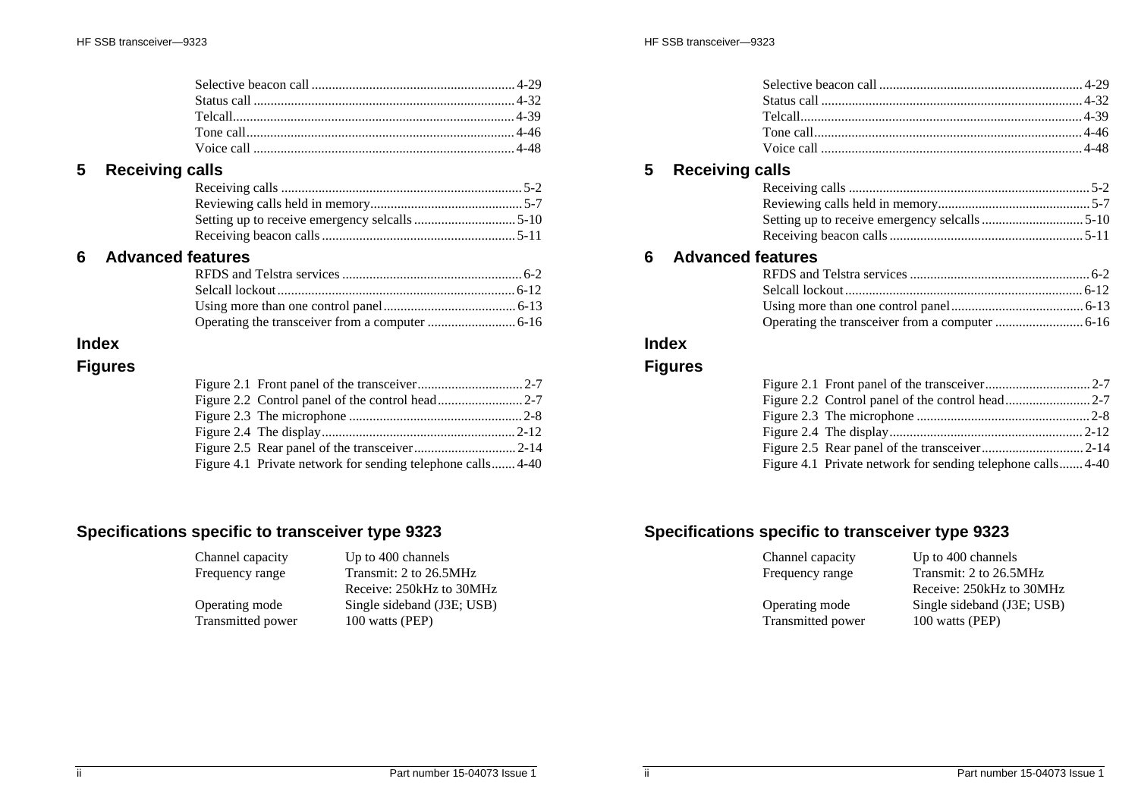| <b>Receiving calls</b>   |  |
|--------------------------|--|
|                          |  |
|                          |  |
|                          |  |
|                          |  |
| <b>Advanced features</b> |  |
|                          |  |
|                          |  |
|                          |  |
|                          |  |
| Index                    |  |
| <b>Figures</b>           |  |
|                          |  |
|                          |  |
|                          |  |
|                          |  |
|                          |  |
|                          |  |

#### Figure 4.1 Private network for sending telephone calls....... 4-40

## **Specifications specific to transceiver type 9323**

| Channel capacity  | Up to 400 channels         |
|-------------------|----------------------------|
| Frequency range   | Transmit: 2 to 26.5MHz     |
|                   | Receive: 250kHz to 30MHz   |
| Operating mode    | Single sideband (J3E; USB) |
| Transmitted power | 100 watts (PEP)            |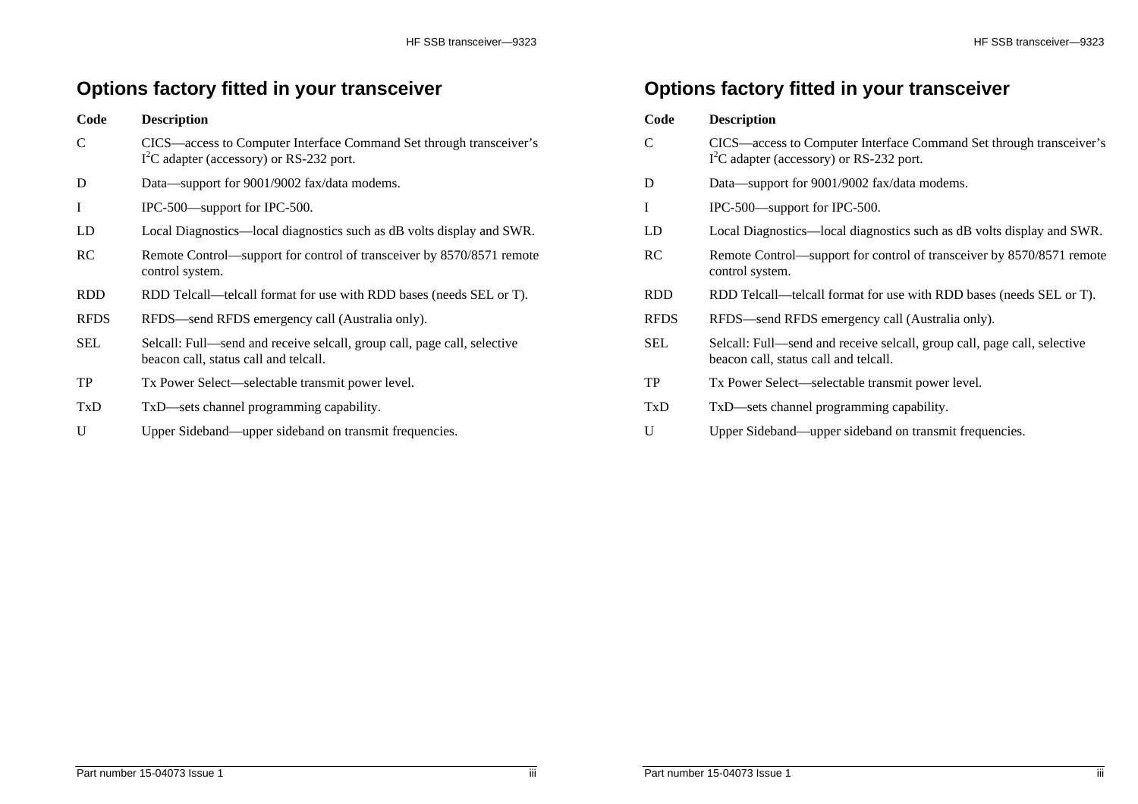# **Options factory fitted in your transceiver**

| Code        | <b>Description</b>                                                                                                |
|-------------|-------------------------------------------------------------------------------------------------------------------|
| C           | CICS—access to Computer Interface Command Set through transceiver's<br>$I2C$ adapter (accessory) or RS-232 port.  |
| D           | Data—support for 9001/9002 fax/data modems.                                                                       |
| I           | IPC-500—support for IPC-500.                                                                                      |
| LD          | Local Diagnostics—local diagnostics such as dB volts display and SWR.                                             |
| RC          | Remote Control—support for control of transceiver by 8570/8571 remote<br>control system.                          |
| <b>RDD</b>  | RDD Telcall—telcall format for use with RDD bases (needs SEL or T).                                               |
| <b>RFDS</b> | RFDS—send RFDS emergency call (Australia only).                                                                   |
| <b>SEL</b>  | Selcall: Full—send and receive selcall, group call, page call, selective<br>beacon call, status call and telcall. |
| TP          | Tx Power Select—selectable transmit power level.                                                                  |
| TxD         | TxD—sets channel programming capability.                                                                          |
| U           | Upper Sideband—upper sideband on transmit frequencies.                                                            |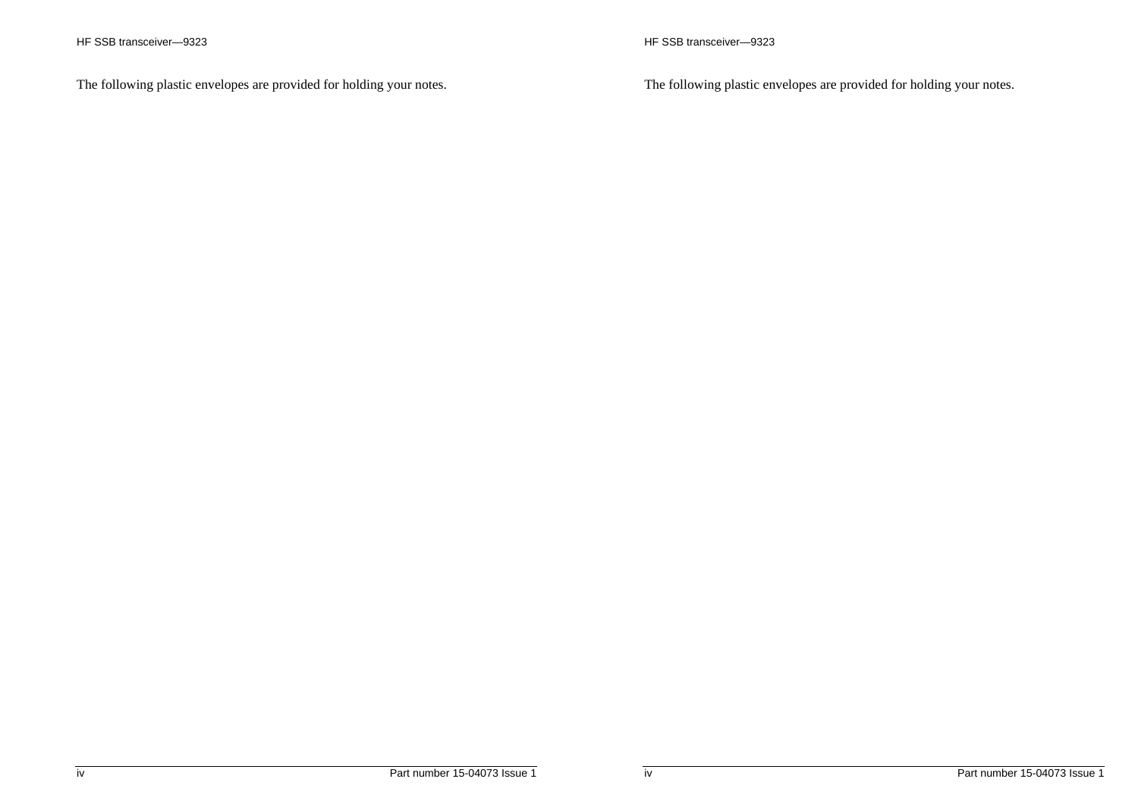HF SSB transceiver—9323

The following plastic envelopes are provided for holding your notes.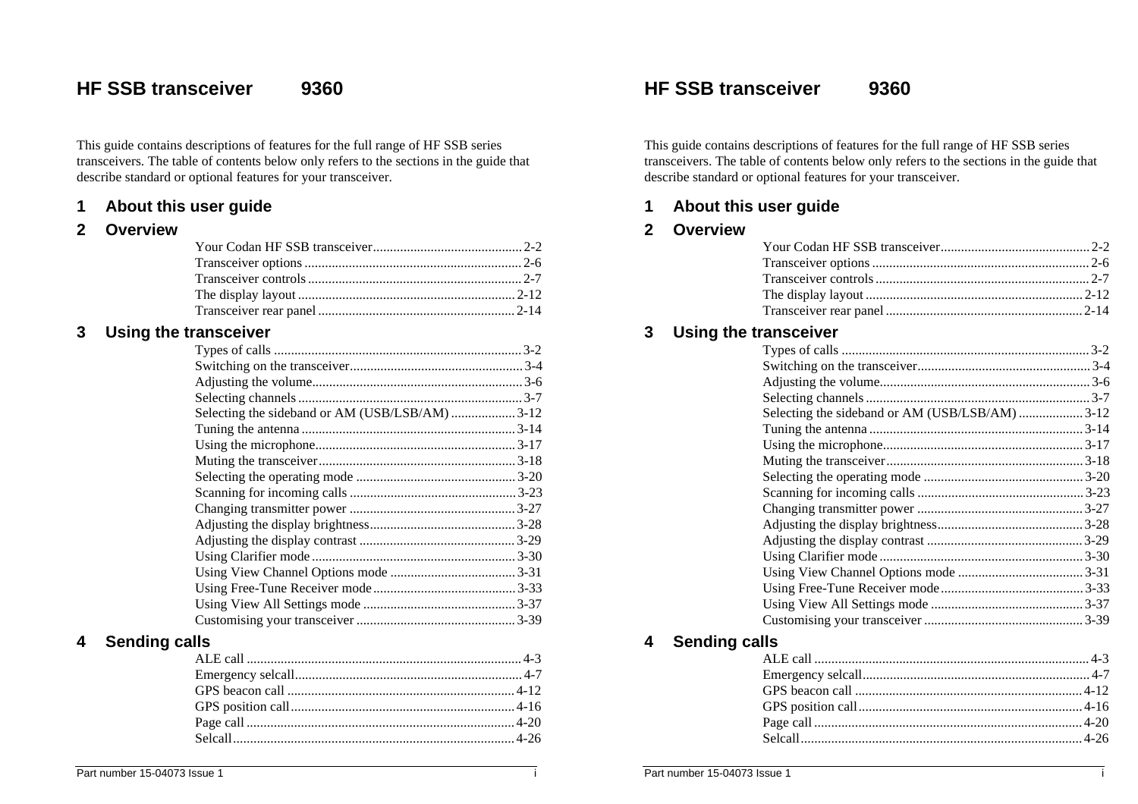# **HF SSB transceiver 9360**

This guide contains descriptions of features for the full range of HF SSB series transceivers. The table of contents below only refers to the sections in the guide that describe standard or optional features for your transceiver.

#### **1 About this user guide**

#### **2 Overview**

### **3 Using the transceiver**

| Selecting the sideband or AM (USB/LSB/AM) 3-12 |  |
|------------------------------------------------|--|
|                                                |  |
|                                                |  |
|                                                |  |
|                                                |  |
|                                                |  |
|                                                |  |
|                                                |  |
|                                                |  |
|                                                |  |
|                                                |  |
|                                                |  |
|                                                |  |
|                                                |  |

#### **4 Sending calls**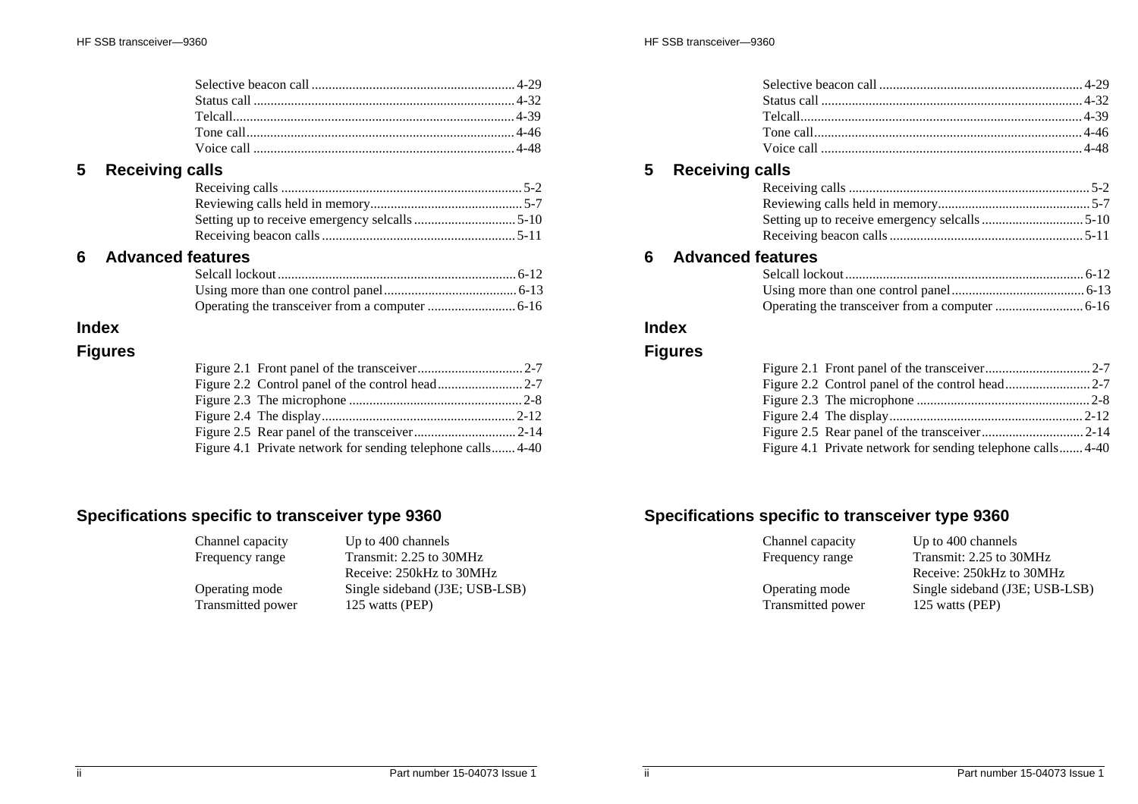| 5 | <b>Receiving calls</b>                                      |
|---|-------------------------------------------------------------|
|   |                                                             |
|   |                                                             |
|   |                                                             |
|   |                                                             |
| 6 | <b>Advanced features</b>                                    |
|   |                                                             |
|   |                                                             |
|   |                                                             |
|   | Index                                                       |
|   | Figures                                                     |
|   |                                                             |
|   |                                                             |
|   |                                                             |
|   |                                                             |
|   |                                                             |
|   | Figure 4.1 Private network for sending telephone calls 4-40 |
|   |                                                             |

# **Specifications specific to transceiver type 9360**

| Channel capacity  | Up to $400$ channels           |
|-------------------|--------------------------------|
| Frequency range   | Transmit: 2.25 to 30MHz        |
|                   | Receive: 250kHz to 30MHz       |
| Operating mode    | Single sideband (J3E; USB-LSB) |
| Transmitted power | 125 watts (PEP)                |
|                   |                                |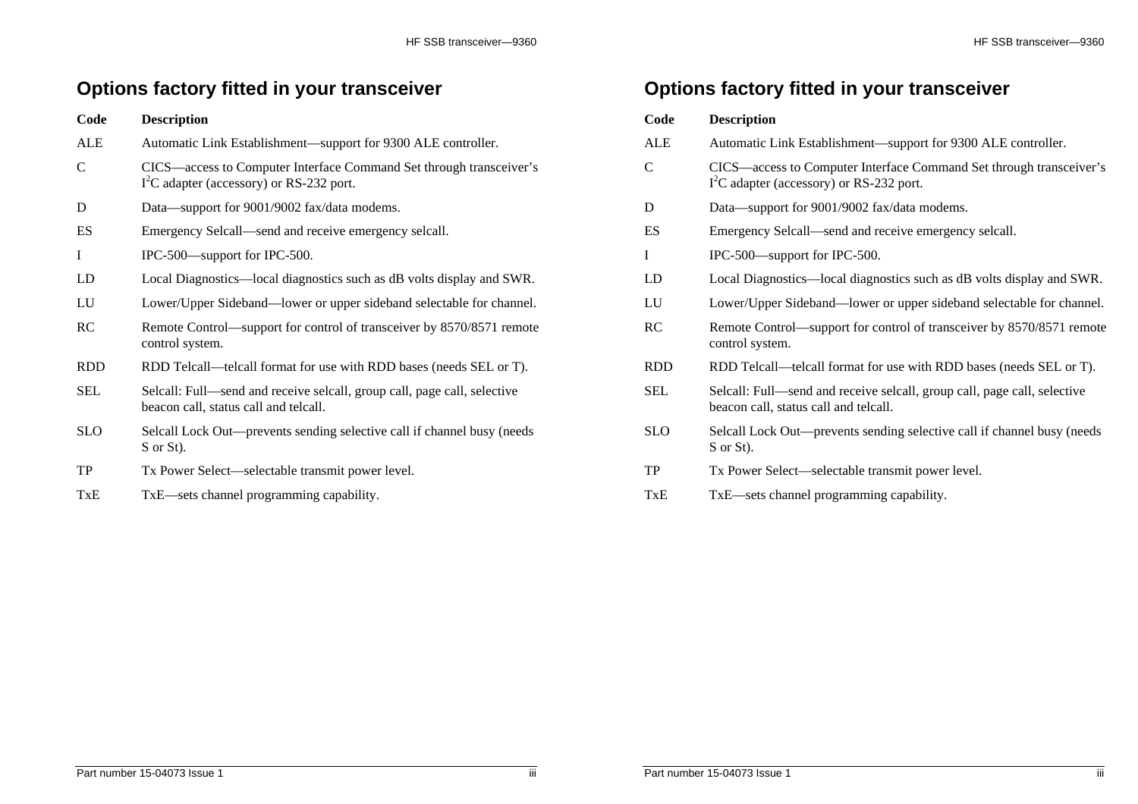# **Options factory fitted in your transceiver**

| Code       | <b>Description</b>                                                                                                |
|------------|-------------------------------------------------------------------------------------------------------------------|
| <b>ALE</b> | Automatic Link Establishment—support for 9300 ALE controller.                                                     |
| C          | CICS—access to Computer Interface Command Set through transceiver's<br>$I2C$ adapter (accessory) or RS-232 port.  |
| D          | Data—support for 9001/9002 fax/data modems.                                                                       |
| ES         | Emergency Selcall—send and receive emergency selcall.                                                             |
| I          | IPC-500—support for IPC-500.                                                                                      |
| LD         | Local Diagnostics—local diagnostics such as dB volts display and SWR.                                             |
| LU         | Lower/Upper Sideband—lower or upper sideband selectable for channel.                                              |
| RC         | Remote Control—support for control of transceiver by 8570/8571 remote<br>control system.                          |
| <b>RDD</b> | RDD Telcall—telcall format for use with RDD bases (needs SEL or T).                                               |
| <b>SEL</b> | Selcall: Full-send and receive selcall, group call, page call, selective<br>beacon call, status call and telcall. |
| <b>SLO</b> | Selcall Lock Out—prevents sending selective call if channel busy (needs<br>S or St.                               |
| TP         | Tx Power Select—selectable transmit power level.                                                                  |
| TxE        | TxE—sets channel programming capability.                                                                          |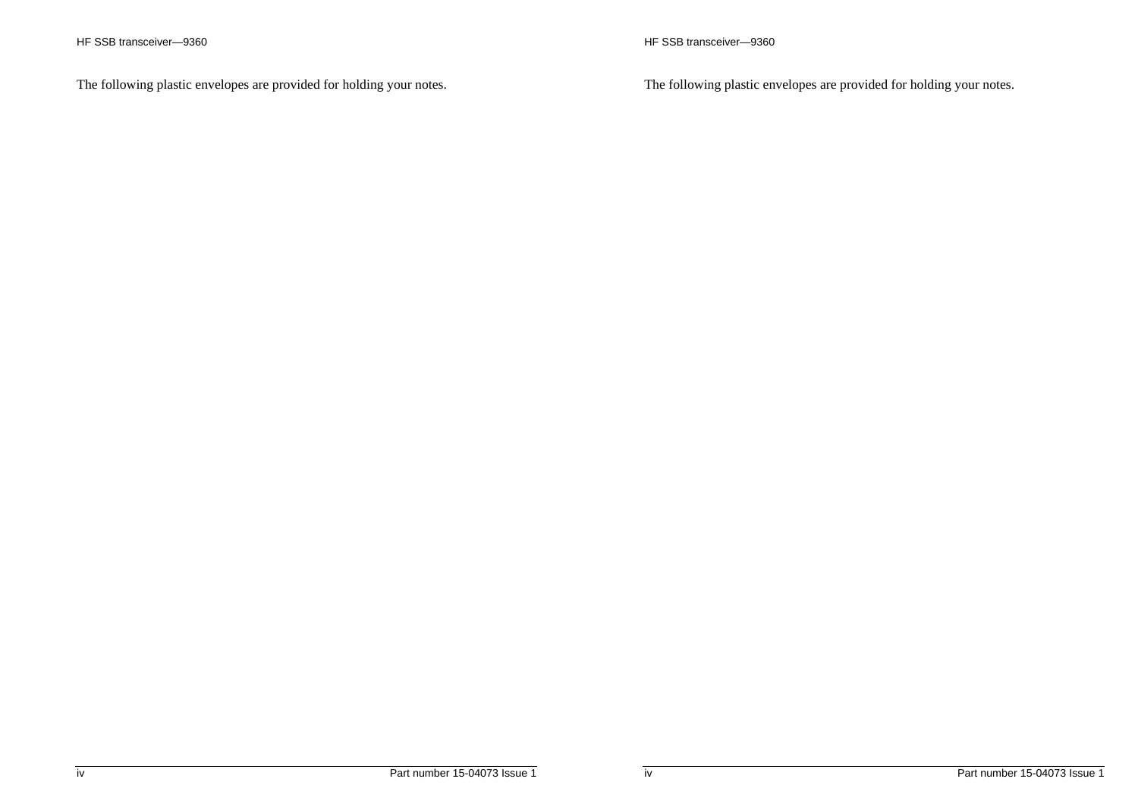HF SSB transceiver—9360

The following plastic envelopes are provided for holding your notes.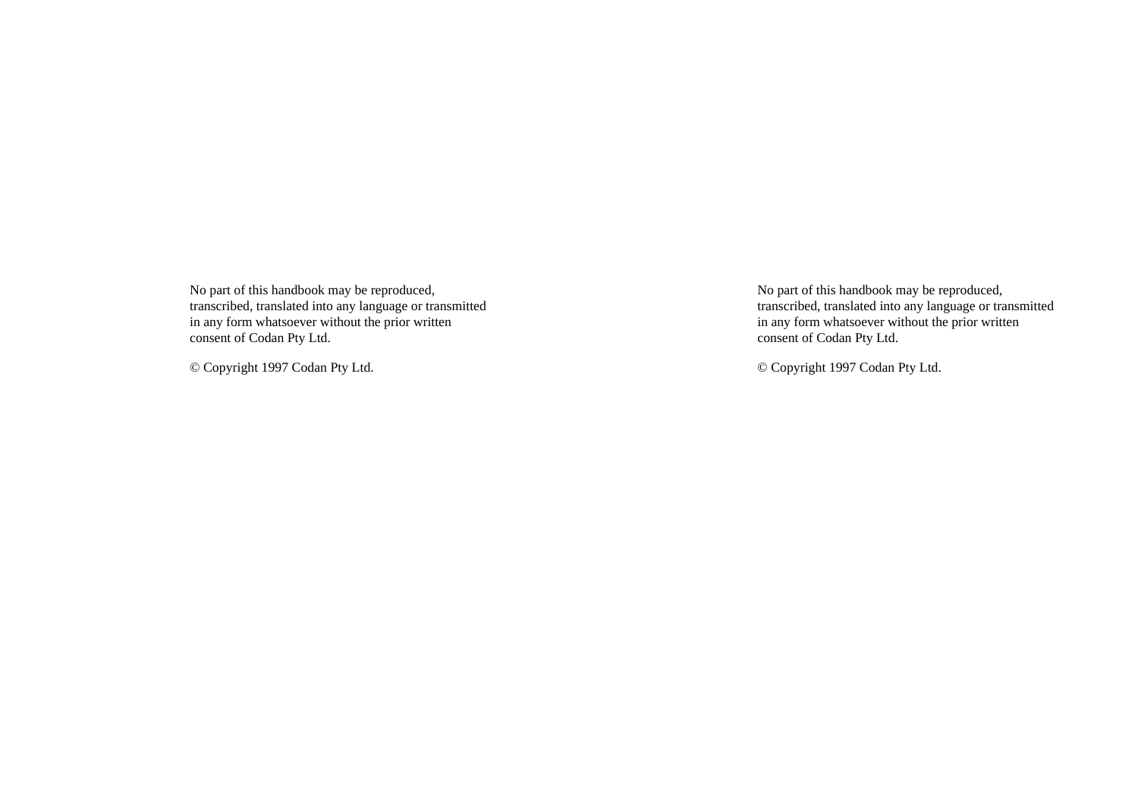No part of this handbook may be reproduced, transcribed, translated into any language or transmitted in any form whatsoever without the prior written consent of Codan Pty Ltd.

© Copyright 1997 Codan Pty Ltd.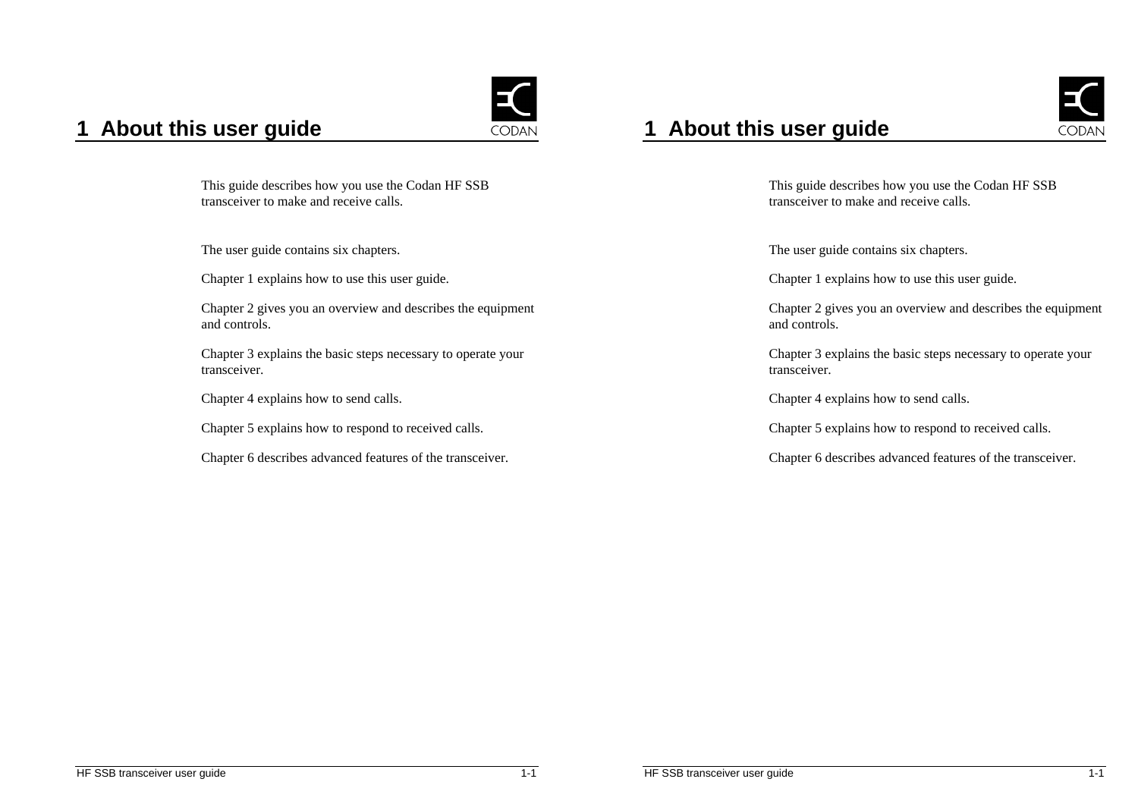

# **1 About this user guide**

This guide describes how you use the Codan HF SSB transceiver to make and receive calls.

The user guide contains six chapters.

Chapter 1 explains how to use this user guide.

Chapter 2 gives you an overview and describes the equipment and controls.

Chapter 3 explains the basic steps necessary to operate your transceiver.

Chapter 4 explains how to send calls.

Chapter 5 explains how to respond to received calls.

Chapter 6 describes advanced features of the transceiver.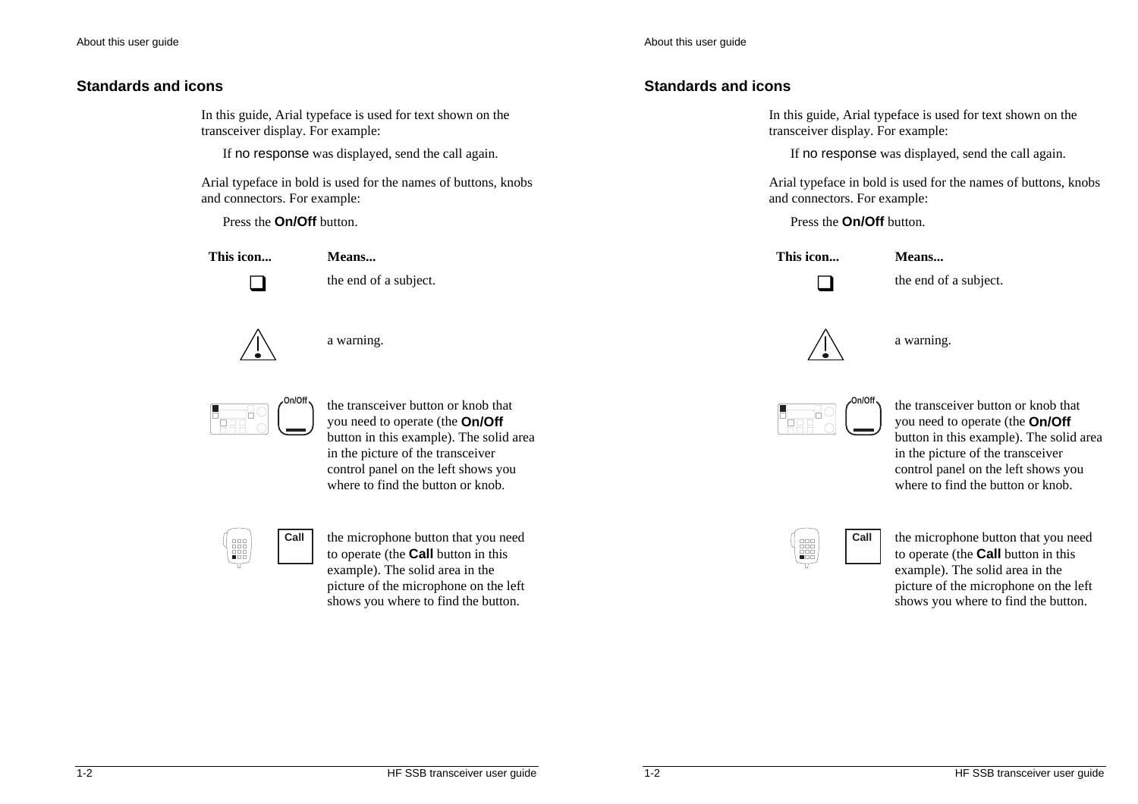#### **Standards and icons**

In this guide, Arial typeface is used for text shown on the transceiver display. For example:

If no response was displayed, send the call again.

Arial typeface in bold is used for the names of buttons, knobs and connectors. For example:

Press the **On/Off** button.

**This icon... Means...**



the end of a subject.



a warning.



the transceiver button or knob that you need to operate (the **On/Off** button in this example). The solid area in the picture of the transceiver control panel on the left shows you where to find the button or knob.



**Call**  $\vert$  the microphone button that you need to operate (the **Call** button in this example). The solid area in the picture of the microphone on the left shows you where to find the button.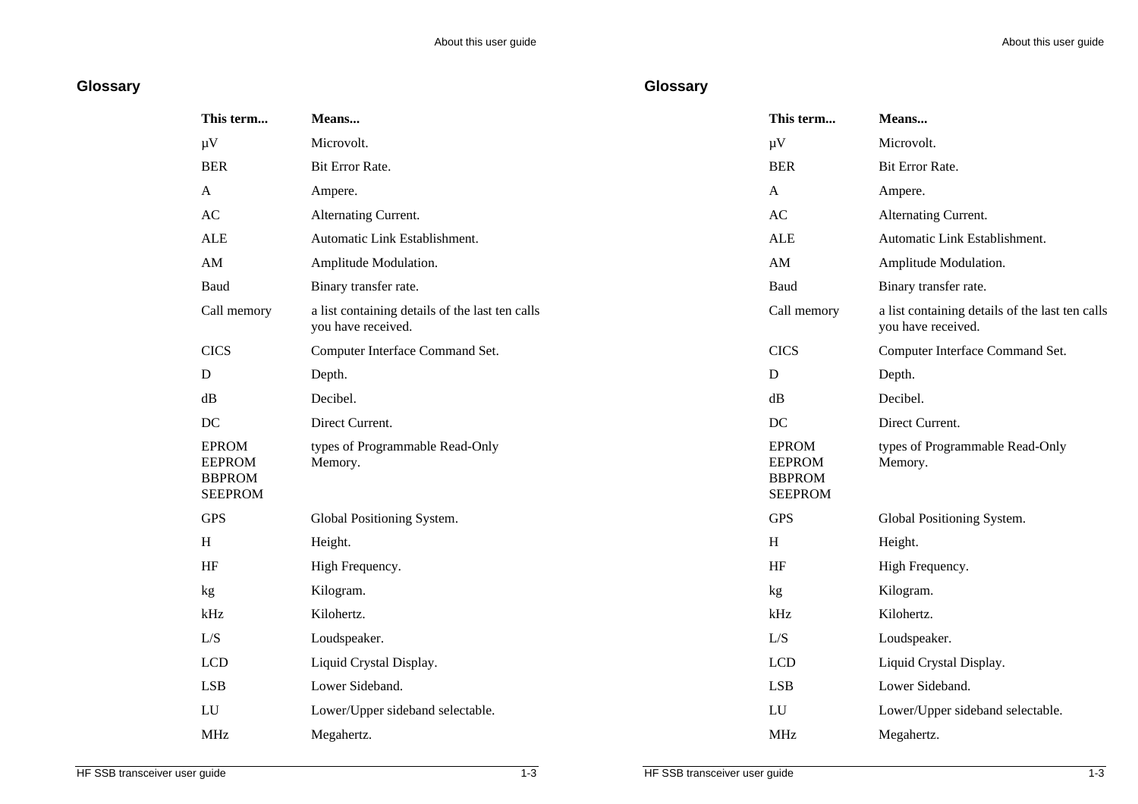#### **Glossary**

| This term                                                        | Means                                                                 |
|------------------------------------------------------------------|-----------------------------------------------------------------------|
| μV                                                               | Microvolt.                                                            |
| <b>BER</b>                                                       | Bit Error Rate.                                                       |
| A                                                                | Ampere.                                                               |
| AC                                                               | Alternating Current.                                                  |
| <b>ALE</b>                                                       | Automatic Link Establishment.                                         |
| AM                                                               | Amplitude Modulation.                                                 |
| Baud                                                             | Binary transfer rate.                                                 |
| Call memory                                                      | a list containing details of the last ten calls<br>you have received. |
| <b>CICS</b>                                                      | Computer Interface Command Set.                                       |
| D                                                                | Depth.                                                                |
| dB                                                               | Decibel.                                                              |
| DC                                                               | Direct Current.                                                       |
| <b>EPROM</b><br><b>EEPROM</b><br><b>BBPROM</b><br><b>SEEPROM</b> | types of Programmable Read-Only<br>Memory.                            |
| <b>GPS</b>                                                       | Global Positioning System.                                            |
| H                                                                | Height.                                                               |
| ΗF                                                               | High Frequency.                                                       |
| kg                                                               | Kilogram.                                                             |
| kHz                                                              | Kilohertz.                                                            |
| L/S                                                              | Loudspeaker.                                                          |
| LCD                                                              | Liquid Crystal Display.                                               |
| <b>LSB</b>                                                       | Lower Sideband.                                                       |
| LU                                                               | Lower/Upper sideband selectable.                                      |
| <b>MHz</b>                                                       | Megahertz.                                                            |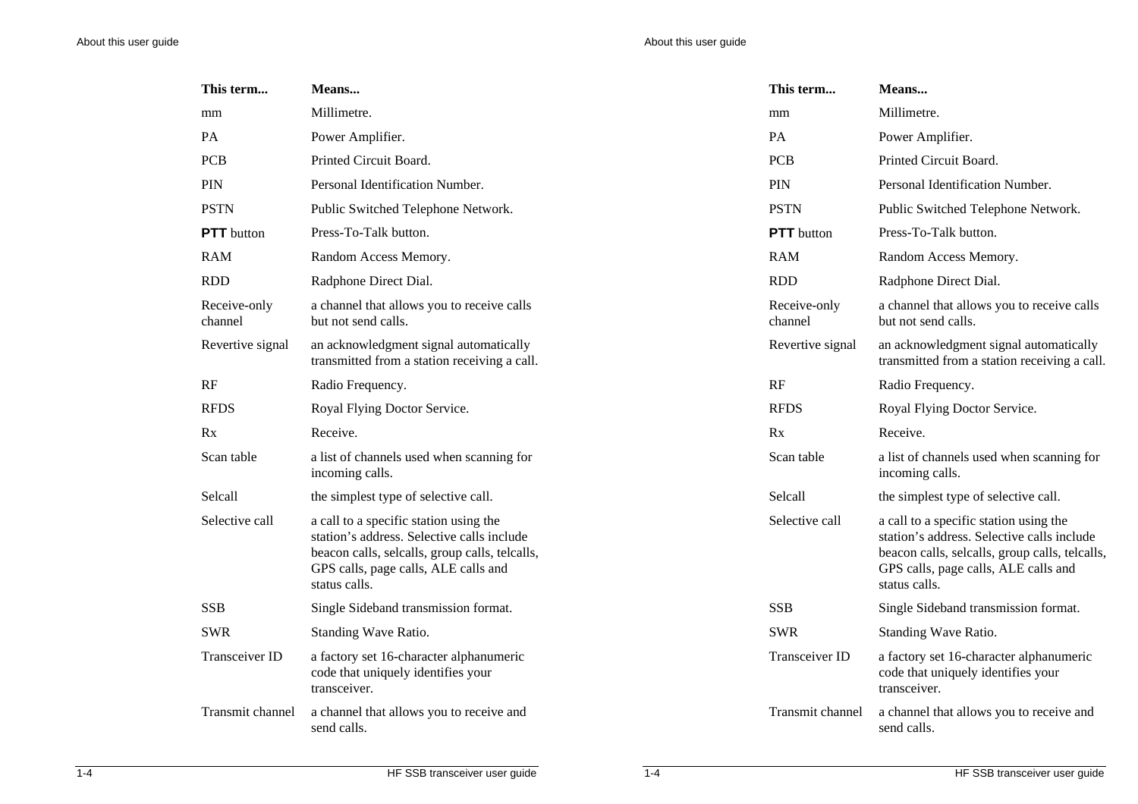| This term               | Means                                                                                                                                                                                           |
|-------------------------|-------------------------------------------------------------------------------------------------------------------------------------------------------------------------------------------------|
| mm                      | Millimetre.                                                                                                                                                                                     |
| PA                      | Power Amplifier.                                                                                                                                                                                |
| <b>PCB</b>              | Printed Circuit Board.                                                                                                                                                                          |
| <b>PIN</b>              | Personal Identification Number.                                                                                                                                                                 |
| <b>PSTN</b>             | Public Switched Telephone Network.                                                                                                                                                              |
| <b>PTT</b> button       | Press-To-Talk button.                                                                                                                                                                           |
| <b>RAM</b>              | Random Access Memory.                                                                                                                                                                           |
| <b>RDD</b>              | Radphone Direct Dial.                                                                                                                                                                           |
| Receive-only<br>channel | a channel that allows you to receive calls<br>but not send calls.                                                                                                                               |
| Revertive signal        | an acknowledgment signal automatically<br>transmitted from a station receiving a call.                                                                                                          |
| RF                      | Radio Frequency.                                                                                                                                                                                |
| <b>RFDS</b>             | Royal Flying Doctor Service.                                                                                                                                                                    |
| Rx                      | Receive.                                                                                                                                                                                        |
| Scan table              | a list of channels used when scanning for<br>incoming calls.                                                                                                                                    |
| Selcall                 | the simplest type of selective call.                                                                                                                                                            |
| Selective call          | a call to a specific station using the<br>station's address. Selective calls include<br>beacon calls, selcalls, group calls, telcalls,<br>GPS calls, page calls, ALE calls and<br>status calls. |
| <b>SSB</b>              | Single Sideband transmission format.                                                                                                                                                            |
| SWR                     | Standing Wave Ratio.                                                                                                                                                                            |
| <b>Transceiver ID</b>   | a factory set 16-character alphanumeric<br>code that uniquely identifies your<br>transceiver.                                                                                                   |
| Transmit channel        | a channel that allows you to receive and<br>send calls.                                                                                                                                         |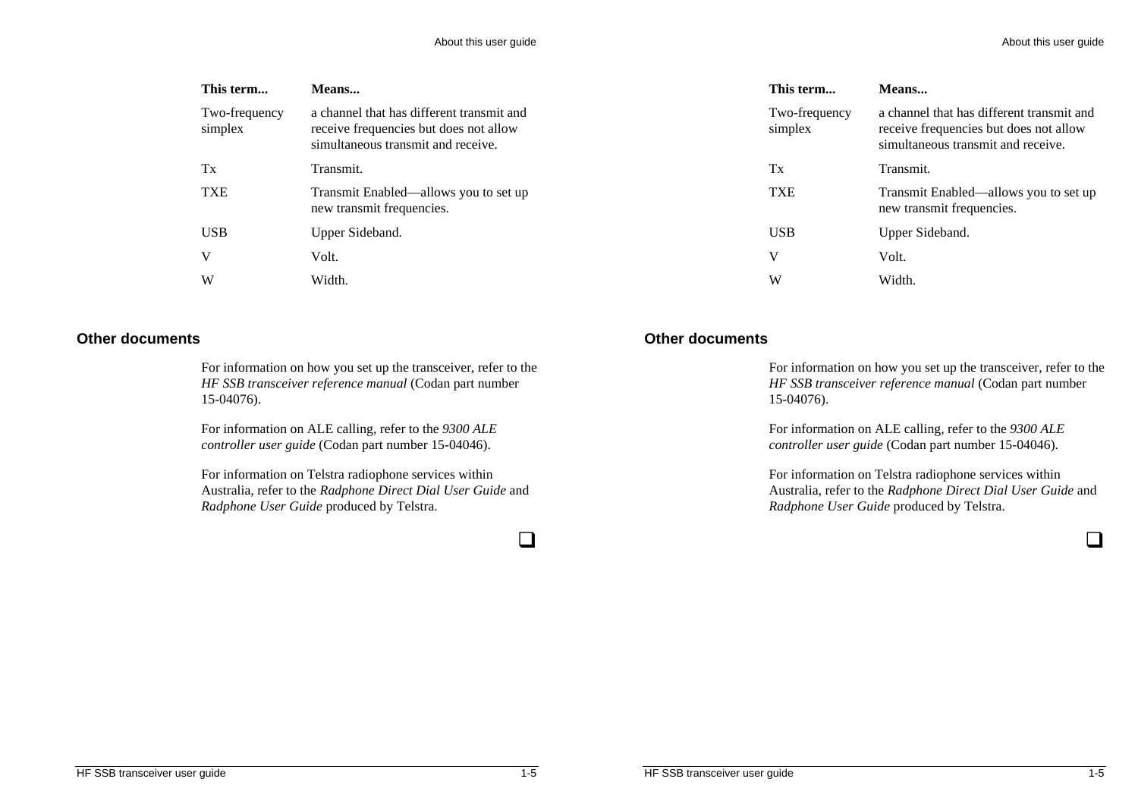| This term                | Means                                                                                                                     |
|--------------------------|---------------------------------------------------------------------------------------------------------------------------|
| Two-frequency<br>simplex | a channel that has different transmit and<br>receive frequencies but does not allow<br>simultaneous transmit and receive. |
| Tx                       | Transmit.                                                                                                                 |
| <b>TXE</b>               | Transmit Enabled—allows you to set up<br>new transmit frequencies.                                                        |
| USB                      | Upper Sideband.                                                                                                           |
| V                        | Volt.                                                                                                                     |
|                          | Width.                                                                                                                    |

#### **Other documents**

For information on how you set up the transceiver, refer to the *HF SSB transceiver reference manual* (Codan part number 15-04076).

For information on ALE calling, refer to the *9300 ALE controller user guide* (Codan part number 15-04046).

For information on Telstra radiophone services within Australia, refer to the *Radphone Direct Dial User Guide* and *Radphone User Guide* produced by Telstra.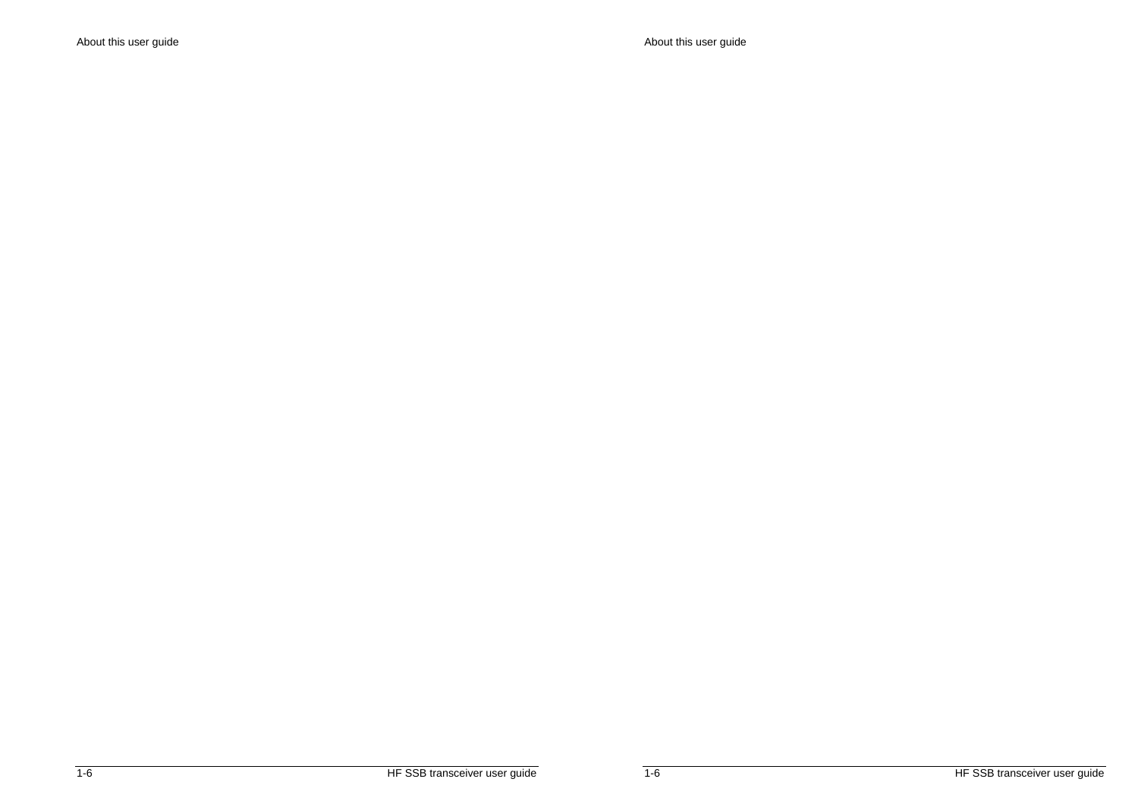About this user guide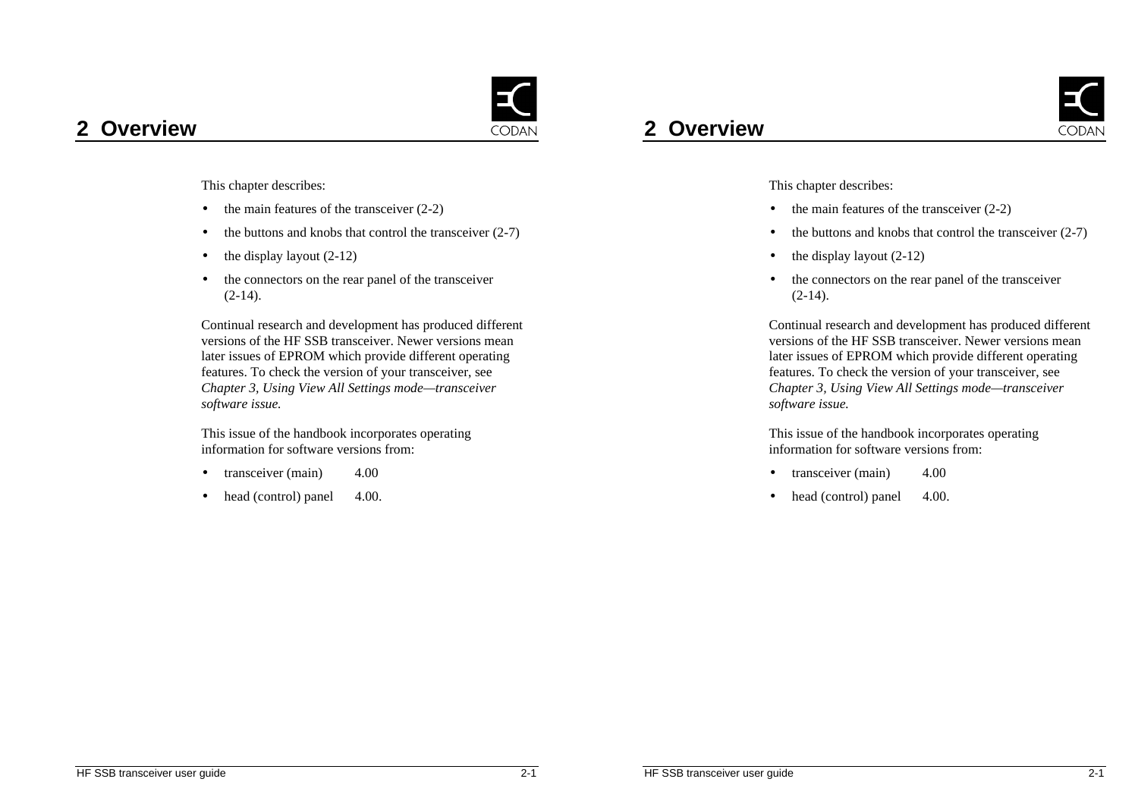

This chapter describes:

- the main features of the transceiver  $(2-2)$
- the buttons and knobs that control the transceiver  $(2-7)$
- the display layout  $(2-12)$
- the connectors on the rear panel of the transceiver  $(2-14)$ .

Continual research and development has produced different versions of the HF SSB transceiver. Newer versions mean later issues of EPROM which provide different operating features. To check the version of your transceiver, see *Chapter 3, Using View All Settings mode—transceiver software issue.*

This issue of the handbook incorporates operating information for software versions from:

- transceiver (main) 4.00
- head (control) panel 4.00.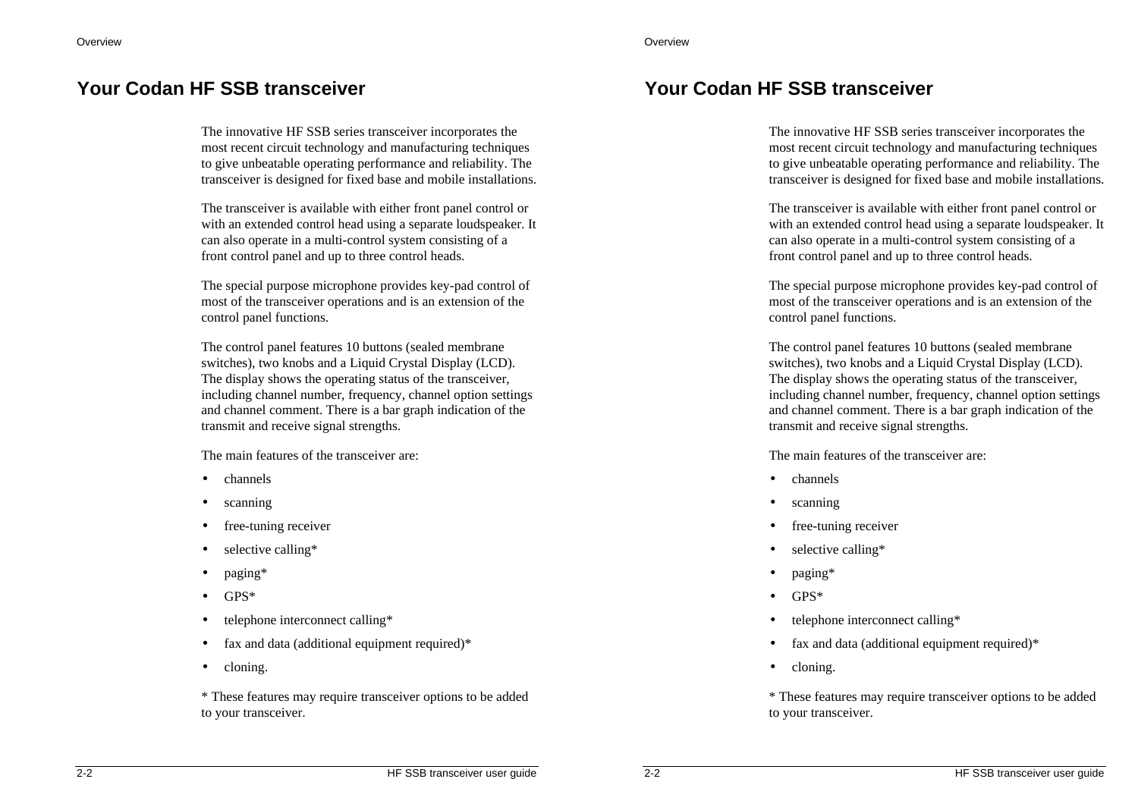## **Your Codan HF SSB transceiver**

The innovative HF SSB series transceiver incorporates the most recent circuit technology and manufacturing techniques to give unbeatable operating performance and reliability. The transceiver is designed for fixed base and mobile installations.

The transceiver is available with either front panel control or with an extended control head using a separate loudspeaker. It can also operate in a multi-control system consisting of a front control panel and up to three control heads.

The special purpose microphone provides key-pad control of most of the transceiver operations and is an extension of the control panel functions.

The control panel features 10 buttons (sealed membrane switches), two knobs and a Liquid Crystal Display (LCD). The display shows the operating status of the transceiver, including channel number, frequency, channel option settings and channel comment. There is a bar graph indication of the transmit and receive signal strengths.

The main features of the transceiver are:

- channels
- scanning
- free-tuning receiver
- selective calling\*
- paging\*
- GPS\*
- telephone interconnect calling\*
- fax and data (additional equipment required) $*$
- cloning.

\* These features may require transceiver options to be added to your transceiver.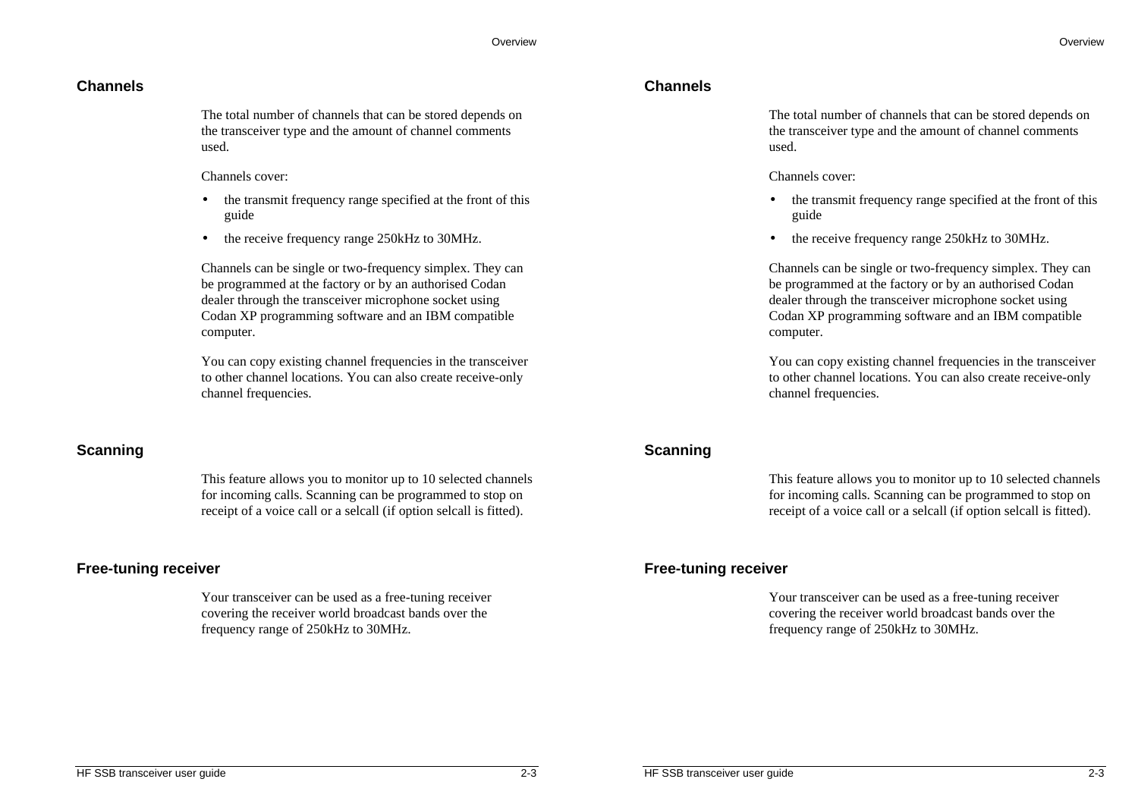#### **Channels**

The total number of channels that can be stored depends on the transceiver type and the amount of channel comments used.

Channels cover:

- the transmit frequency range specified at the front of this guide
- the receive frequency range 250kHz to 30MHz.

Channels can be single or two-frequency simplex. They can be programmed at the factory or by an authorised Codan dealer through the transceiver microphone socket using Codan XP programming software and an IBM compatible computer.

You can copy existing channel frequencies in the transceiver to other channel locations. You can also create receive-only channel frequencies.

#### **Scanning**

This feature allows you to monitor up to 10 selected channels for incoming calls. Scanning can be programmed to stop on receipt of a voice call or a selcall (if option selcall is fitted).

#### **Free-tuning receiver**

Your transceiver can be used as a free-tuning receiver covering the receiver world broadcast bands over the frequency range of 250kHz to 30MHz.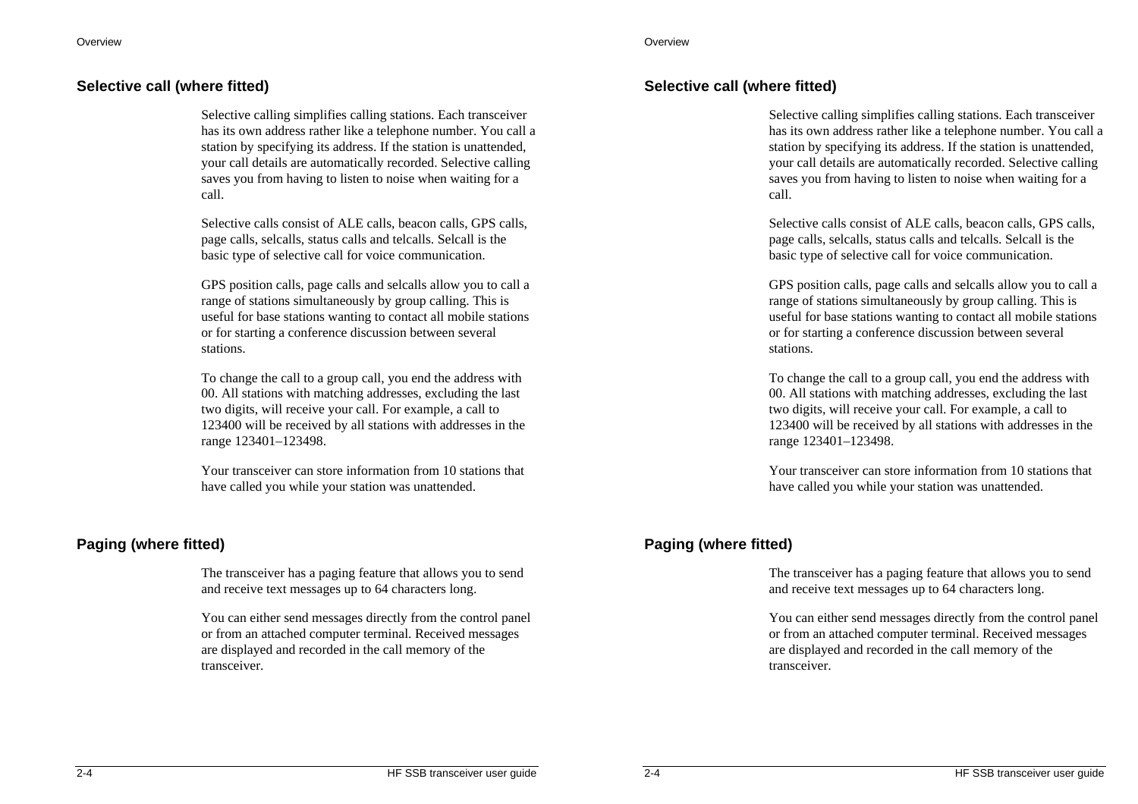#### **Selective call (where fitted)**

Selective calling simplifies calling stations. Each transceiver has its own address rather like a telephone number. You call a station by specifying its address. If the station is unattended, your call details are automatically recorded. Selective calling saves you from having to listen to noise when waiting for a call.

Selective calls consist of ALE calls, beacon calls, GPS calls, page calls, selcalls, status calls and telcalls. Selcall is the basic type of selective call for voice communication.

GPS position calls, page calls and selcalls allow you to call a range of stations simultaneously by group calling. This is useful for base stations wanting to contact all mobile stations or for starting a conference discussion between several stations.

To change the call to a group call, you end the address with 00. All stations with matching addresses, excluding the last two digits, will receive your call. For example, a call to 123400 will be received by all stations with addresses in the range 123401–123498.

Your transceiver can store information from 10 stations that have called you while your station was unattended.

#### **Paging (where fitted)**

The transceiver has a paging feature that allows you to send and receive text messages up to 64 characters long.

You can either send messages directly from the control panel or from an attached computer terminal. Received messages are displayed and recorded in the call memory of the transceiver.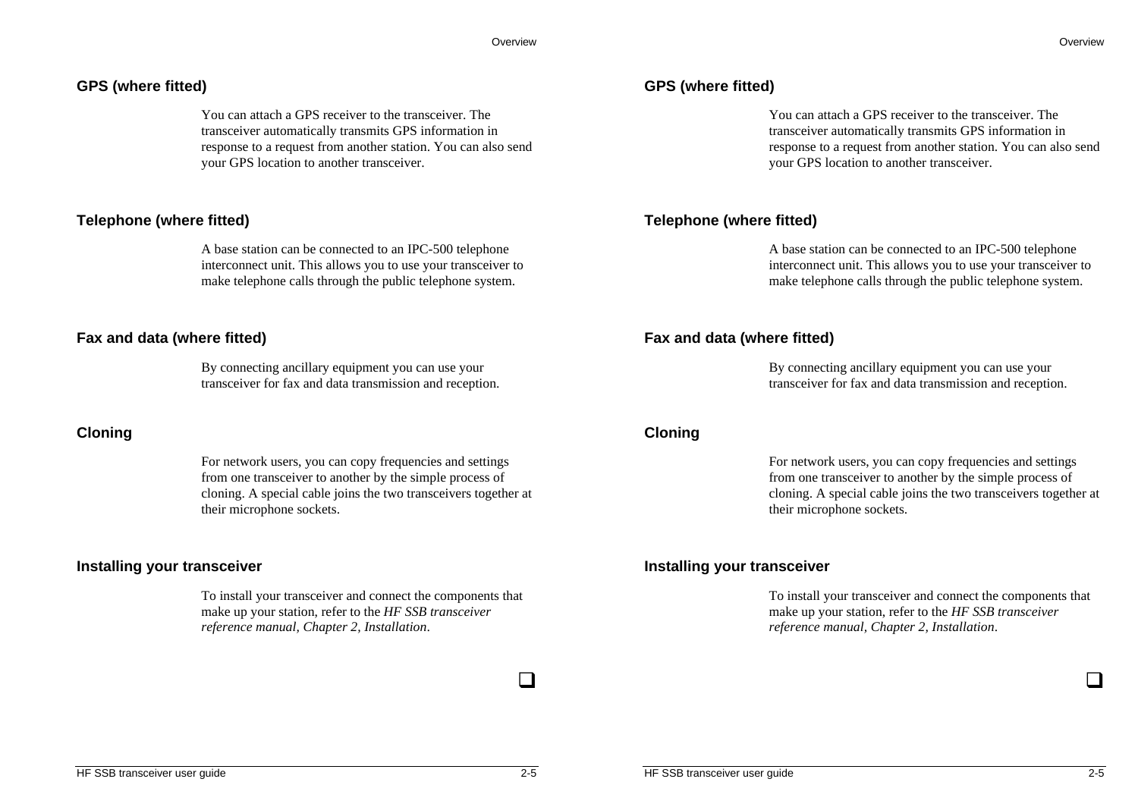#### **GPS (where fitted)**

You can attach a GPS receiver to the transceiver. The transceiver automatically transmits GPS information in response to a request from another station. You can also send your GPS location to another transceiver.

#### **Telephone (where fitted)**

A base station can be connected to an IPC-500 telephone interconnect unit. This allows you to use your transceiver to make telephone calls through the public telephone system.

#### **Fax and data (where fitted)**

By connecting ancillary equipment you can use your transceiver for fax and data transmission and reception.

#### **Cloning**

For network users, you can copy frequencies and settings from one transceiver to another by the simple process of cloning. A special cable joins the two transceivers together at their microphone sockets.

#### **Installing your transceiver**

To install your transceiver and connect the components that make up your station, refer to the *HF SSB transceiver reference manual, Chapter 2, Installation*.

┒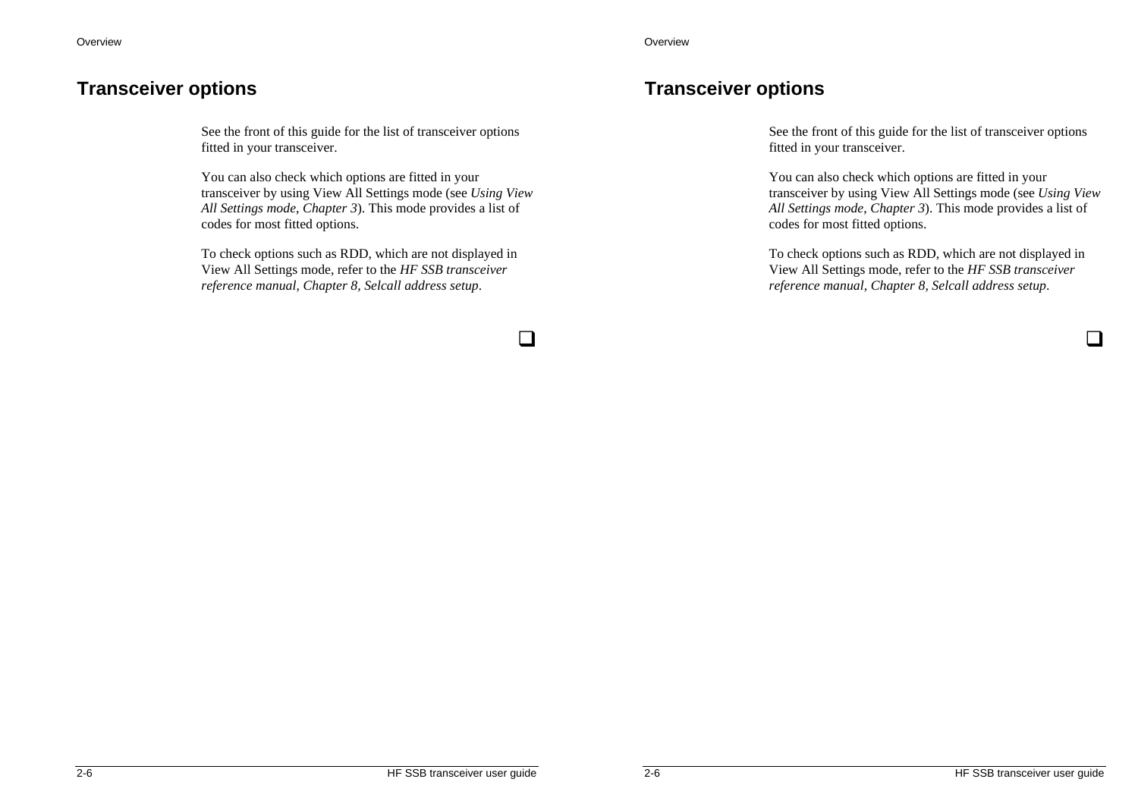## **Transceiver options**

See the front of this guide for the list of transceiver options fitted in your transceiver.

You can also check which options are fitted in your transceiver by using View All Settings mode (see *Using View All Settings mode*, *Chapter 3*). This mode provides a list of codes for most fitted options.

To check options such as RDD, which are not displayed in View All Settings mode, refer to the *HF SSB transceiver reference manual, Chapter 8, Selcall address setup*.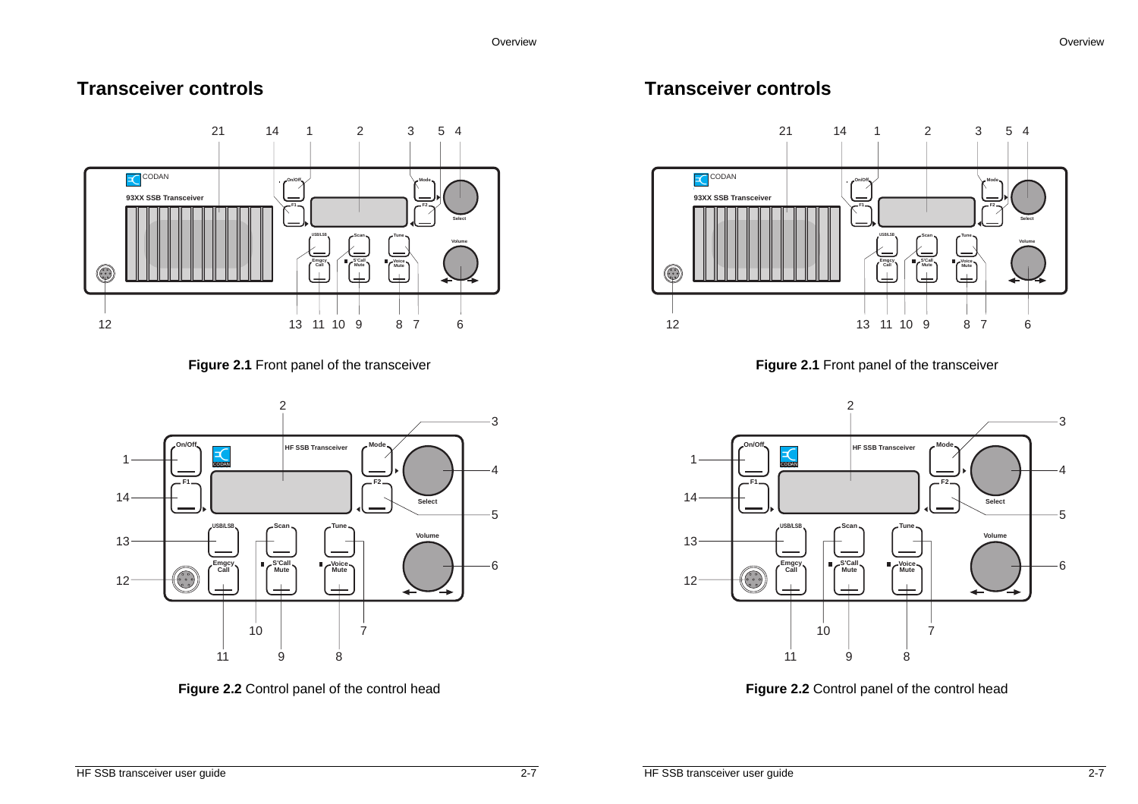

# **Transceiver controls**

**Figure 2.1** Front panel of the transceiver



**Figure 2.2** Control panel of the control head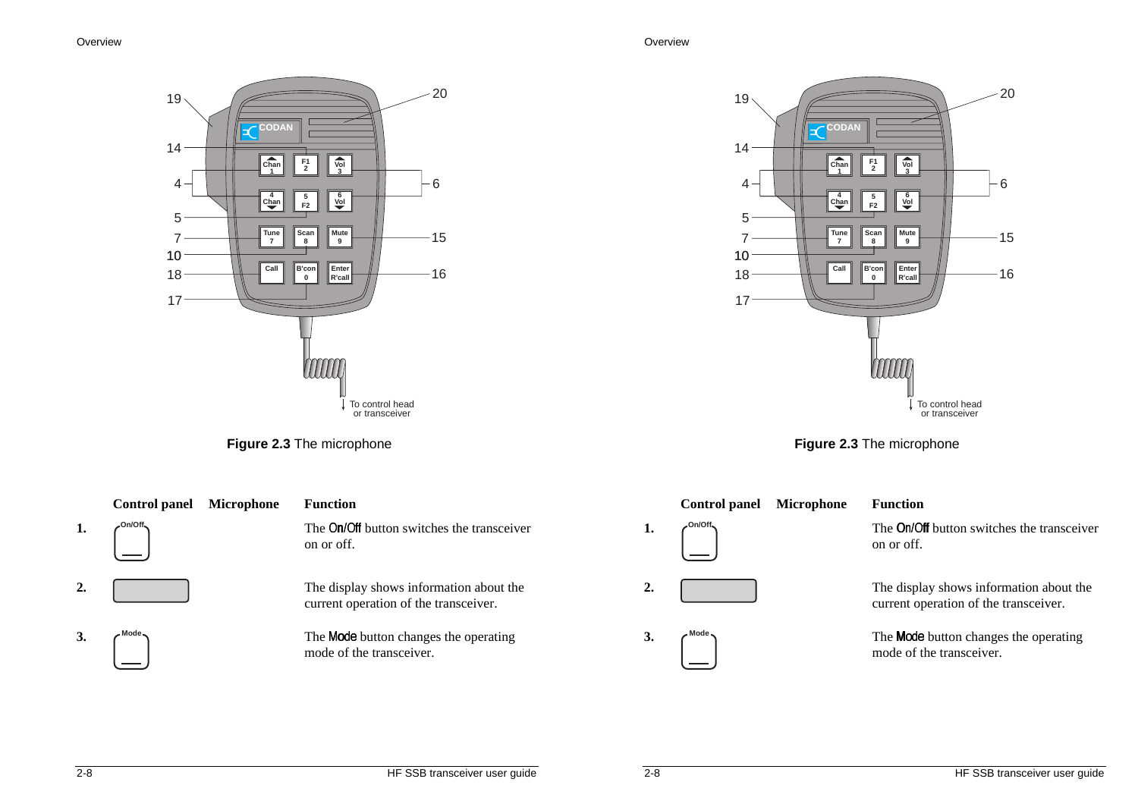**Overview** 



**Figure 2.3** The microphone

|                       | Control panel | <b>Microphone</b> | <b>Function</b>                                                                  |
|-----------------------|---------------|-------------------|----------------------------------------------------------------------------------|
| $\mathbf{1}$ .        | On/Off        |                   | The On/Off button switches the transceiver<br>on or off.                         |
| 2.                    |               |                   | The display shows information about the<br>current operation of the transceiver. |
| $\ddot{\textbf{3}}$ . |               |                   | The Mode button changes the operating<br>mode of the transceiver.                |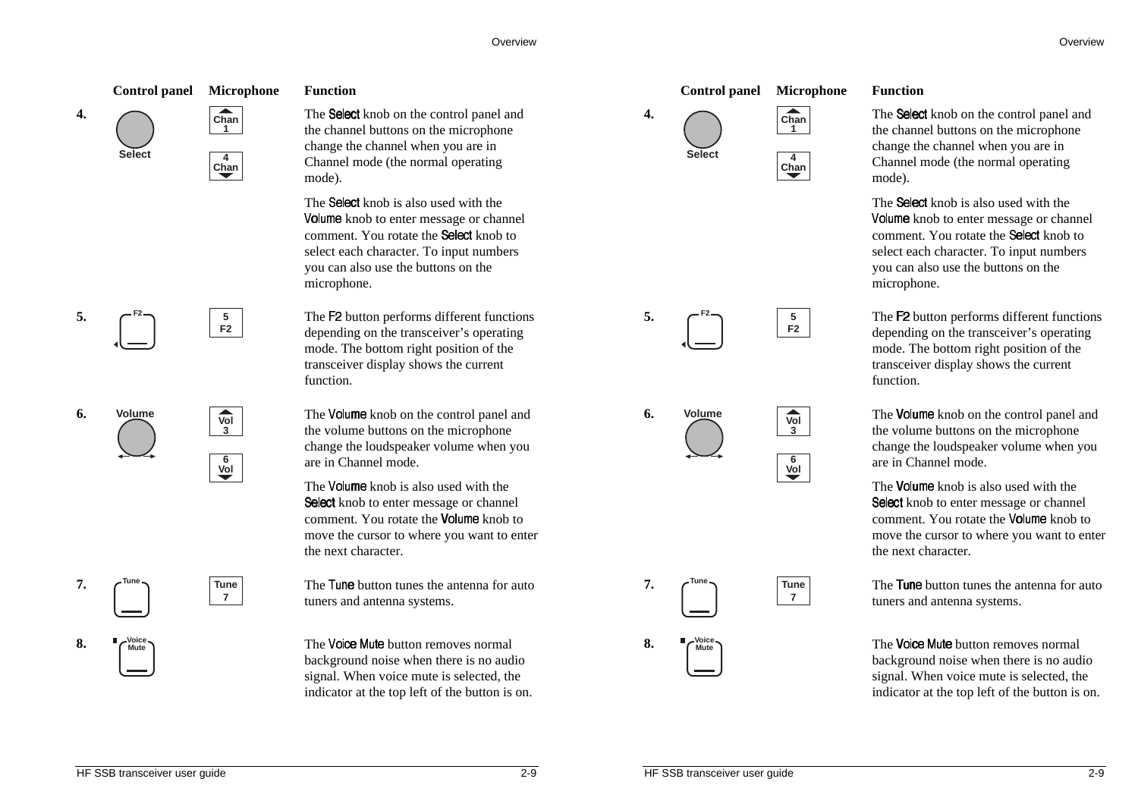**Select**







**F2** 

**Chan 1** 

The Select knob on the control panel and the channel buttons on the microphone change the channel when you are in Channel mode (the normal operating mode).

The Select knob is also used with the Volume knob to enter message or channel comment. You rotate the Select knob to select each character. To input numbers you can also use the buttons on the microphone.

The F2 button performs different functions depending on the transceiver's operating mode. The bottom right position of the transceiver display shows the current function.

The Volume knob on the control panel and the volume buttons on the microphone change the loudspeaker volume when you are in Channel mode.

The Volume knob is also used with the Select knob to enter message or channel comment. You rotate the Volume knob to move the cursor to where you want to enter the next character.

The Tune button tunes the antenna for auto tuners and antenna systems.

**Mute** The Voice Mute button removes normal background noise when there is no audio signal. When voice mute is selected, the indicator at the top left of the button is on.



**5. F2 <sup>5</sup>**

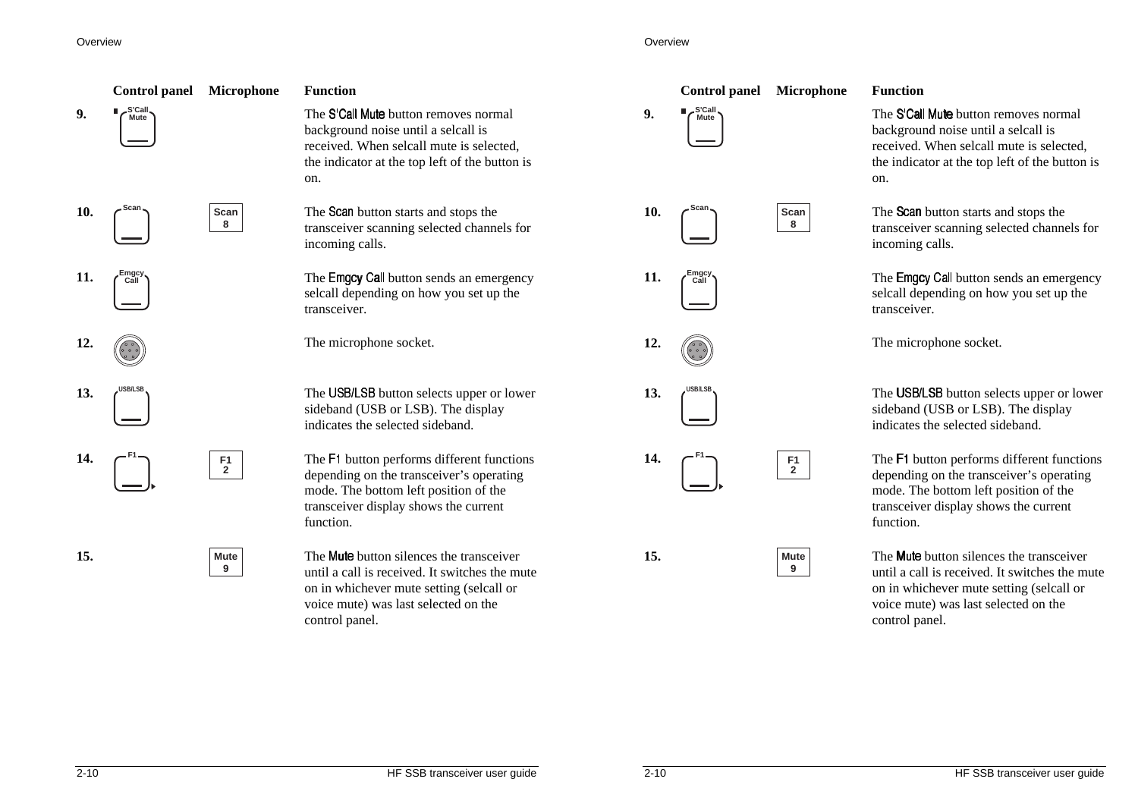|     | <b>Control panel</b> | Microphone | <b>Function</b>                                                                                                                                                                                  |
|-----|----------------------|------------|--------------------------------------------------------------------------------------------------------------------------------------------------------------------------------------------------|
| 9.  | S'Call.<br>Mute      |            | The S'Call Mute button removes normal<br>background noise until a selcall is<br>received. When selcall mute is selected,<br>the indicator at the top left of the button is<br>on.                |
| 10. |                      | Scan<br>8  | The Scan button starts and stops the<br>transceiver scanning selected channels for<br>incoming calls.                                                                                            |
| 11. | Emacv<br>Call        |            | The Emgcy Call button sends an emergency<br>selcall depending on how you set up the<br>transceiver.                                                                                              |
| 12. |                      |            | The microphone socket.                                                                                                                                                                           |
| 13. | <b>ISB/LSE</b>       |            | The USB/LSB button selects upper or lower<br>sideband (USB or LSB). The display<br>indicates the selected sideband.                                                                              |
| 14. |                      | F1<br>2    | The F1 button performs different functions<br>depending on the transceiver's operating<br>mode. The bottom left position of the<br>transceiver display shows the current<br>function.            |
| 15. |                      | Mute<br>9  | The Mute button silences the transceiver<br>until a call is received. It switches the mute<br>on in whichever mute setting (selcall or<br>voice mute) was last selected on the<br>control panel. |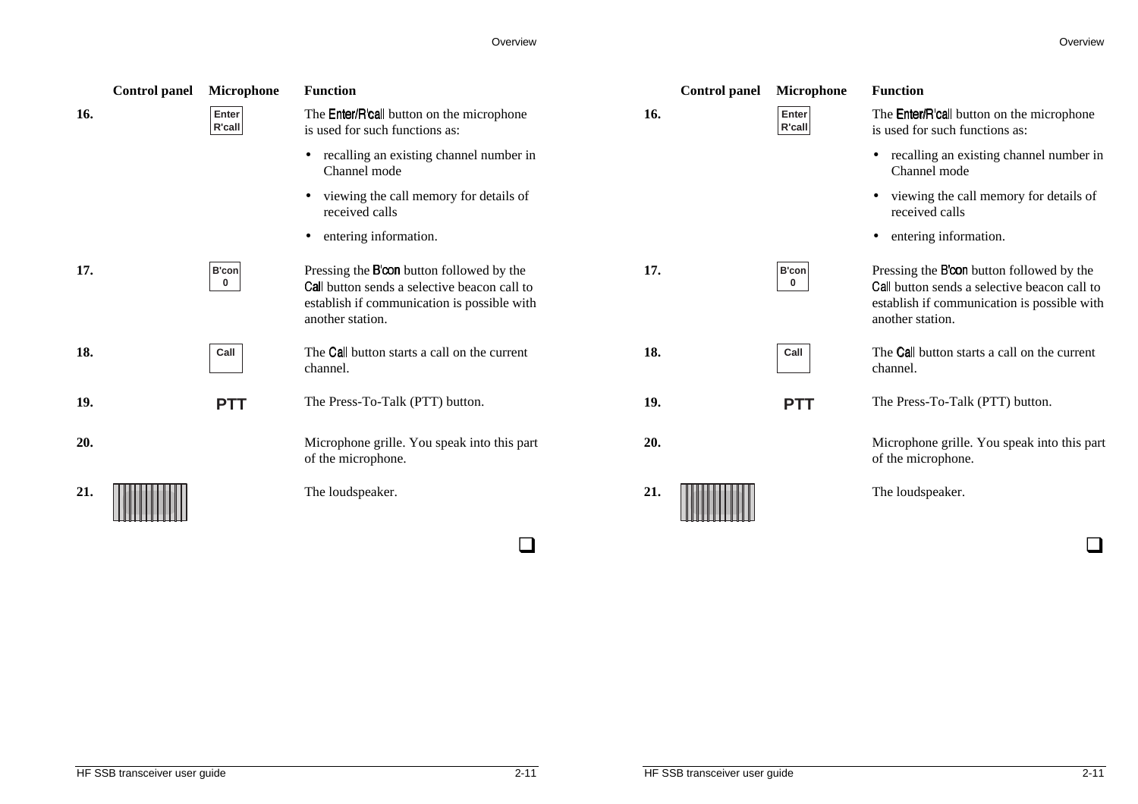|     | <b>Control panel</b> | <b>Microphone</b> | <b>Function</b>                                                                                                                                              |
|-----|----------------------|-------------------|--------------------------------------------------------------------------------------------------------------------------------------------------------------|
| 16. |                      | Enter<br>R'call   | The Enter/R call button on the microphone<br>is used for such functions as:                                                                                  |
|     |                      |                   | recalling an existing channel number in<br>Channel mode                                                                                                      |
|     |                      |                   | viewing the call memory for details of<br>received calls                                                                                                     |
|     |                      |                   | entering information.                                                                                                                                        |
| 17. |                      | <b>B'con</b><br>0 | Pressing the B'con button followed by the<br>Call button sends a selective beacon call to<br>establish if communication is possible with<br>another station. |
| 18. |                      | Call              | The Call button starts a call on the current<br>channel.                                                                                                     |
| 19. |                      | <b>PTT</b>        | The Press-To-Talk (PTT) button.                                                                                                                              |
| 20. |                      |                   | Microphone grille. You speak into this part<br>of the microphone.                                                                                            |
| 21. |                      |                   | The loudspeaker.                                                                                                                                             |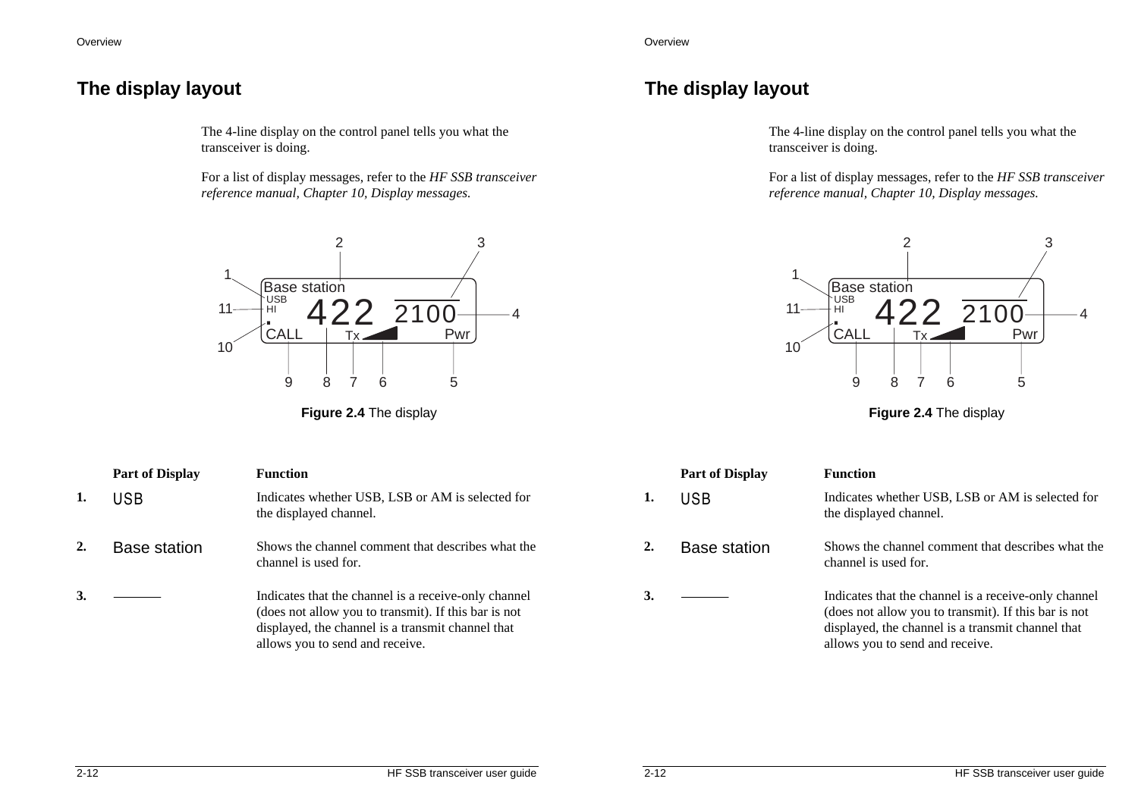# **The display layout**

The 4-line display on the control panel tells you what the transceiver is doing.

For a list of display messages, refer to the *HF SSB transceiver reference manual, Chapter 10, Display messages.*



**Figure 2.4** The display

|                  | <b>Part of Display</b> | <b>Function</b>                                                                                                                                                                                      |
|------------------|------------------------|------------------------------------------------------------------------------------------------------------------------------------------------------------------------------------------------------|
| 1.               | USB                    | Indicates whether USB, LSB or AM is selected for<br>the displayed channel.                                                                                                                           |
| $\overline{2}$ . | <b>Base station</b>    | Shows the channel comment that describes what the<br>channel is used for.                                                                                                                            |
| 3.               |                        | Indicates that the channel is a receive-only channel<br>(does not allow you to transmit). If this bar is not<br>displayed, the channel is a transmit channel that<br>allows you to send and receive. |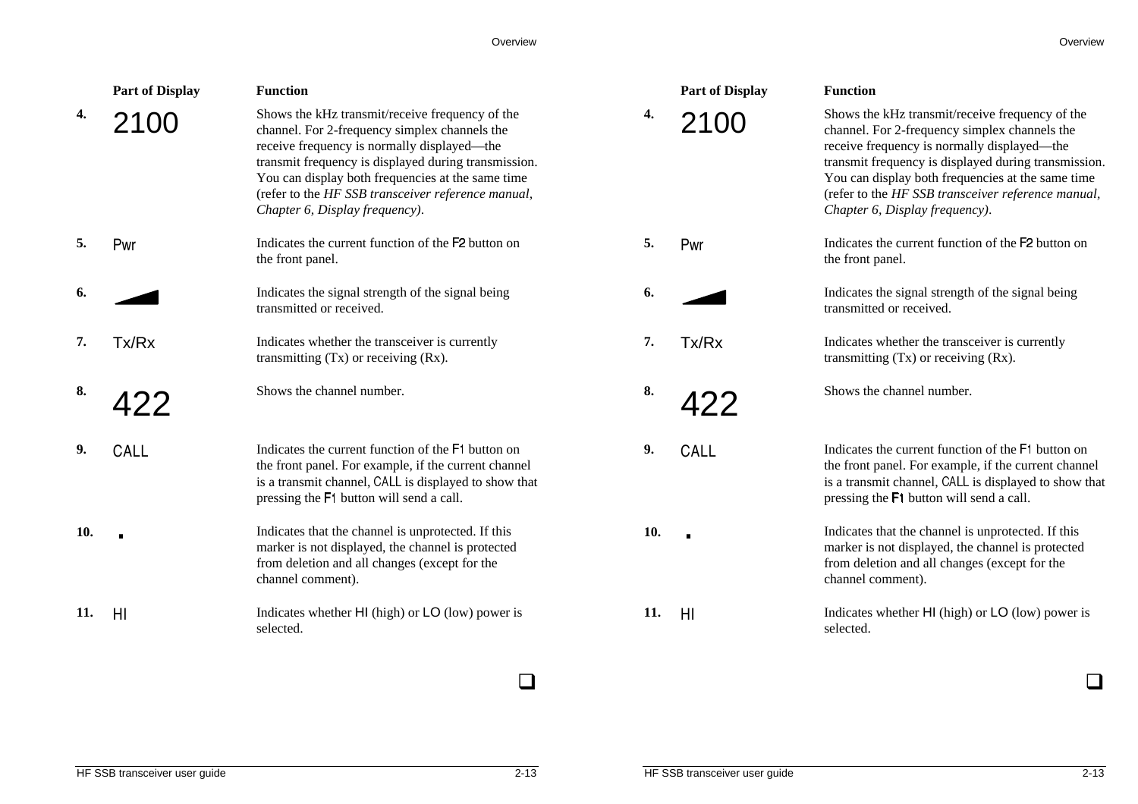|              | <b>Part of Display</b> | <b>Function</b>                                                                                                                                                                                                                                                                                                                                      |
|--------------|------------------------|------------------------------------------------------------------------------------------------------------------------------------------------------------------------------------------------------------------------------------------------------------------------------------------------------------------------------------------------------|
| $\mathbf{4}$ | 2100                   | Shows the kHz transmit/receive frequency of the<br>channel. For 2-frequency simplex channels the<br>receive frequency is normally displayed—the<br>transmit frequency is displayed during transmission.<br>You can display both frequencies at the same time<br>(refer to the HF SSB transceiver reference manual,<br>Chapter 6, Display frequency). |
| 5.           | Pwr                    | Indicates the current function of the F2 button on<br>the front panel.                                                                                                                                                                                                                                                                               |
| 6.           |                        | Indicates the signal strength of the signal being<br>transmitted or received.                                                                                                                                                                                                                                                                        |
| 7.           | Tx/Rx                  | Indicates whether the transceiver is currently<br>transmitting $(Tx)$ or receiving $(Rx)$ .                                                                                                                                                                                                                                                          |
| 8.           | 422                    | Shows the channel number.                                                                                                                                                                                                                                                                                                                            |
| 9.           | CALL                   | Indicates the current function of the F1 button on<br>the front panel. For example, if the current channel<br>is a transmit channel, CALL is displayed to show that<br>pressing the F1 button will send a call.                                                                                                                                      |
| 10.          |                        | Indicates that the channel is unprotected. If this<br>marker is not displayed, the channel is protected<br>from deletion and all changes (except for the<br>channel comment).                                                                                                                                                                        |
| 11.          | нı                     | Indicates whether HI (high) or LO (low) power is<br>selected.                                                                                                                                                                                                                                                                                        |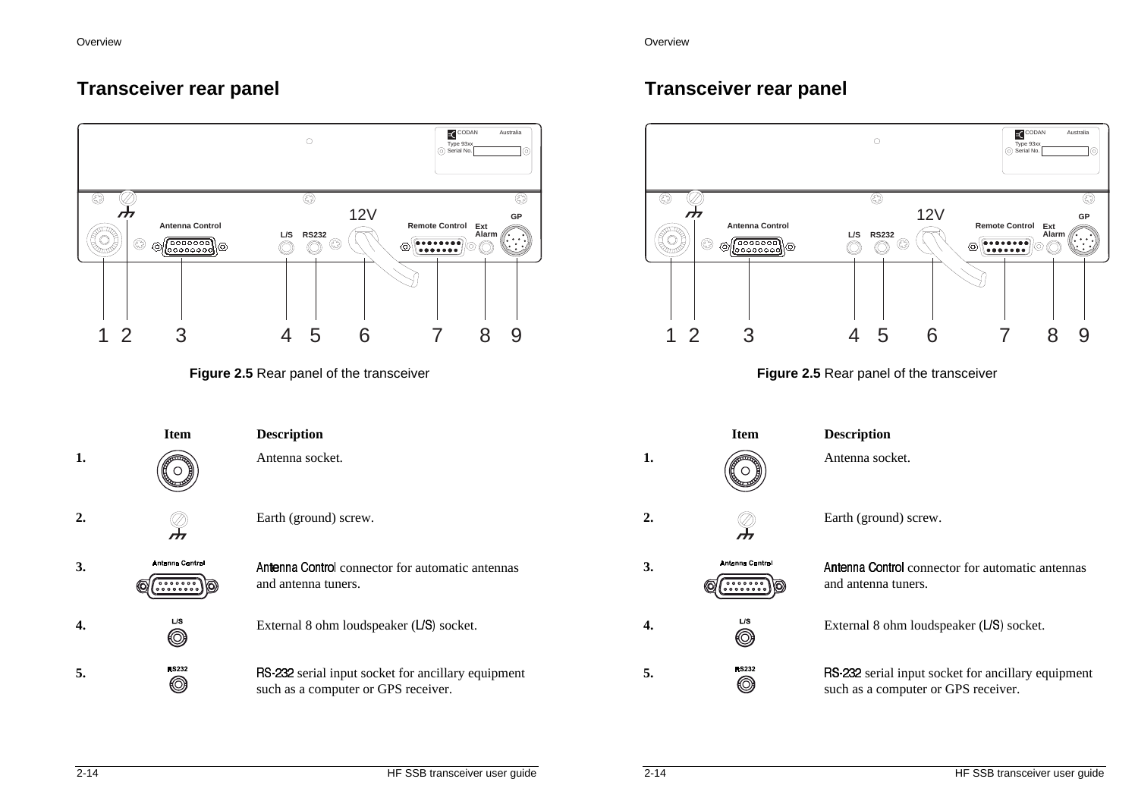# **Transceiver rear panel**



**Figure 2.5** Rear panel of the transceiver

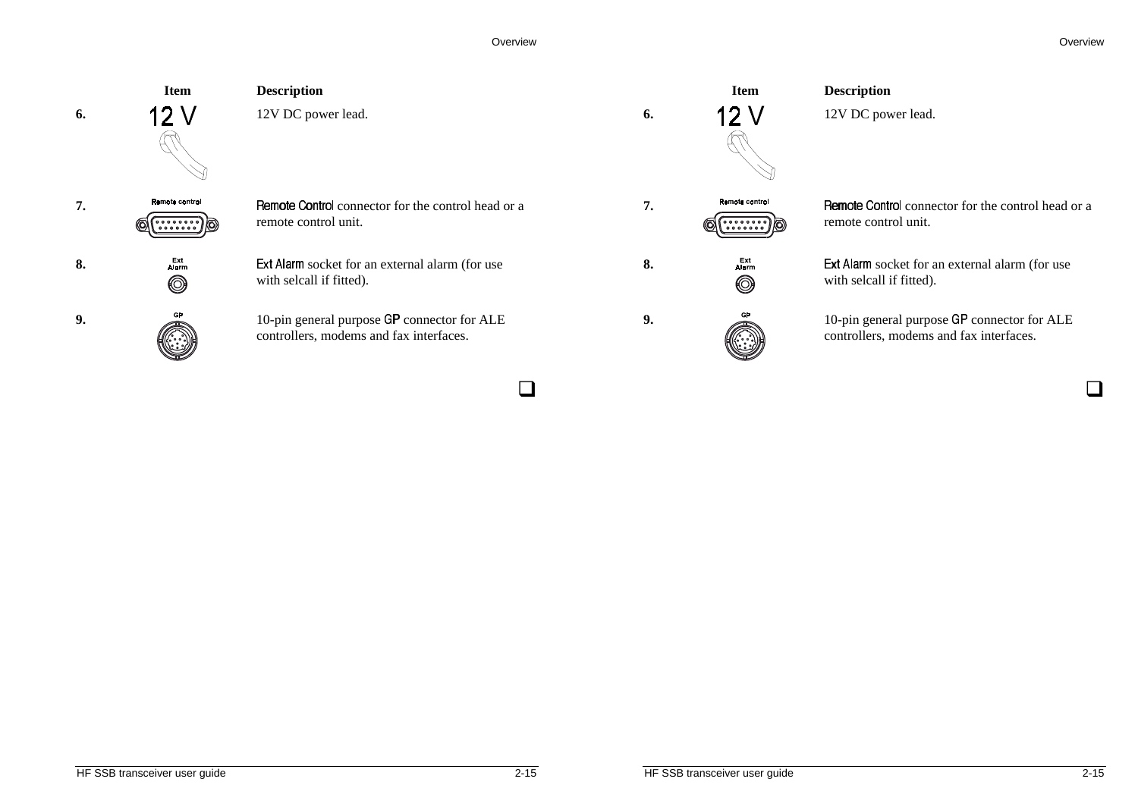

mote Control connector for the control head or a remote control unit.

**8.** Ext Alarm Socket for an external alarm (for use with selcall if fitted).

**9.** <sup>or</sup> 10-pin general purpose **GP** connector for ALE controllers, modems and fax interfaces.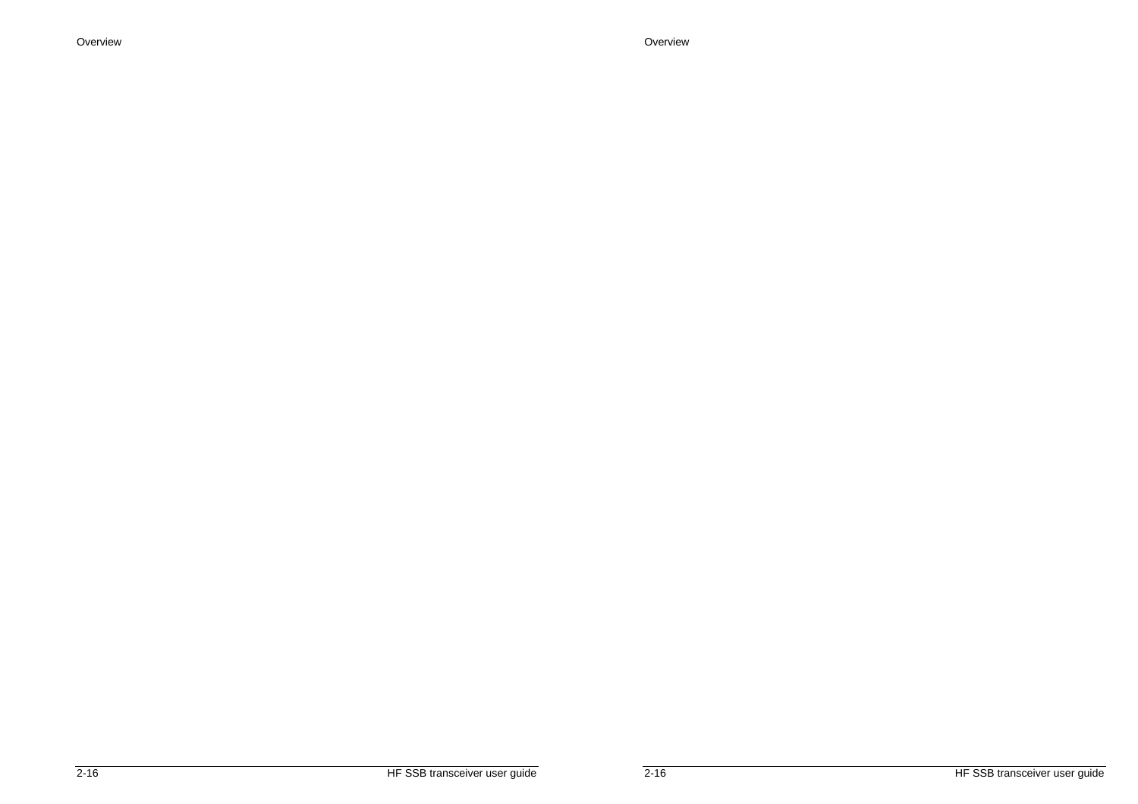Overview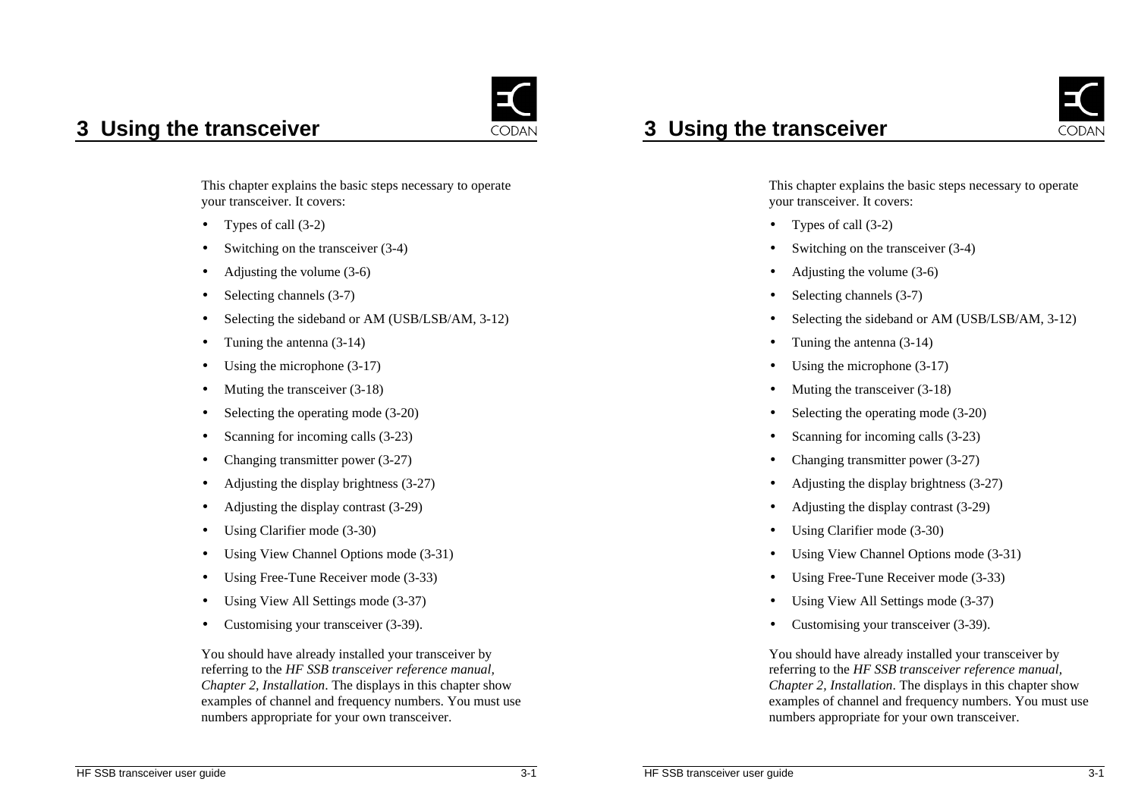

# **3 Using the transceiver**

This chapter explains the basic steps necessary to operate your transceiver. It covers:

- Types of call (3-2)
- Switching on the transceiver  $(3-4)$
- Adjusting the volume (3-6)
- Selecting channels (3-7)
- Selecting the sideband or AM (USB/LSB/AM, 3-12)
- Tuning the antenna (3-14)
- Using the microphone (3-17)
- Muting the transceiver  $(3-18)$
- Selecting the operating mode (3-20)
- Scanning for incoming calls (3-23)
- Changing transmitter power (3-27)
- Adjusting the display brightness (3-27)
- Adjusting the display contrast (3-29)
- Using Clarifier mode (3-30)
- Using View Channel Options mode (3-31)
- Using Free-Tune Receiver mode (3-33)
- Using View All Settings mode (3-37)
- Customising your transceiver (3-39).

You should have already installed your transceiver by referring to the *HF SSB transceiver reference manual, Chapter 2, Installation*. The displays in this chapter show examples of channel and frequency numbers. You must use numbers appropriate for your own transceiver.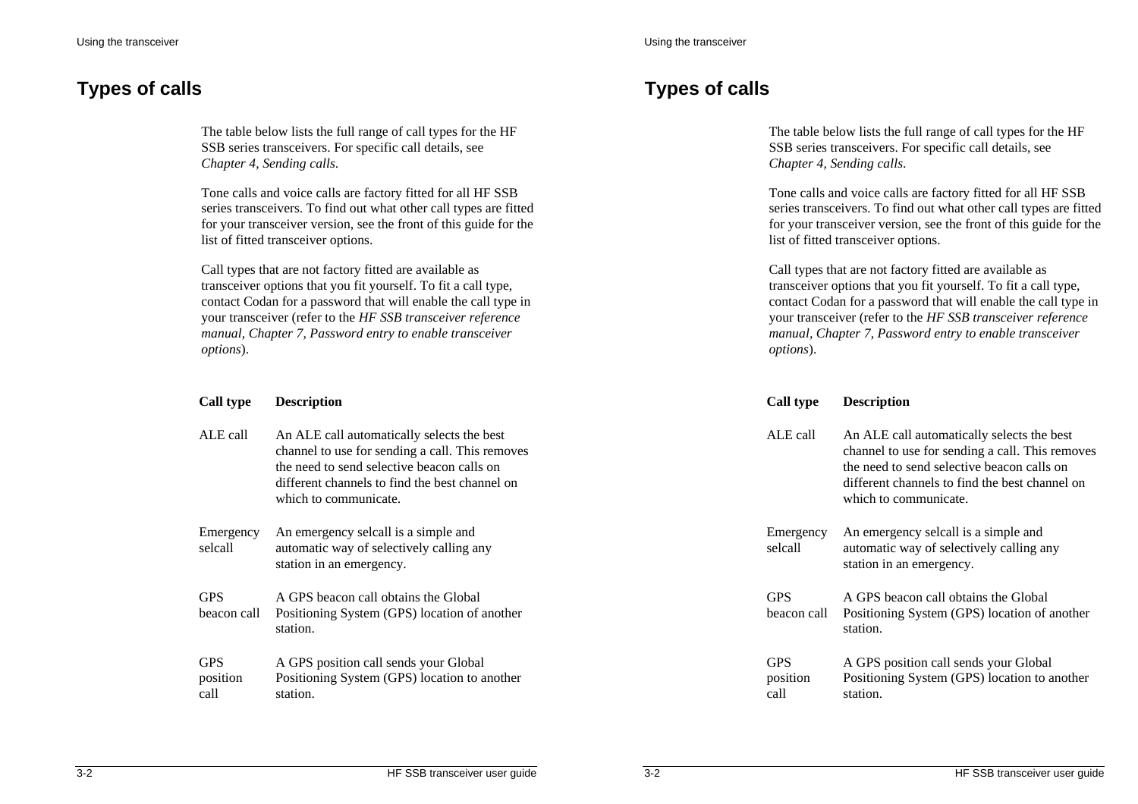# **Types of calls**

The table below lists the full range of call types for the HF SSB series transceivers. For specific call details, see *Chapter 4, Sending calls*.

Tone calls and voice calls are factory fitted for all HF SSB series transceivers. To find out what other call types are fitted for your transceiver version, see the front of this guide for the list of fitted transceiver options.

Call types that are not factory fitted are available as transceiver options that you fit yourself. To fit a call type, contact Codan for a password that will enable the call type in your transceiver (refer to the *HF SSB transceiver reference manual, Chapter 7, Password entry to enable transceiver options*).

#### **Call type Description**

| ALE call                       | An ALE call automatically selects the best<br>channel to use for sending a call. This removes<br>the need to send selective beacon calls on<br>different channels to find the best channel on<br>which to communicate. |
|--------------------------------|------------------------------------------------------------------------------------------------------------------------------------------------------------------------------------------------------------------------|
| Emergency<br>selcall           | An emergency selcall is a simple and<br>automatic way of selectively calling any<br>station in an emergency.                                                                                                           |
| <b>GPS</b><br>beacon call      | A GPS beacon call obtains the Global<br>Positioning System (GPS) location of another<br>station.                                                                                                                       |
| <b>GPS</b><br>position<br>call | A GPS position call sends your Global<br>Positioning System (GPS) location to another<br>station.                                                                                                                      |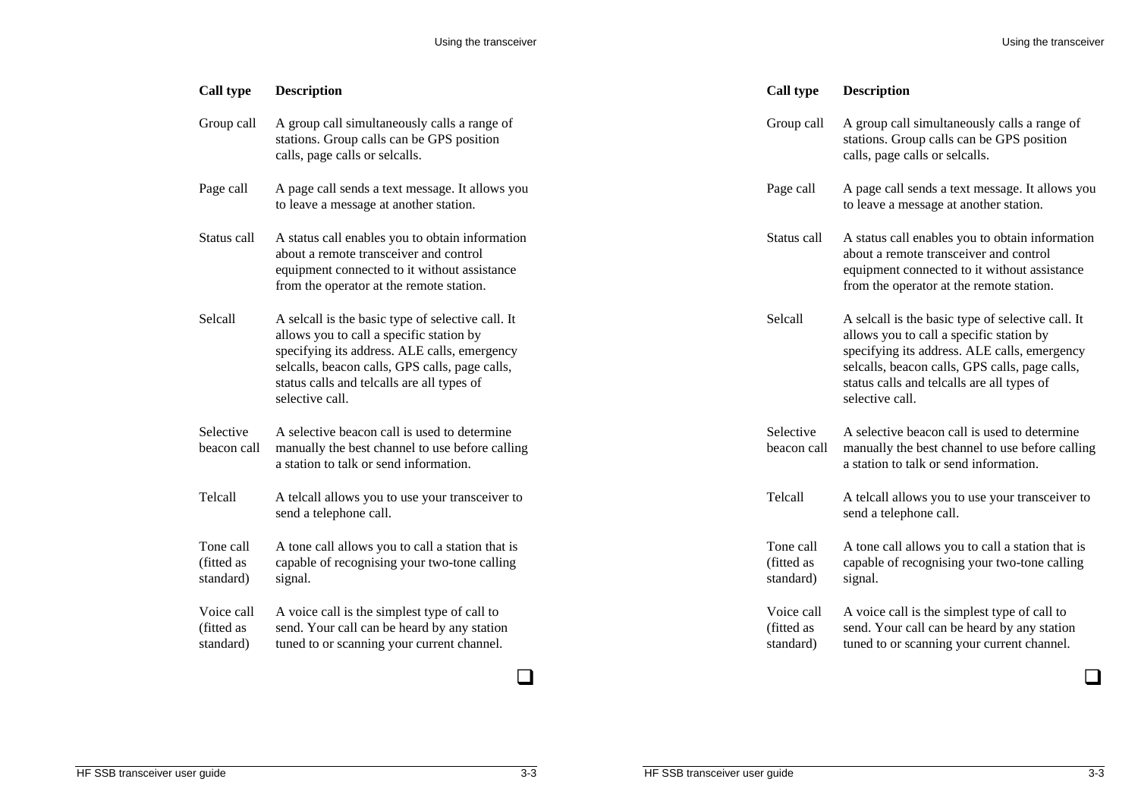| <b>Call type</b>                      | <b>Description</b>                                                                                                                                                                                                                                               |
|---------------------------------------|------------------------------------------------------------------------------------------------------------------------------------------------------------------------------------------------------------------------------------------------------------------|
| Group call                            | A group call simultaneously calls a range of<br>stations. Group calls can be GPS position<br>calls, page calls or selcalls.                                                                                                                                      |
| Page call                             | A page call sends a text message. It allows you<br>to leave a message at another station.                                                                                                                                                                        |
| Status call                           | A status call enables you to obtain information<br>about a remote transceiver and control<br>equipment connected to it without assistance<br>from the operator at the remote station.                                                                            |
| Selcall                               | A selcall is the basic type of selective call. It<br>allows you to call a specific station by<br>specifying its address. ALE calls, emergency<br>selcalls, beacon calls, GPS calls, page calls,<br>status calls and telcalls are all types of<br>selective call. |
| Selective<br>beacon call              | A selective beacon call is used to determine<br>manually the best channel to use before calling<br>a station to talk or send information.                                                                                                                        |
| <b>Telcall</b>                        | A telcall allows you to use your transceiver to<br>send a telephone call.                                                                                                                                                                                        |
| Tone call<br>(fitted as<br>standard)  | A tone call allows you to call a station that is<br>capable of recognising your two-tone calling<br>signal.                                                                                                                                                      |
| Voice call<br>(fitted as<br>standard) | A voice call is the simplest type of call to<br>send. Your call can be heard by any station<br>tuned to or scanning your current channel.                                                                                                                        |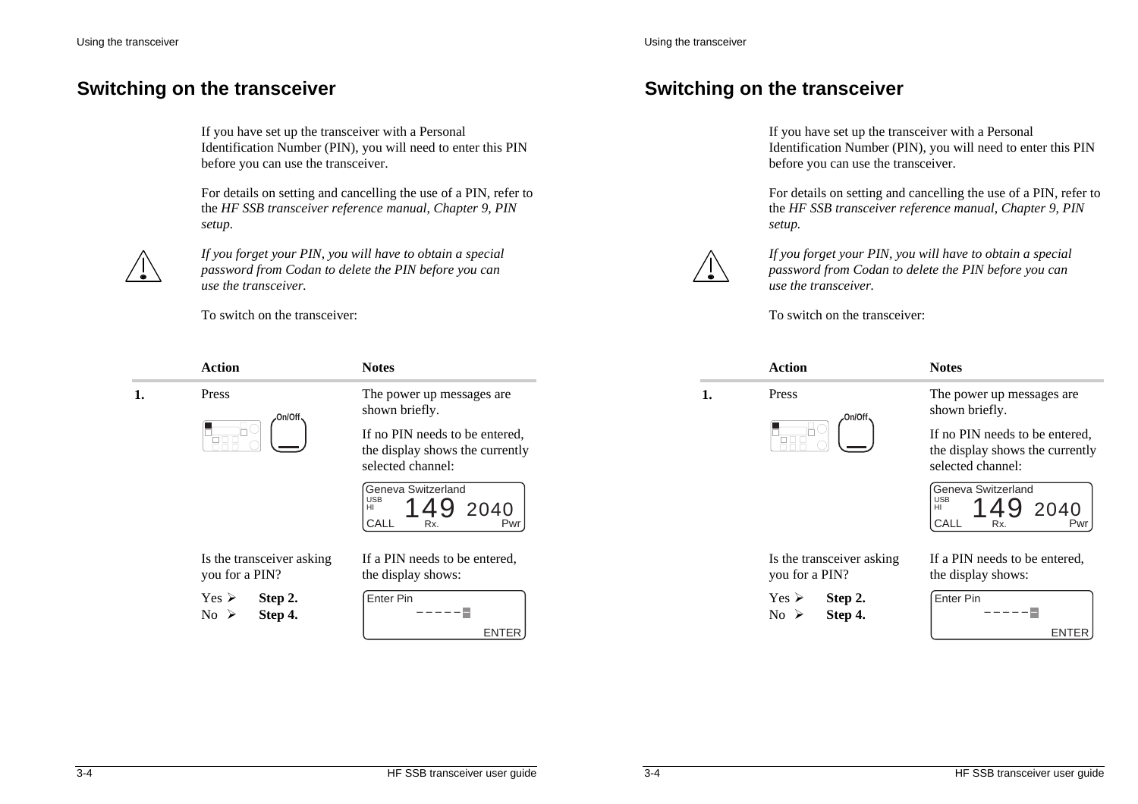## **Switching on the transceiver**

If you have set up the transceiver with a Personal Identification Number (PIN), you will need to enter this PIN before you can use the transceiver.

For details on setting and cancelling the use of a PIN, refer to the *HF SSB transceiver reference manual*, *Chapter 9, PIN setup.*



*If you forget your PIN, you will have to obtain a special password from Codan to delete the PIN before you can use the transceiver.*

To switch on the transceiver:

|  | Action                                            | <b>Notes</b>                                                                           |
|--|---------------------------------------------------|----------------------------------------------------------------------------------------|
|  | Press<br>On/Off                                   | The power up messages are.<br>shown briefly.                                           |
|  |                                                   | If no PIN needs to be entered,<br>the display shows the currently<br>selected channel: |
|  |                                                   | Geneva Switzerland<br><b>USB</b><br>149 2040<br>HI<br>Pwr<br>CALL<br>Rx.               |
|  | Is the transceiver asking<br>you for a PIN?       | If a PIN needs to be entered,<br>the display shows:                                    |
|  | Yes ><br>Step 2.<br>Step 4.<br>$\mathrm{No} \geq$ | <b>Enter Pin</b>                                                                       |

ENTER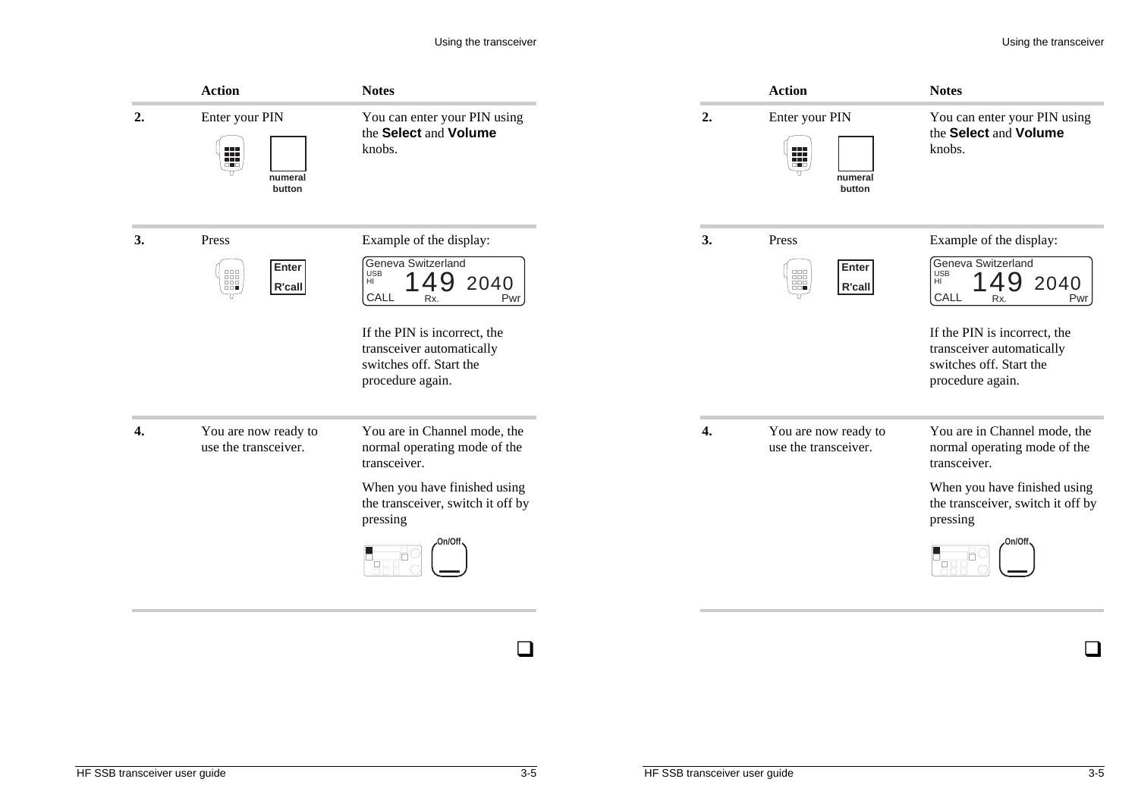|    | <b>Action</b>                                            | <b>Notes</b>                                                                                                                                                                                                   |
|----|----------------------------------------------------------|----------------------------------------------------------------------------------------------------------------------------------------------------------------------------------------------------------------|
| 2. | Enter your PIN<br>numera<br>button                       | You can enter your PIN using<br>the Select and Volume<br>knobs.                                                                                                                                                |
| 3. | Press<br>Enter<br>88 B B<br>888<br>미디디<br>R'call<br>ים ב | Example of the display:<br>Geneva Switzerland<br><b>USB</b><br>49 2040<br>HI<br>Pwr<br>CALL<br>Rx.<br>If the PIN is incorrect, the<br>transceiver automatically<br>switches off. Start the<br>procedure again. |
| 4. | You are now ready to<br>use the transceiver.             | You are in Channel mode, the<br>normal operating mode of the<br>transceiver.<br>When you have finished using<br>the transceiver, switch it off by<br>pressing<br>On/Off                                        |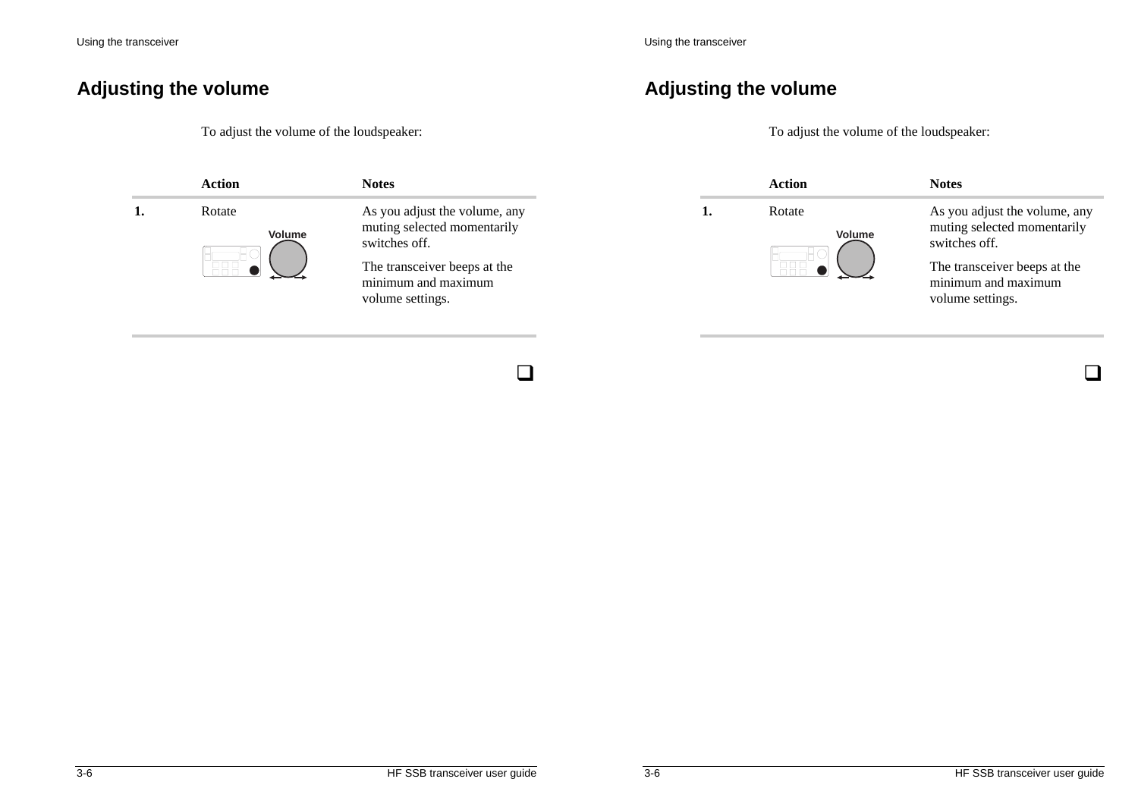# **Adjusting the volume**

To adjust the volume of the loudspeaker:

| Action                  | <b>Notes</b>                                                                                                                                             |
|-------------------------|----------------------------------------------------------------------------------------------------------------------------------------------------------|
| Rotate<br><b>Volume</b> | As you adjust the volume, any<br>muting selected momentarily<br>switches off.<br>The transceiver beeps at the<br>minimum and maximum<br>volume settings. |

┓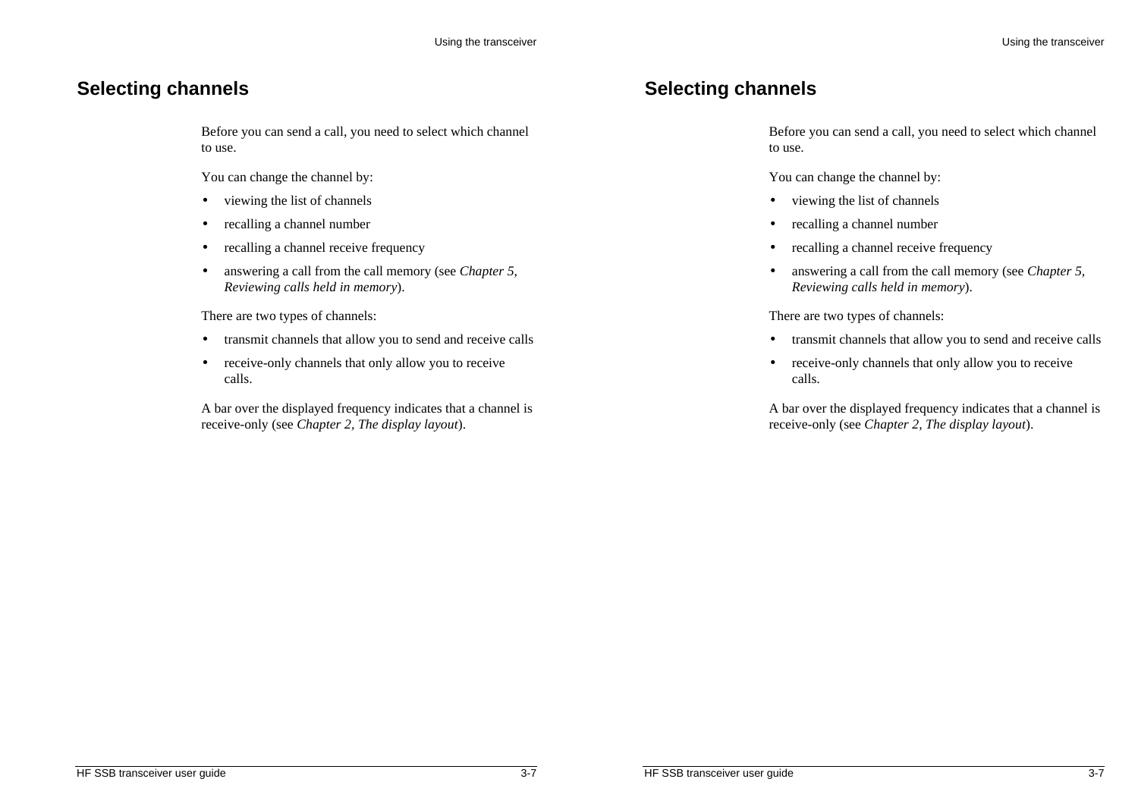# **Selecting channels**

Before you can send a call, you need to select which channel to use.

You can change the channel by:

- viewing the list of channels
- recalling a channel number
- recalling a channel receive frequency
- answering a call from the call memory (see *Chapter 5, Reviewing calls held in memory*).

There are two types of channels:

- transmit channels that allow you to send and receive calls
- receive-only channels that only allow you to receive calls.

A bar over the displayed frequency indicates that a channel is receive-only (see *Chapter 2, The display layout*).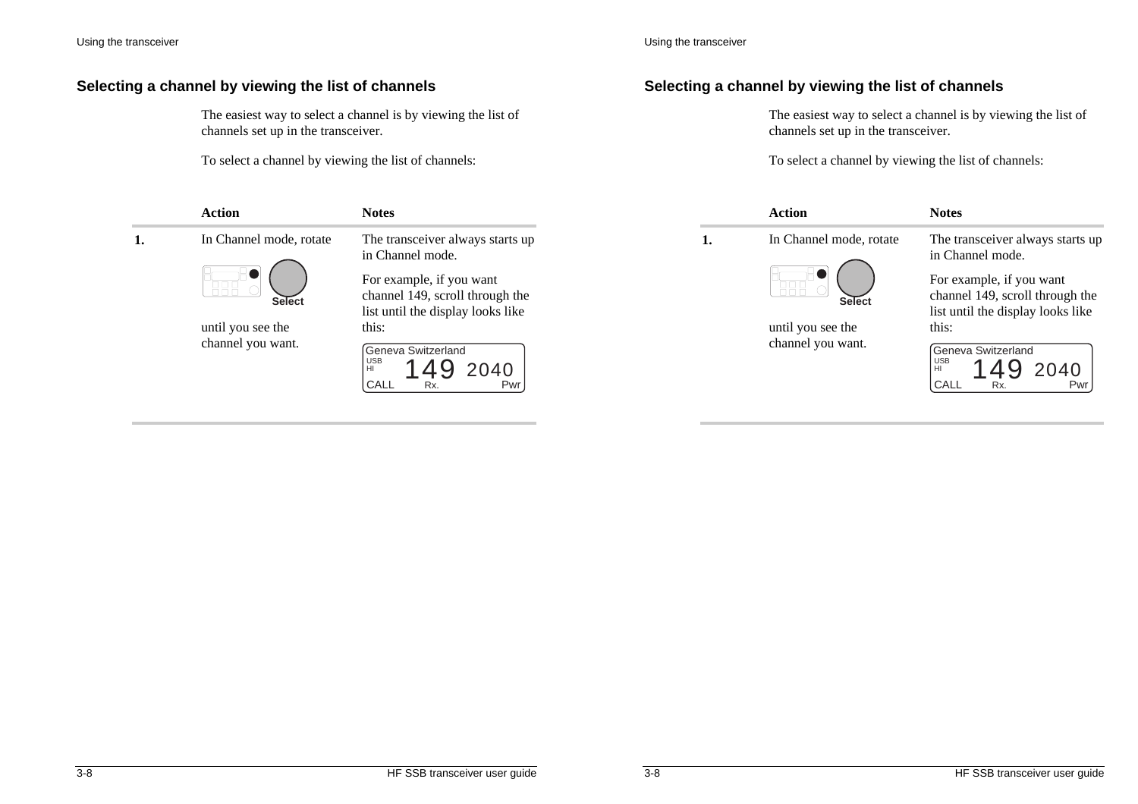## **Selecting a channel by viewing the list of channels**

The easiest way to select a channel is by viewing the list of channels set up in the transceiver.

To select a channel by viewing the list of channels:

| Action                                                                      | <b>Notes</b>                                                                                              |
|-----------------------------------------------------------------------------|-----------------------------------------------------------------------------------------------------------|
| In Channel mode, rotate<br>Select<br>until you see the<br>channel you want. | The transceiver always starts up<br>in Channel mode.                                                      |
|                                                                             | For example, if you want<br>channel 149, scroll through the<br>list until the display looks like<br>this: |
|                                                                             | Geneva Switzerland<br><b>USB</b><br>2040<br>HI<br>Rx.                                                     |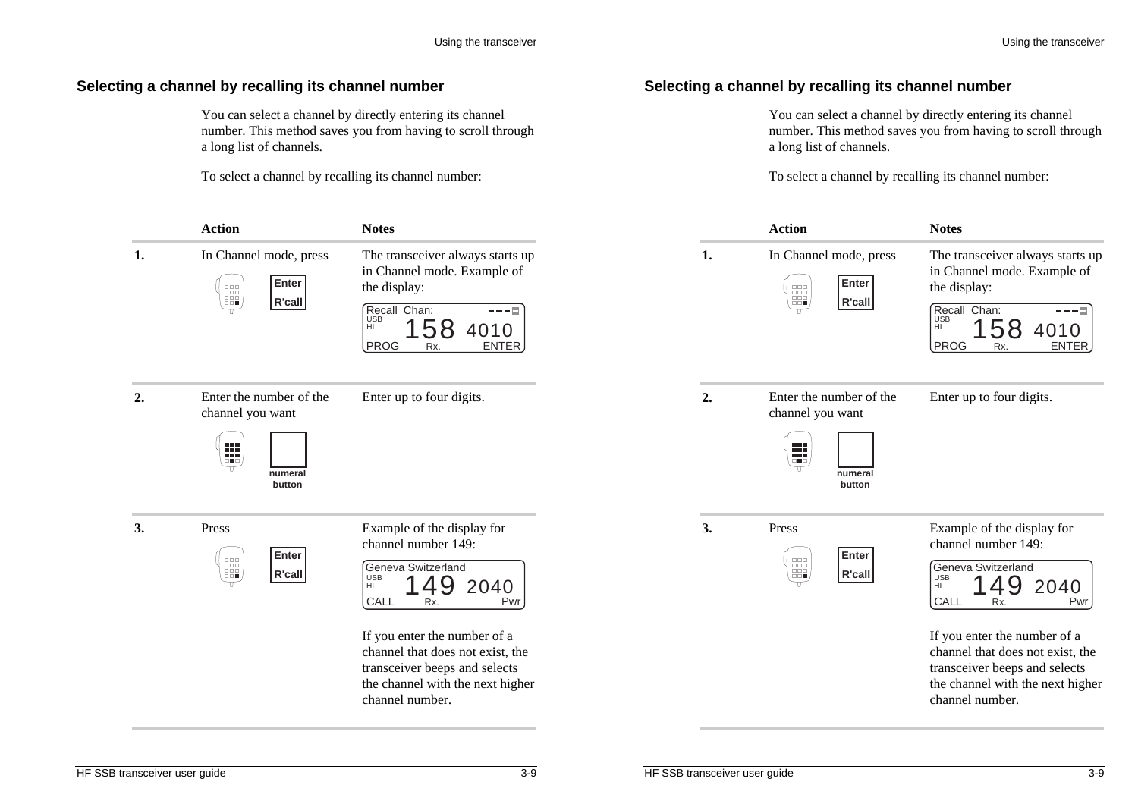## **Selecting a channel by recalling its channel number**

You can select a channel by directly entering its channel number. This method saves you from having to scroll through a long list of channels.

To select a channel by recalling its channel number:

|    | <b>Action</b>                                                        | <b>Notes</b>                                                                                                                                                                                                                                                                             |
|----|----------------------------------------------------------------------|------------------------------------------------------------------------------------------------------------------------------------------------------------------------------------------------------------------------------------------------------------------------------------------|
| 1. | In Channel mode, press<br>Enter<br>88 B B<br>888<br>88 B B<br>R'call | The transceiver always starts up<br>in Channel mode. Example of<br>the display:<br>Recall Chan:<br><b>USB</b><br>158 4010<br>HI<br><b>ENTER</b><br><b>PROG</b><br>Rx                                                                                                                     |
| 2. | Enter the number of the<br>channel you want<br>numeral<br>button     | Enter up to four digits.                                                                                                                                                                                                                                                                 |
| 3. | Press<br>Enter<br>ㅁㅁㅁ<br>888<br>88 B B<br>R'call<br>7 O O            | Example of the display for<br>channel number 149:<br>Geneva Switzerland<br><b>USB</b><br>49 2040<br>HI<br>CALL<br>Pwr<br>Rx.<br>If you enter the number of a<br>channel that does not exist, the<br>transceiver beeps and selects<br>the channel with the next higher<br>channel number. |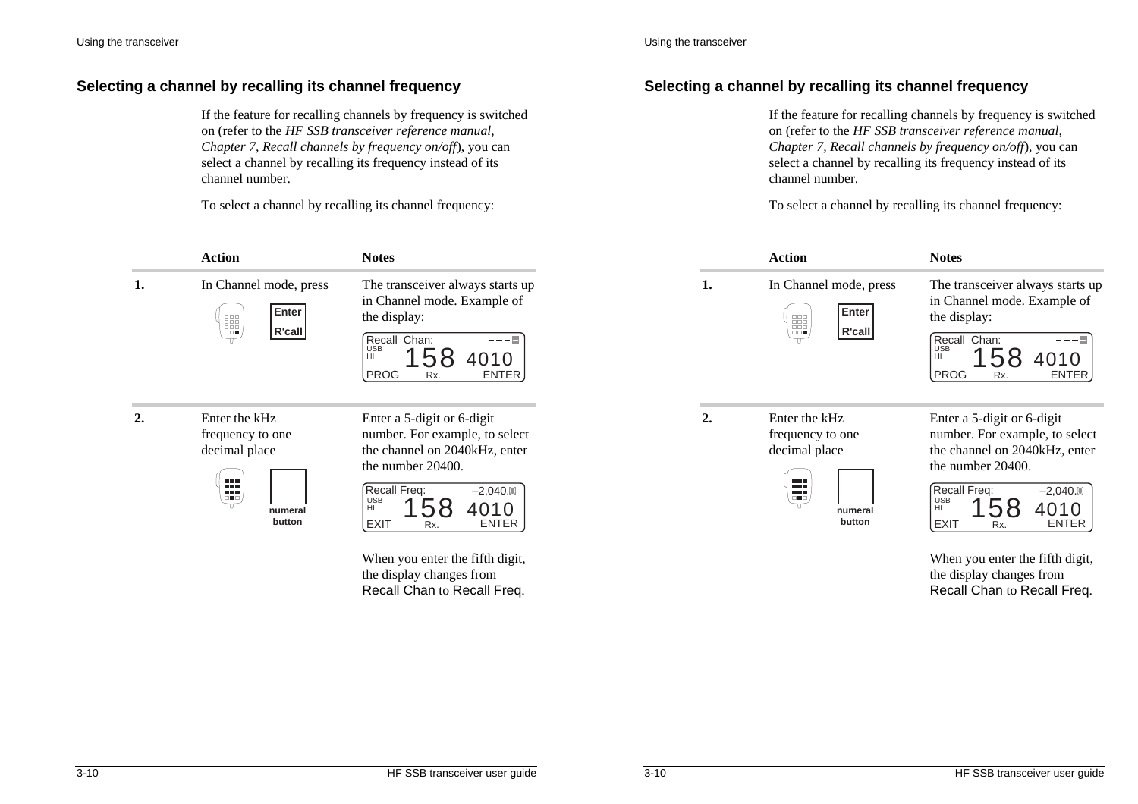## **Selecting a channel by recalling its channel frequency**

If the feature for recalling channels by frequency is switched on (refer to the *HF SSB transceiver reference manual, Chapter 7, Recall channels by frequency on/off*), you can select a channel by recalling its frequency instead of its channel number.

To select a channel by recalling its channel frequency:

|    | Action                                                                  | <b>Notes</b>                                                                                                                                                                                    |
|----|-------------------------------------------------------------------------|-------------------------------------------------------------------------------------------------------------------------------------------------------------------------------------------------|
| 1. | In Channel mode, press<br>Enter<br>ㅁㅁㄷ<br>R'call                        | The transceiver always starts up<br>in Channel mode. Example of<br>the display:<br>Recall Chan:<br><b>USB</b><br>HI<br><b>PROG</b><br>ENTER<br>Rx.                                              |
| 2. | Enter the kHz<br>frequency to one<br>decimal place<br>numeral<br>button | Enter a 5-digit or 6-digit<br>number. For example, to select<br>the channel on 2040 kHz, enter<br>the number $20400$ .<br>Recall Freq:<br>$-2,040.$<br><b>USB</b><br>HI<br>EXIT<br>ENTER<br>Rx. |

When you enter the fifth digit, the display changes from Recall Chan to Recall Freq.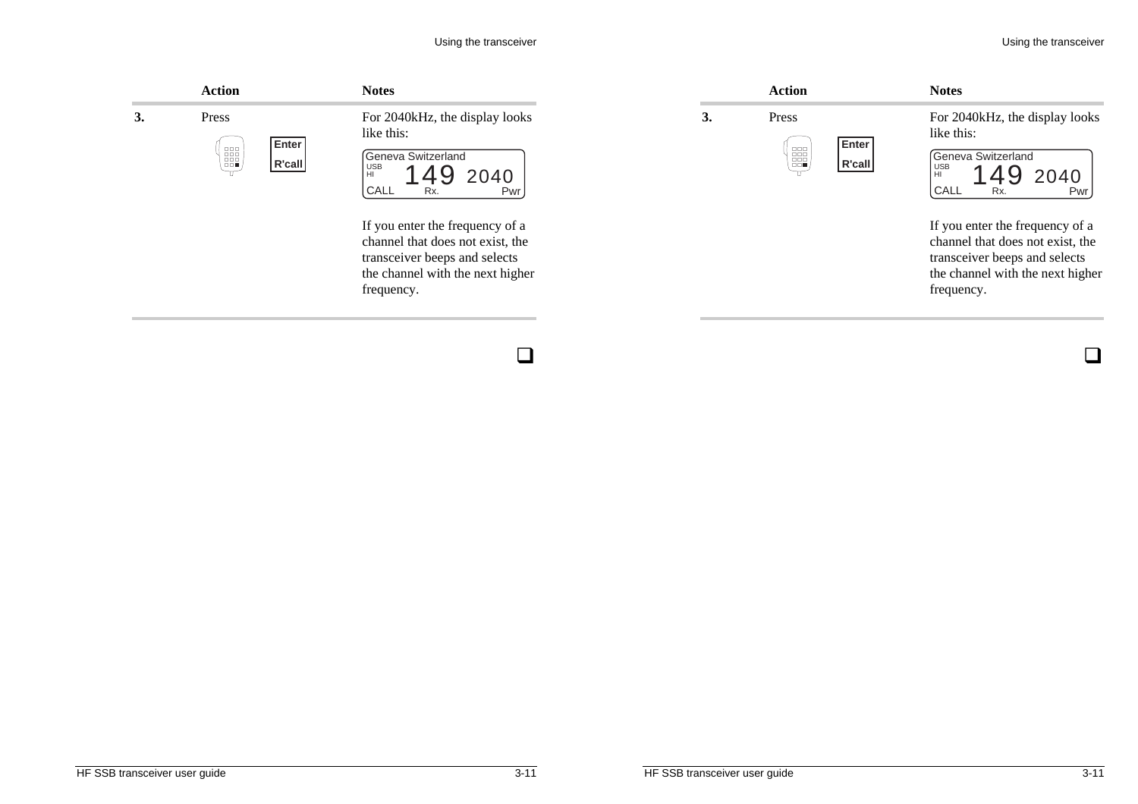| Action                     |                 | <b>Notes</b>                                                                                                                                                      |
|----------------------------|-----------------|-------------------------------------------------------------------------------------------------------------------------------------------------------------------|
| Press<br>888<br>888<br>888 | Enter<br>R'call | For 2040 kHz, the display looks<br>like this:<br>Geneva Switzerland<br><b>USB</b><br>2040<br>$49$ <sub>Rx.</sub><br>HI<br>CALL<br>If you enter the frequency of a |

If you enter the frequency of a channel that does not exist, the transceiver beeps and selects the channel with the next higher frequency.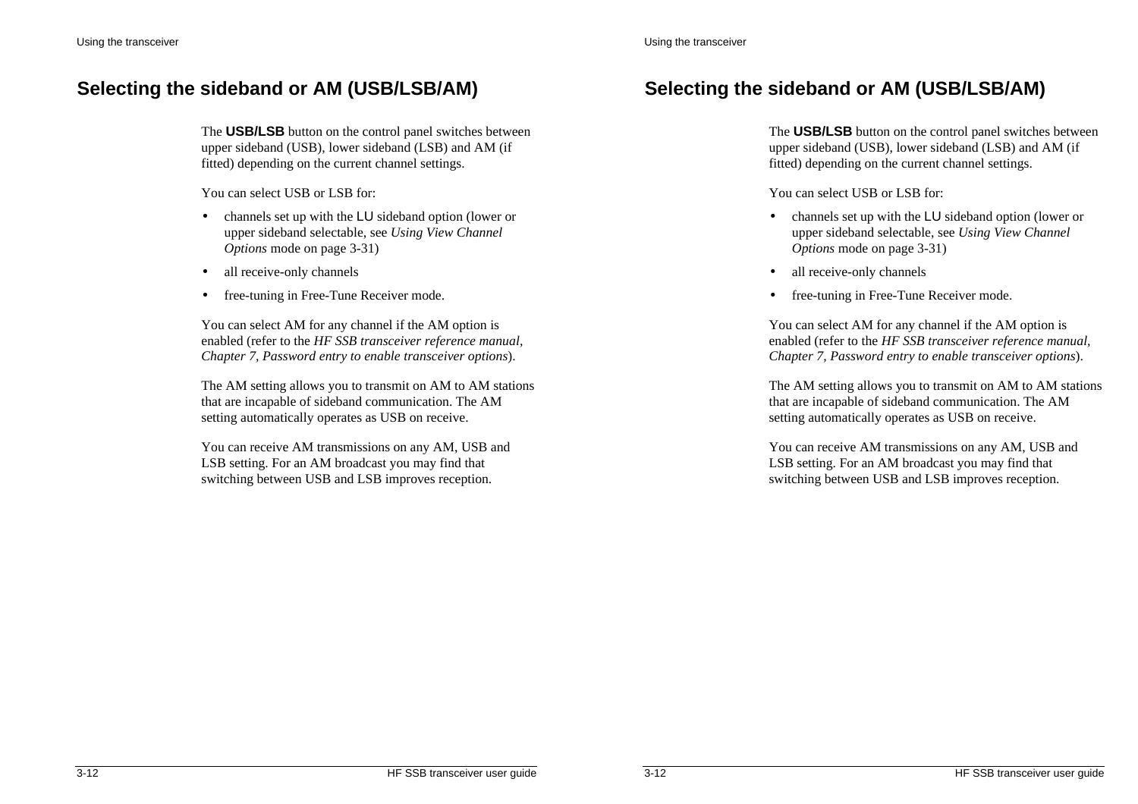# **Selecting the sideband or AM (USB/LSB/AM)**

The **USB/LSB** button on the control panel switches between upper sideband (USB), lower sideband (LSB) and AM (if fitted) depending on the current channel settings.

You can select USB or LSB for:

- channels set up with the LU sideband option (lower or upper sideband selectable, see *Using View Channel Options* mode on page 3-31)
- all receive-only channels
- free-tuning in Free-Tune Receiver mode.

You can select AM for any channel if the AM option is enabled (refer to the *HF SSB transceiver reference manual, Chapter 7, Password entry to enable transceiver options*).

The AM setting allows you to transmit on AM to AM stations that are incapable of sideband communication. The AM setting automatically operates as USB on receive.

You can receive AM transmissions on any AM, USB and LSB setting. For an AM broadcast you may find that switching between USB and LSB improves reception.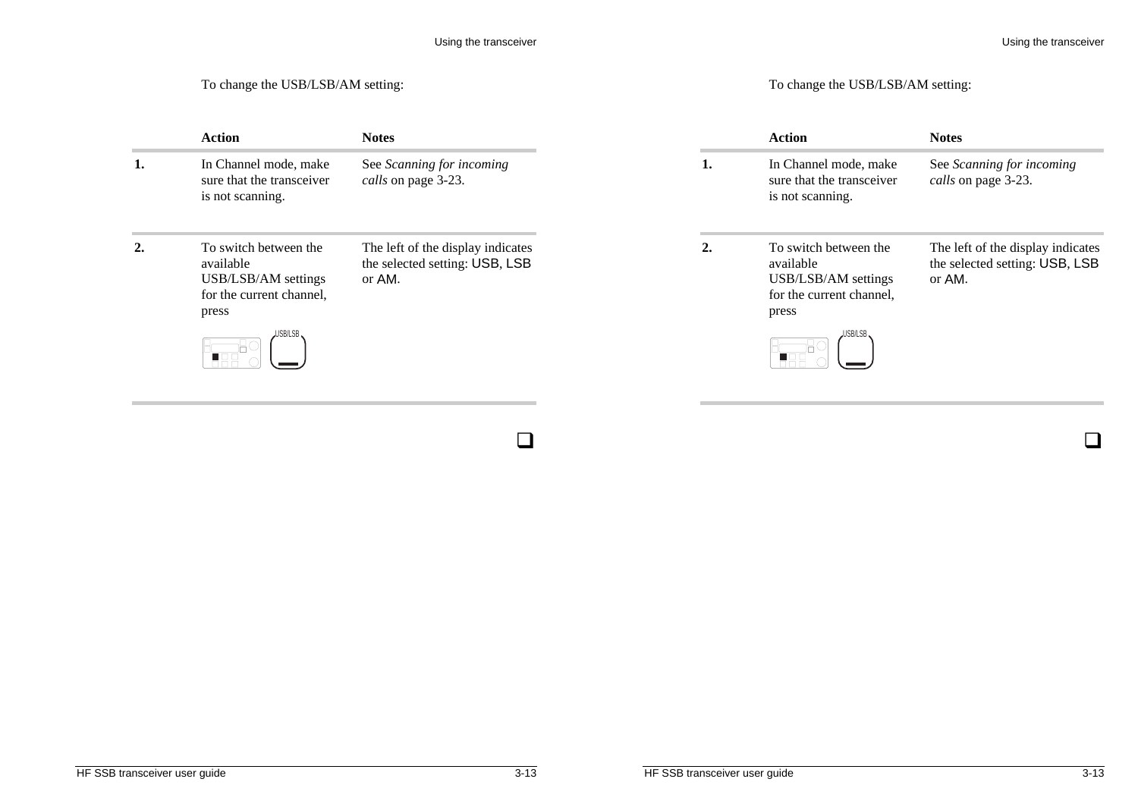#### To change the USB/LSB/AM setting:

|    | <b>Action</b>                                                                                  | <b>Notes</b>                                                                     |
|----|------------------------------------------------------------------------------------------------|----------------------------------------------------------------------------------|
| 1. | In Channel mode, make<br>sure that the transceiver<br>is not scanning.                         | See Scanning for incoming<br>calls on page 3-23.                                 |
| 2. | To switch between the<br>available<br>USB/LSB/AM settings<br>for the current channel,<br>press | The left of the display indicates<br>the selected setting: USB, LSB<br>or $AM$ . |
|    | USB/LSB                                                                                        |                                                                                  |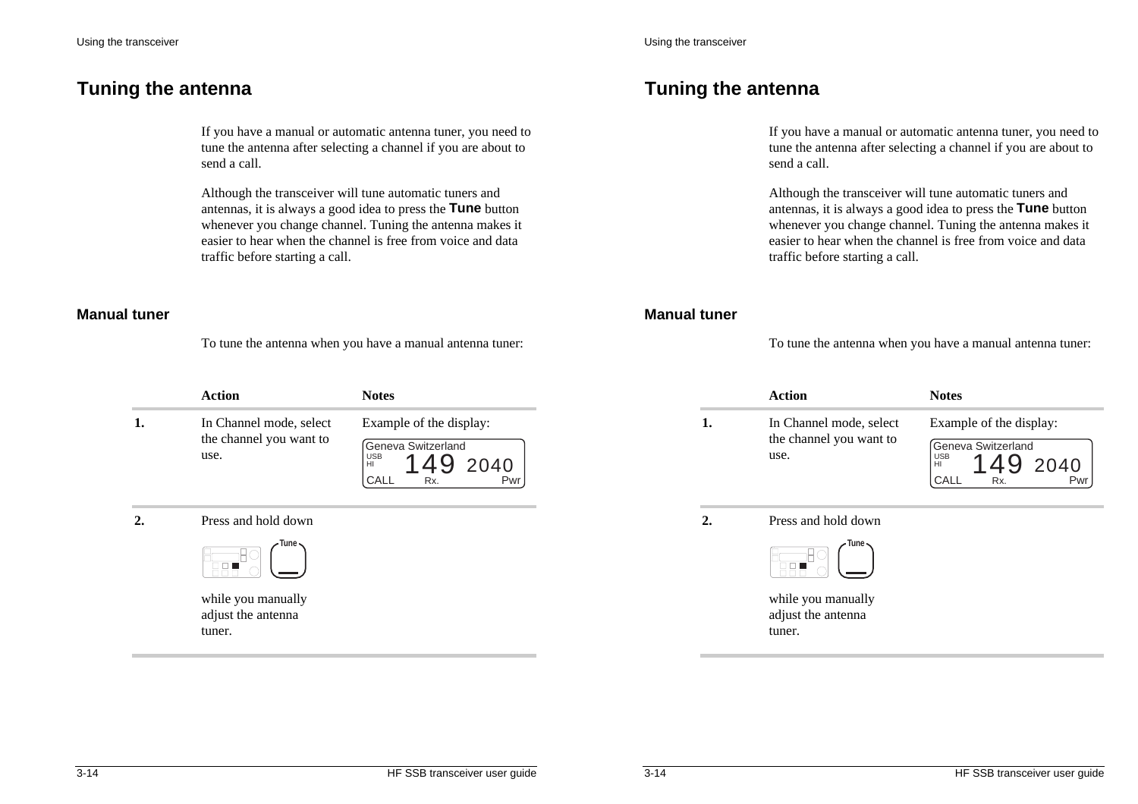# **Tuning the antenna**

If you have a manual or automatic antenna tuner, you need to tune the antenna after selecting a channel if you are about to send a call.

Although the transceiver will tune automatic tuners and antennas, it is always a good idea to press the **Tune** button whenever you change channel. Tuning the antenna makes it easier to hear when the channel is free from voice and data traffic before starting a call.

### **Manual tuner**

To tune the antenna when you have a manual antenna tuner:

| Action                                                     | <b>Notes</b>                                                                 |
|------------------------------------------------------------|------------------------------------------------------------------------------|
| In Channel mode, select<br>the channel you want to<br>use. | Example of the display:<br>Geneva Switzerland<br>USB<br>HI<br>492040<br>CALL |
| $\mathbf{D} = \begin{pmatrix} 1 & 1 & 1 & 1 \end{pmatrix}$ |                                                                              |

**2.** Press and hold down



while you manually adjust the antenna tuner.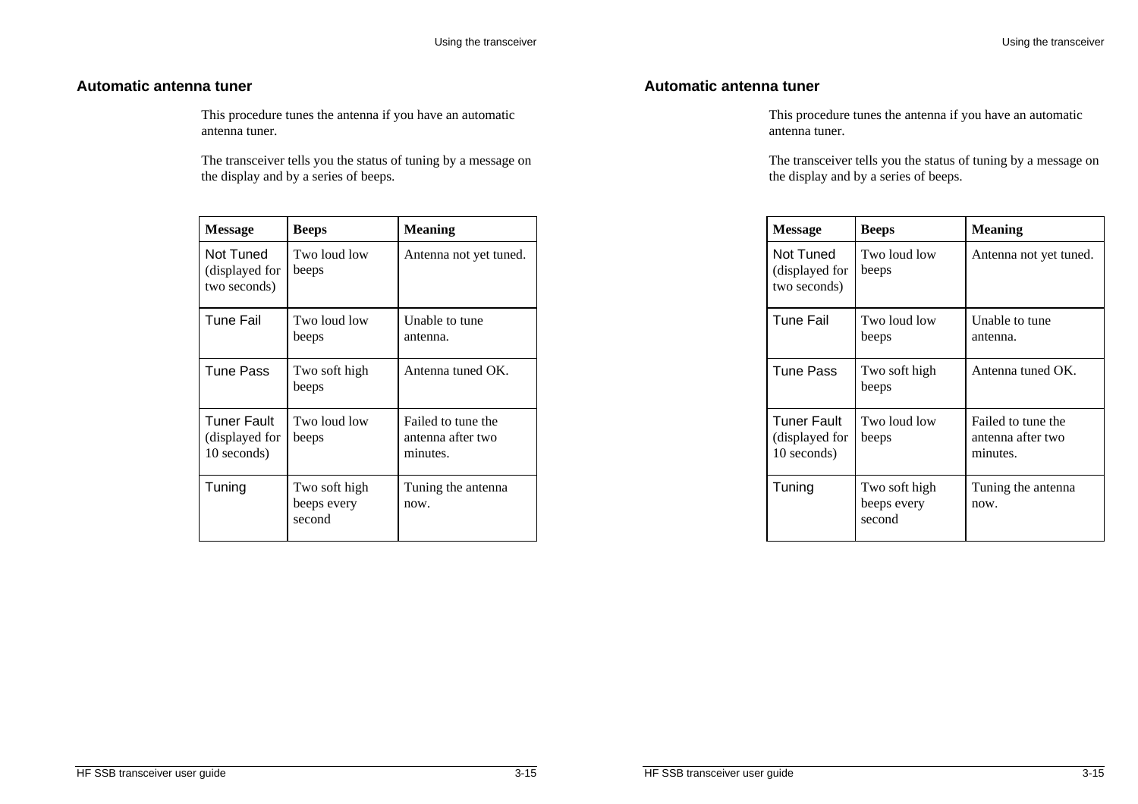### **Automatic antenna tuner**

This procedure tunes the antenna if you have an automatic antenna tuner.

The transceiver tells you the status of tuning by a message on the display and by a series of beeps.

| <b>Message</b>                                      | <b>Beeps</b>                           | <b>Meaning</b>                                      |  |
|-----------------------------------------------------|----------------------------------------|-----------------------------------------------------|--|
| Not Tuned<br>(displayed for<br>two seconds)         | Two loud low<br>beeps                  | Antenna not yet tuned.                              |  |
| Tune Fail                                           | Two loud low<br>beeps                  | Unable to tune<br>antenna.                          |  |
| Tune Pass                                           | Two soft high<br>beeps                 | Antenna tuned OK.                                   |  |
| <b>Tuner Fault</b><br>(displayed for<br>10 seconds) | Two loud low<br>beeps                  | Failed to tune the<br>antenna after two<br>minutes. |  |
| Tuning                                              | Two soft high<br>beeps every<br>second | Tuning the antenna<br>now.                          |  |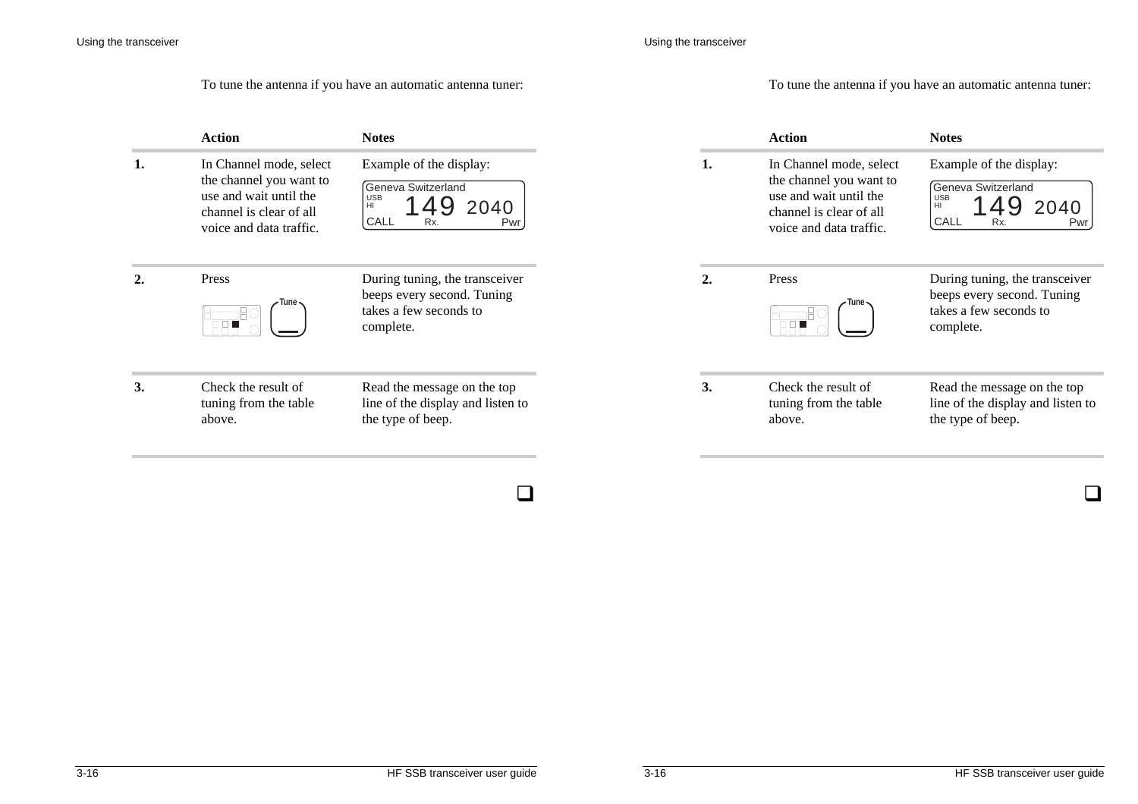To tune the antenna if you have an automatic antenna tuner:

|    | <b>Action</b>                                                                                                                      | <b>Notes</b>                                                                                        |
|----|------------------------------------------------------------------------------------------------------------------------------------|-----------------------------------------------------------------------------------------------------|
| 1. | In Channel mode, select<br>the channel you want to<br>use and wait until the<br>channel is clear of all<br>voice and data traffic. | Example of the display:<br>Geneva Switzerland<br><b>USB</b><br>149 2040<br>HI<br>CALL               |
| 2. | Press<br>Tune                                                                                                                      | During tuning, the transceiver<br>beeps every second. Tuning<br>takes a few seconds to<br>complete. |
| 3. | Check the result of<br>tuning from the table<br>above.                                                                             | Read the message on the top<br>line of the display and listen to<br>the type of beep.               |

∩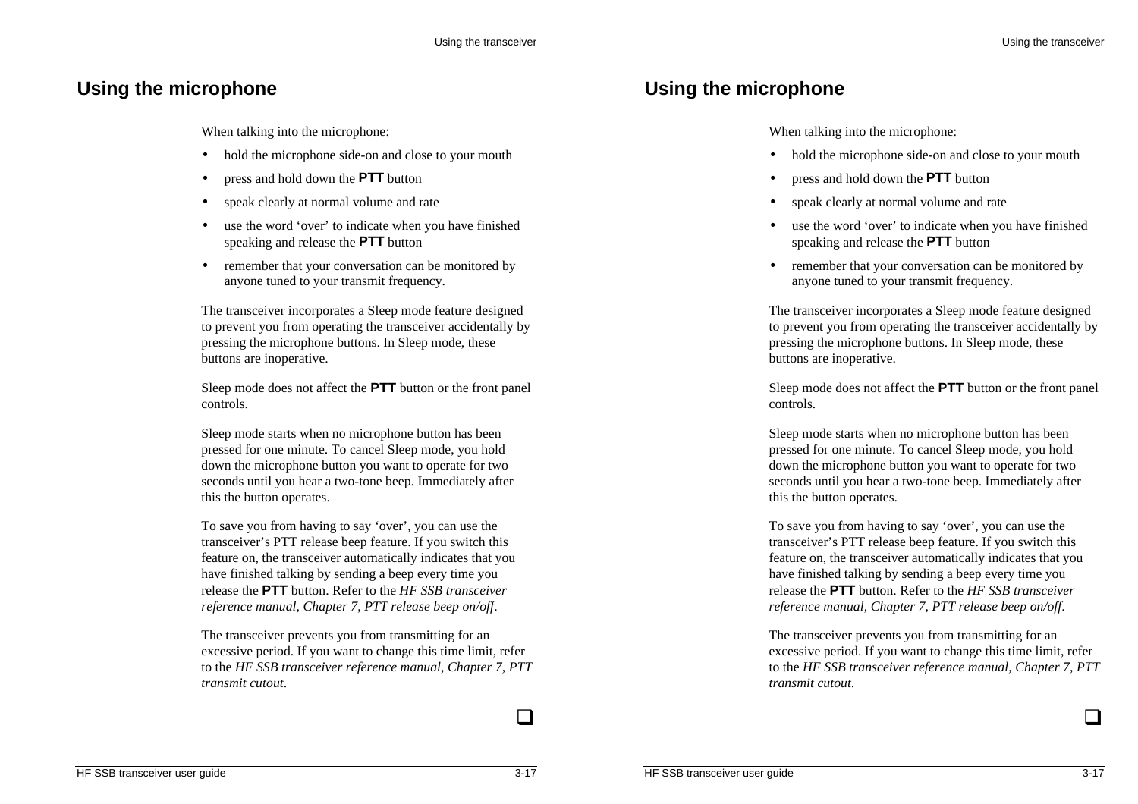# **Using the microphone**

When talking into the microphone:

- hold the microphone side-on and close to your mouth
- press and hold down the **PTT** button
- speak clearly at normal volume and rate
- use the word 'over' to indicate when you have finished speaking and release the **PTT** button
- remember that your conversation can be monitored by anyone tuned to your transmit frequency.

The transceiver incorporates a Sleep mode feature designed to prevent you from operating the transceiver accidentally by pressing the microphone buttons. In Sleep mode, these buttons are inoperative.

Sleep mode does not affect the **PTT** button or the front panel controls.

Sleep mode starts when no microphone button has been pressed for one minute. To cancel Sleep mode, you hold down the microphone button you want to operate for two seconds until you hear a two-tone beep. Immediately after this the button operates.

To save you from having to say 'over', you can use the transceiver's PTT release beep feature. If you switch this feature on, the transceiver automatically indicates that you have finished talking by sending a beep every time you release the **PTT** button. Refer to the *HF SSB transceiver reference manual, Chapter 7, PTT release beep on/off*.

The transceiver prevents you from transmitting for an excessive period. If you want to change this time limit, refer to the *HF SSB transceiver reference manual, Chapter 7, PTT transmit cutout*.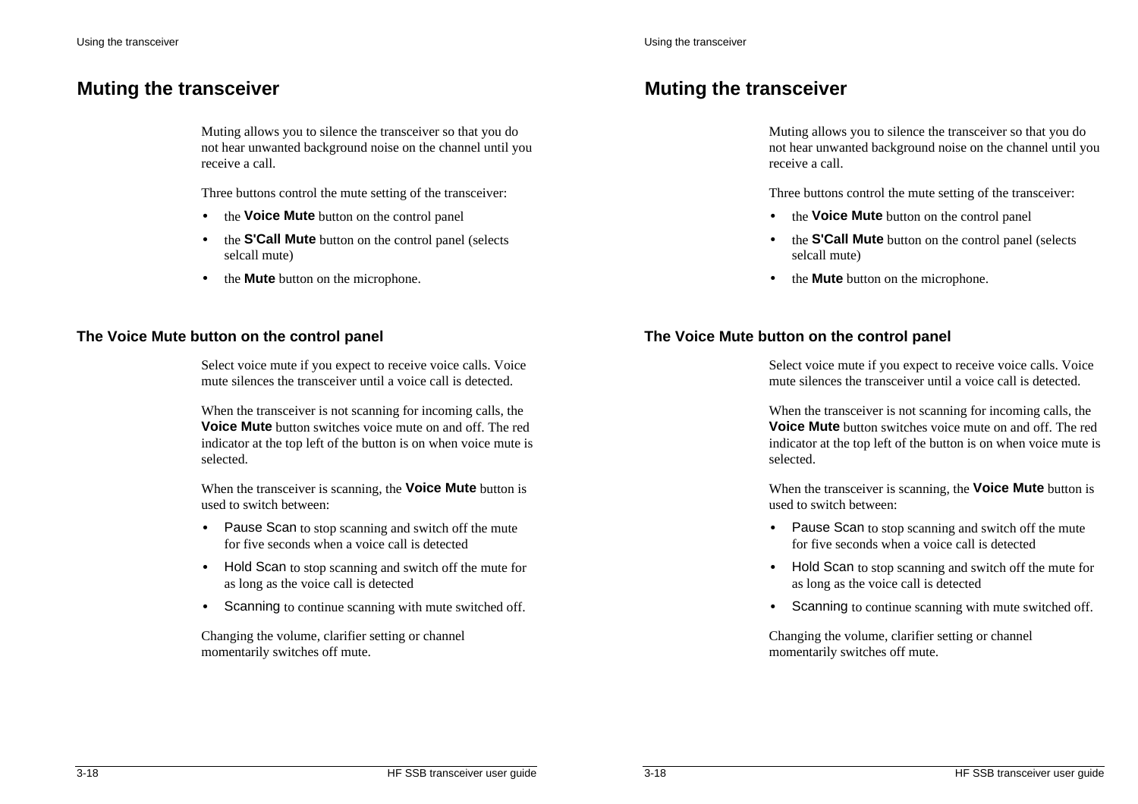# **Muting the transceiver**

Muting allows you to silence the transceiver so that you do not hear unwanted background noise on the channel until you receive a call.

Three buttons control the mute setting of the transceiver:

- the **Voice Mute** button on the control panel
- the **S'Call Mute** button on the control panel (selects selcall mute)
- the **Mute** button on the microphone.

#### **The Voice Mute button on the control panel**

Select voice mute if you expect to receive voice calls. Voice mute silences the transceiver until a voice call is detected.

When the transceiver is not scanning for incoming calls, the **Voice Mute** button switches voice mute on and off. The red indicator at the top left of the button is on when voice mute is selected.

When the transceiver is scanning, the **Voice Mute** button is used to switch between:

- Pause Scan to stop scanning and switch off the mute for five seconds when a voice call is detected
- Hold Scan to stop scanning and switch off the mute for as long as the voice call is detected
- Scanning to continue scanning with mute switched off.

Changing the volume, clarifier setting or channel momentarily switches off mute.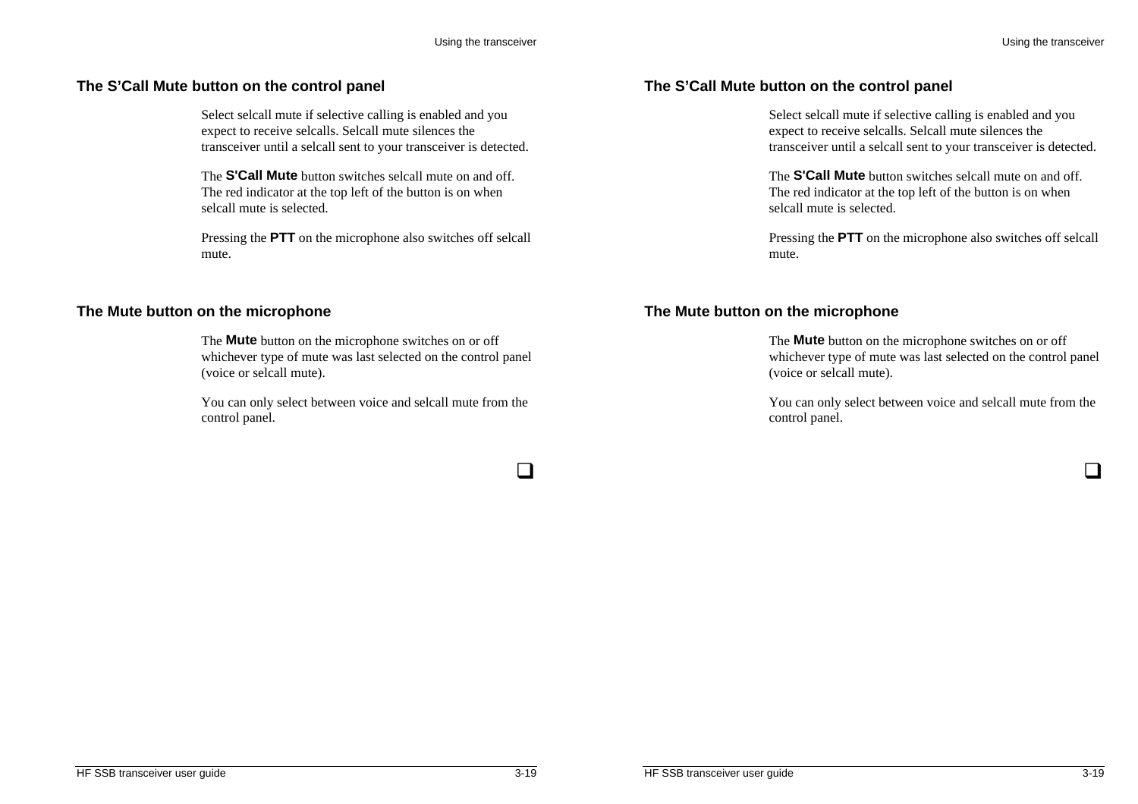#### **The S'Call Mute button on the control panel**

Select selcall mute if selective calling is enabled and you expect to receive selcalls. Selcall mute silences the transceiver until a selcall sent to your transceiver is detected.

The **S'Call Mute** button switches selcall mute on and off. The red indicator at the top left of the button is on when selcall mute is selected.

Pressing the **PTT** on the microphone also switches off selcall mute.

#### **The Mute button on the microphone**

The **Mute** button on the microphone switches on or off whichever type of mute was last selected on the control panel (voice or selcall mute).

You can only select between voice and selcall mute from the control panel.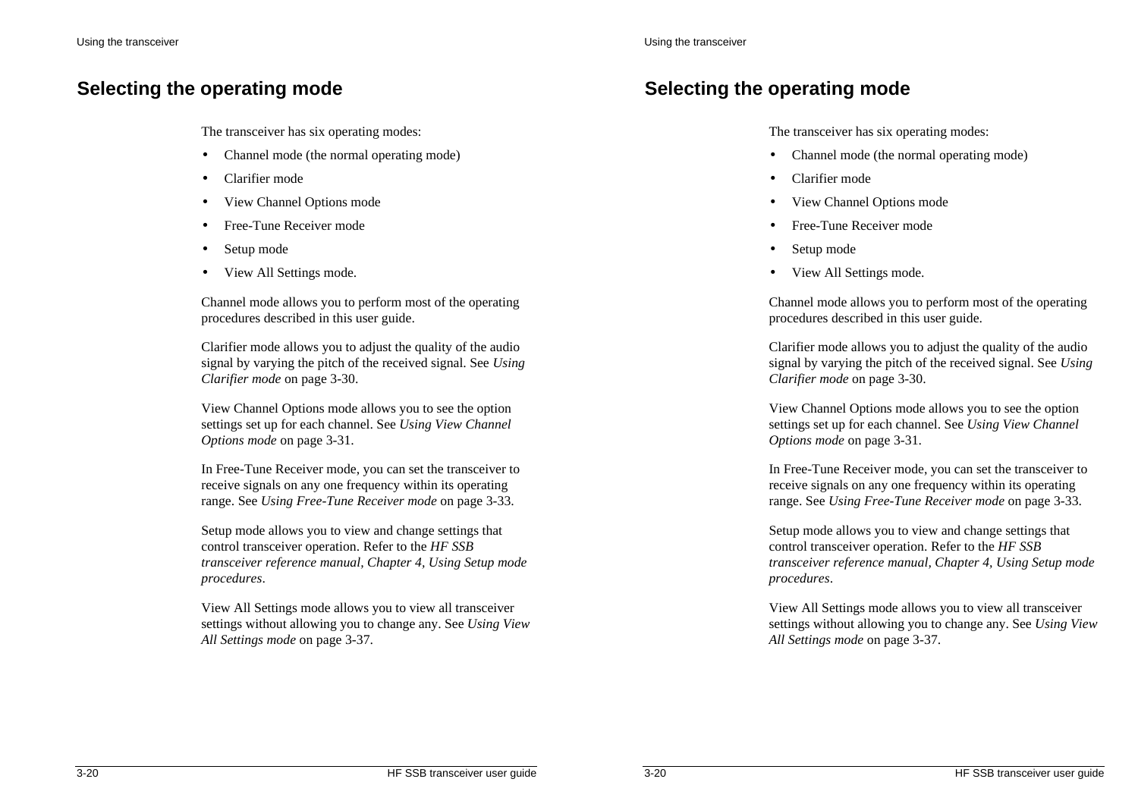# **Selecting the operating mode**

The transceiver has six operating modes:

- Channel mode (the normal operating mode)
- Clarifier mode
- View Channel Options mode
- Free-Tune Receiver mode
- Setup mode
- View All Settings mode.

Channel mode allows you to perform most of the operating procedures described in this user guide.

Clarifier mode allows you to adjust the quality of the audio signal by varying the pitch of the received signal. See *Using Clarifier mode* on page 3-30.

View Channel Options mode allows you to see the option settings set up for each channel. See *Using View Channel Options mode* on page 3-31.

In Free-Tune Receiver mode, you can set the transceiver to receive signals on any one frequency within its operating range. See *Using Free-Tune Receiver mode* on page 3-33.

Setup mode allows you to view and change settings that control transceiver operation. Refer to the *HF SSB transceiver reference manual, Chapter 4, Using Setup mode procedures*.

View All Settings mode allows you to view all transceiver settings without allowing you to change any. See *Using View All Settings mode* on page 3-37.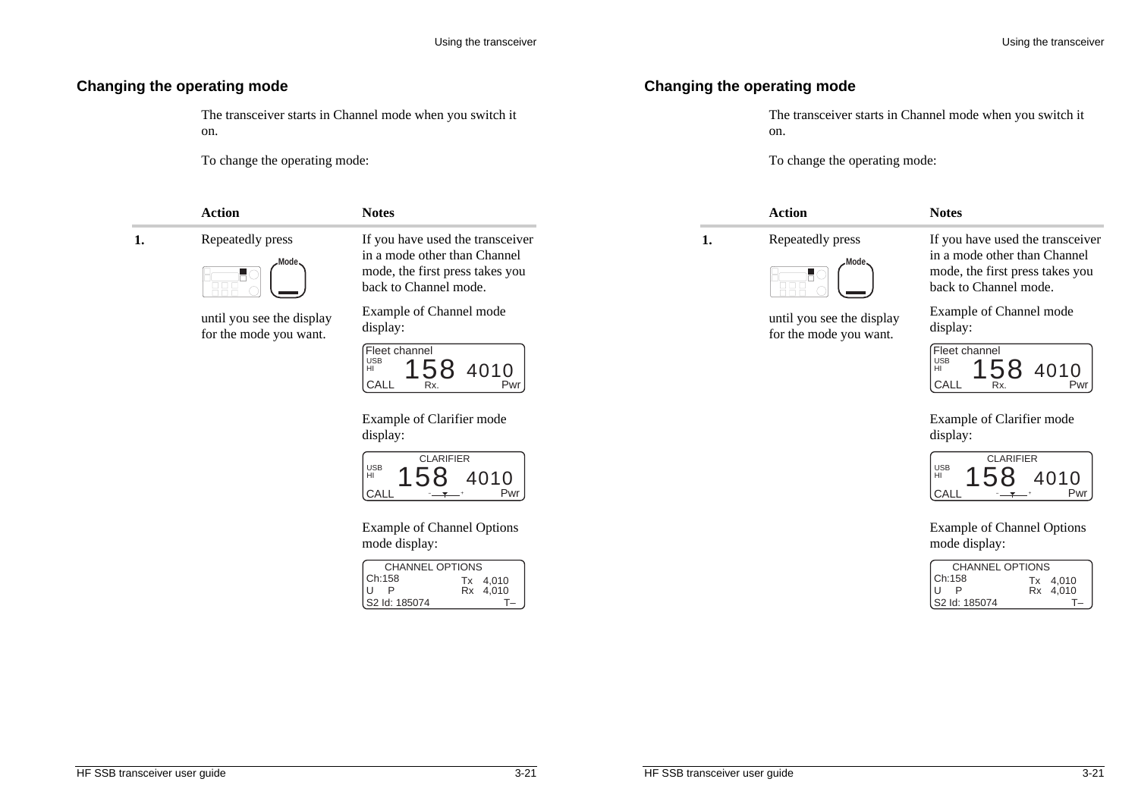### **Changing the operating mode**

The transceiver starts in Channel mode when you switch it on.

To change the operating mode:

| Action                    | <b>Notes</b>                                                                                                                 |
|---------------------------|------------------------------------------------------------------------------------------------------------------------------|
| Repeatedly press<br>Mode、 | If you have used the transceiver<br>in a mode other than Channel<br>mode, the first press takes you<br>back to Channel mode. |

until you see the display for the mode you want.

back to Channel mode. Example of Channel mode

display:



Example of Clarifier mode display:



Example of Channel Options mode display:

| <b>CHANNEL OPTIONS</b> |  |          |  |
|------------------------|--|----------|--|
| Ch:158                 |  | Tx 4.010 |  |
| и<br>P.                |  | Rx 4,010 |  |
| S2 Id: 185074          |  |          |  |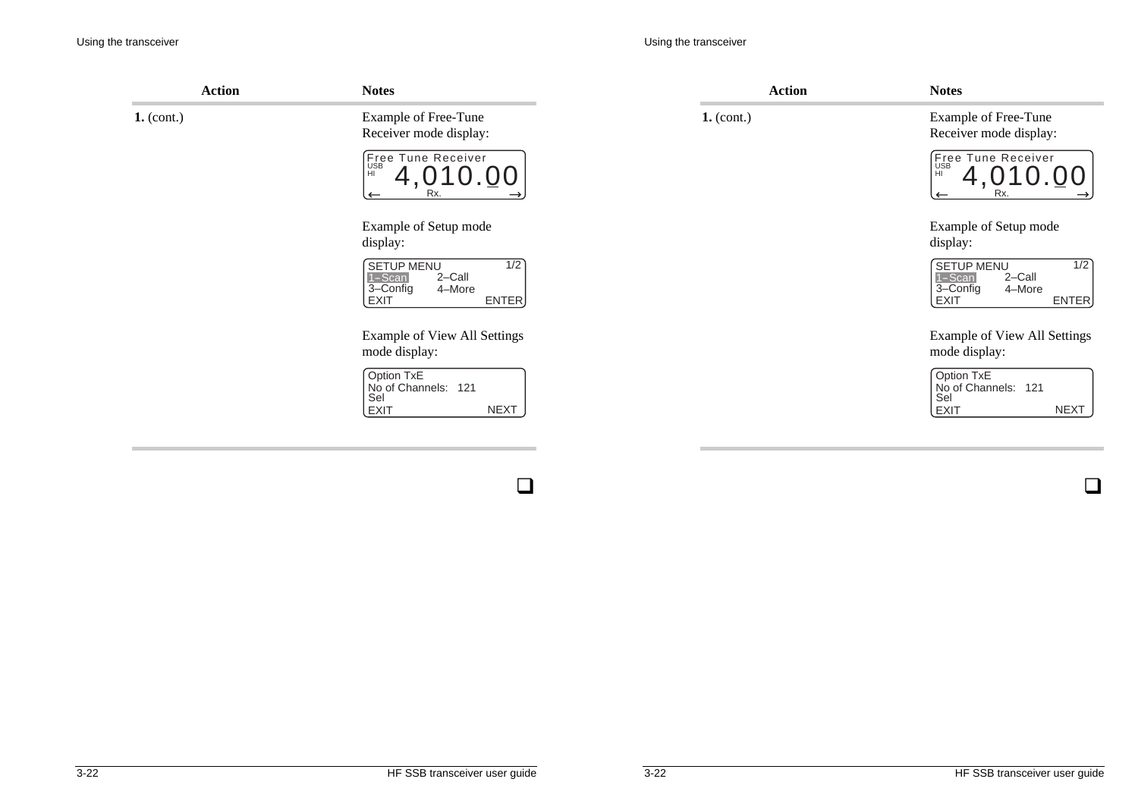$\overline{a}$ 

| <b>Action</b> | <b>Notes</b>                                                                                                 |
|---------------|--------------------------------------------------------------------------------------------------------------|
| 1. (cont.)    | Example of Free-Tune<br>Receiver mode display:                                                               |
|               | Free Tune Receiver<br><b>USB</b><br>0.QU(<br>HI.<br>Rx.                                                      |
|               | Example of Setup mode<br>display:                                                                            |
|               | 1/2<br><b>SETUP MENU</b><br>2-Call<br>$1 - \text{Scan}$<br>3–Config<br>4-More<br><b>ENTER</b><br><b>EXIT</b> |
|               | Example of View All Settings<br>mode display:                                                                |
|               | Option TxE<br>No of Channels:<br>- 121<br>Sel<br><b>NEXT</b><br><b>EXIT</b>                                  |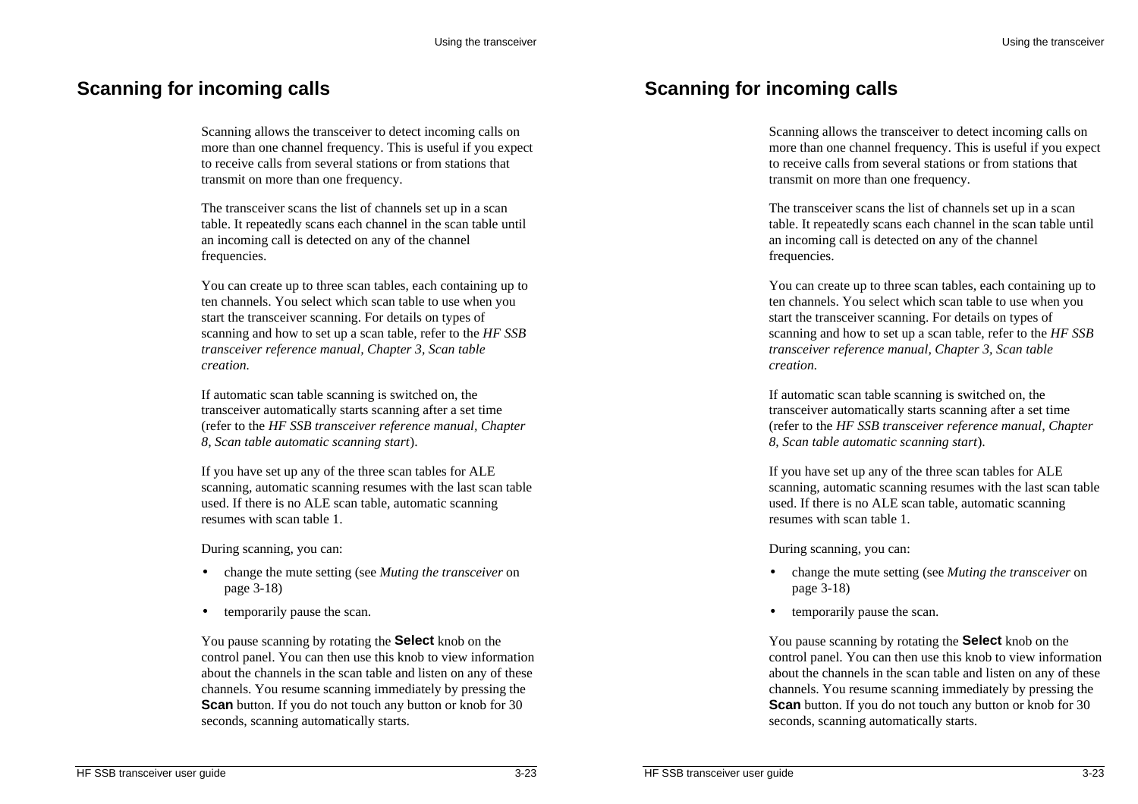# **Scanning for incoming calls**

Scanning allows the transceiver to detect incoming calls on more than one channel frequency. This is useful if you expect to receive calls from several stations or from stations that transmit on more than one frequency.

The transceiver scans the list of channels set up in a scan table. It repeatedly scans each channel in the scan table until an incoming call is detected on any of the channel frequencies.

You can create up to three scan tables, each containing up to ten channels. You select which scan table to use when you start the transceiver scanning. For details on types of scanning and how to set up a scan table, refer to the *HF SSB transceiver reference manual, Chapter 3, Scan table creation.*

If automatic scan table scanning is switched on, the transceiver automatically starts scanning after a set time (refer to the *HF SSB transceiver reference manual, Chapter 8, Scan table automatic scanning start*).

If you have set up any of the three scan tables for ALE scanning, automatic scanning resumes with the last scan table used. If there is no ALE scan table, automatic scanning resumes with scan table 1.

During scanning, you can:

- change the mute setting (see *Muting the transceiver* on page 3-18)
- temporarily pause the scan.

You pause scanning by rotating the **Select** knob on the control panel. You can then use this knob to view information about the channels in the scan table and listen on any of these channels. You resume scanning immediately by pressing the **Scan** button. If you do not touch any button or knob for 30 seconds, scanning automatically starts.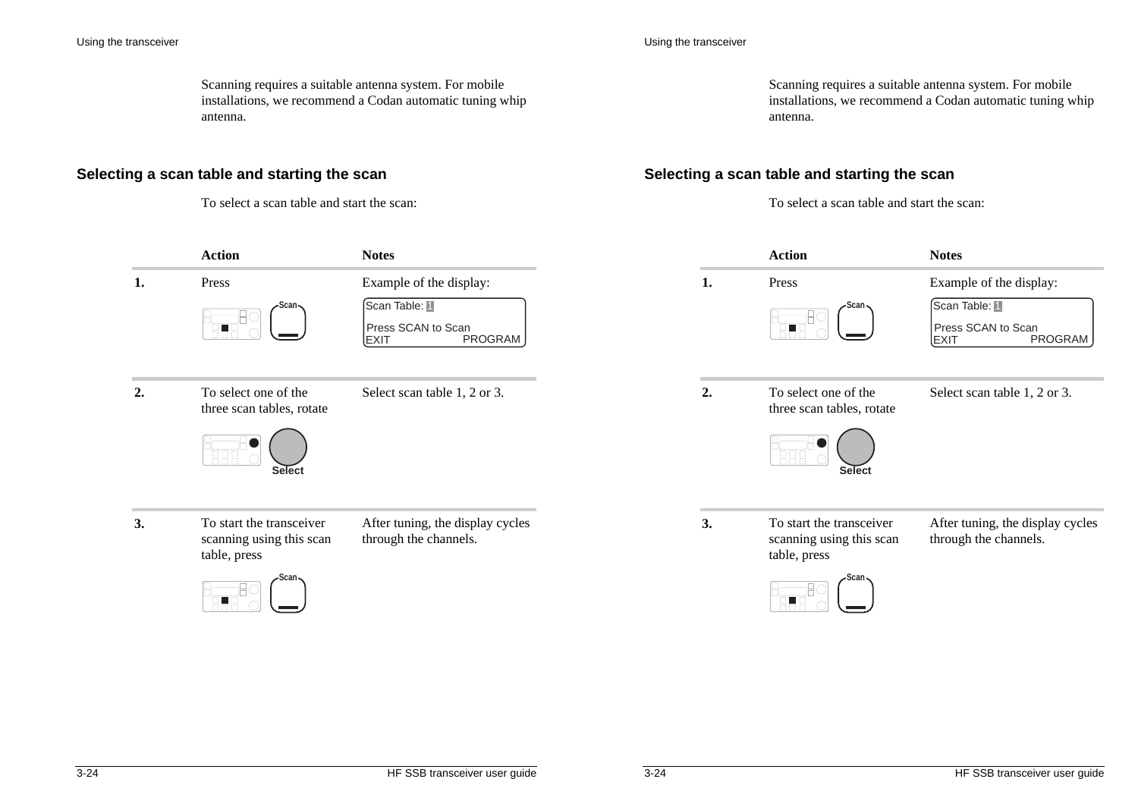Scanning requires a suitable antenna system. For mobile installations, we recommend a Codan automatic tuning whip antenna.

## **Selecting a scan table and starting the scan**

To select a scan table and start the scan:

|                  | <b>Action</b>                                                                | <b>Notes</b>                                                                             |
|------------------|------------------------------------------------------------------------------|------------------------------------------------------------------------------------------|
| 1.               | Press<br>Scan                                                                | Example of the display:<br>Scan Table: 1<br>Press SCAN to Scan<br><b>PROGRAM</b><br>EXIT |
| $\overline{2}$ . | To select one of the<br>three scan tables, rotate<br><b>Select</b>           | Select scan table 1, 2 or 3.                                                             |
| 3.               | To start the transceiver<br>scanning using this scan<br>table, press<br>Scan | After tuning, the display cycles<br>through the channels.                                |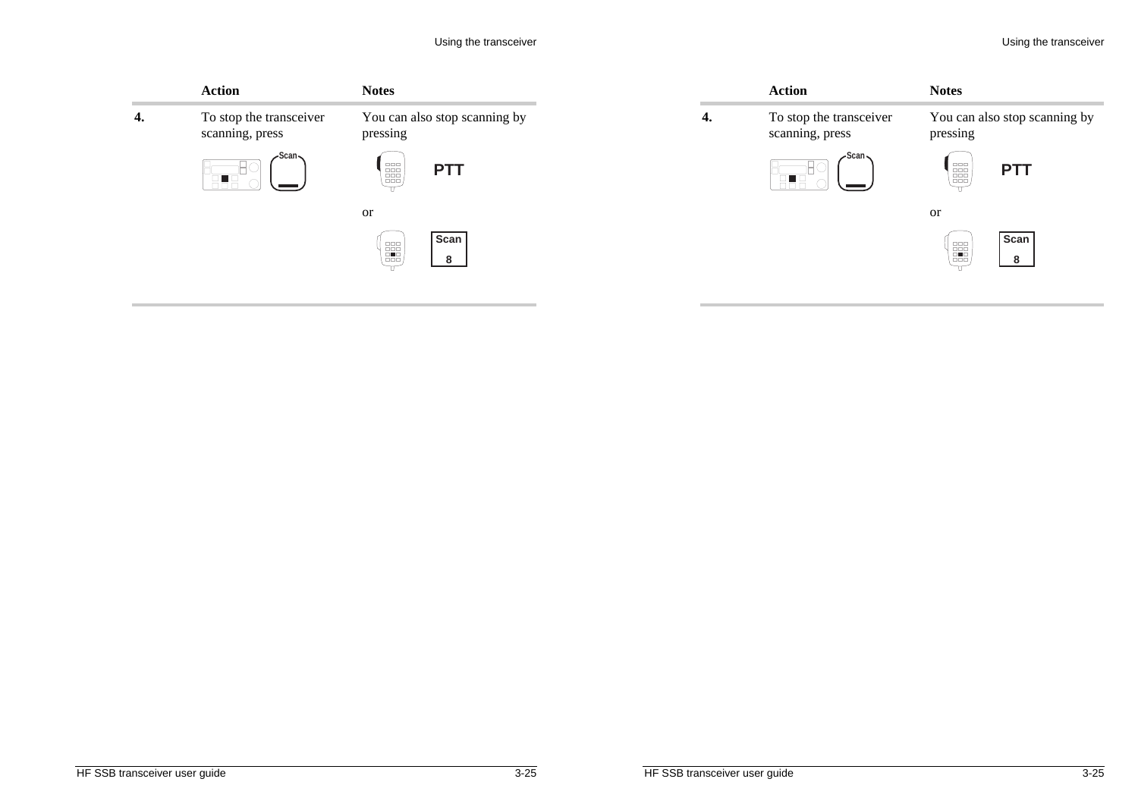| <b>Action</b>                              | <b>Notes</b>                              |
|--------------------------------------------|-------------------------------------------|
| To stop the transceiver<br>scanning, press | You can also stop scanning by<br>pressing |
| Scan-                                      | HH<br>HH<br><b>PTT</b>                    |
|                                            | <b>or</b>                                 |
|                                            | Scan<br>$\Box$<br>000<br>DE L<br>8<br>00C |
|                                            |                                           |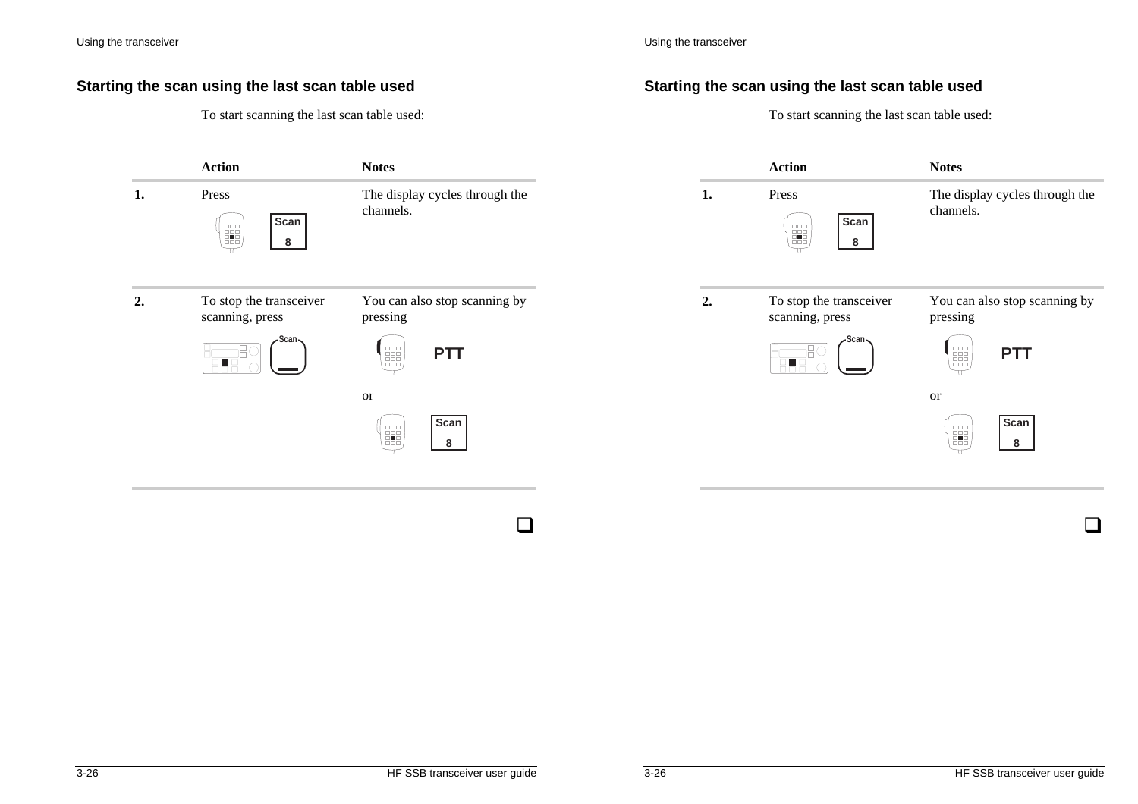## **Starting the scan using the last scan table used**

To start scanning the last scan table used:

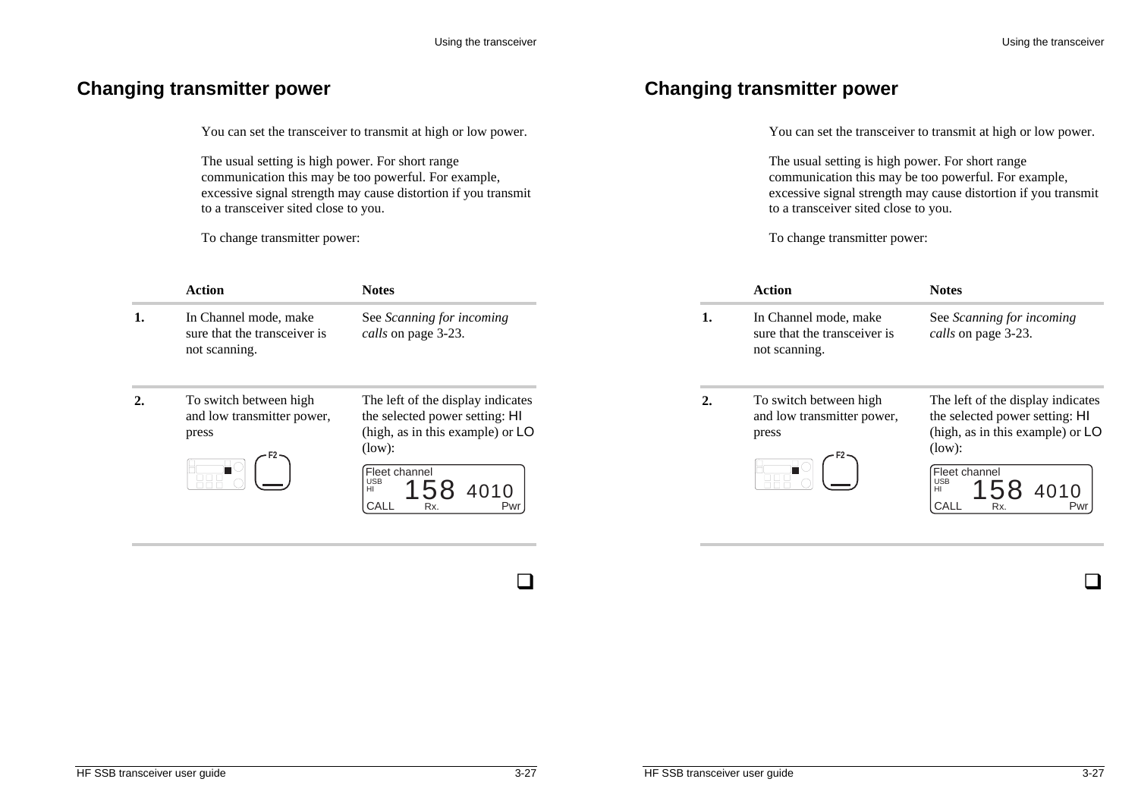## **Changing transmitter power**

You can set the transceiver to transmit at high or low power.

The usual setting is high power. For short range communication this may be too powerful. For example, excessive signal strength may cause distortion if you transmit to a transceiver sited close to you.

To change transmitter power:

| Action                                                                 | <b>Notes</b>                                                                                                                                                  |
|------------------------------------------------------------------------|---------------------------------------------------------------------------------------------------------------------------------------------------------------|
| In Channel mode, make<br>sure that the transceiver is<br>not scanning. | See Scanning for incoming<br>calls on page 3-23.                                                                                                              |
| To switch between high<br>and low transmitter power,<br>press          | The left of the display indicates<br>the selected power setting: HI<br>(high, as in this example) or LO<br>(low):<br>Fleet channel<br><b>USB</b><br>HI<br>Rx. |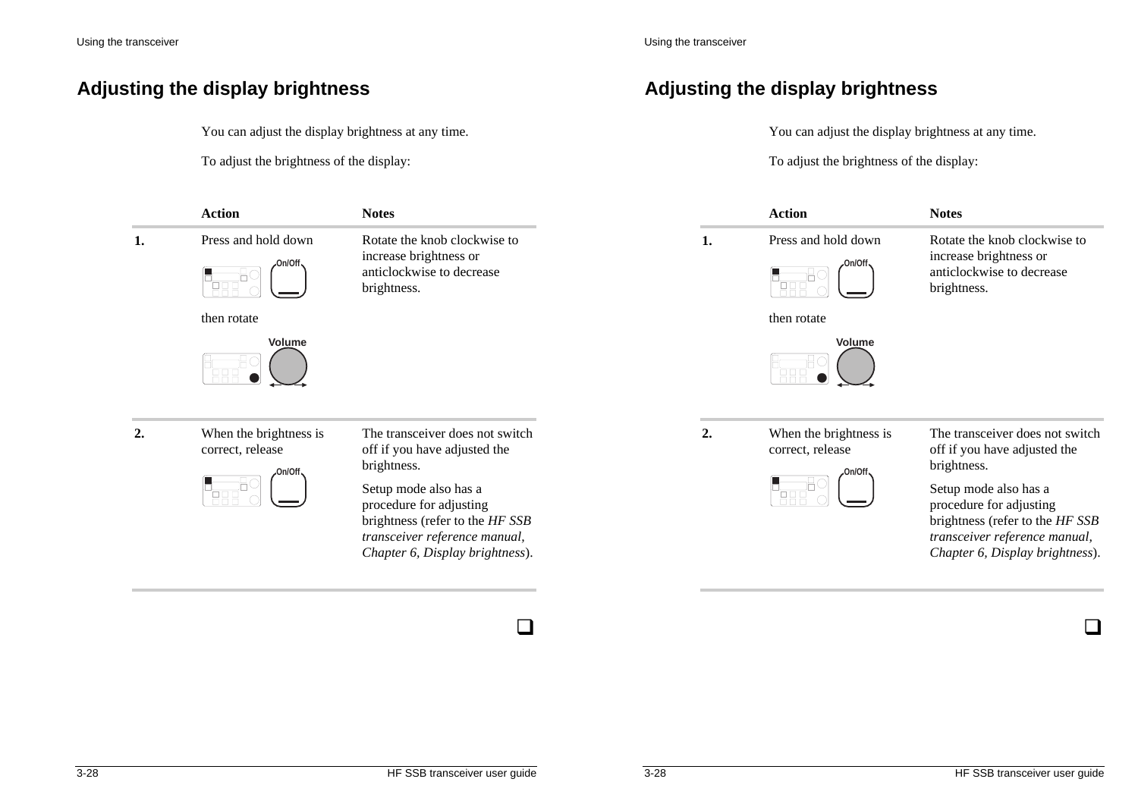# **Adjusting the display brightness**

You can adjust the display brightness at any time.

To adjust the brightness of the display:

|                  | <b>Action</b>                                        | <b>Notes</b>                                                                                                                                            |
|------------------|------------------------------------------------------|---------------------------------------------------------------------------------------------------------------------------------------------------------|
| 1.               | Press and hold down<br>On/Off                        | Rotate the knob clockwise to<br>increase brightness or<br>anticlockwise to decrease<br>brightness.                                                      |
|                  | then rotate                                          |                                                                                                                                                         |
|                  | <b>Volume</b>                                        |                                                                                                                                                         |
| $\overline{2}$ . | When the brightness is<br>correct, release<br>On/Off | The transceiver does not switch<br>off if you have adjusted the<br>brightness.                                                                          |
|                  |                                                      | Setup mode also has a<br>procedure for adjusting<br>brightness (refer to the HF SSB<br>transceiver reference manual,<br>Chapter 6, Display brightness). |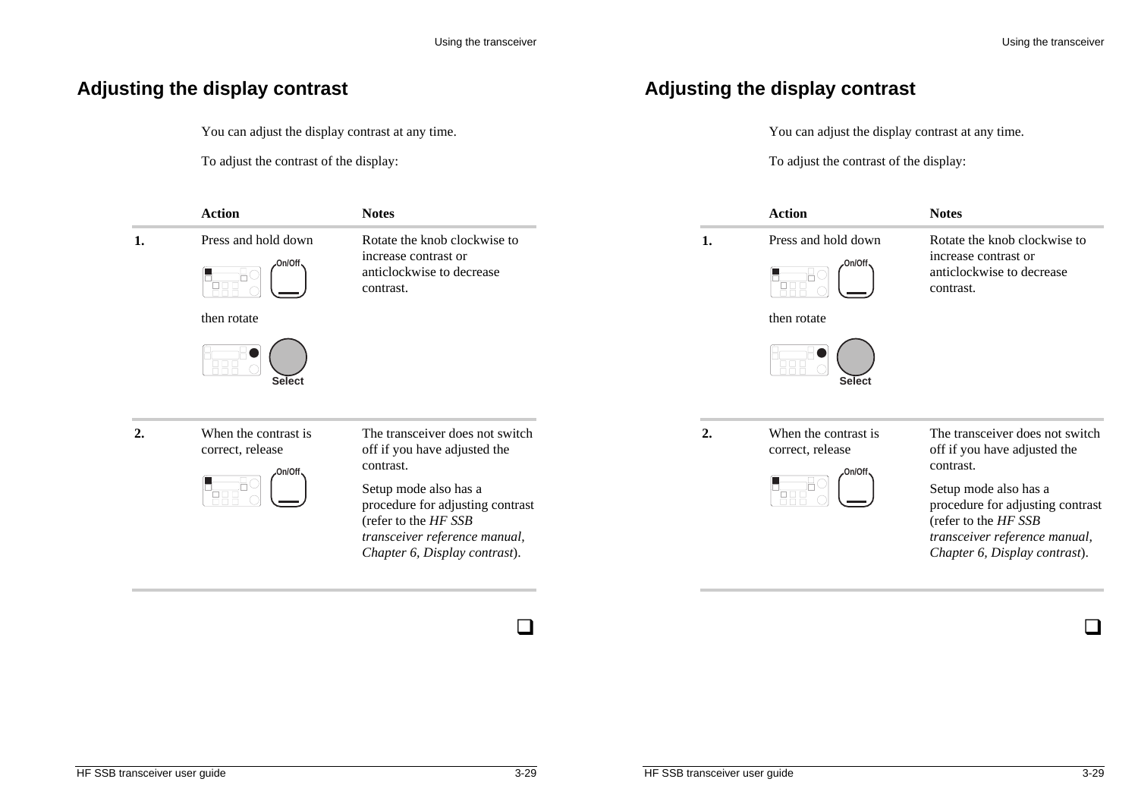# **Adjusting the display contrast**

You can adjust the display contrast at any time.

To adjust the contrast of the display:

|              | <b>Action</b>                                                 | <b>Notes</b>                                                                                                                                                                                                                         |
|--------------|---------------------------------------------------------------|--------------------------------------------------------------------------------------------------------------------------------------------------------------------------------------------------------------------------------------|
| 1.           | Press and hold down<br>On/Off<br>then rotate<br><b>Select</b> | Rotate the knob clockwise to<br>increase contrast or<br>anticlockwise to decrease<br>contrast.                                                                                                                                       |
| $\mathbf{2}$ | When the contrast is<br>correct, release<br>On/Off            | The transceiver does not switch<br>off if you have adjusted the<br>contrast.<br>Setup mode also has a<br>procedure for adjusting contrast<br>(refer to the HF SSB)<br>transceiver reference manual,<br>Chapter 6, Display contrast). |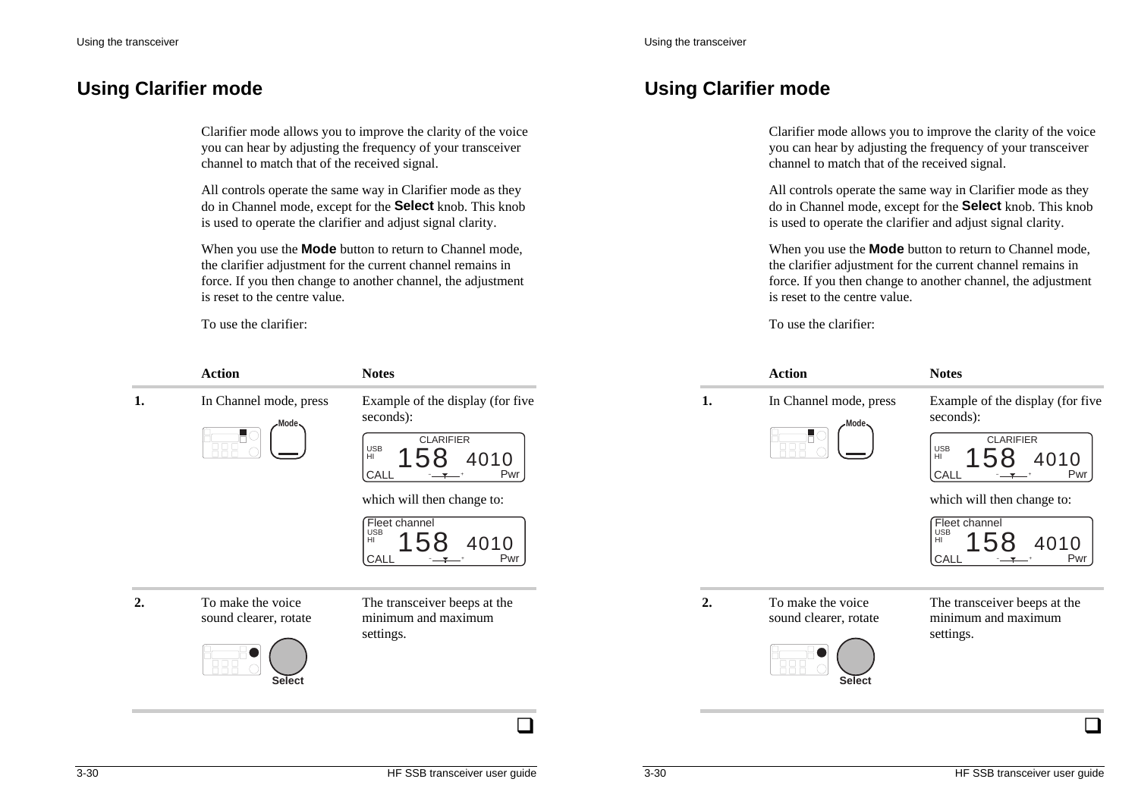# **Using Clarifier mode**

Clarifier mode allows you to improve the clarity of the voice you can hear by adjusting the frequency of your transceiver channel to match that of the received signal.

All controls operate the same way in Clarifier mode as they do in Channel mode, except for the **Select** knob. This knob is used to operate the clarifier and adjust signal clarity.

When you use the **Mode** button to return to Channel mode, the clarifier adjustment for the current channel remains in force. If you then change to another channel, the adjustment is reset to the centre value.

To use the clarifier:



 $\overline{\square}$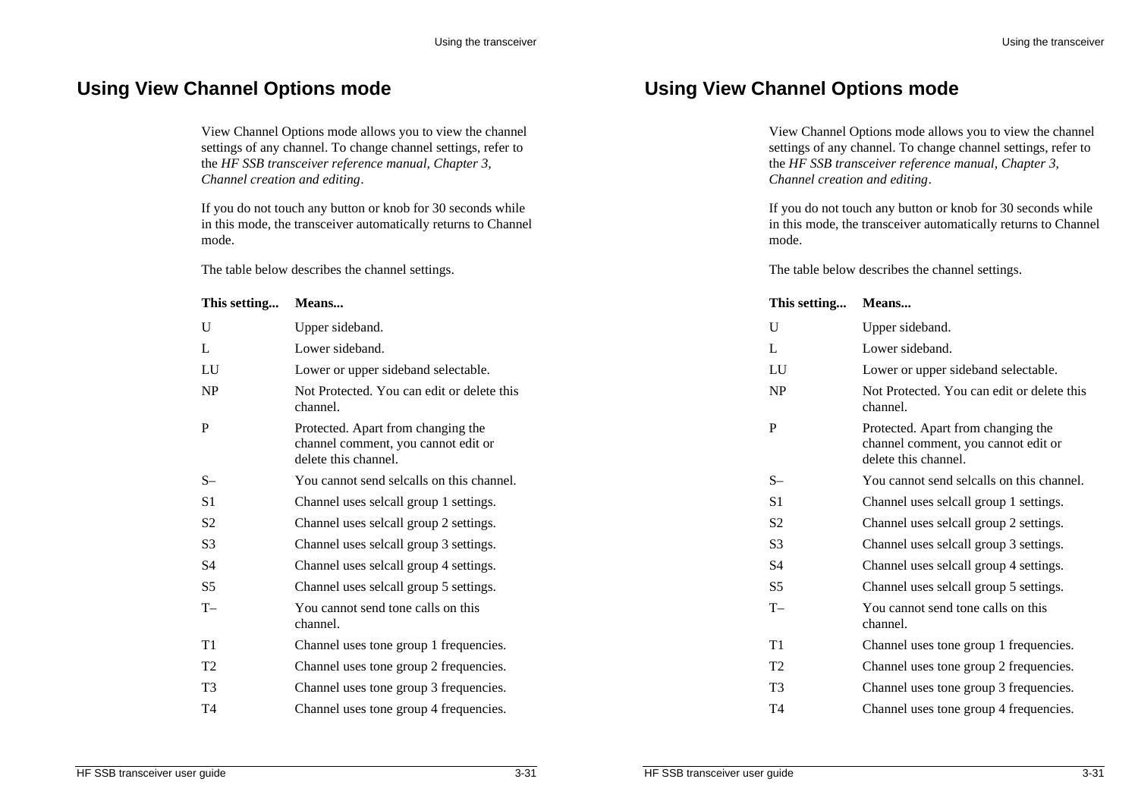# **Using View Channel Options mode**

View Channel Options mode allows you to view the channel settings of any channel. To change channel settings, refer to the *HF SSB transceiver reference manual, Chapter 3, Channel creation and editing*.

If you do not touch any button or knob for 30 seconds while in this mode, the transceiver automatically returns to Channel mode.

The table below describes the channel settings.

| This setting   | Means                                                                                             |
|----------------|---------------------------------------------------------------------------------------------------|
| U              | Upper sideband.                                                                                   |
| L              | Lower sideband.                                                                                   |
| LU             | Lower or upper sideband selectable.                                                               |
| <b>NP</b>      | Not Protected. You can edit or delete this<br>channel.                                            |
| P              | Protected. Apart from changing the<br>channel comment, you cannot edit or<br>delete this channel. |
| $S-$           | You cannot send selcalls on this channel.                                                         |
| S <sub>1</sub> | Channel uses selcall group 1 settings.                                                            |
| S <sub>2</sub> | Channel uses selcall group 2 settings.                                                            |
| S <sub>3</sub> | Channel uses selcall group 3 settings.                                                            |
| S <sub>4</sub> | Channel uses selcall group 4 settings.                                                            |
| S <sub>5</sub> | Channel uses selcall group 5 settings.                                                            |
| $T-$           | You cannot send tone calls on this<br>channel.                                                    |
| T1             | Channel uses tone group 1 frequencies.                                                            |
| T2             | Channel uses tone group 2 frequencies.                                                            |
| T <sub>3</sub> | Channel uses tone group 3 frequencies.                                                            |
| T4             | Channel uses tone group 4 frequencies.                                                            |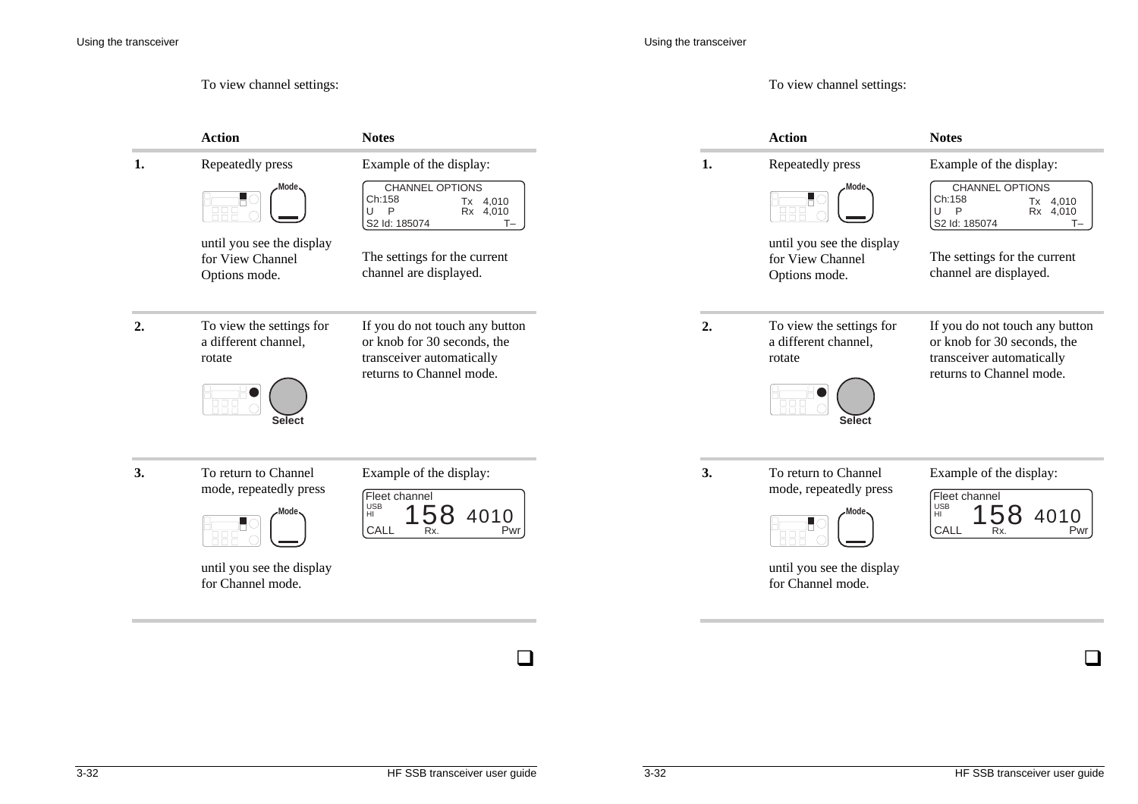#### To view channel settings:

|                  | <b>Action</b>                                                                        | <b>Notes</b>                                                                                                           |
|------------------|--------------------------------------------------------------------------------------|------------------------------------------------------------------------------------------------------------------------|
| 1.               | Repeatedly press                                                                     | Example of the display:                                                                                                |
|                  | Mode                                                                                 | <b>CHANNEL OPTIONS</b><br>Ch:158<br>4,010<br>Tx<br>$\cup$<br>P<br>4,010<br>Rx<br>S2 Id: 185074                         |
|                  | until you see the display<br>for View Channel<br>Options mode.                       | The settings for the current<br>channel are displayed.                                                                 |
| $\overline{2}$ . | To view the settings for<br>a different channel,<br>rotate<br><b>Select</b>          | If you do not touch any button<br>or knob for 30 seconds, the<br>transceiver automatically<br>returns to Channel mode. |
| 3.               | To return to Channel<br>mode, repeatedly press<br>Mode.<br>until you see the display | Example of the display:<br>Fleet channel<br><b>USB</b><br>158 4010<br>HI<br>Pwr<br>CALL<br>Rx                          |
|                  | for Channel mode.                                                                    |                                                                                                                        |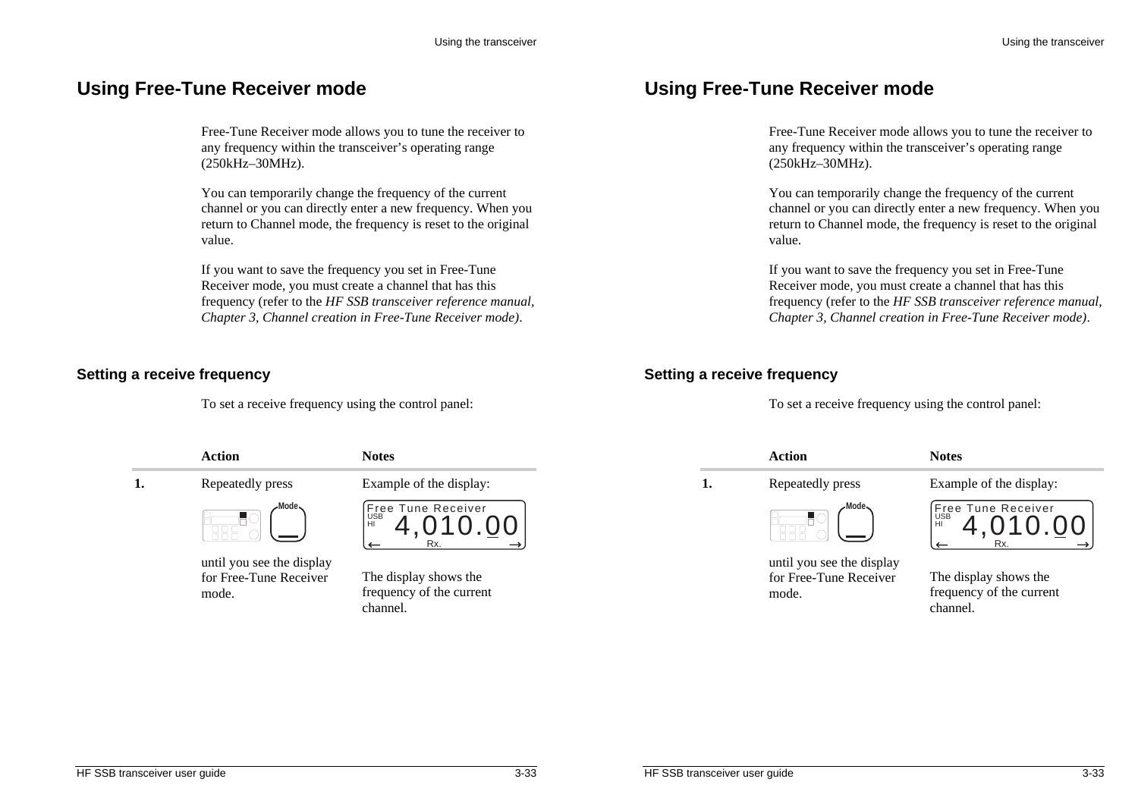# **Using Free-Tune Receiver mode**

Free-Tune Receiver mode allows you to tune the receiver to any frequency within the transceiver's operating range (250kHz–30MHz).

You can temporarily change the frequency of the current channel or you can directly enter a new frequency. When you return to Channel mode, the frequency is reset to the original value.

If you want to save the frequency you set in Free-Tune Receiver mode, you must create a channel that has this frequency (refer to the *HF SSB transceiver reference manual, Chapter 3, Channel creation in Free-Tune Receiver mode)*.

#### **Setting a receive frequency**

To set a receive frequency using the control panel:



channel.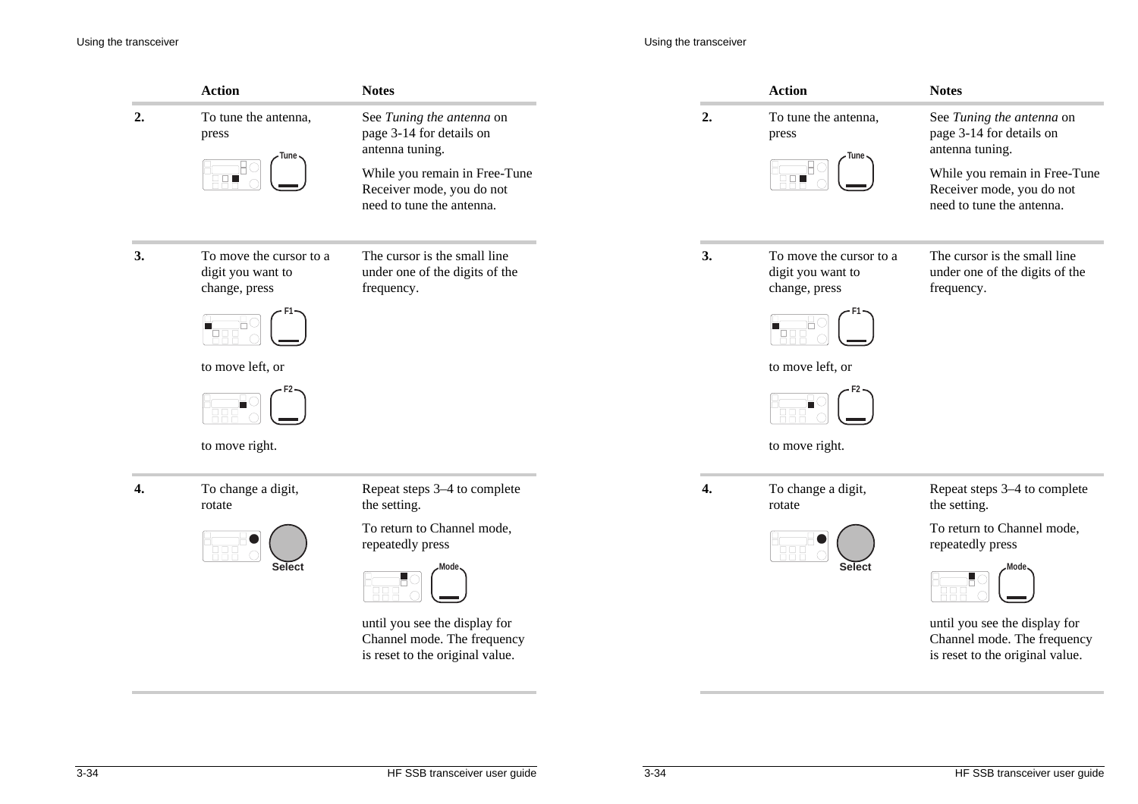|    | <b>Action</b>                                                 | <b>Notes</b>                                                                            |
|----|---------------------------------------------------------------|-----------------------------------------------------------------------------------------|
| 2. | To tune the antenna,<br>press<br>Tune                         | See Tuning the antenna on<br>page 3-14 for details on<br>antenna tuning.                |
|    |                                                               | While you remain in Free-Tune<br>Receiver mode, you do not<br>need to tune the antenna. |
| 3. | To move the cursor to a<br>digit you want to<br>change, press | The cursor is the small line<br>under one of the digits of the<br>frequency.            |
|    |                                                               |                                                                                         |
|    | to move left, or                                              |                                                                                         |
|    |                                                               |                                                                                         |
|    | to move right.                                                |                                                                                         |
| 4. | To change a digit,<br>rotate                                  | Repeat steps 3-4 to complete<br>the setting.                                            |
|    | Select                                                        | To return to Channel mode,<br>repeatedly press                                          |
|    |                                                               | Mode                                                                                    |

until you see the display for Channel mode. The frequency is reset to the original value.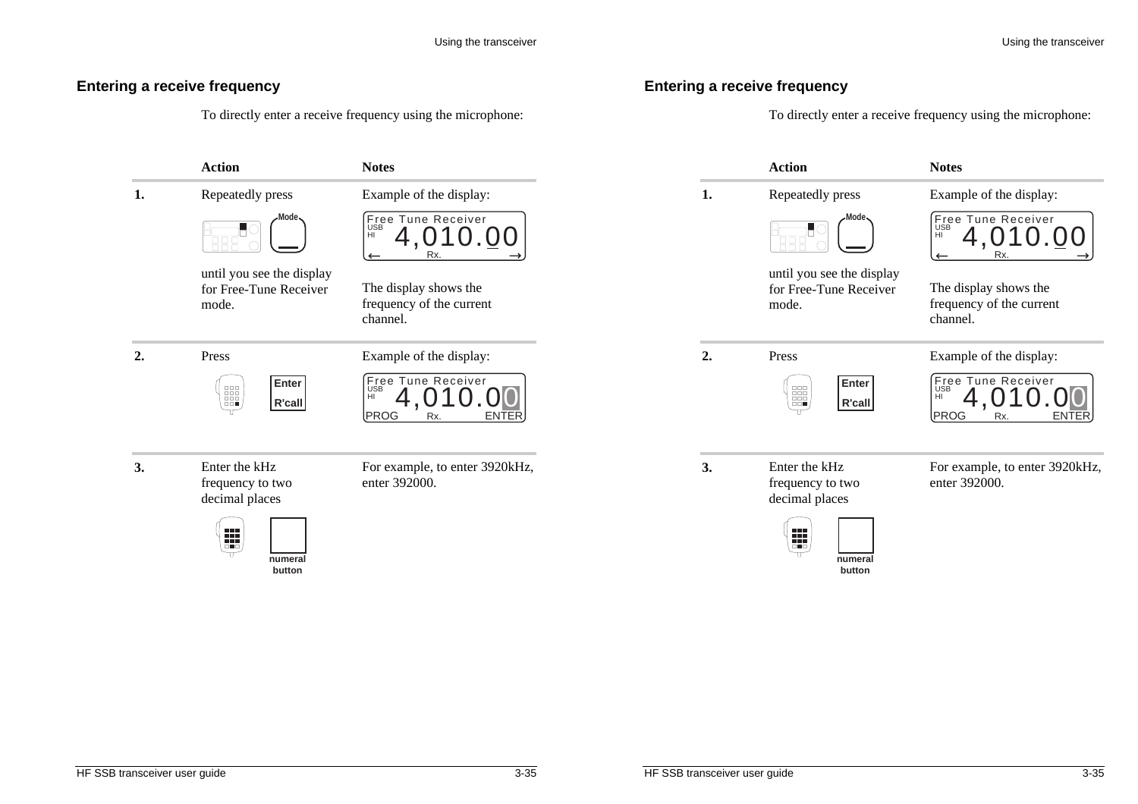## **Entering a receive frequency**

To directly enter a receive frequency using the microphone:

|                  | <b>Action</b>                                                                  | <b>Notes</b>                                                                                                   |
|------------------|--------------------------------------------------------------------------------|----------------------------------------------------------------------------------------------------------------|
| 1.               | Repeatedly press                                                               | Example of the display:                                                                                        |
|                  | Mode.<br>until you see the display<br>for Free-Tune Receiver<br>mode.          | Free Tune Receiver<br><b>USB</b><br>HI<br>Rx.<br>The display shows the<br>frequency of the current<br>channel. |
| $\overline{2}$ . | Press<br><b>Enter</b><br>000<br>$\Box \Box \Box$<br>$\Box \Box \Box$<br>R'call | Example of the display:<br>Free Tune Receiver<br><b>USB</b><br>HI<br>PROG<br>Rx.<br>ENTE                       |
| 3.               | Enter the kHz<br>frequency to two<br>decimal places                            | For example, to enter 3920kHz,<br>enter 392000.                                                                |
|                  | numeral                                                                        |                                                                                                                |

**button**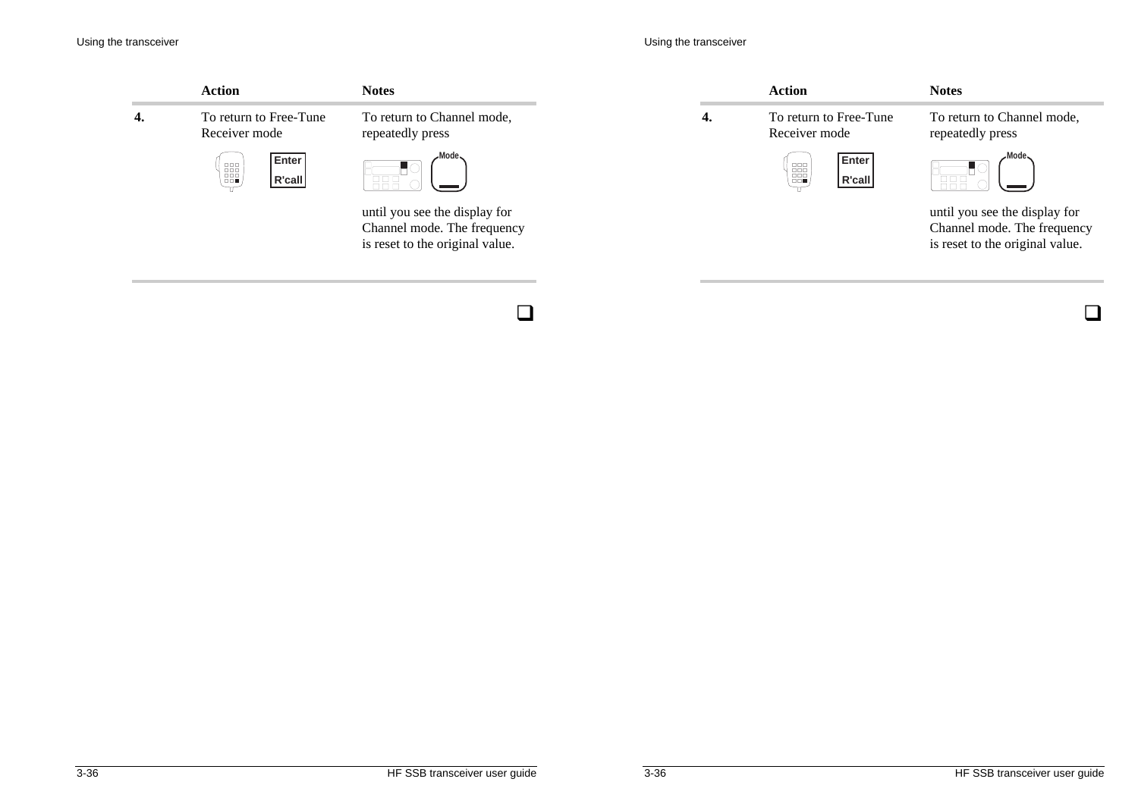| Action                                  | <b>Notes</b>                                                                                    |
|-----------------------------------------|-------------------------------------------------------------------------------------------------|
| To return to Free-Tune<br>Receiver mode | To return to Channel mode,<br>repeatedly press                                                  |
| Enter<br>먦<br>R'call                    | Mode                                                                                            |
|                                         | until you see the display for<br>Channel mode. The frequency<br>is reset to the original value. |
|                                         |                                                                                                 |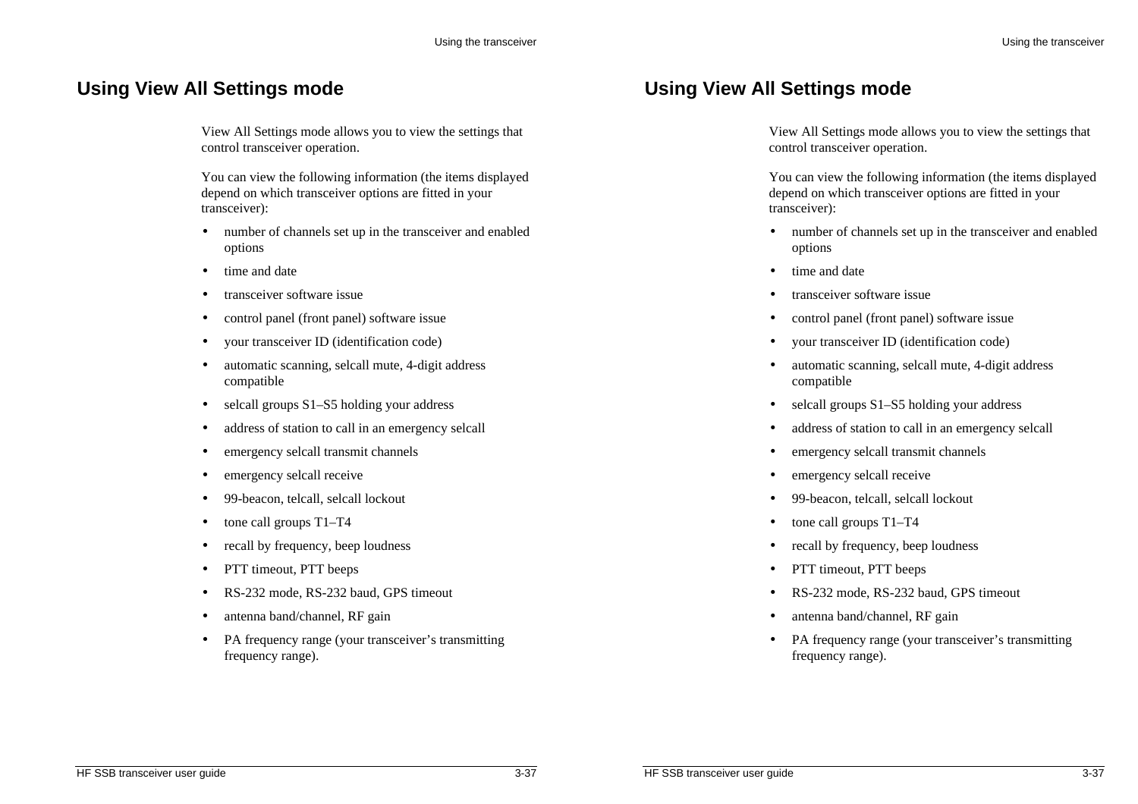# **Using View All Settings mode**

View All Settings mode allows you to view the settings that control transceiver operation.

You can view the following information (the items displayed depend on which transceiver options are fitted in your transceiver):

- number of channels set up in the transceiver and enabled options
- time and date
- transceiver software issue
- control panel (front panel) software issue
- your transceiver ID (identification code)
- automatic scanning, selcall mute, 4-digit address compatible
- selcall groups S1–S5 holding your address
- address of station to call in an emergency selcall
- emergency selcall transmit channels
- emergency selcall receive
- 99-beacon, telcall, selcall lockout
- tone call groups T1–T4
- recall by frequency, beep loudness
- PTT timeout, PTT beeps
- RS-232 mode, RS-232 baud, GPS timeout
- antenna band/channel, RF gain
- PA frequency range (your transceiver's transmitting frequency range).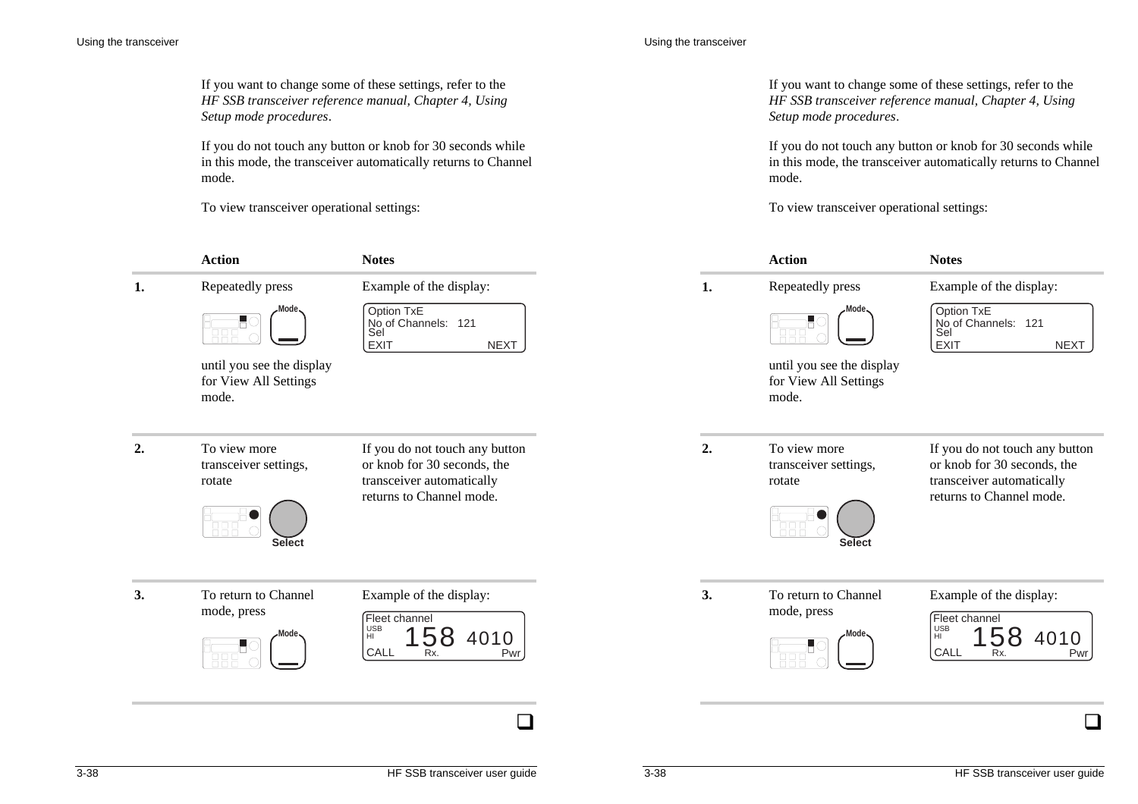If you want to change some of these settings, refer to the *HF SSB transceiver reference manual, Chapter 4, Using Setup mode procedures*.

If you do not touch any button or knob for 30 seconds while in this mode, the transceiver automatically returns to Channel mode.

To view transceiver operational settings:

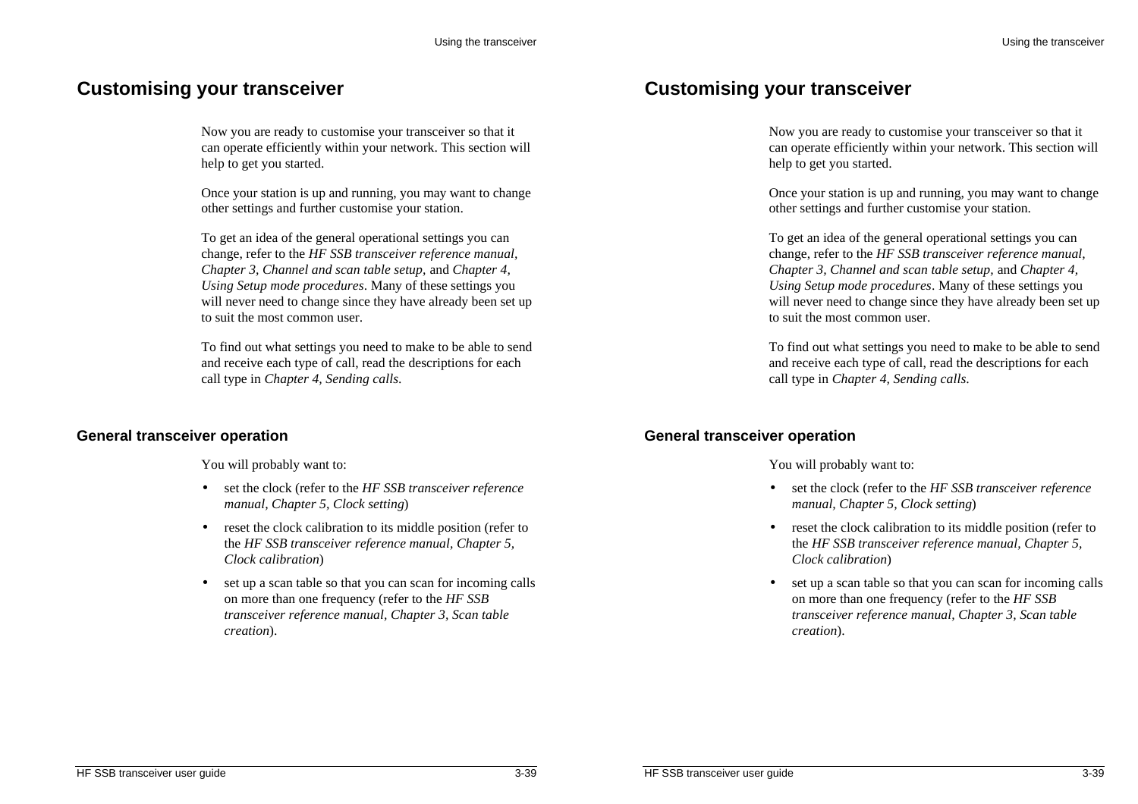## **Customising your transceiver**

Now you are ready to customise your transceiver so that it can operate efficiently within your network. This section will help to get you started.

Once your station is up and running, you may want to change other settings and further customise your station.

To get an idea of the general operational settings you can change, refer to the *HF SSB transceiver reference manual, Chapter 3, Channel and scan table setup,* and *Chapter 4, Using Setup mode procedures*. Many of these settings you will never need to change since they have already been set up to suit the most common user.

To find out what settings you need to make to be able to send and receive each type of call, read the descriptions for each call type in *Chapter 4, Sending calls*.

### **General transceiver operation**

You will probably want to:

- set the clock (refer to the *HF SSB transceiver reference manual, Chapter 5, Clock setting*)
- reset the clock calibration to its middle position (refer to the *HF SSB transceiver reference manual, Chapter 5, Clock calibration*)
- set up a scan table so that you can scan for incoming calls on more than one frequency (refer to the *HF SSB transceiver reference manual, Chapter 3, Scan table creation*).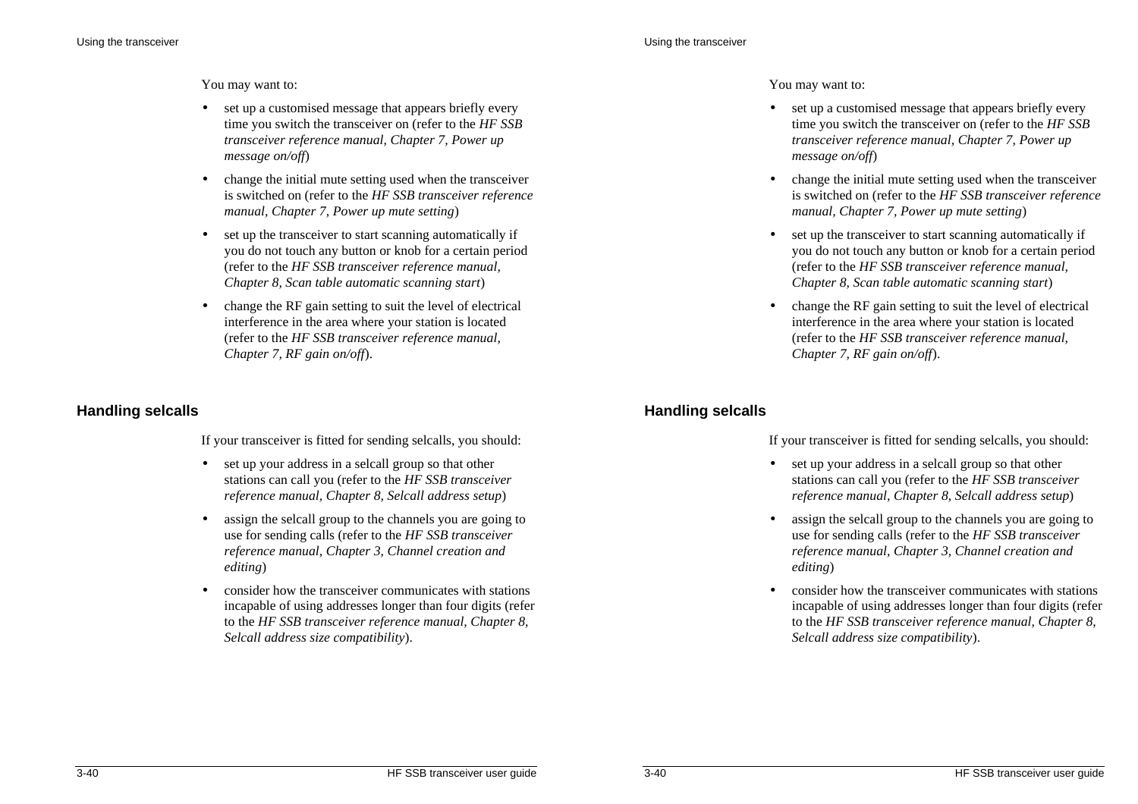You may want to:

- set up a customised message that appears briefly every time you switch the transceiver on (refer to the *HF SSB transceiver reference manual, Chapter 7, Power up message on/off*)
- change the initial mute setting used when the transceiver is switched on (refer to the *HF SSB transceiver reference manual, Chapter 7, Power up mute setting*)
- set up the transceiver to start scanning automatically if you do not touch any button or knob for a certain period (refer to the *HF SSB transceiver reference manual, Chapter 8, Scan table automatic scanning start*)
- change the RF gain setting to suit the level of electrical interference in the area where your station is located (refer to the *HF SSB transceiver reference manual, Chapter 7, RF gain on/off*).

## **Handling selcalls**

If your transceiver is fitted for sending selcalls, you should:

- set up your address in a selcall group so that other stations can call you (refer to the *HF SSB transceiver reference manual, Chapter 8, Selcall address setup*)
- assign the selcall group to the channels you are going to use for sending calls (refer to the *HF SSB transceiver reference manual, Chapter 3, Channel creation and editing*)
- consider how the transceiver communicates with stations incapable of using addresses longer than four digits (refer to the *HF SSB transceiver reference manual, Chapter 8, Selcall address size compatibility*).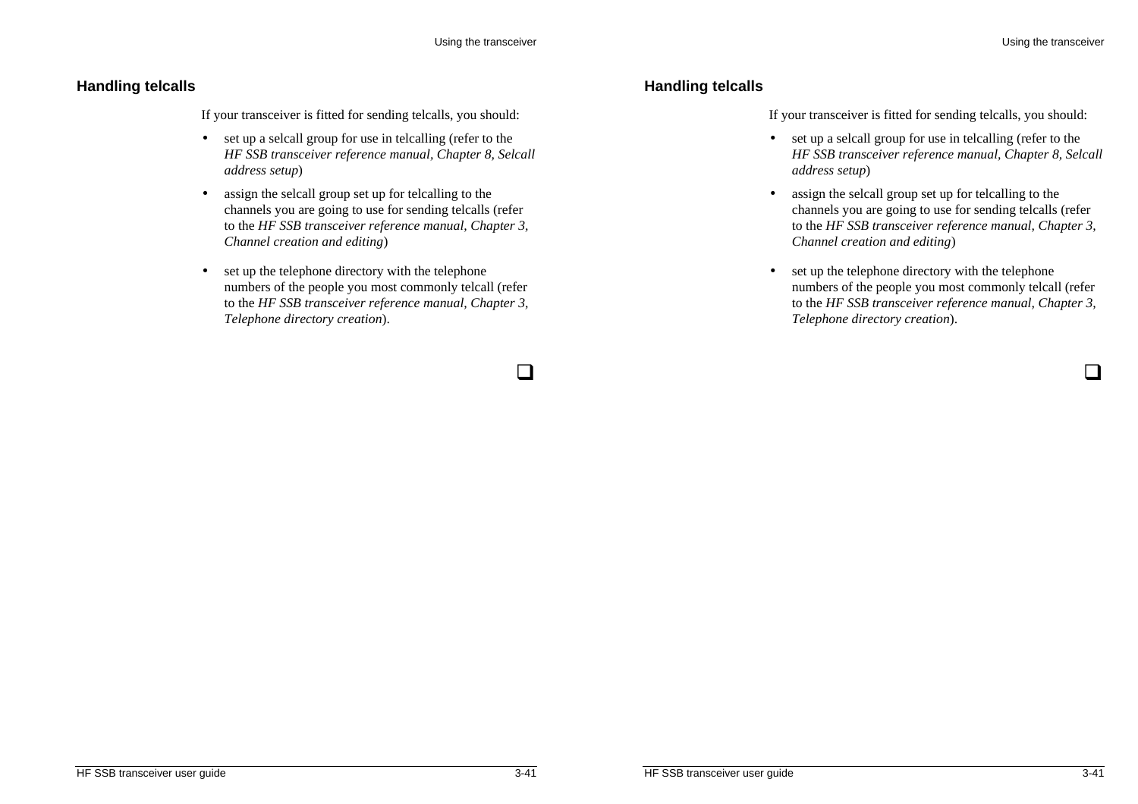### **Handling telcalls**

If your transceiver is fitted for sending telcalls, you should:

- set up a selcall group for use in telcalling (refer to the *HF SSB transceiver reference manual, Chapter 8, Selcall address setup*)
- assign the selcall group set up for telcalling to the channels you are going to use for sending telcalls (refer to the *HF SSB transceiver reference manual, Chapter 3, Channel creation and editing*)
- set up the telephone directory with the telephone numbers of the people you most commonly telcall (refer to the *HF SSB transceiver reference manual, Chapter 3, Telephone directory creation*).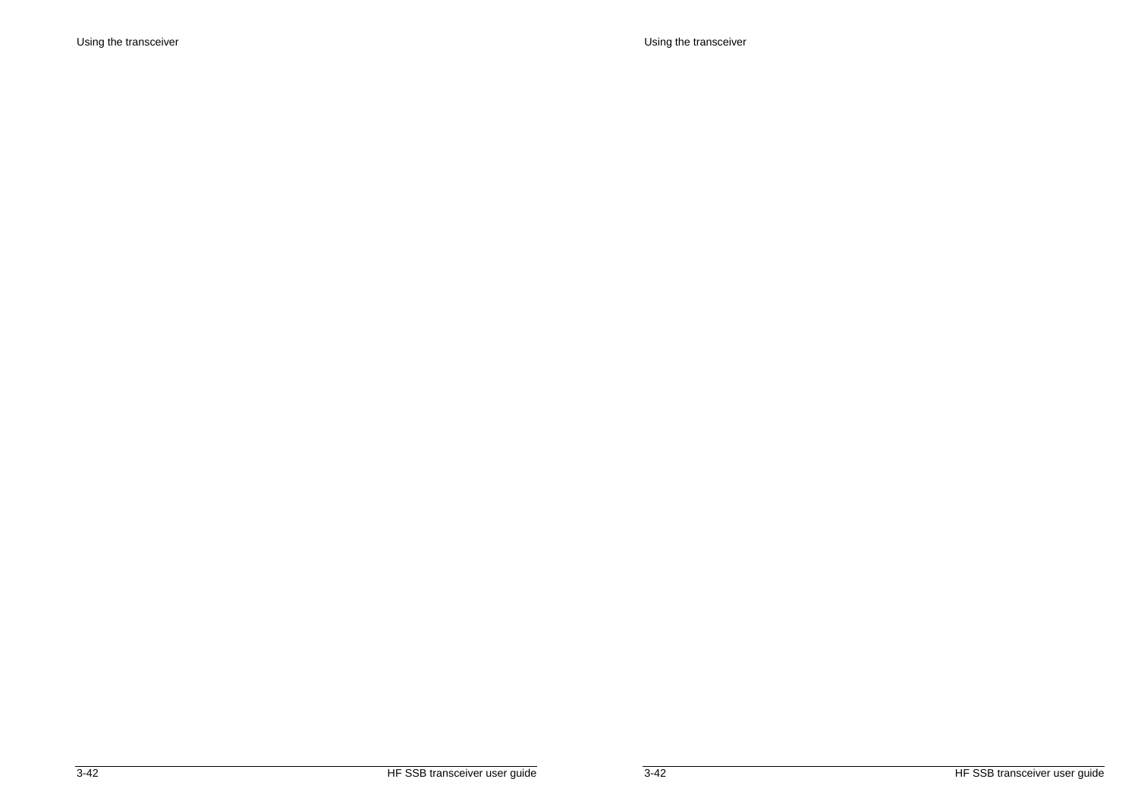Using the transceiver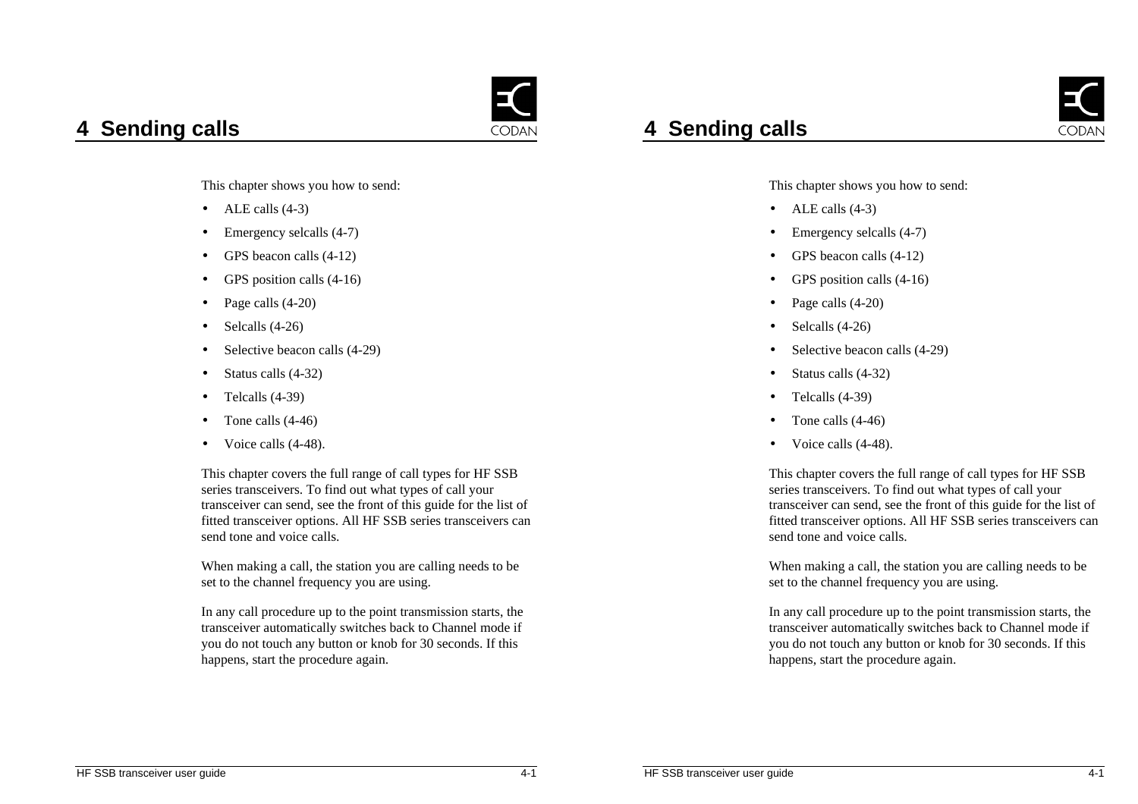

# **4 Sending calls**

This chapter shows you how to send:

- ALE calls (4-3)
- Emergency selcalls (4-7)
- GPS beacon calls  $(4-12)$
- GPS position calls (4-16)
- Page calls  $(4-20)$
- Selcalls  $(4-26)$
- Selective beacon calls (4-29)
- Status calls (4-32)
- Telcalls (4-39)
- Tone calls  $(4-46)$
- Voice calls (4-48).

This chapter covers the full range of call types for HF SSB series transceivers. To find out what types of call your transceiver can send, see the front of this guide for the list of fitted transceiver options. All HF SSB series transceivers can send tone and voice calls.

When making a call, the station you are calling needs to be set to the channel frequency you are using.

In any call procedure up to the point transmission starts, the transceiver automatically switches back to Channel mode if you do not touch any button or knob for 30 seconds. If this happens, start the procedure again.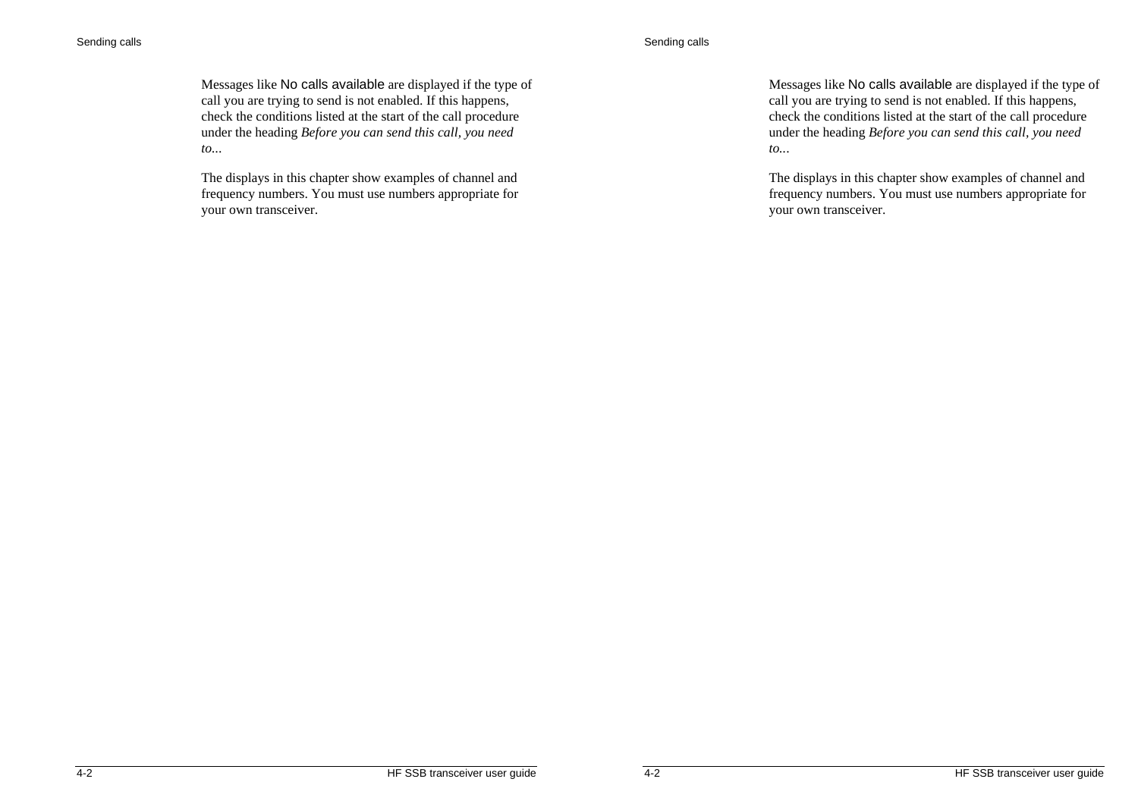Messages like No calls available are displayed if the type of call you are trying to send is not enabled. If this happens, check the conditions listed at the start of the call procedure under the heading *Before you can send this call, you need to..*.

The displays in this chapter show examples of channel and frequency numbers. You must use numbers appropriate for your own transceiver.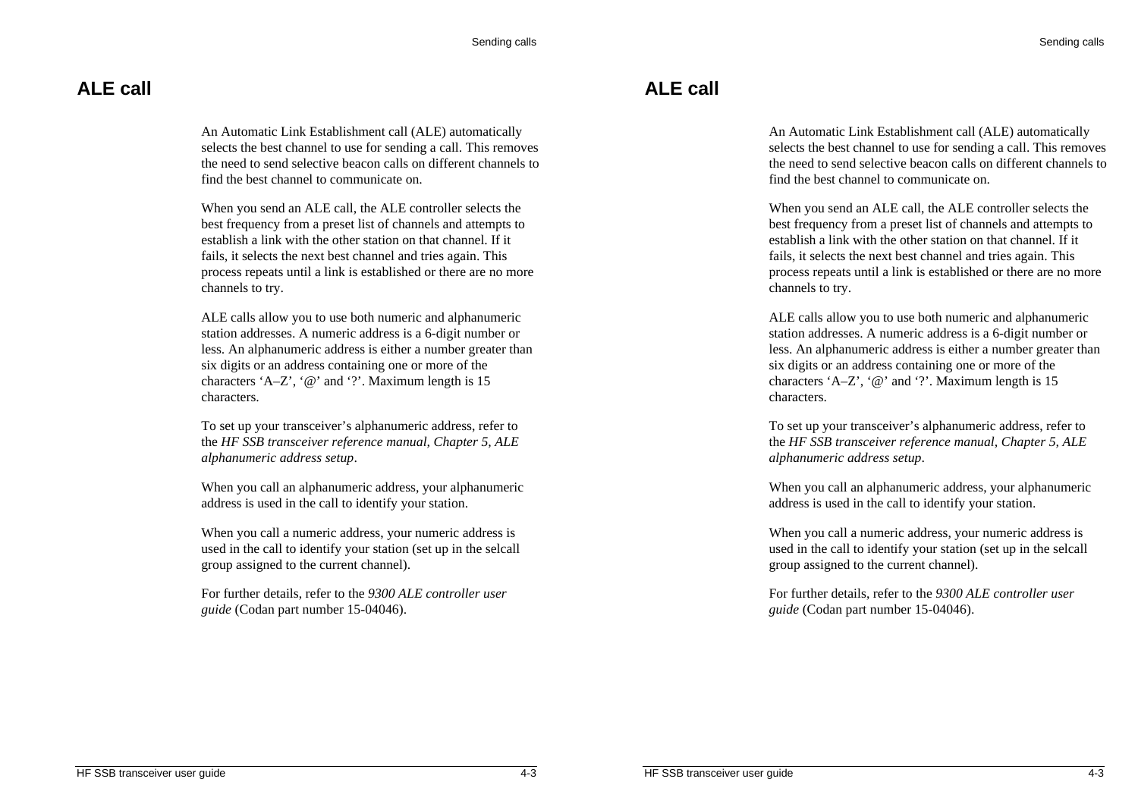# **ALE call**

An Automatic Link Establishment call (ALE) automatically selects the best channel to use for sending a call. This removes the need to send selective beacon calls on different channels to find the best channel to communicate on.

When you send an ALE call, the ALE controller selects the best frequency from a preset list of channels and attempts to establish a link with the other station on that channel. If it fails, it selects the next best channel and tries again. This process repeats until a link is established or there are no more channels to try.

ALE calls allow you to use both numeric and alphanumeric station addresses. A numeric address is a 6-digit number or less. An alphanumeric address is either a number greater than six digits or an address containing one or more of the characters 'A–Z', '@' and '?'. Maximum length is 15 characters.

To set up your transceiver's alphanumeric address, refer to the *HF SSB transceiver reference manual, Chapter 5, ALE alphanumeric address setup*.

When you call an alphanumeric address, your alphanumeric address is used in the call to identify your station.

When you call a numeric address, your numeric address is used in the call to identify your station (set up in the selcall group assigned to the current channel).

For further details, refer to the *9300 ALE controller user guide* (Codan part number 15-04046).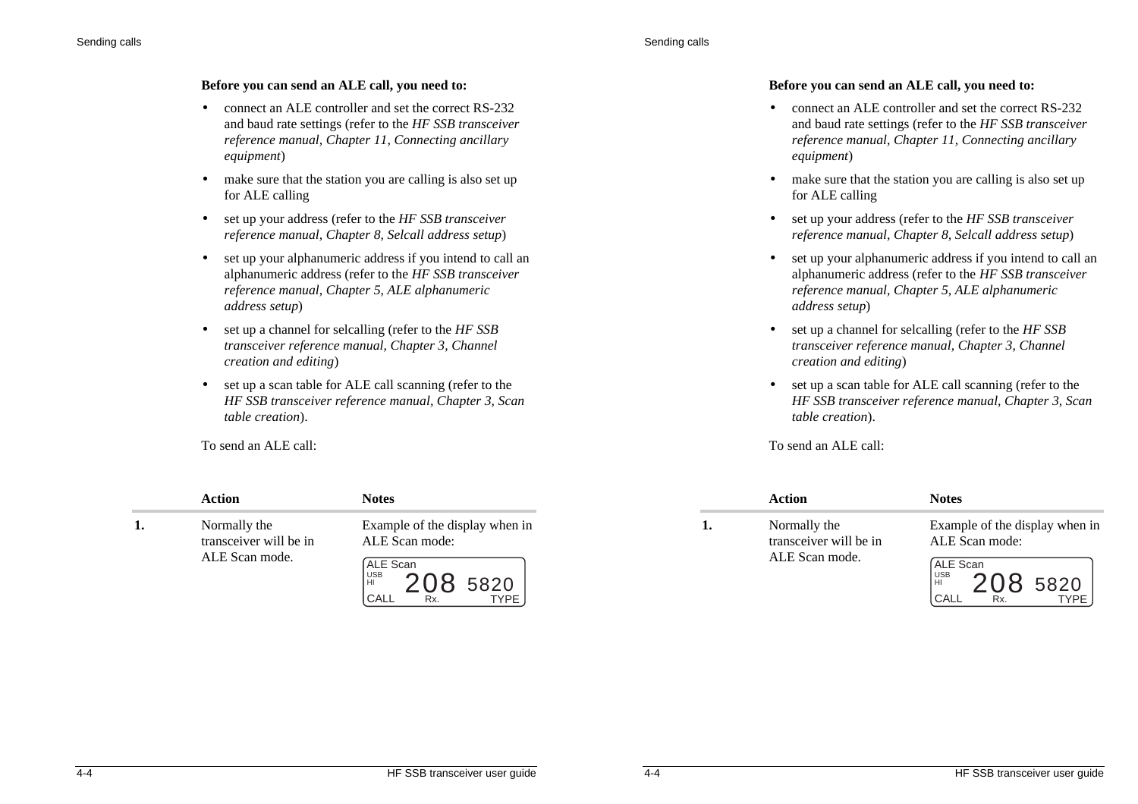### **Before you can send an ALE call, you need to:**

- connect an ALE controller and set the correct RS-232 and baud rate settings (refer to the *HF SSB transceiver reference manual, Chapter 11, Connecting ancillary equipment*)
- make sure that the station you are calling is also set up for ALE calling
- set up your address (refer to the *HF SSB transceiver reference manual, Chapter 8, Selcall address setup*)
- set up your alphanumeric address if you intend to call an alphanumeric address (refer to the *HF SSB transceiver reference manual, Chapter 5, ALE alphanumeric address setup*)
- set up a channel for selcalling (refer to the *HF SSB transceiver reference manual, Chapter 3, Channel creation and editing*)
- set up a scan table for ALE call scanning (refer to the *HF SSB transceiver reference manual, Chapter 3, Scan table creation*).

 $|$ CALL  $R_{\rm X}$ .

To send an ALE call:

| Action                                 | <b>Notes</b>                                              |
|----------------------------------------|-----------------------------------------------------------|
| Normally the<br>transceiver will be in | Example of the display when in<br>ALE Scan mode:          |
| ALE Scan mode.                         | ∫ALE Scan<br>USB<br>HI<br>208 5820<br>$\bigcap$ $\bigcap$ |

TYPE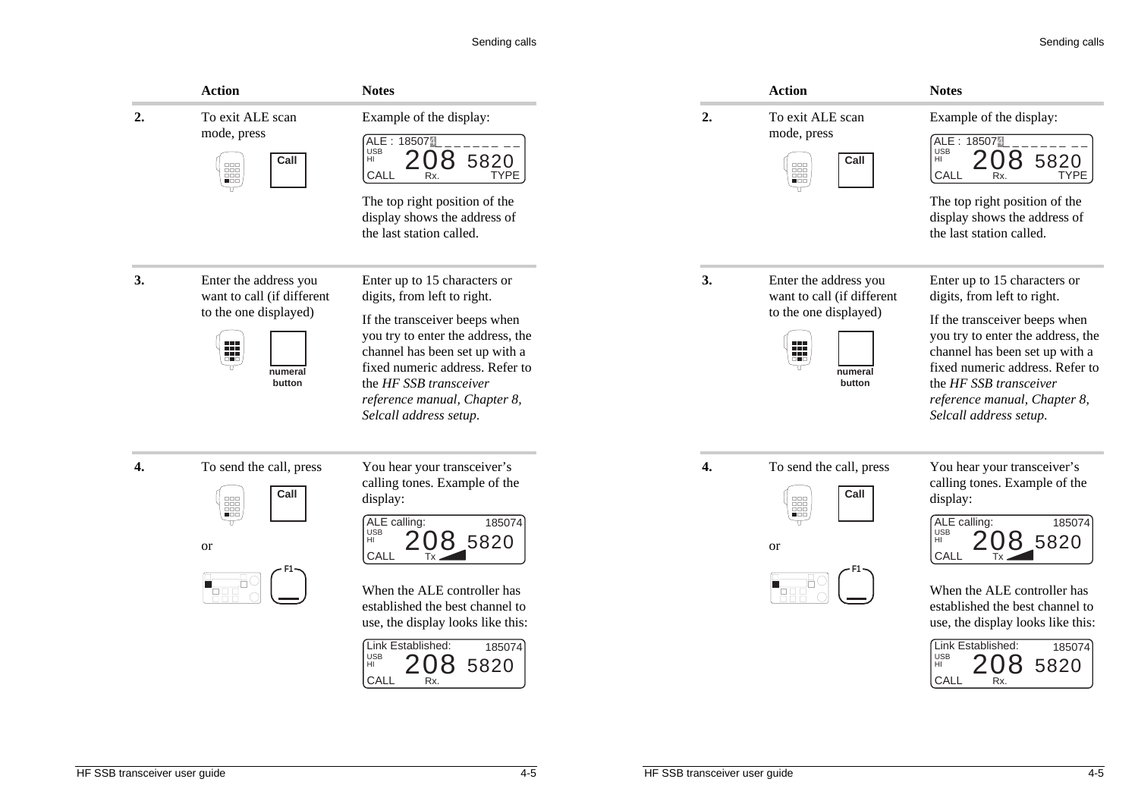|    | <b>Action</b>                                                                                    | <b>Notes</b>                                                                                                                                                                                                                                                                               |
|----|--------------------------------------------------------------------------------------------------|--------------------------------------------------------------------------------------------------------------------------------------------------------------------------------------------------------------------------------------------------------------------------------------------|
| 2. | To exit ALE scan<br>mode, press<br>Call<br>88 B<br>88 B<br>100                                   | Example of the display:<br>185074<br>ALE :<br><b>USB</b><br>5820<br>ĤĹ<br><b>TYPE</b><br>CALL<br>Rx.<br>The top right position of the<br>display shows the address of<br>the last station called.                                                                                          |
| 3. | Enter the address you<br>want to call (if different<br>to the one displayed)<br>numera<br>button | Enter up to 15 characters or<br>digits, from left to right.<br>If the transceiver beeps when<br>you try to enter the address, the<br>channel has been set up with a<br>fixed numeric address. Refer to<br>the HF SSB transceiver<br>reference manual, Chapter 8,<br>Selcall address setup. |
| 4. | To send the call, press<br>Call<br>30 C<br>300<br><sub>or</sub>                                  | You hear your transceiver's<br>calling tones. Example of the<br>display:<br>ALE calling:<br>185074<br><b>USB</b><br>5820<br>HI<br>CALL<br>When the ALE controller has<br>established the best channel to<br>use, the display looks like this:                                              |

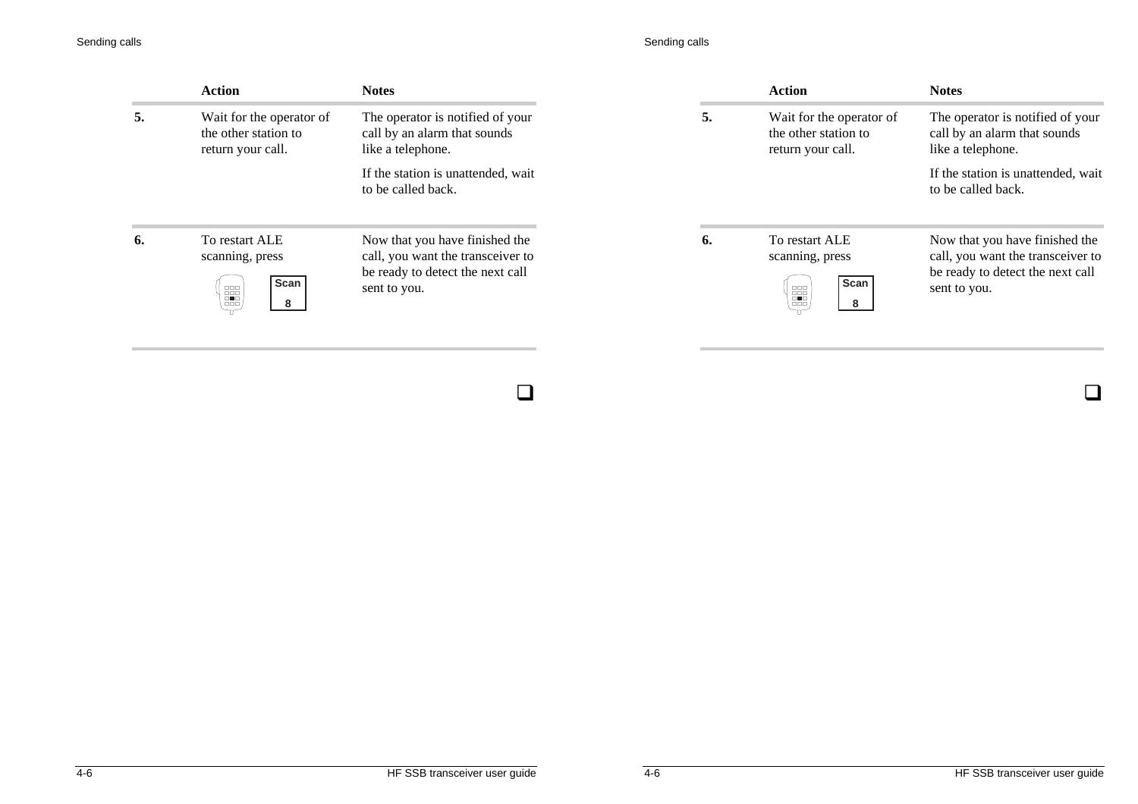|    | <b>Action</b>                                                         | <b>Notes</b>                                                                                                            |
|----|-----------------------------------------------------------------------|-------------------------------------------------------------------------------------------------------------------------|
| 5. | Wait for the operator of<br>the other station to<br>return your call. | The operator is notified of your<br>call by an alarm that sounds<br>like a telephone.                                   |
|    |                                                                       | If the station is unattended, wait<br>to be called back.                                                                |
| 6. | To restart ALE<br>scanning, press<br><b>Scan</b><br>8<br>oóc          | Now that you have finished the<br>call, you want the transceiver to<br>be ready to detect the next call<br>sent to you. |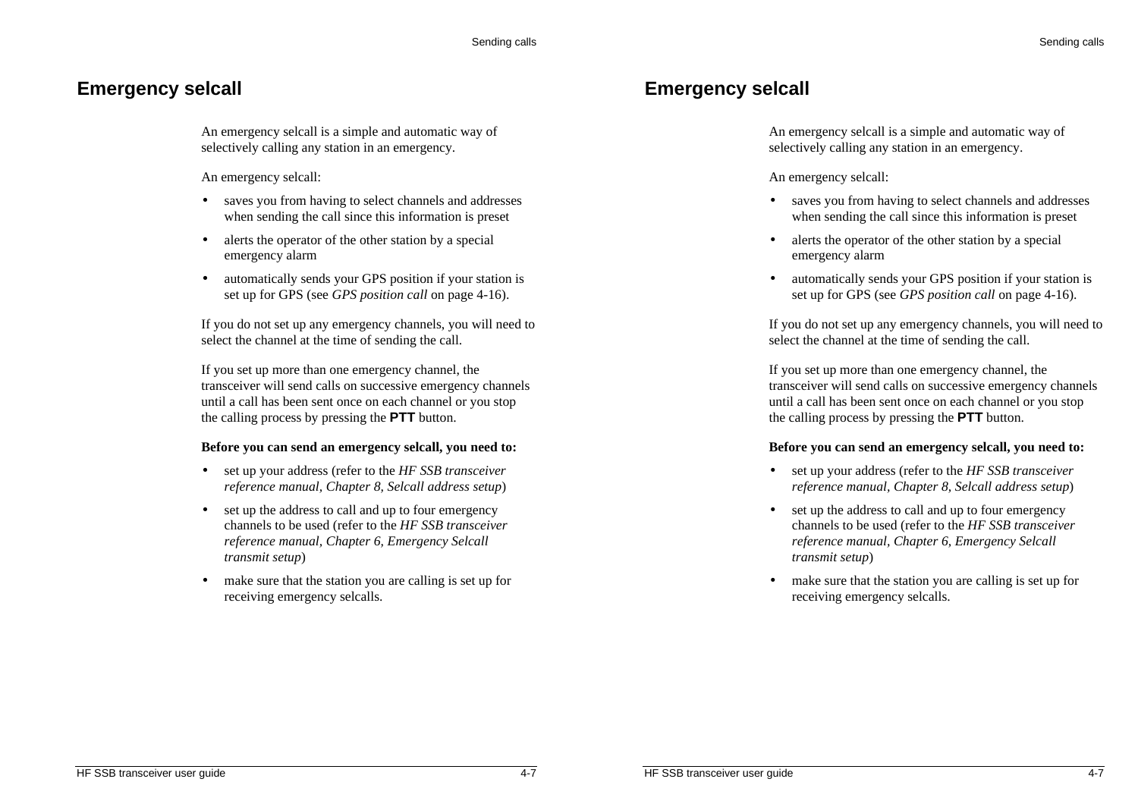# **Emergency selcall**

An emergency selcall is a simple and automatic way of selectively calling any station in an emergency.

An emergency selcall:

- saves you from having to select channels and addresses when sending the call since this information is preset
- alerts the operator of the other station by a special emergency alarm
- automatically sends your GPS position if your station is set up for GPS (see *GPS position call* on page 4-16).

If you do not set up any emergency channels, you will need to select the channel at the time of sending the call.

If you set up more than one emergency channel, the transceiver will send calls on successive emergency channels until a call has been sent once on each channel or you stop the calling process by pressing the **PTT** button.

#### **Before you can send an emergency selcall, you need to:**

- set up your address (refer to the *HF SSB transceiver reference manual, Chapter 8, Selcall address setup*)
- set up the address to call and up to four emergency channels to be used (refer to the *HF SSB transceiver reference manual, Chapter 6, Emergency Selcall transmit setup*)
- make sure that the station you are calling is set up for receiving emergency selcalls.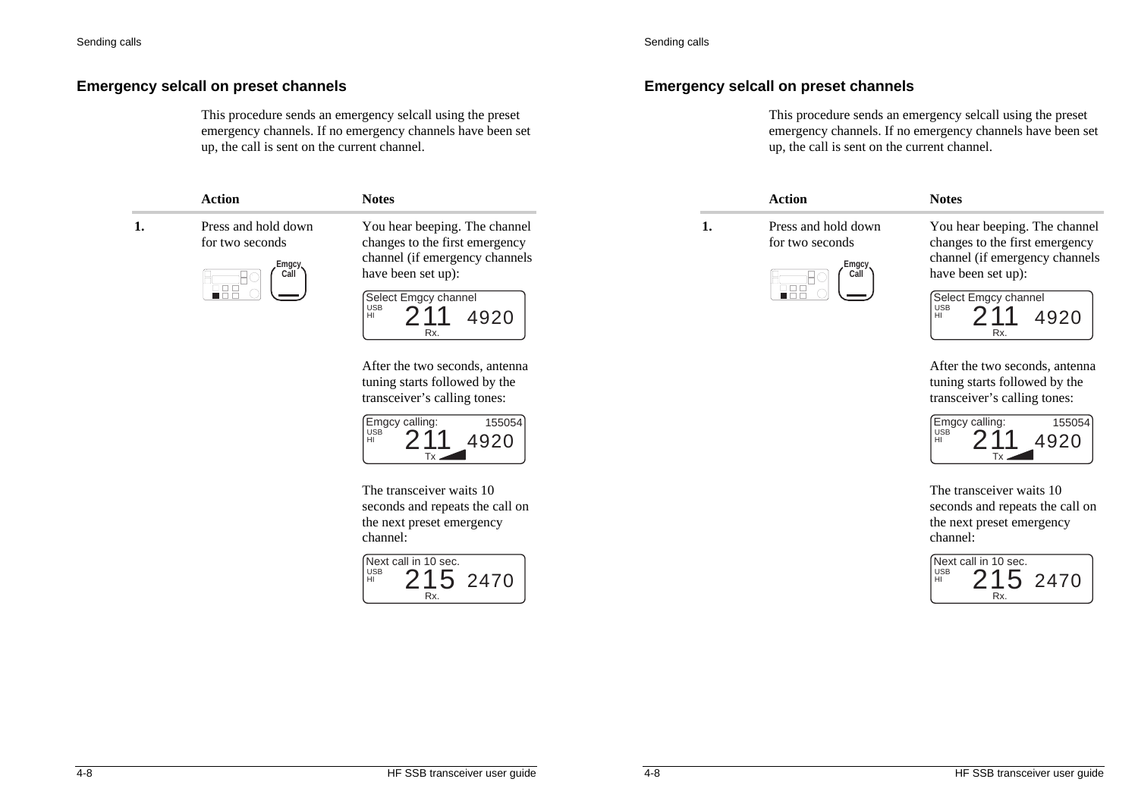## **Emergency selcall on preset channels**

This procedure sends an emergency selcall using the preset emergency channels. If no emergency channels have been set up, the call is sent on the current channel.

| Action                                                  | <b>Notes</b>                                                                                                            |
|---------------------------------------------------------|-------------------------------------------------------------------------------------------------------------------------|
| Press and hold down<br>for two seconds<br>Emgcy<br>Call | You hear beeping. The channel<br>changes to the first emergency<br>channel (if emergency channels<br>have been set up): |



After the two seconds, antenna tuning starts followed by the transceiver's calling tones:



The transceiver waits 10 seconds and repeats the call on the next preset emergency channel:



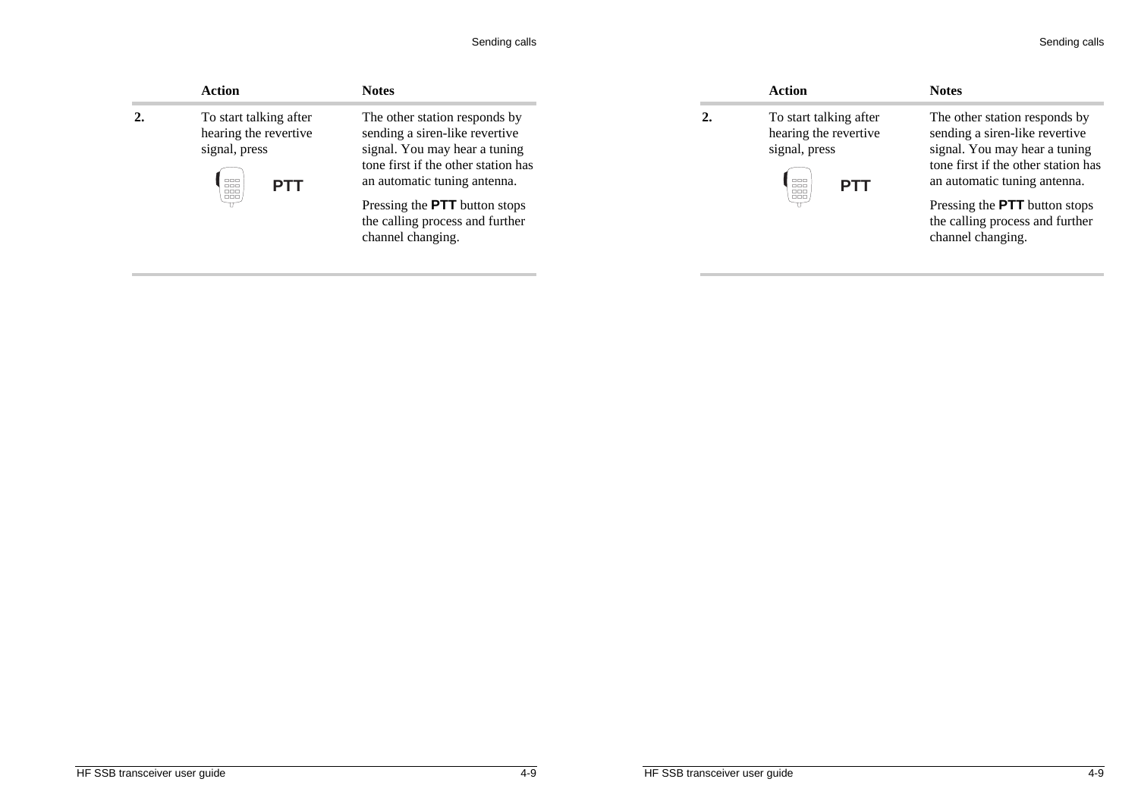| Action                                                                       | <b>Notes</b>                                                                                                                                                                                                                                                            |
|------------------------------------------------------------------------------|-------------------------------------------------------------------------------------------------------------------------------------------------------------------------------------------------------------------------------------------------------------------------|
| To start talking after<br>hearing the revertive<br>signal, press<br>PTT<br>噩 | The other station responds by<br>sending a siren-like revertive<br>signal. You may hear a tuning<br>tone first if the other station has<br>an automatic tuning antenna.<br>Pressing the <b>PTT</b> button stops<br>the calling process and further<br>channel changing. |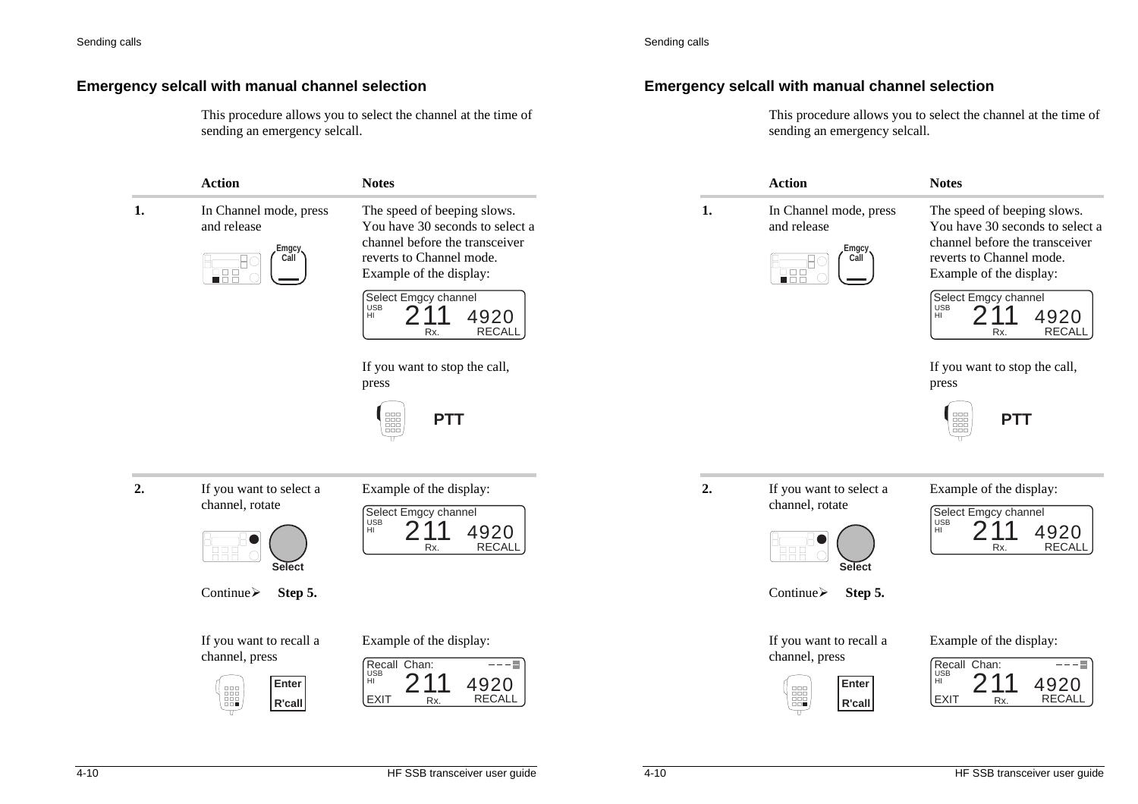## **Emergency selcall with manual channel selection**

This procedure allows you to select the channel at the time of sending an emergency selcall.

|    | <b>Action</b>                                                                       | <b>Notes</b>                                                                                                                                                                                                                                                                                      |
|----|-------------------------------------------------------------------------------------|---------------------------------------------------------------------------------------------------------------------------------------------------------------------------------------------------------------------------------------------------------------------------------------------------|
| 1. | In Channel mode, press<br>and release<br>Emgcy.<br>Call                             | The speed of beeping slows.<br>You have 30 seconds to select a<br>channel before the transceiver<br>reverts to Channel mode.<br>Example of the display:<br>Select Emgcy channel<br><b>USB</b><br>HI<br>4920<br><b>RECAL</b><br>Rx.<br>If you want to stop the call,<br>press<br>300<br>PTT<br>300 |
| 2. | If you want to select a<br>channel, rotate<br><b>Select</b><br>Continue><br>Step 5. | Example of the display:<br>Select Emgcy channel<br><b>USB</b><br>4920<br>HI<br><b>RECAL</b><br>Rx.                                                                                                                                                                                                |
|    | If you want to recall a<br>channel, press<br>Enter<br>ا ۱<br>ا ۱<br>R'call          | Example of the display:<br>Recall Chan:<br><b>USB</b><br>HI<br>4920<br>RECALI<br><b>EXIT</b><br>Rx.                                                                                                                                                                                               |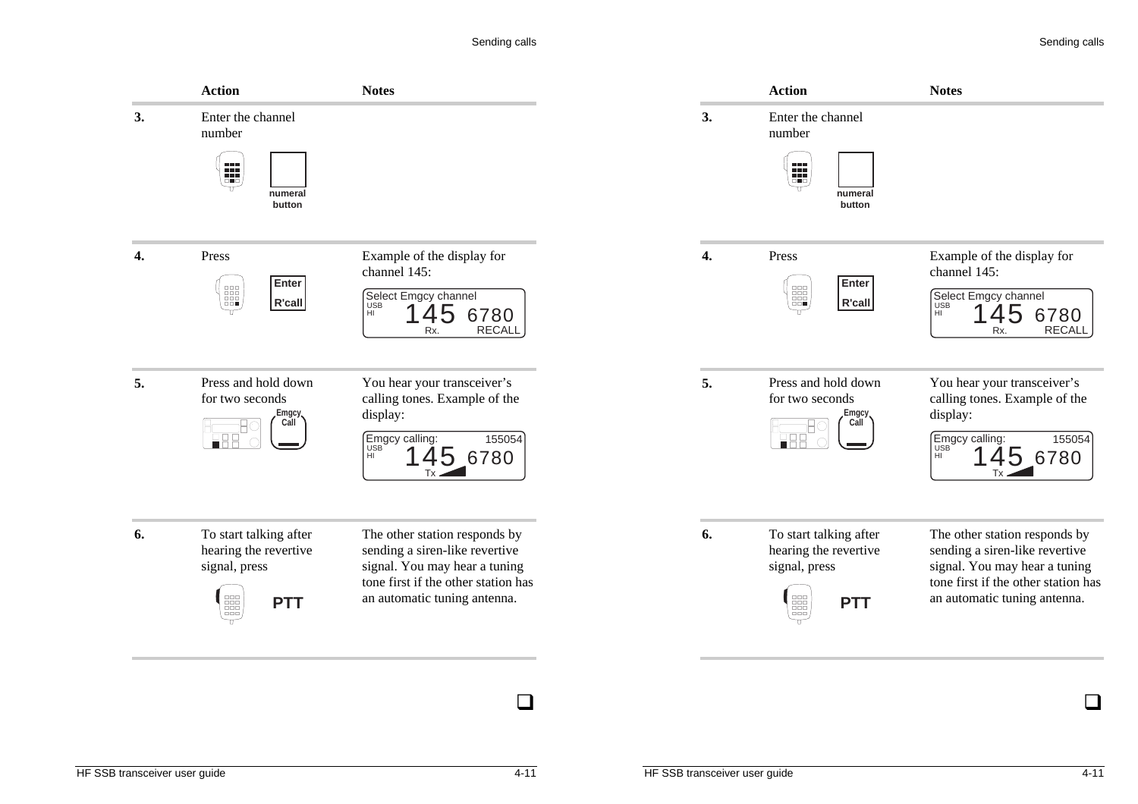#### Sending calls

|                  | <b>Action</b>                                                           | <b>Notes</b>                                                                                                                                                            |
|------------------|-------------------------------------------------------------------------|-------------------------------------------------------------------------------------------------------------------------------------------------------------------------|
| 3.               | Enter the channel<br>number<br>button                                   |                                                                                                                                                                         |
| $\overline{4}$ . | Press<br>Enter<br>00C<br>88 B G<br>R'call                               | Example of the display for<br>channel 145:<br>Select Emgcy channel<br><b>USB</b><br>45 6780<br>HI<br><b>RECAL</b><br>Rx.                                                |
| 5.               | Press and hold down<br>for two seconds<br>Emgcy<br>Call                 | You hear your transceiver's<br>calling tones. Example of the<br>display:<br>Emgcy calling:<br>155054<br><b>USB</b><br>6780<br>HI                                        |
| 6.               | To start talking after<br>hearing the revertive<br>signal, press<br>РТТ | The other station responds by<br>sending a siren-like revertive<br>signal. You may hear a tuning<br>tone first if the other station has<br>an automatic tuning antenna. |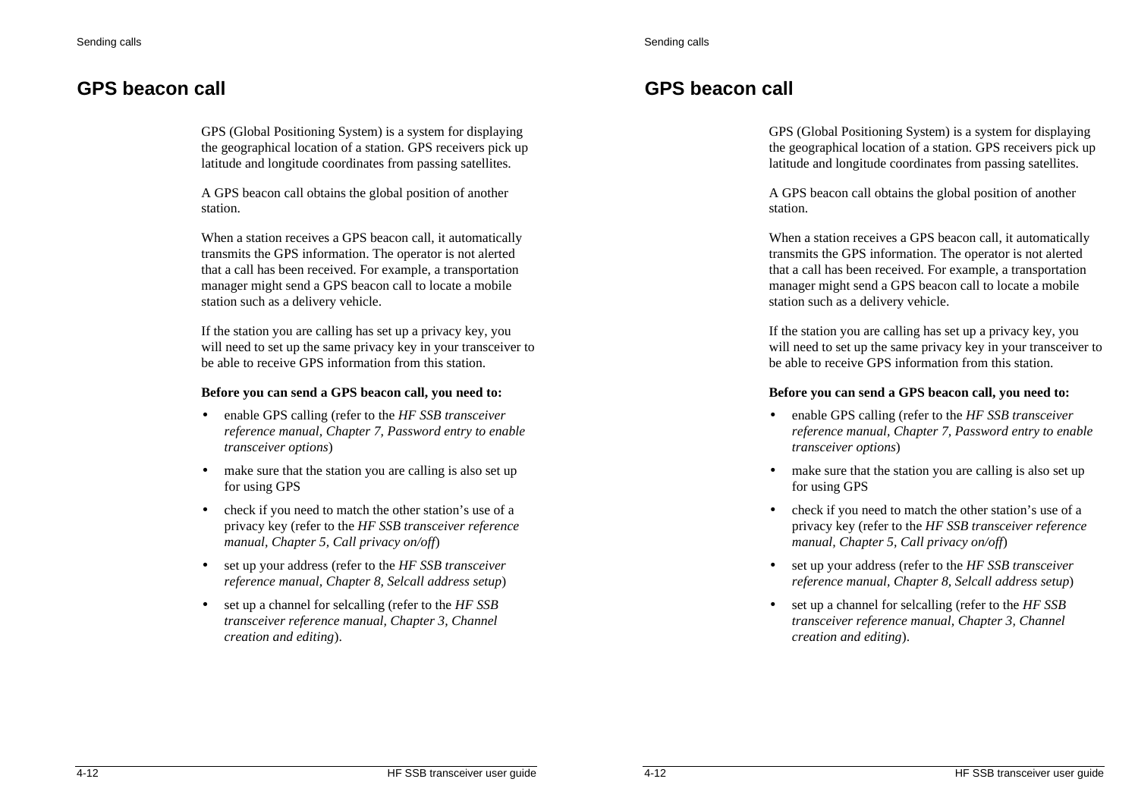# **GPS beacon call**

GPS (Global Positioning System) is a system for displaying the geographical location of a station. GPS receivers pick up latitude and longitude coordinates from passing satellites.

A GPS beacon call obtains the global position of another station.

When a station receives a GPS beacon call, it automatically transmits the GPS information. The operator is not alerted that a call has been received. For example, a transportation manager might send a GPS beacon call to locate a mobile station such as a delivery vehicle.

If the station you are calling has set up a privacy key, you will need to set up the same privacy key in your transceiver to be able to receive GPS information from this station.

### **Before you can send a GPS beacon call, you need to:**

- enable GPS calling (refer to the *HF SSB transceiver reference manual, Chapter 7, Password entry to enable transceiver options*)
- make sure that the station you are calling is also set up for using GPS
- check if you need to match the other station's use of a privacy key (refer to the *HF SSB transceiver reference manual, Chapter 5, Call privacy on/off*)
- set up your address (refer to the *HF SSB transceiver reference manual, Chapter 8, Selcall address setup*)
- set up a channel for selcalling (refer to the *HF SSB transceiver reference manual, Chapter 3, Channel creation and editing*).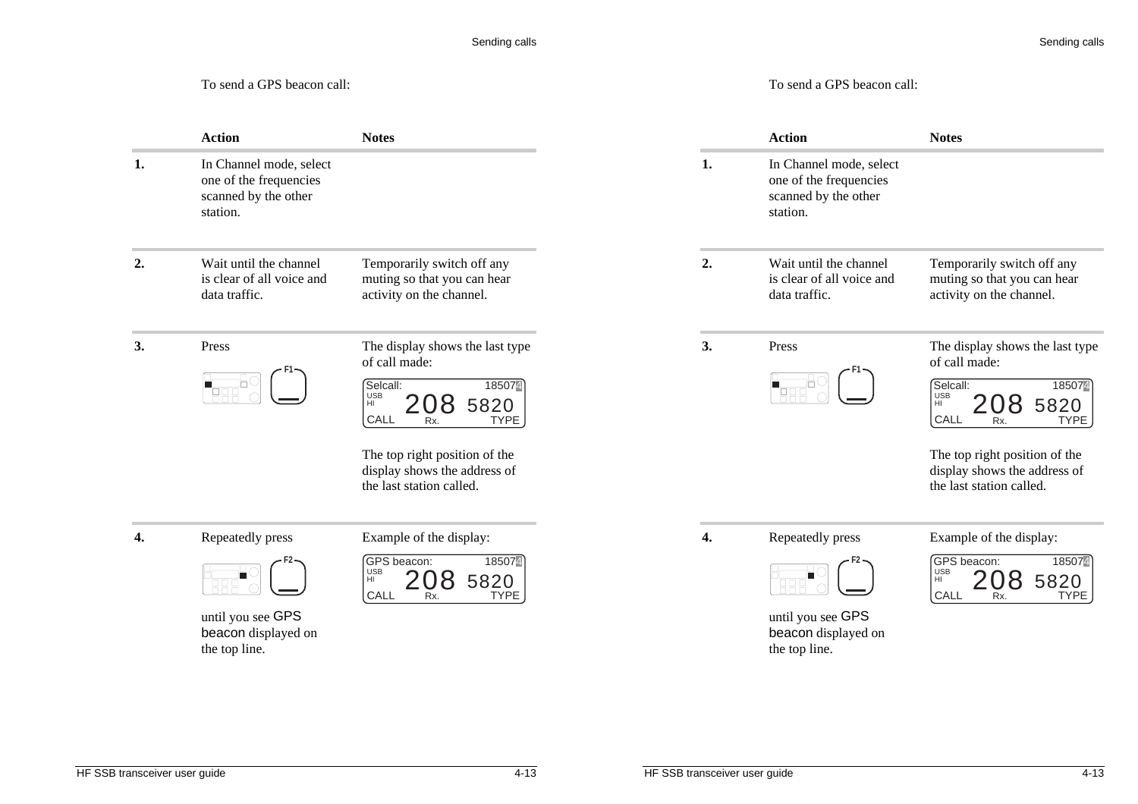## To send a GPS beacon call:

|    | <b>Action</b>                                                                         | <b>Notes</b>                                                                                                                                                                                            |
|----|---------------------------------------------------------------------------------------|---------------------------------------------------------------------------------------------------------------------------------------------------------------------------------------------------------|
| 1. | In Channel mode, select<br>one of the frequencies<br>scanned by the other<br>station. |                                                                                                                                                                                                         |
| 2. | Wait until the channel<br>is clear of all voice and<br>data traffic.                  | Temporarily switch off any<br>muting so that you can hear<br>activity on the channel.                                                                                                                   |
| 3. | Press                                                                                 | The display shows the last type<br>of call made:<br>Selcall:<br>185074<br><b>USB</b><br>5820<br>HI<br>CALL<br>The top right position of the<br>display shows the address of<br>the last station called. |
| 4. | Repeatedly press<br>until you see GPS<br>beacon displayed on<br>the top line.         | Example of the display:<br>GPS beacon:<br>185074<br><b>USB</b><br>5820<br>HI<br>TYPE<br>CALL<br>Rx.                                                                                                     |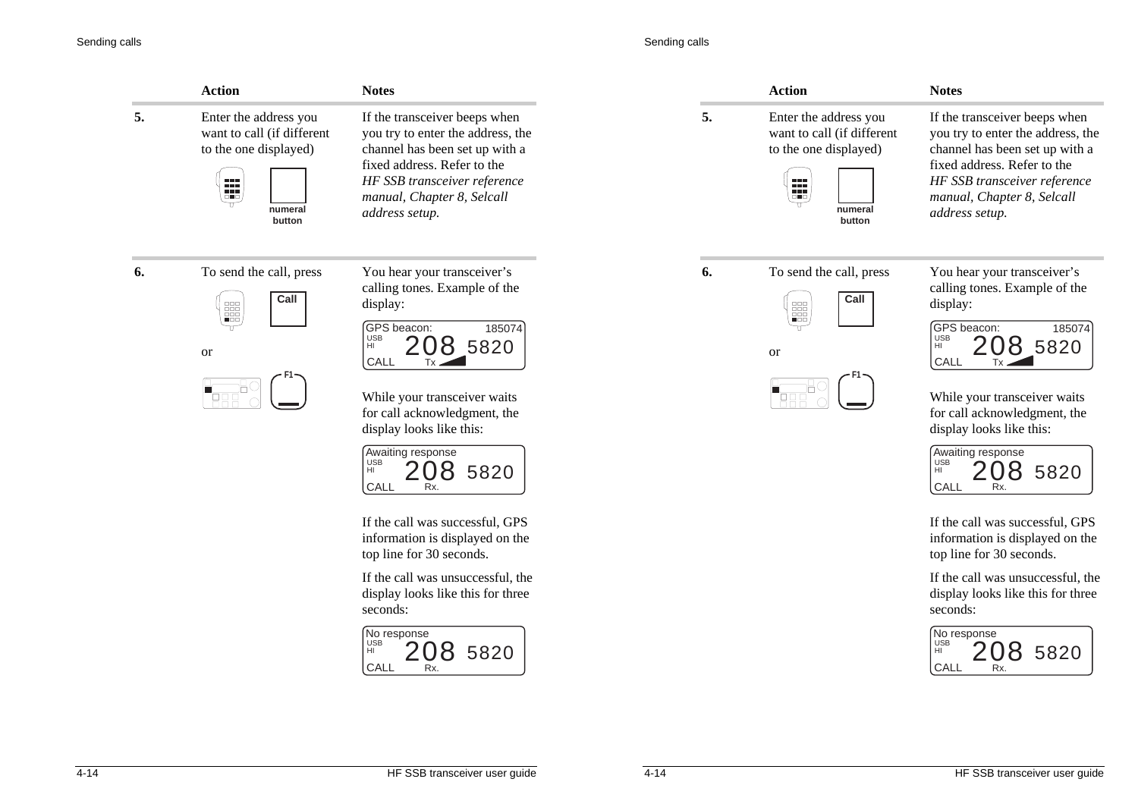| Action                                                                                                  | <b>Notes</b>                                                                                                                                                                                                        |
|---------------------------------------------------------------------------------------------------------|---------------------------------------------------------------------------------------------------------------------------------------------------------------------------------------------------------------------|
| Enter the address you<br>want to call (if different<br>to the one displayed)<br>--<br>numeral<br>button | If the transceiver beeps when<br>you try to enter the address, the<br>channel has been set up with a<br>fixed address. Refer to the<br>HF SSB transceiver reference<br>manual, Chapter 8, Selcall<br>address setup. |

**6.** To send the call, press



or



You hear your transceiver's calling tones. Example of the display:



While your transceiver waits for call acknowledgment, the display looks like this:



If the call was successful, GPS information is displayed on the top line for 30 seconds.

If the call was unsuccessful, the display looks like this for three seconds:

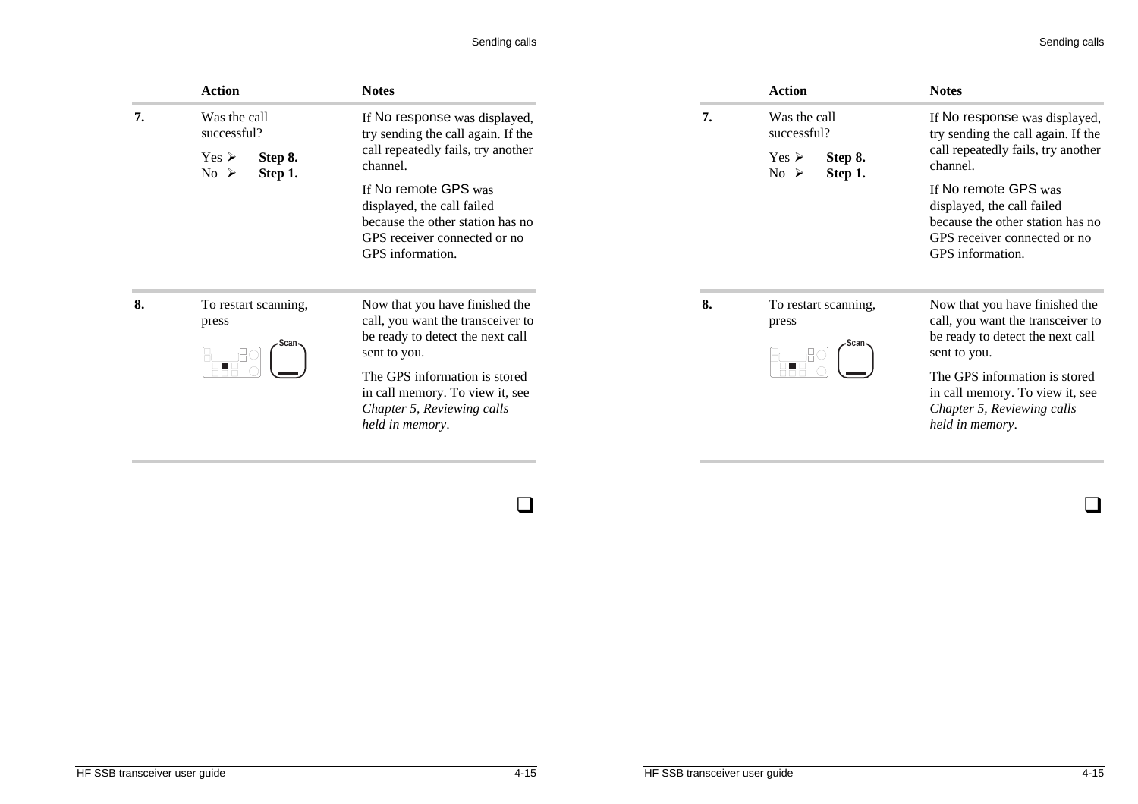|    | <b>Action</b>                                                      | <b>Notes</b>                                                                                                                                                                                                                                 |
|----|--------------------------------------------------------------------|----------------------------------------------------------------------------------------------------------------------------------------------------------------------------------------------------------------------------------------------|
| 7. | Was the call<br>successful?<br>Yes ><br>Step 8.<br>No ><br>Step 1. | If No response was displayed,<br>try sending the call again. If the<br>call repeatedly fails, try another<br>channel.                                                                                                                        |
|    |                                                                    | If No remote GPS was<br>displayed, the call failed<br>because the other station has no<br>GPS receiver connected or no<br>GPS information.                                                                                                   |
| 8. | To restart scanning,<br>press<br>Scan-                             | Now that you have finished the<br>call, you want the transceiver to<br>be ready to detect the next call<br>sent to you.<br>The GPS information is stored<br>in call memory. To view it, see<br>Chapter 5, Reviewing calls<br>held in memory. |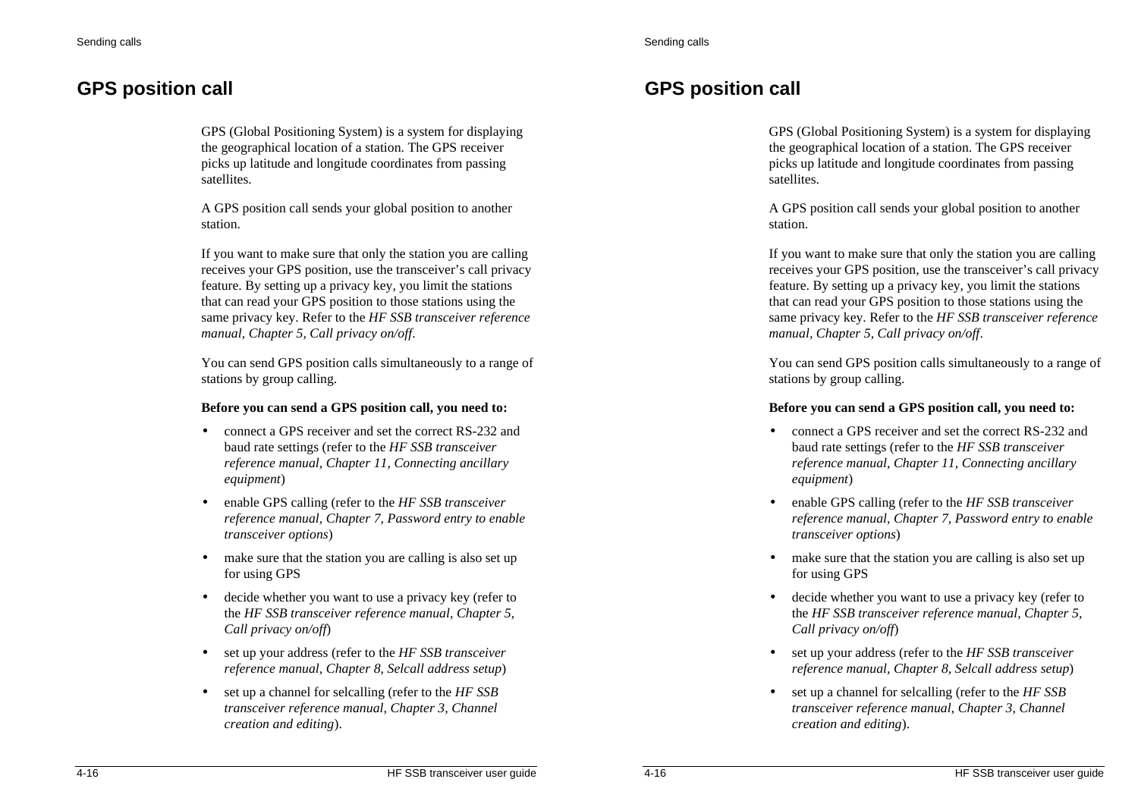# **GPS position call**

GPS (Global Positioning System) is a system for displaying the geographical location of a station. The GPS receiver picks up latitude and longitude coordinates from passing satellites.

A GPS position call sends your global position to another station.

If you want to make sure that only the station you are calling receives your GPS position, use the transceiver's call privacy feature. By setting up a privacy key, you limit the stations that can read your GPS position to those stations using the same privacy key. Refer to the *HF SSB transceiver reference manual, Chapter 5, Call privacy on/off*.

You can send GPS position calls simultaneously to a range of stations by group calling.

#### **Before you can send a GPS position call, you need to:**

- connect a GPS receiver and set the correct RS-232 and baud rate settings (refer to the *HF SSB transceiver reference manual, Chapter 11, Connecting ancillary equipment*)
- enable GPS calling (refer to the *HF SSB transceiver reference manual, Chapter 7, Password entry to enable transceiver options*)
- make sure that the station you are calling is also set up for using GPS
- decide whether you want to use a privacy key (refer to the *HF SSB transceiver reference manual, Chapter 5, Call privacy on/off*)
- set up your address (refer to the *HF SSB transceiver reference manual, Chapter 8, Selcall address setup*)
- set up a channel for selcalling (refer to the *HF SSB transceiver reference manual, Chapter 3, Channel creation and editing*).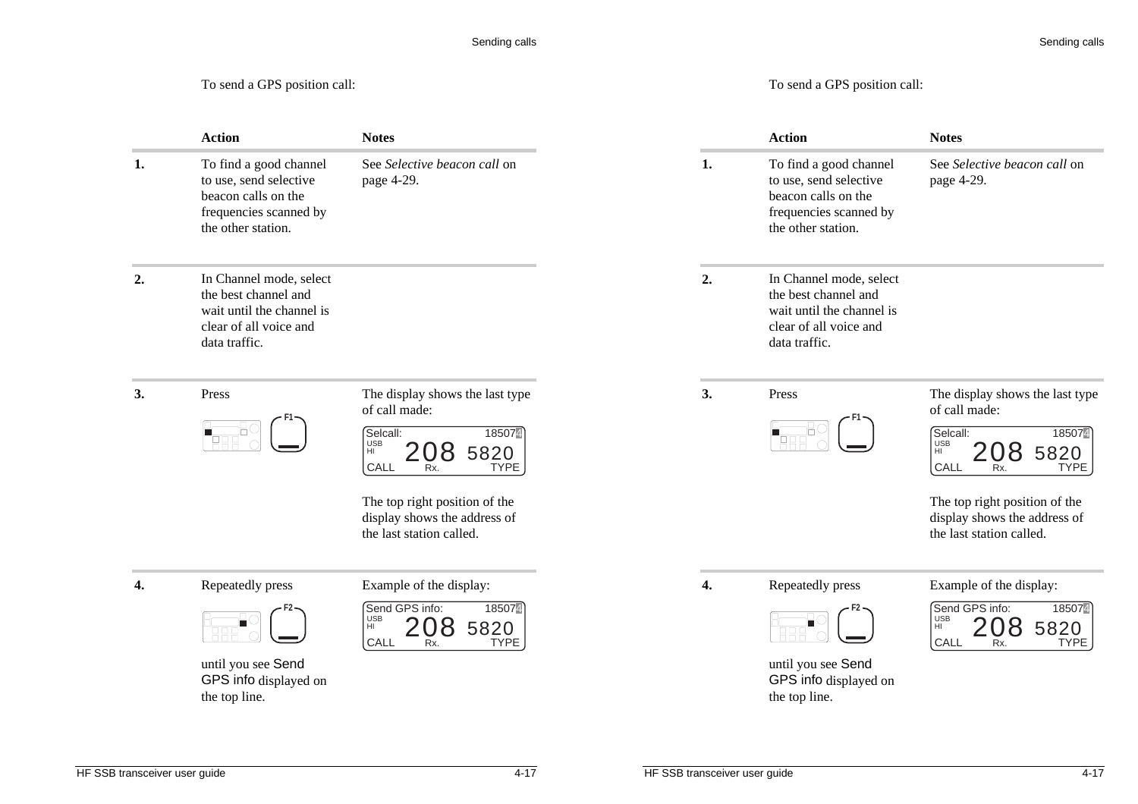### To send a GPS position call:

|                  | <b>Action</b>                                                                                                           | <b>Notes</b>                                                                                                                                                                                                             |
|------------------|-------------------------------------------------------------------------------------------------------------------------|--------------------------------------------------------------------------------------------------------------------------------------------------------------------------------------------------------------------------|
| 1.               | To find a good channel<br>to use, send selective<br>beacon calls on the<br>frequencies scanned by<br>the other station. | See Selective beacon call on<br>page 4-29.                                                                                                                                                                               |
| $\overline{2}$ . | In Channel mode, select<br>the best channel and<br>wait until the channel is<br>clear of all voice and<br>data traffic. |                                                                                                                                                                                                                          |
| 3.               | Press                                                                                                                   | The display shows the last type<br>of call made:<br>185074<br>Selcall:<br><b>USB</b><br>08 5820<br>HI<br>TYPF<br>CALL<br>Rx<br>The top right position of the<br>display shows the address of<br>the last station called. |
| 4.               | Repeatedly press<br>until you see Send<br>GPS info displayed on<br>the top line.                                        | Example of the display:<br>Send GPS info:<br>185074<br><b>USB</b><br>5820<br>HI<br>CALL<br>TYPE<br>Rx.                                                                                                                   |

HF SSB transceiver user guide 4-17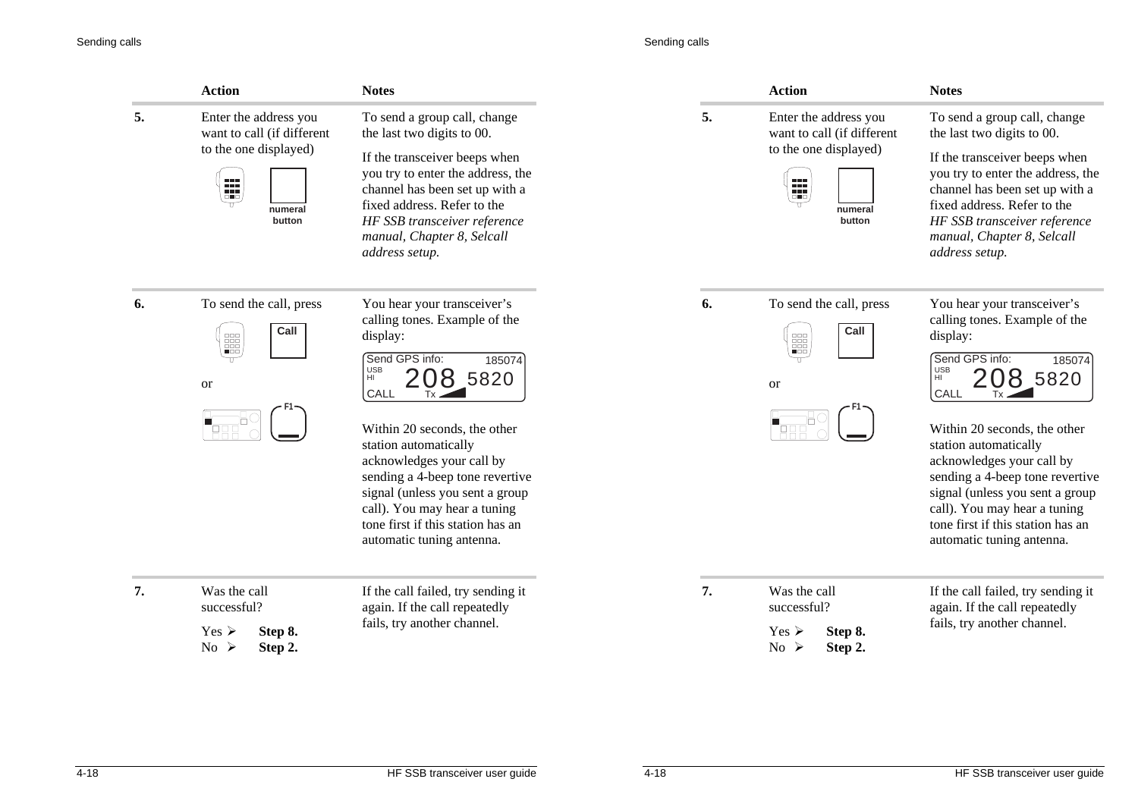|    | <b>Action</b>                                                                                    | <b>Notes</b>                                                                                                                                                                                                                                                                                                                                                                                           |
|----|--------------------------------------------------------------------------------------------------|--------------------------------------------------------------------------------------------------------------------------------------------------------------------------------------------------------------------------------------------------------------------------------------------------------------------------------------------------------------------------------------------------------|
| 5. | Enter the address you<br>want to call (if different<br>to the one displayed)<br>numera<br>button | To send a group call, change<br>the last two digits to 00.<br>If the transceiver beeps when<br>you try to enter the address, the<br>channel has been set up with a<br>fixed address. Refer to the<br>HF SSB transceiver reference<br>manual, Chapter 8, Selcall<br>address setup.                                                                                                                      |
| 6. | To send the call, press<br>Call<br>885<br>866<br><sub>or</sub>                                   | You hear your transceiver's<br>calling tones. Example of the<br>display:<br>Send GPS info:<br>185074<br><b>USB</b><br>5820<br>HI<br>CALL<br>Within 20 seconds, the other<br>station automatically<br>acknowledges your call by<br>sending a 4-beep tone revertive<br>signal (unless you sent a group<br>call). You may hear a tuning<br>tone first if this station has an<br>automatic tuning antenna. |
| 7. | Was the call<br>successful?<br>$V_{\rm{tot}} \times 10^{-1}$                                     | If the call failed, try sending it<br>again. If the call repeatedly<br>fails, try another channel.                                                                                                                                                                                                                                                                                                     |

| Yes $\triangleright$ | Step 8. |
|----------------------|---------|
| $\mathrm{No}$ $\geq$ | Step 2. |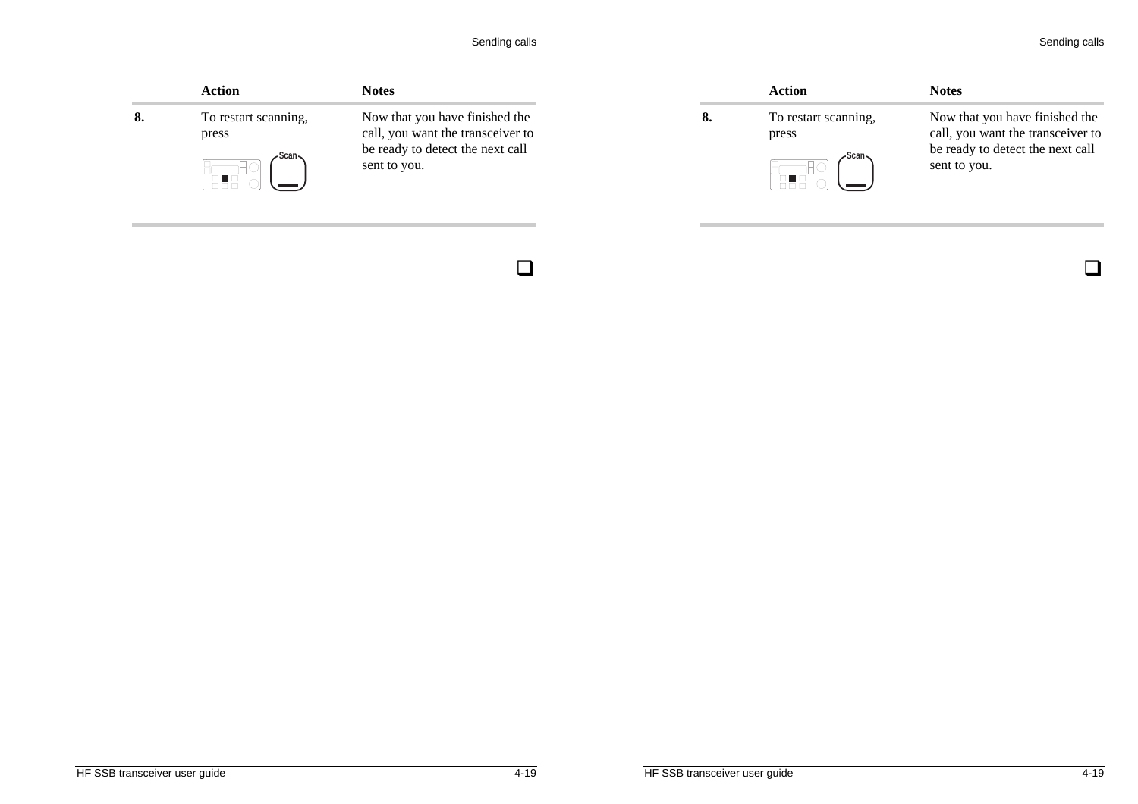| Action                                  | <b>Notes</b>                                                                                                            |
|-----------------------------------------|-------------------------------------------------------------------------------------------------------------------------|
| To restart scanning,<br>press<br>Scan - | Now that you have finished the<br>call, you want the transceiver to<br>be ready to detect the next call<br>sent to you. |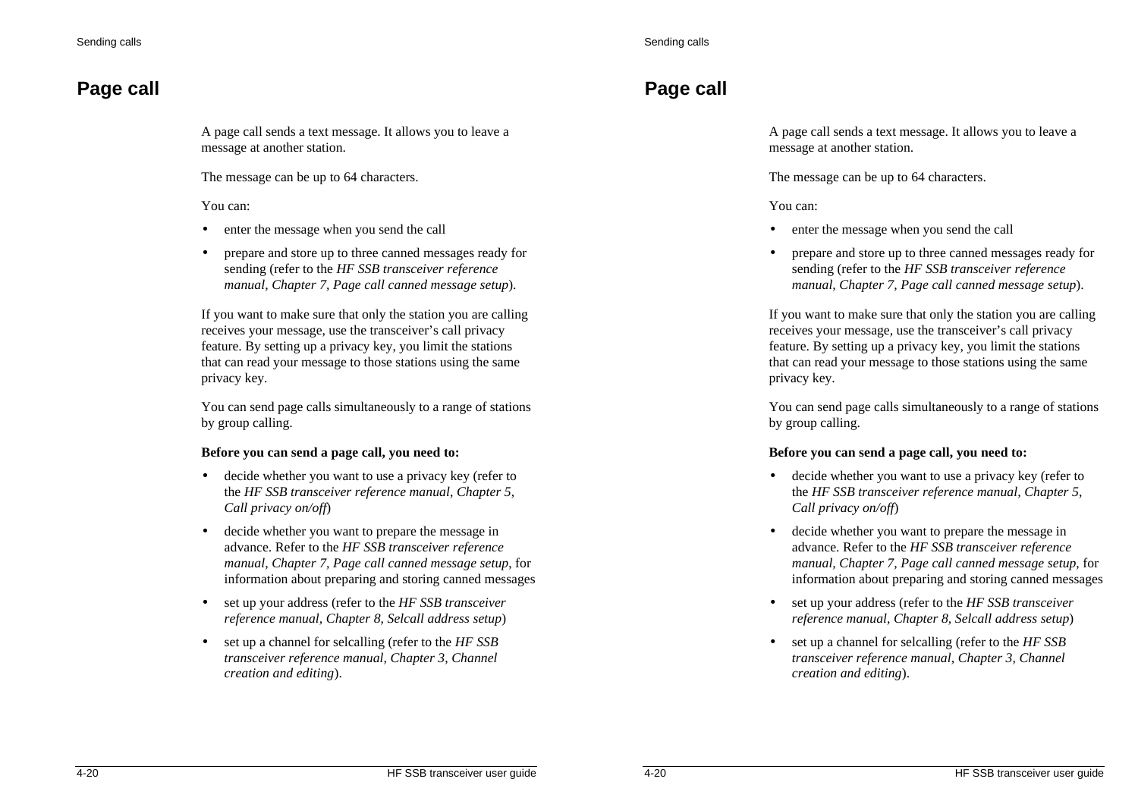# **Page call**

A page call sends a text message. It allows you to leave a message at another station.

The message can be up to 64 characters.

You can:

- enter the message when you send the call
- prepare and store up to three canned messages ready for sending (refer to the *HF SSB transceiver reference manual, Chapter 7, Page call canned message setup*).

If you want to make sure that only the station you are calling receives your message, use the transceiver's call privacy feature. By setting up a privacy key, you limit the stations that can read your message to those stations using the same privacy key.

You can send page calls simultaneously to a range of stations by group calling.

#### **Before you can send a page call, you need to:**

- decide whether you want to use a privacy key (refer to the *HF SSB transceiver reference manual, Chapter 5, Call privacy on/off*)
- decide whether you want to prepare the message in advance. Refer to the *HF SSB transceiver reference manual, Chapter 7, Page call canned message setup*, for information about preparing and storing canned messages
- set up your address (refer to the *HF SSB transceiver reference manual, Chapter 8, Selcall address setup*)
- set up a channel for selcalling (refer to the *HF SSB transceiver reference manual, Chapter 3, Channel creation and editing*).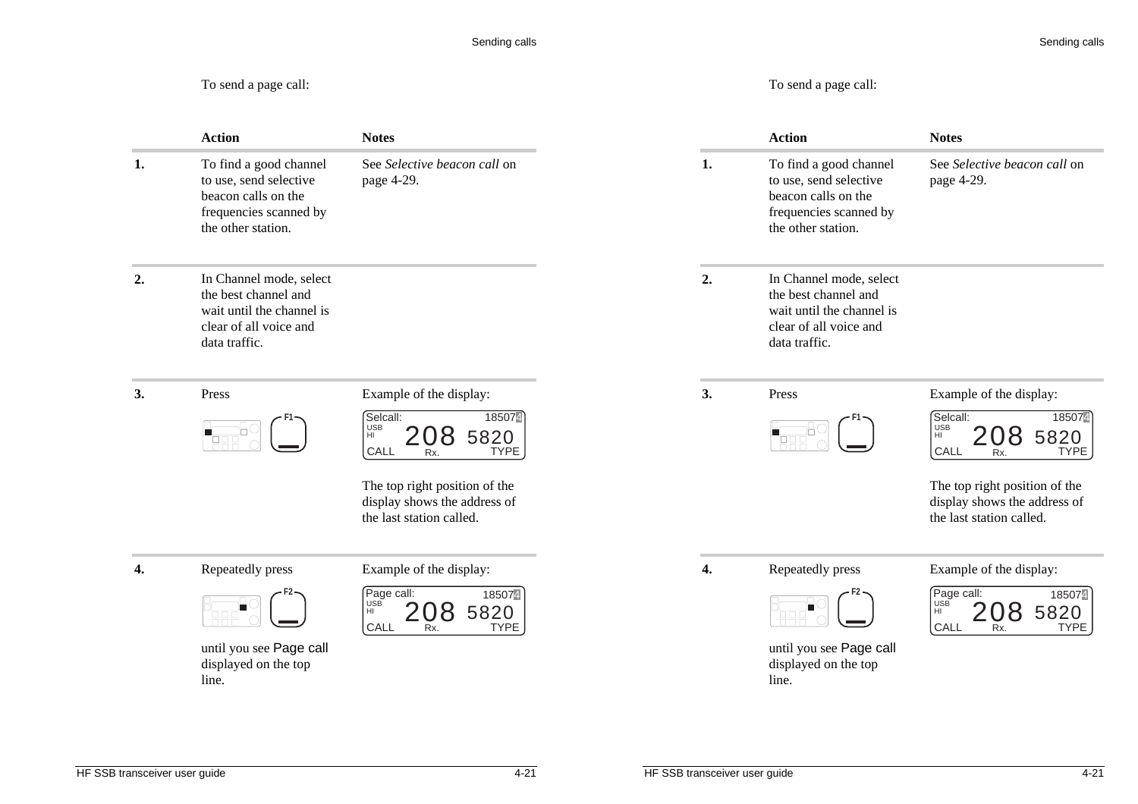### To send a page call:

|    | <b>Action</b>                                                                                                           | <b>Notes</b>                                                                                                                                                                                        |
|----|-------------------------------------------------------------------------------------------------------------------------|-----------------------------------------------------------------------------------------------------------------------------------------------------------------------------------------------------|
| 1. | To find a good channel<br>to use, send selective<br>beacon calls on the<br>frequencies scanned by<br>the other station. | See Selective beacon call on<br>page 4-29.                                                                                                                                                          |
| 2. | In Channel mode, select<br>the best channel and<br>wait until the channel is<br>clear of all voice and<br>data traffic. |                                                                                                                                                                                                     |
| 3. | Press                                                                                                                   | Example of the display:<br>185074<br>Selcall:<br><b>USB</b><br>5820<br>HI<br><b>TYPE</b><br>CALL<br>Rx<br>The top right position of the<br>display shows the address of<br>the last station called. |
| 4. | Repeatedly press<br>until you see Page call<br>displayed on the top<br>line.                                            | Example of the display:<br>Page call:<br>185074<br><b>USB</b><br>582<br>HI<br>TYPE<br>CALL<br>Rx.                                                                                                   |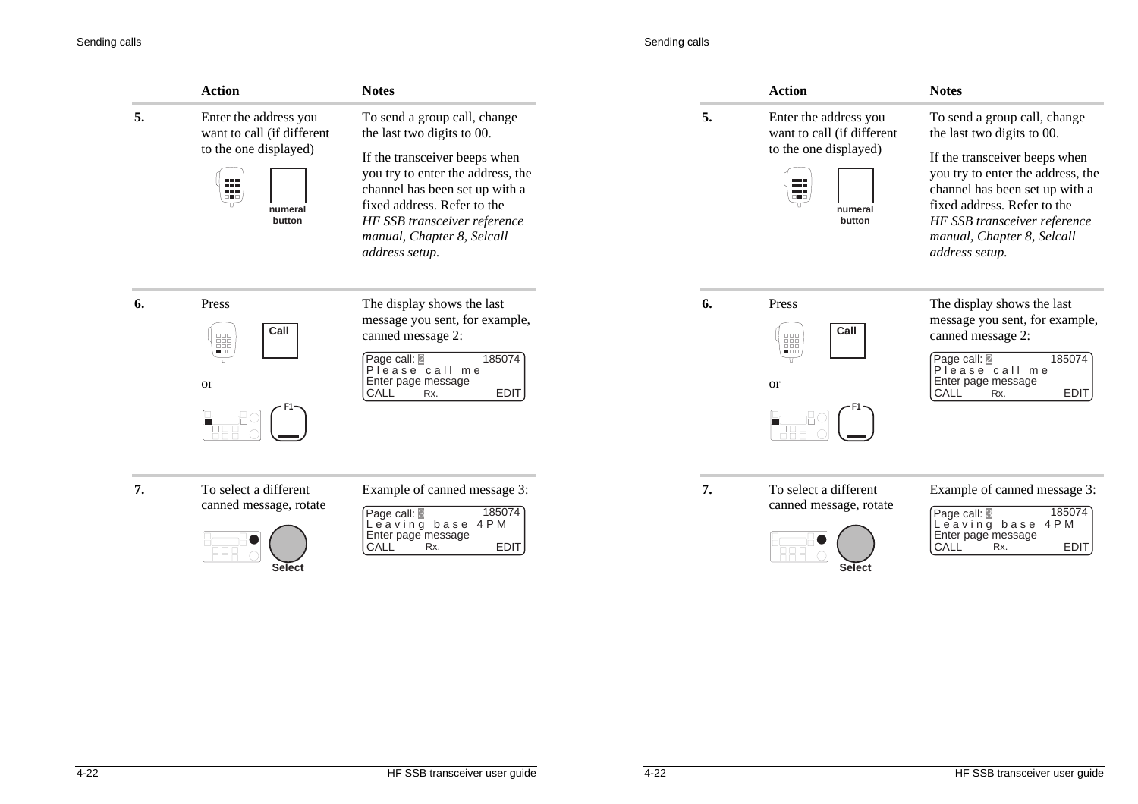|    | <b>Action</b>                                             | <b>Notes</b>                                                                                                                                                                                                        |
|----|-----------------------------------------------------------|---------------------------------------------------------------------------------------------------------------------------------------------------------------------------------------------------------------------|
| 5. | Enter the address you<br>want to call (if different       | To send a group call, change<br>the last two digits to 00.                                                                                                                                                          |
|    | to the one displayed)<br>numeral<br>button                | If the transceiver beeps when<br>you try to enter the address, the<br>channel has been set up with a<br>fixed address. Refer to the<br>HF SSB transceiver reference<br>manual, Chapter 8, Selcall<br>address setup. |
| 6. | Press<br>Call<br>30 C<br>ㅁㅁㅁ<br>88 B B<br><sub>or</sub>   | The display shows the last<br>message you sent, for example,<br>canned message 2:<br>185074<br>Page call: 2<br>Please call me<br>Enter page message<br>CALL<br>Rx.<br>EDIT                                          |
| 7. | To select a different<br>canned message, rotate<br>Select | Example of canned message 3:<br>185074<br>Page call: <b>B</b><br>4 P M<br>Leaving<br>base<br>Enter page message<br>CALL<br><b>EDIT</b><br>Rx.                                                                       |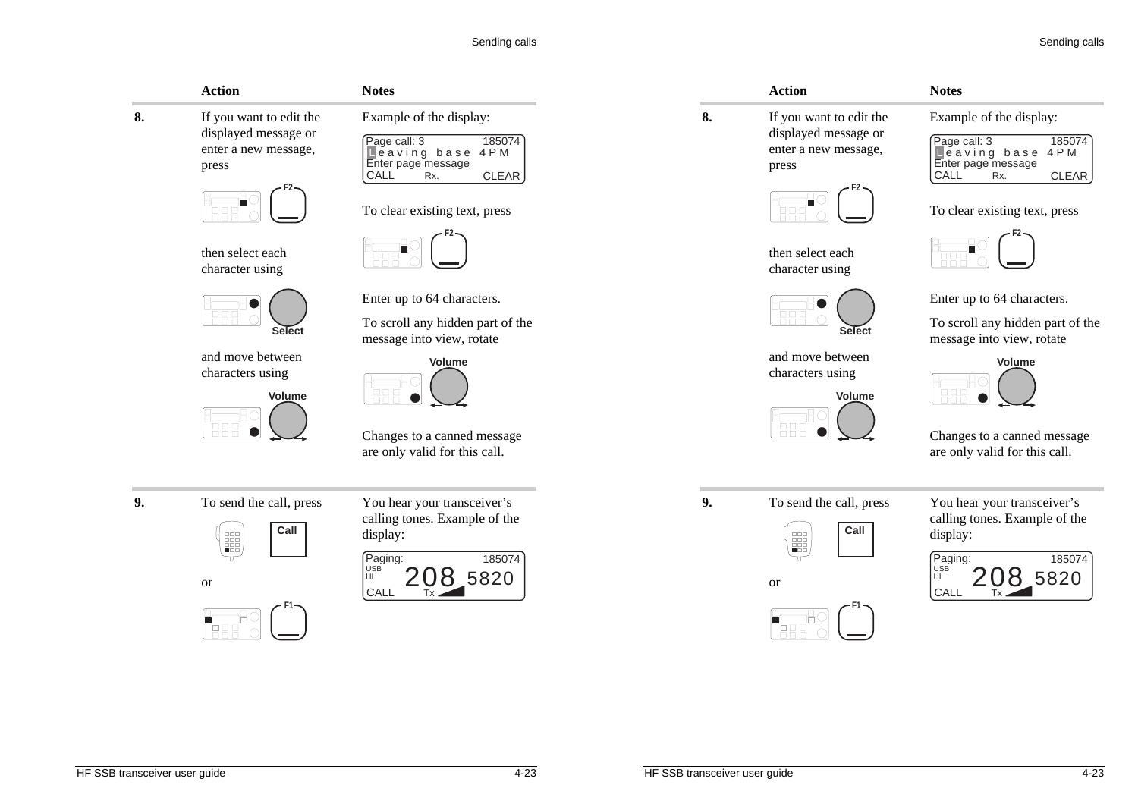|    | <b>Action</b>                                                                                                                                                                              | <b>Notes</b>                                                                                                                                                                                                                                                                                                                                 |
|----|--------------------------------------------------------------------------------------------------------------------------------------------------------------------------------------------|----------------------------------------------------------------------------------------------------------------------------------------------------------------------------------------------------------------------------------------------------------------------------------------------------------------------------------------------|
| 8. | If you want to edit the<br>displayed message or<br>enter a new message,<br>press<br>then select each<br>character using<br>Select<br>and move between<br>characters using<br><b>Volume</b> | Example of the display:<br>185074<br>Page call: 3<br>∐eaving<br>4 P M<br>base<br>Enter page message<br>CALL<br><b>CLEAR</b><br>Rx.<br>To clear existing text, press<br>Enter up to 64 characters.<br>To scroll any hidden part of the<br>message into view, rotate<br>Volume<br>Changes to a canned message<br>are only valid for this call. |
| 9. | To send the call, press                                                                                                                                                                    | You hear your transceiver's<br>$111.4244.1211$ $11.4341.121$                                                                                                                                                                                                                                                                                 |



**Call**



or



calling tones. Example of the display:

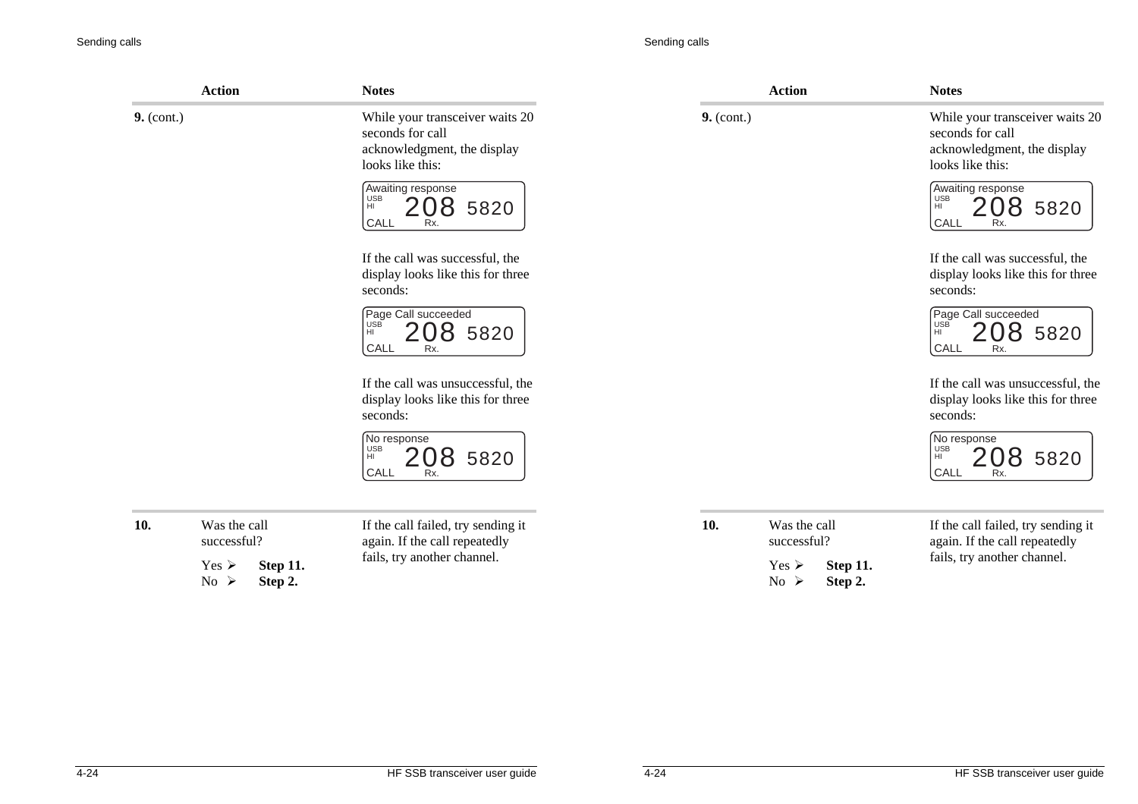|              | <b>Action</b>                                                              | <b>Notes</b>                                                                                                                                                                                                                                                                                                                                                                                                                 |
|--------------|----------------------------------------------------------------------------|------------------------------------------------------------------------------------------------------------------------------------------------------------------------------------------------------------------------------------------------------------------------------------------------------------------------------------------------------------------------------------------------------------------------------|
| $9.$ (cont.) |                                                                            | While your transceiver waits 20<br>seconds for call<br>acknowledgment, the display<br>looks like this:<br>Awaiting response<br><b>USB</b><br><b>38 5820</b><br>HI<br>CALL<br>Rx.<br>If the call was successful, the<br>display looks like this for three<br>seconds:<br>Page Call succeeded<br><b>USB</b><br>5820<br>HI<br>CALL<br>Rx.<br>If the call was unsuccessful, the<br>display looks like this for three<br>seconds: |
|              |                                                                            | No response<br><b>USB</b><br>5820<br>HI<br>CALL<br>Rx                                                                                                                                                                                                                                                                                                                                                                        |
| 10.          | Was the call<br>successful?<br>Yes ><br><b>Step 11.</b><br>No ><br>Step 2. | If the call failed, try sending it<br>again. If the call repeatedly<br>fails, try another channel.                                                                                                                                                                                                                                                                                                                           |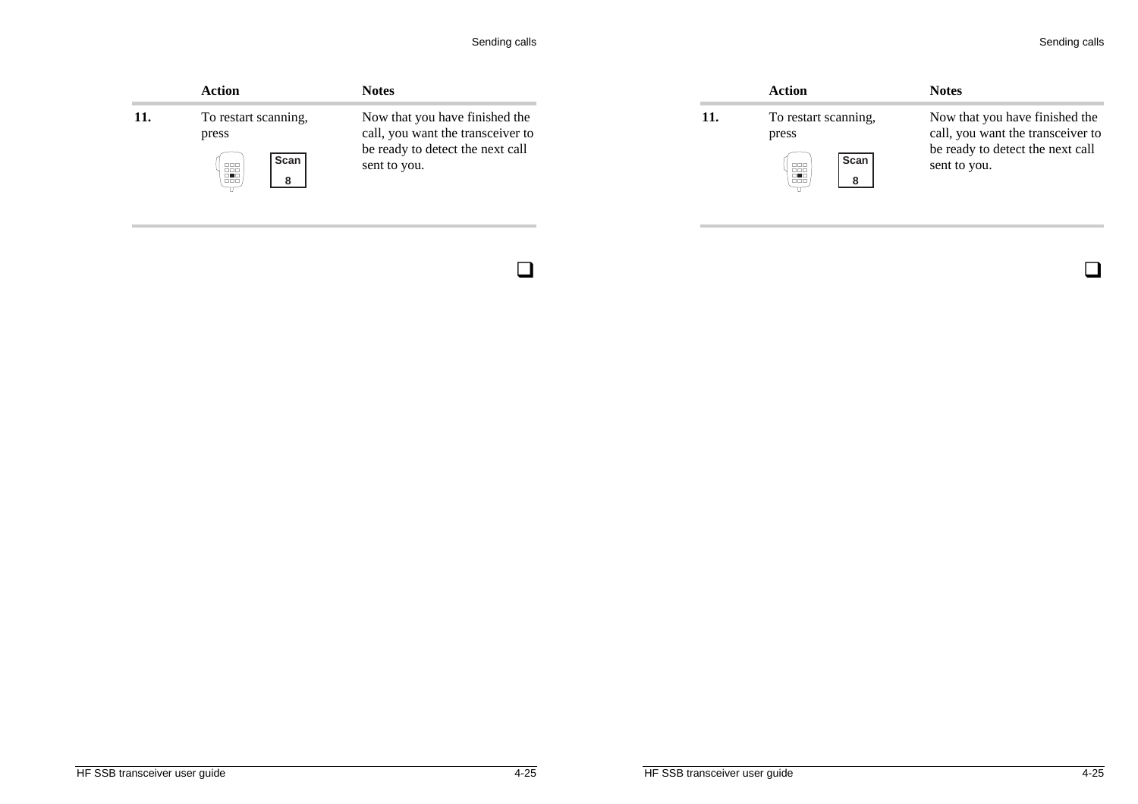|     | Action                                                 | <b>Notes</b>                                                                                                            |
|-----|--------------------------------------------------------|-------------------------------------------------------------------------------------------------------------------------|
| 11. | To restart scanning,<br>press<br>Scan<br>HE<br>HE<br>8 | Now that you have finished the<br>call, you want the transceiver to<br>be ready to detect the next call<br>sent to you. |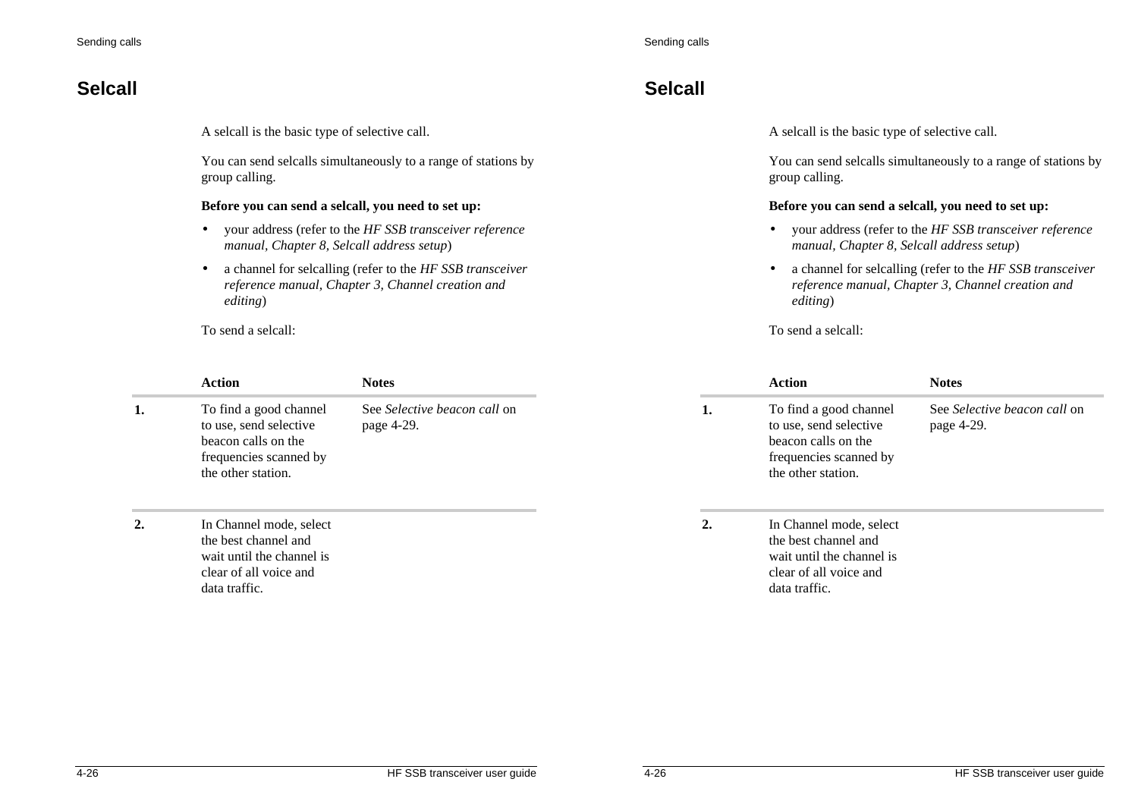# **Selcall**

A selcall is the basic type of selective call.

You can send selcalls simultaneously to a range of stations by group calling.

#### **Before you can send a selcall, you need to set up:**

- your address (refer to the *HF SSB transceiver reference manual, Chapter 8, Selcall address setup*)
- a channel for selcalling (refer to the *HF SSB transceiver reference manual, Chapter 3, Channel creation and editing*)

To send a selcall:

| Action                                                                                                                  | <b>Notes</b>                               |
|-------------------------------------------------------------------------------------------------------------------------|--------------------------------------------|
| To find a good channel<br>to use, send selective<br>beacon calls on the<br>frequencies scanned by<br>the other station. | See Selective beacon call on<br>page 4-29. |
| In Channel mode, select<br>the best channel and<br>wait until the channel is<br>clear of all voice and<br>data traffic. |                                            |

i.

÷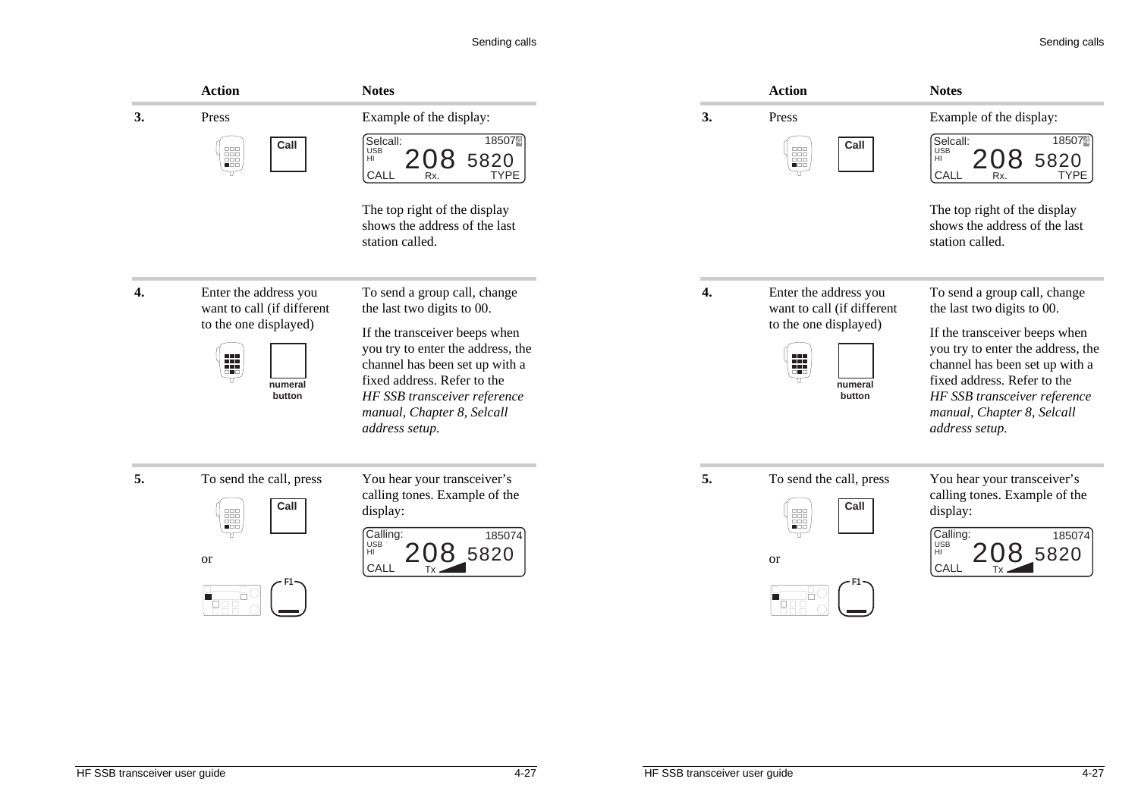|    | <b>Action</b>                                                                                     | <b>Notes</b>                                                                                                                                                                                                                                                                      |
|----|---------------------------------------------------------------------------------------------------|-----------------------------------------------------------------------------------------------------------------------------------------------------------------------------------------------------------------------------------------------------------------------------------|
| 3. | Press<br>Call<br>30 C<br>00 D<br>30 C                                                             | Example of the display:<br>18507<br>Selcall:<br><b>USB</b><br>5820<br>HI<br><b>TYPE</b><br>CALL<br>The top right of the display<br>shows the address of the last<br>station called.                                                                                               |
| 4. | Enter the address you<br>want to call (if different<br>to the one displayed)<br>numeral<br>button | To send a group call, change<br>the last two digits to 00.<br>If the transceiver beeps when<br>you try to enter the address, the<br>channel has been set up with a<br>fixed address. Refer to the<br>HF SSB transceiver reference<br>manual, Chapter 8, Selcall<br>address setup. |
| 5. | To send the call, press<br>Call<br>88 B<br>ㅁㅁㄷ<br>30 C<br><sub>or</sub>                           | You hear your transceiver's<br>calling tones. Example of the<br>display:<br>Calling:<br>185074<br><b>USB</b><br>5820<br>HI<br>CALL                                                                                                                                                |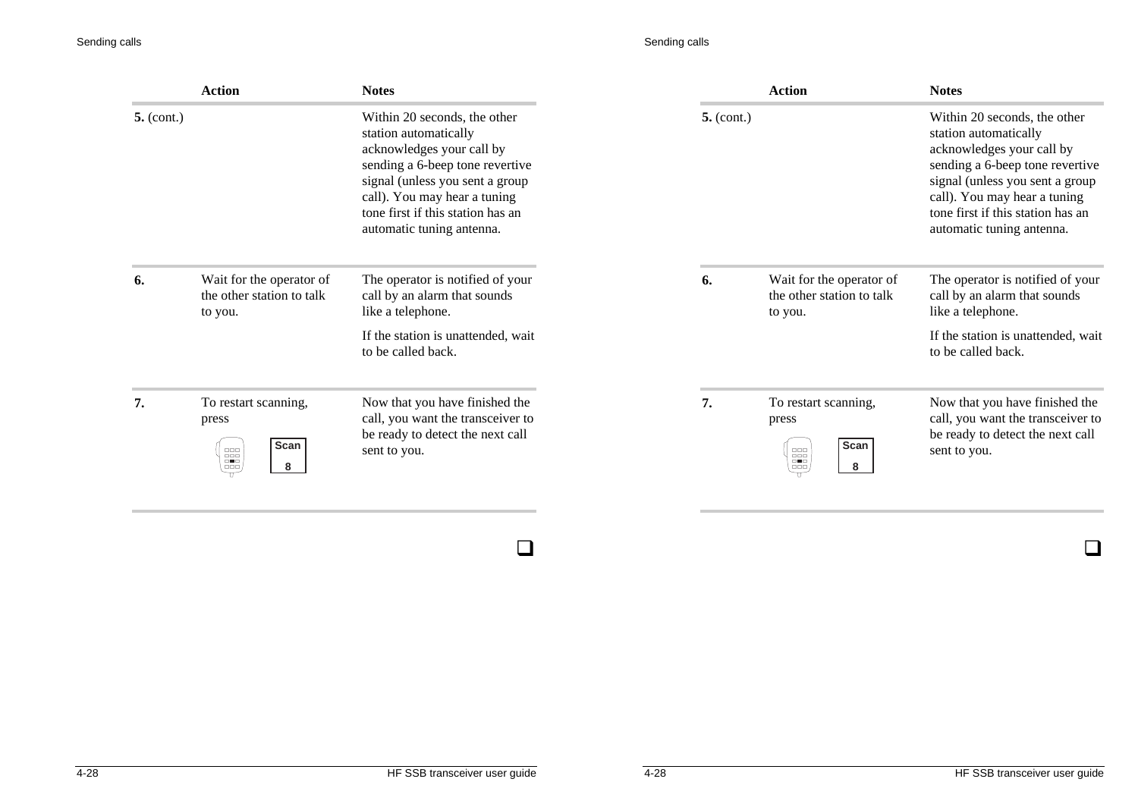|            | <b>Action</b>                                                    | <b>Notes</b>                                                                                                                                                                                                                                               |
|------------|------------------------------------------------------------------|------------------------------------------------------------------------------------------------------------------------------------------------------------------------------------------------------------------------------------------------------------|
| 5. (cont.) |                                                                  | Within 20 seconds, the other<br>station automatically<br>acknowledges your call by<br>sending a 6-beep tone revertive<br>signal (unless you sent a group<br>call). You may hear a tuning<br>tone first if this station has an<br>automatic tuning antenna. |
| 6.         | Wait for the operator of<br>the other station to talk<br>to you. | The operator is notified of your<br>call by an alarm that sounds<br>like a telephone.                                                                                                                                                                      |
|            |                                                                  | If the station is unattended, wait<br>to be called back.                                                                                                                                                                                                   |
| 7.         | To restart scanning,<br>press<br>Scan<br>88 B B<br>000<br>8      | Now that you have finished the<br>call, you want the transceiver to<br>be ready to detect the next call<br>sent to you.                                                                                                                                    |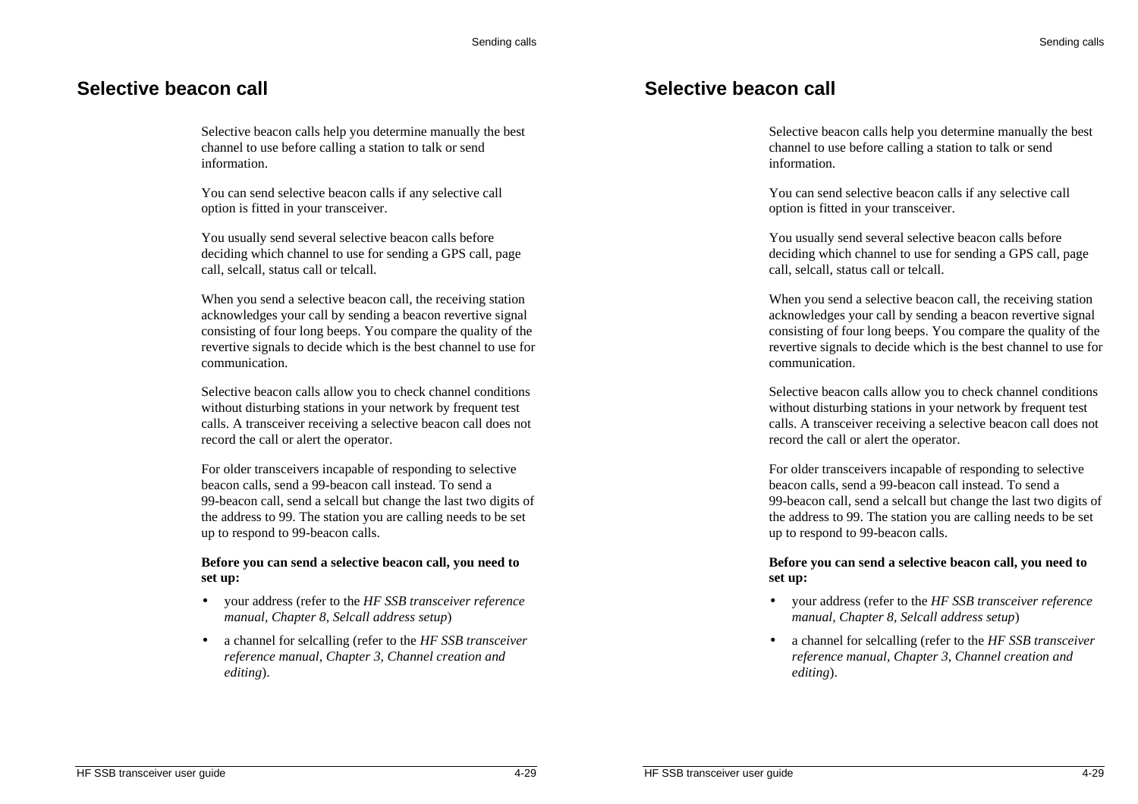# **Selective beacon call**

Selective beacon calls help you determine manually the best channel to use before calling a station to talk or send information.

You can send selective beacon calls if any selective call option is fitted in your transceiver.

You usually send several selective beacon calls before deciding which channel to use for sending a GPS call, page call, selcall, status call or telcall.

When you send a selective beacon call, the receiving station acknowledges your call by sending a beacon revertive signal consisting of four long beeps. You compare the quality of the revertive signals to decide which is the best channel to use for communication.

Selective beacon calls allow you to check channel conditions without disturbing stations in your network by frequent test calls. A transceiver receiving a selective beacon call does not record the call or alert the operator.

For older transceivers incapable of responding to selective beacon calls, send a 99-beacon call instead. To send a 99-beacon call, send a selcall but change the last two digits of the address to 99. The station you are calling needs to be set up to respond to 99-beacon calls.

### **Before you can send a selective beacon call, you need to set up:**

- your address (refer to the *HF SSB transceiver reference manual, Chapter 8, Selcall address setup*)
- a channel for selcalling (refer to the *HF SSB transceiver reference manual, Chapter 3, Channel creation and editing*).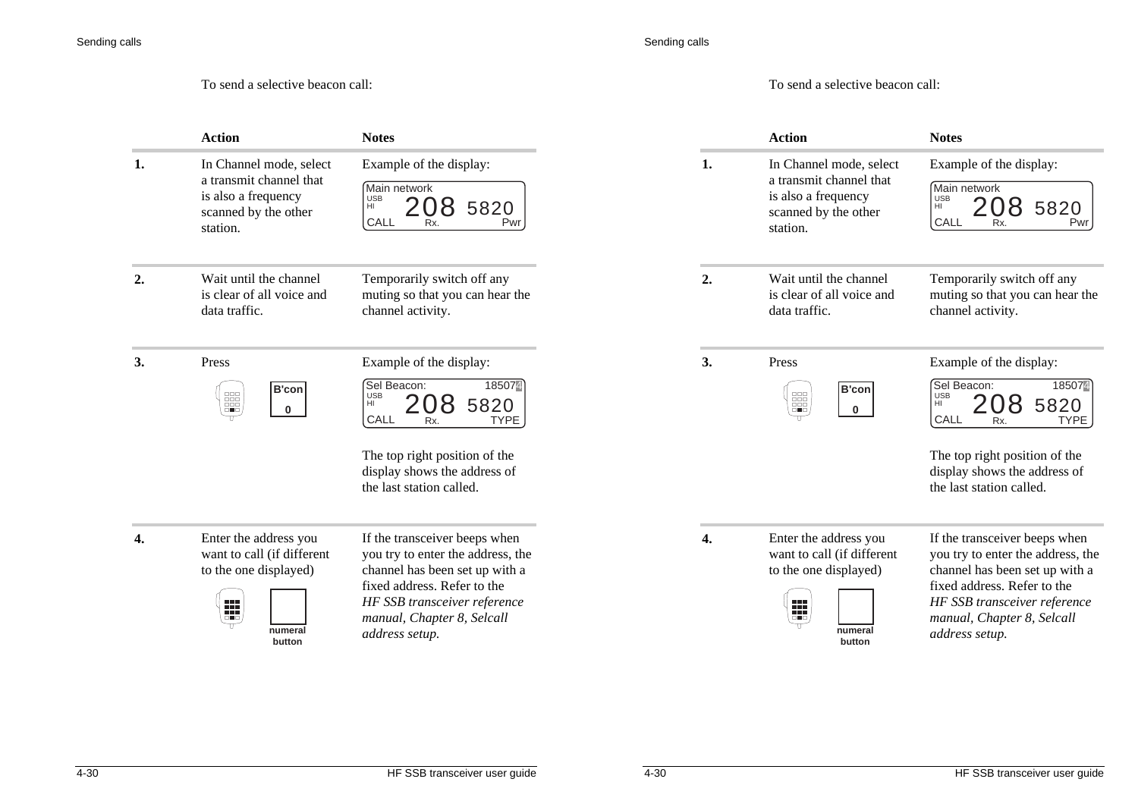## To send a selective beacon call:

|                  | <b>Action</b>                                                                                                 | <b>Notes</b>                                                                                                                                                                                                        |
|------------------|---------------------------------------------------------------------------------------------------------------|---------------------------------------------------------------------------------------------------------------------------------------------------------------------------------------------------------------------|
| 1.               | In Channel mode, select<br>a transmit channel that<br>is also a frequency<br>scanned by the other<br>station. | Example of the display:<br>Main network<br><b>USB</b><br>208<br>5820<br>HI<br>CALL<br>Pwr                                                                                                                           |
| $\overline{2}$ . | Wait until the channel<br>is clear of all voice and<br>data traffic.                                          | Temporarily switch off any<br>muting so that you can hear the<br>channel activity.                                                                                                                                  |
| 3.               | Press<br><b>B'con</b><br>300<br>100<br>0                                                                      | Example of the display:<br>185074<br>Sel Beacon:<br><b>USB</b><br>5820<br>HI<br>TYPF<br>CALL<br>Rx<br>The top right position of the<br>display shows the address of<br>the last station called.                     |
| 4                | Enter the address you<br>want to call (if different<br>to the one displayed)<br>numera<br>button              | If the transceiver beeps when<br>you try to enter the address, the<br>channel has been set up with a<br>fixed address. Refer to the<br>HF SSB transceiver reference<br>manual, Chapter 8, Selcall<br>address setup. |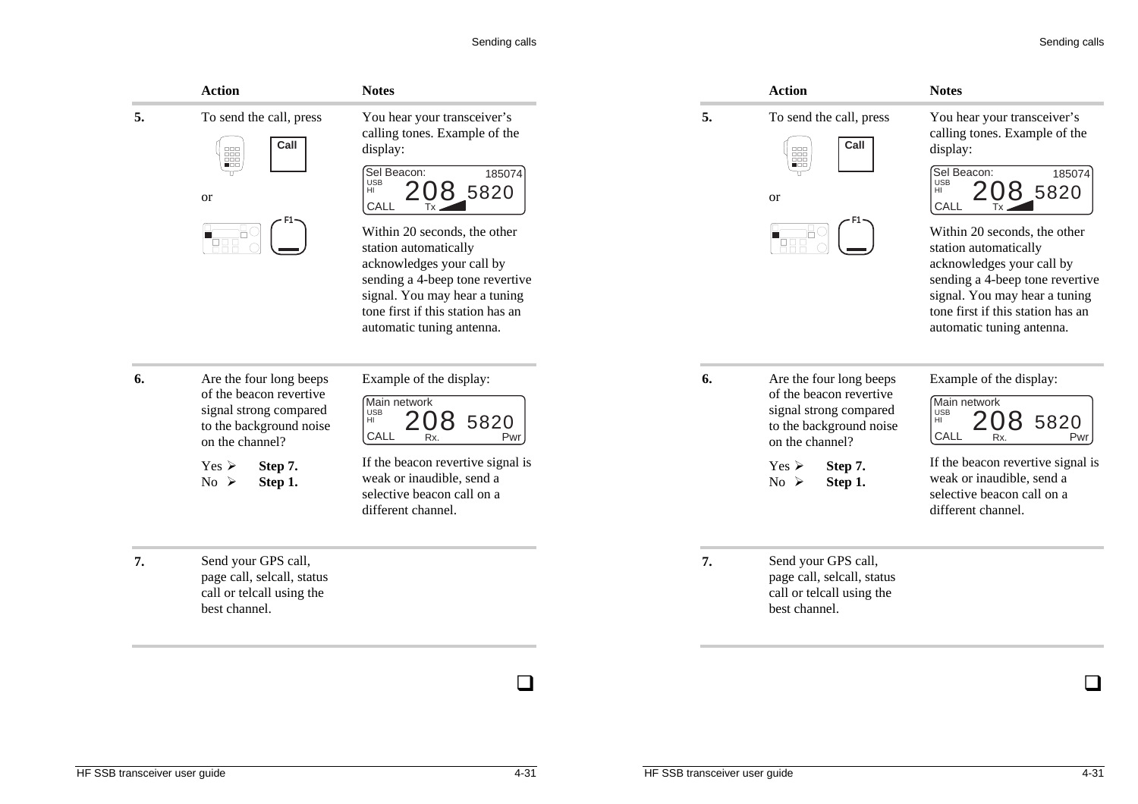|    | <b>Action</b>                                                                                                                                                     | <b>Notes</b>                                                                                                                                                                                                                                                                                                                                                                |
|----|-------------------------------------------------------------------------------------------------------------------------------------------------------------------|-----------------------------------------------------------------------------------------------------------------------------------------------------------------------------------------------------------------------------------------------------------------------------------------------------------------------------------------------------------------------------|
| 5. | To send the call, press<br>Call<br>300<br>300<br>300<br><sub>or</sub>                                                                                             | You hear your transceiver's<br>calling tones. Example of the<br>display:<br>Sel Beacon:<br>185074<br><b>USB</b><br><b>38 5820</b><br>HI<br>CALL<br>Within 20 seconds, the other<br>station automatically<br>acknowledges your call by<br>sending a 4-beep tone revertive<br>signal. You may hear a tuning<br>tone first if this station has an<br>automatic tuning antenna. |
| 6. | Are the four long beeps<br>of the beacon revertive<br>signal strong compared<br>to the background noise<br>on the channel?<br>Yes ><br>Step 7.<br>No ><br>Step 1. | Example of the display:<br>Main network<br><b>USB</b><br>8 5820<br>HI<br>CALL<br>Pwr<br>Rx<br>If the beacon revertive signal is<br>weak or inaudible, send a<br>selective beacon call on a<br>different channel.                                                                                                                                                            |
| 7. | Send your GPS call,<br>page call, selcall, status<br>call or telcall using the                                                                                    |                                                                                                                                                                                                                                                                                                                                                                             |

best channel.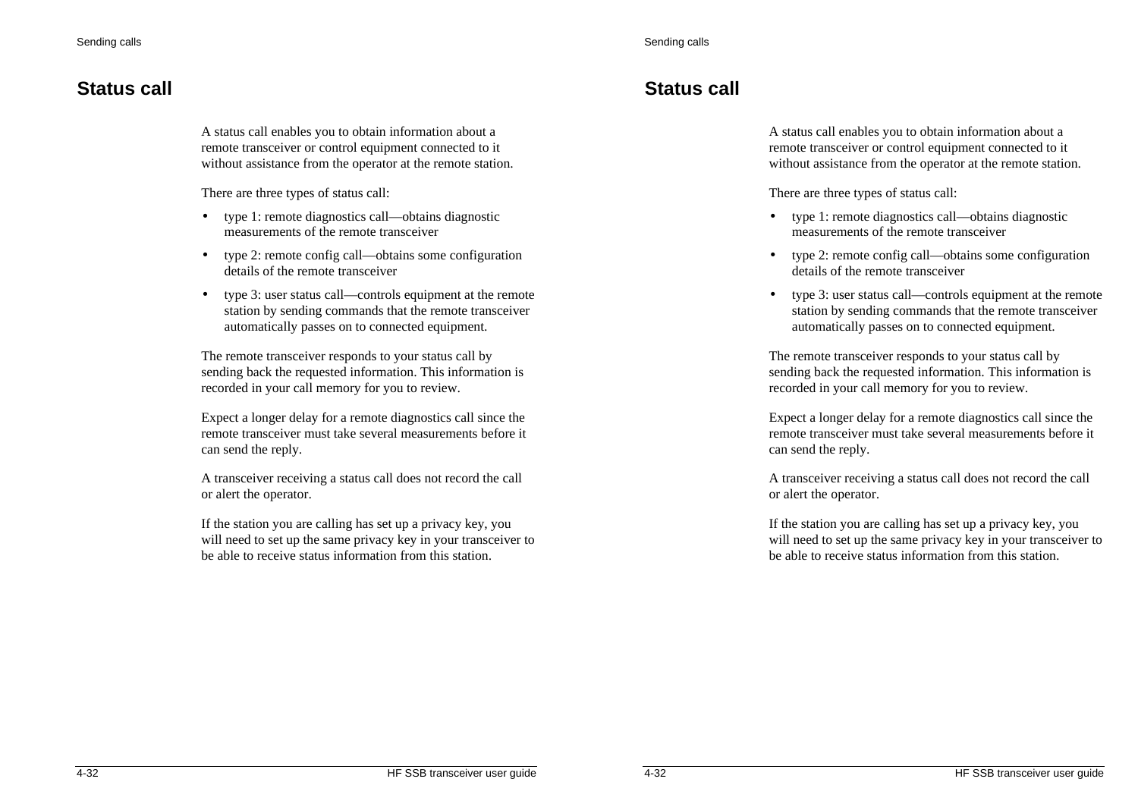# **Status call**

A status call enables you to obtain information about a remote transceiver or control equipment connected to it without assistance from the operator at the remote station.

There are three types of status call:

- type 1: remote diagnostics call—obtains diagnostic measurements of the remote transceiver
- type 2: remote config call—obtains some configuration details of the remote transceiver
- type 3: user status call—controls equipment at the remote station by sending commands that the remote transceiver automatically passes on to connected equipment.

The remote transceiver responds to your status call by sending back the requested information. This information is recorded in your call memory for you to review.

Expect a longer delay for a remote diagnostics call since the remote transceiver must take several measurements before it can send the reply.

A transceiver receiving a status call does not record the call or alert the operator.

If the station you are calling has set up a privacy key, you will need to set up the same privacy key in your transceiver to be able to receive status information from this station.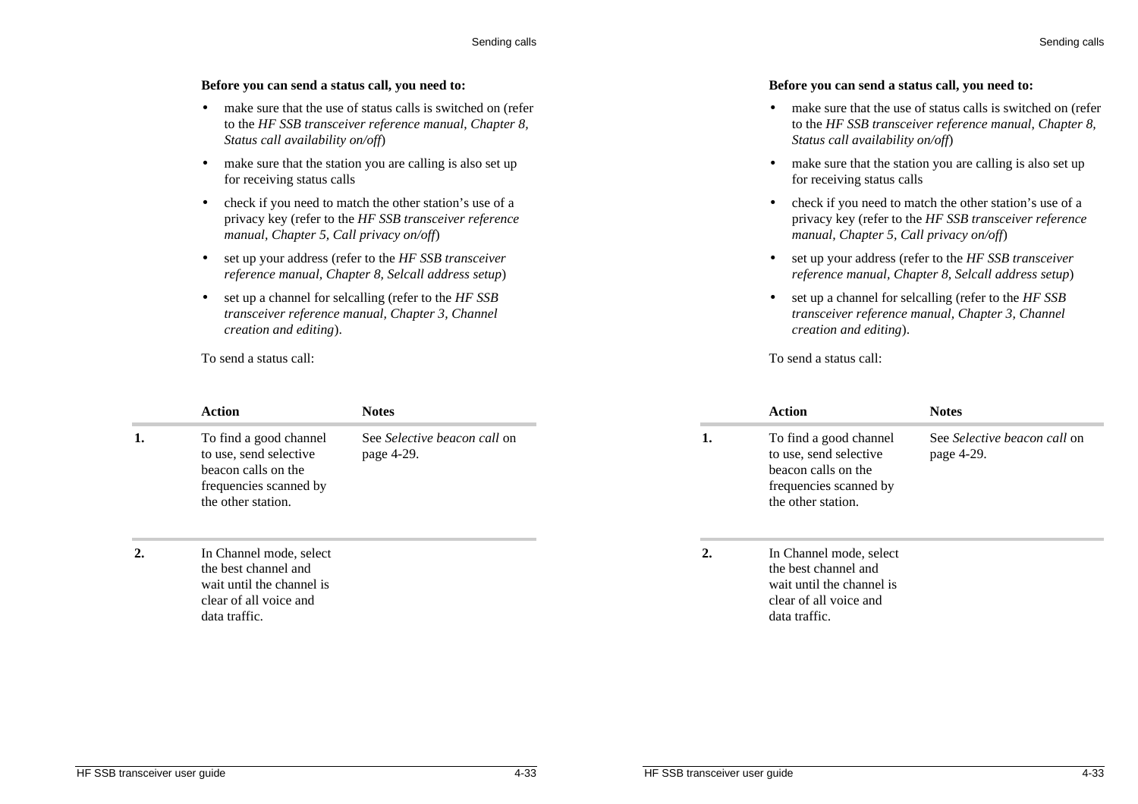#### **Before you can send a status call, you need to:**

- make sure that the use of status calls is switched on (refer) to the *HF SSB transceiver reference manual*, *Chapter 8, Status call availability on/off*)
- make sure that the station you are calling is also set up for receiving status calls
- check if you need to match the other station's use of a privacy key (refer to the *HF SSB transceiver reference manual, Chapter 5, Call privacy on/off*)
- set up your address (refer to the *HF SSB transceiver reference manual, Chapter 8, Selcall address setup*)
- set up a channel for selcalling (refer to the *HF SSB transceiver reference manual, Chapter 3, Channel creation and editing*).

To send a status call:

| Action                                                                                                                  | <b>Notes</b>                               |
|-------------------------------------------------------------------------------------------------------------------------|--------------------------------------------|
| To find a good channel<br>to use, send selective<br>beacon calls on the<br>frequencies scanned by<br>the other station. | See Selective beacon call on<br>page 4-29. |
| In Channel mode, select<br>the best channel and<br>wait until the channel is<br>clear of all voice and<br>data traffic. |                                            |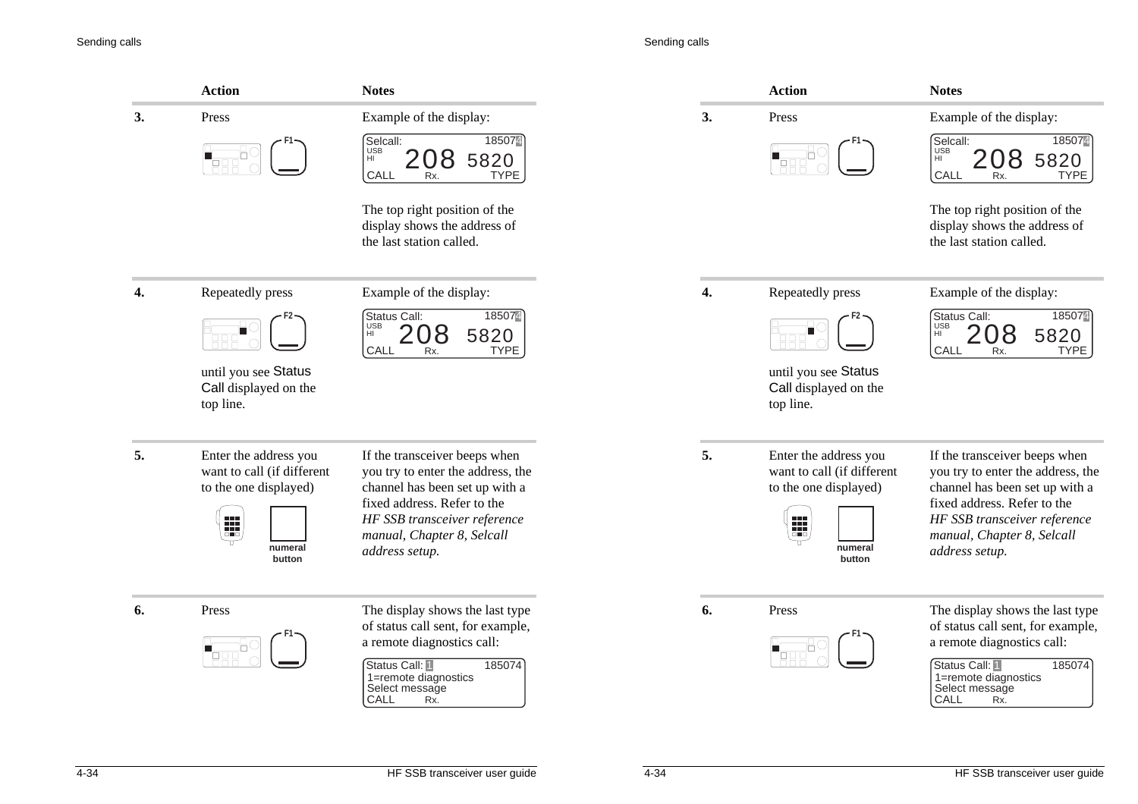|    | <b>Action</b>                                                                                     | <b>Notes</b>                                                                                                                                                                                                        |
|----|---------------------------------------------------------------------------------------------------|---------------------------------------------------------------------------------------------------------------------------------------------------------------------------------------------------------------------|
| 3. | Press                                                                                             | Example of the display:                                                                                                                                                                                             |
|    |                                                                                                   | 18507<br>Selcall:<br><b>USB</b><br>5820<br>HI<br>CALL<br>TYPE<br>Rx.                                                                                                                                                |
|    |                                                                                                   | The top right position of the<br>display shows the address of<br>the last station called.                                                                                                                           |
| 4. | Repeatedly press                                                                                  | Example of the display:                                                                                                                                                                                             |
|    |                                                                                                   | 18507<br>Status Call:<br><b>USB</b><br>5820<br>HI<br>CALL<br>TYPE<br>Rx.                                                                                                                                            |
|    | until you see Status<br>Call displayed on the<br>top line.                                        |                                                                                                                                                                                                                     |
| 5. | Enter the address you<br>want to call (if different<br>to the one displayed)<br>numeral<br>button | If the transceiver beeps when<br>you try to enter the address, the<br>channel has been set up with a<br>fixed address. Refer to the<br>HF SSB transceiver reference<br>manual, Chapter 8, Selcall<br>address setup. |
| 6. | Press                                                                                             | The display shows the last type<br>of status call sent, for example,<br>a remote diagnostics call:<br>185074<br>Status Call: 1<br>1=remote diagnostics<br>Select message<br>CALL<br>Rx.                             |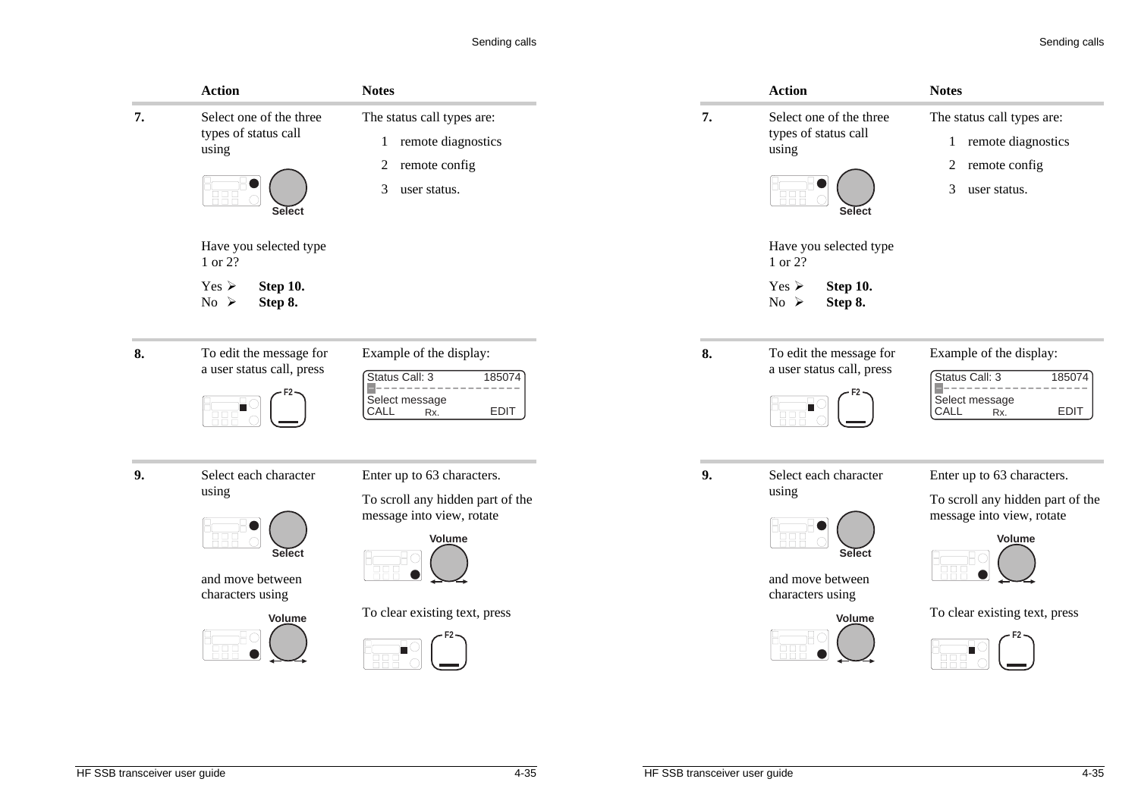|    | <b>Action</b>                                                                                                                                                                    | <b>Notes</b>                                                                                                                                  |
|----|----------------------------------------------------------------------------------------------------------------------------------------------------------------------------------|-----------------------------------------------------------------------------------------------------------------------------------------------|
| 7. | Select one of the three<br>types of status call<br>using<br>Select<br>Have you selected type<br>1 or 2?<br>Yes $\triangleright$<br><b>Step 10.</b><br>$\mathrm{No}$ ><br>Step 8. | The status call types are:<br>1<br>remote diagnostics<br>2<br>remote config<br>3<br>user status.                                              |
| 8. | To edit the message for<br>a user status call, press                                                                                                                             | Example of the display:<br>Status Call: 3<br>185074<br>Select message<br>EDIT<br>CALL<br>Rx.                                                  |
| 9. | Select each character<br>using<br><b>Select</b><br>and move between<br>characters using<br>Volume                                                                                | Enter up to 63 characters.<br>To scroll any hidden part of the<br>message into view, rotate<br><b>Volume</b><br>To clear existing text, press |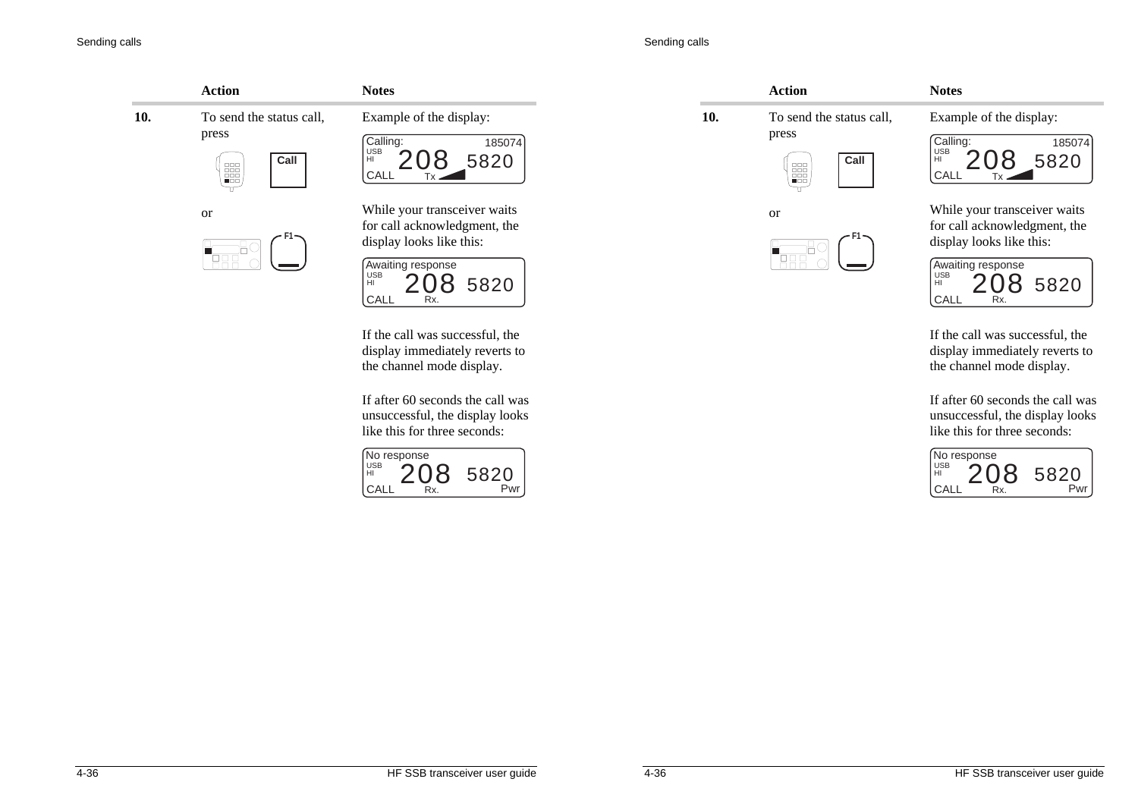or

|     | Action                                  | <b>Notes</b>                                  |
|-----|-----------------------------------------|-----------------------------------------------|
| 10. | To send the status call,<br>press       | Example of the display:<br>Calling:<br>185074 |
|     | Call<br>000<br>oor<br>OOC<br><b>BOC</b> | <b>USB</b><br>820<br>HI<br>CAI                |

**F1**

While your transceiver waits for call acknowledgment, the display looks like this:



If the call was successful, the display immediately reverts to the channel mode display.

If after 60 seconds the call was unsuccessful, the display looks like this for three seconds:

 $\rm{28}$  5820 **CALL** USB HI No response Pwr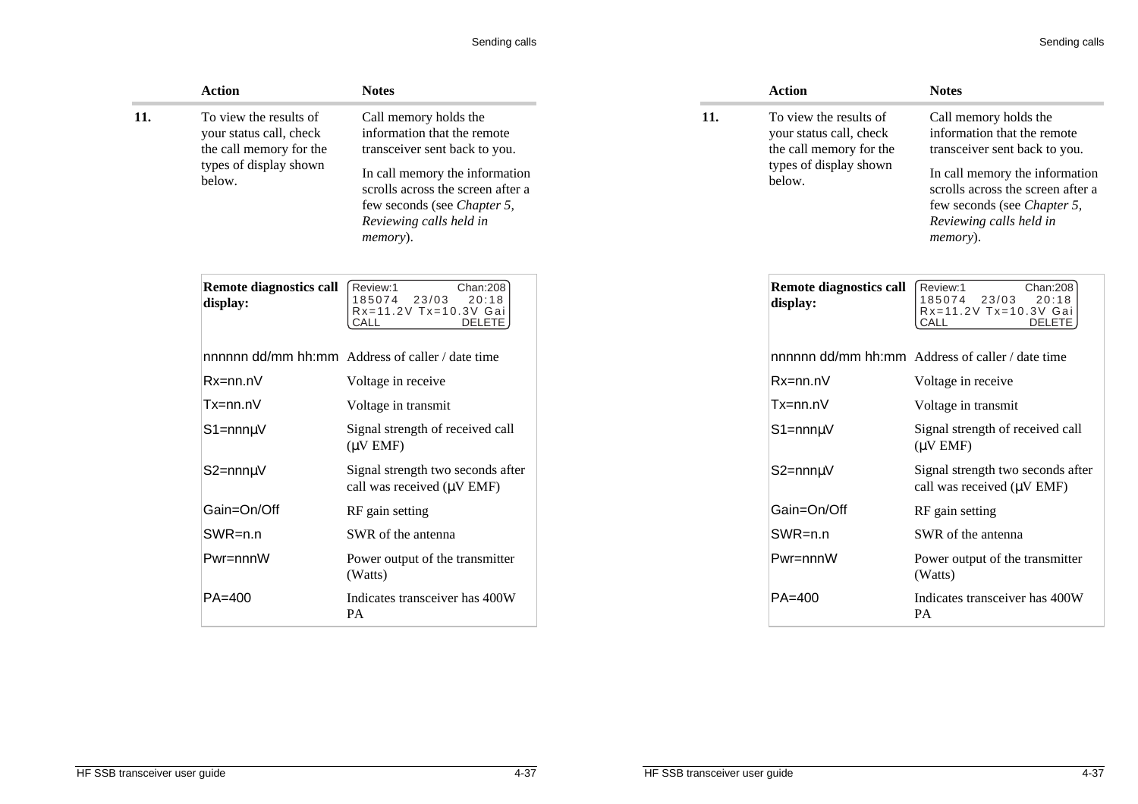|     | <b>Action</b>                                                                                                    | <b>Notes</b>                                                                                                                                                                                                                               |
|-----|------------------------------------------------------------------------------------------------------------------|--------------------------------------------------------------------------------------------------------------------------------------------------------------------------------------------------------------------------------------------|
| 11. | To view the results of<br>your status call, check<br>the call memory for the<br>types of display shown<br>below. | Call memory holds the<br>information that the remote<br>transceiver sent back to you.<br>In call memory the information<br>scrolls across the screen after a<br>few seconds (see <i>Chapter 5</i> ,<br>Reviewing calls held in<br>memory). |
|     |                                                                                                                  |                                                                                                                                                                                                                                            |
|     | <b>Remote diagnostics call</b><br>display:                                                                       | Review:1<br>Chan: 208<br>185074 23/03<br>20:18<br>Rx=11.2V Tx=10.3V Gai<br><b>DELETE</b><br>CALL                                                                                                                                           |
|     |                                                                                                                  | nnnnnn dd/mm hh:mm Address of caller / date time                                                                                                                                                                                           |
|     | $Rx = nn.nV$                                                                                                     | Voltage in receive                                                                                                                                                                                                                         |
|     | $Tx = nn.nV$                                                                                                     | Voltage in transmit                                                                                                                                                                                                                        |
|     | $S1 = nnn\mu V$                                                                                                  | Signal strength of received call<br>$(\mu V EMF)$                                                                                                                                                                                          |
|     | S2=nnnµV                                                                                                         | Signal strength two seconds after<br>call was received $(\mu V EMF)$                                                                                                                                                                       |
|     | Gain=On/Off                                                                                                      | RF gain setting                                                                                                                                                                                                                            |
|     | $SWR=n.n$                                                                                                        | SWR of the antenna                                                                                                                                                                                                                         |
|     | Pwr=nnnW                                                                                                         | Power output of the transmitter<br>(Watts)                                                                                                                                                                                                 |
|     | $PA=400$                                                                                                         | Indicates transceiver has 400W<br>PA                                                                                                                                                                                                       |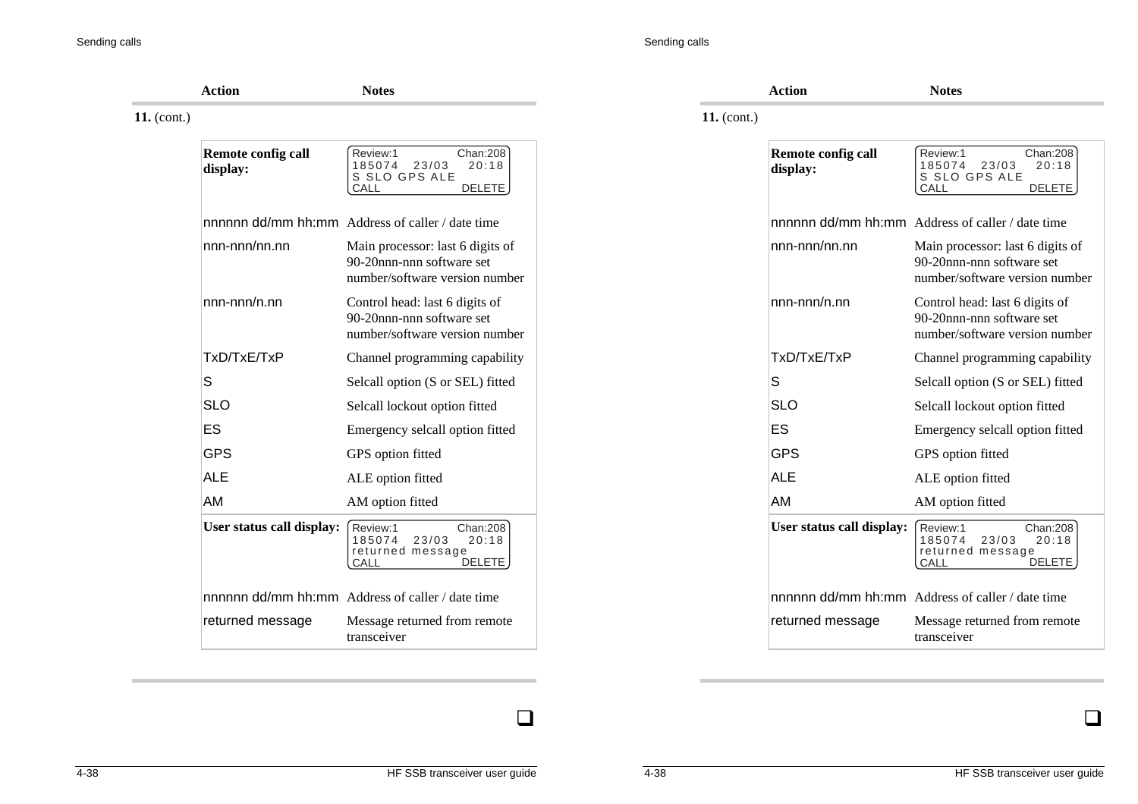|               | <b>Action</b>                         | <b>Notes</b>                                                                                    |  |
|---------------|---------------------------------------|-------------------------------------------------------------------------------------------------|--|
| $11.$ (cont.) |                                       |                                                                                                 |  |
|               | <b>Remote config call</b><br>display: | Review:1<br>Chan: 208<br>185074 23/03<br>20:18<br>S SLO GPS ALE<br><b>DELETE</b><br>CALL        |  |
|               |                                       | nnnnnn dd/mm hh:mm Address of caller / date time                                                |  |
|               | $nnn-nnn/nnnn$                        | Main processor: last 6 digits of<br>90-20nnn-nnn software set<br>number/software version number |  |
|               | $nnn-nnn/nnn$                         | Control head: last 6 digits of<br>90-20nnn-nnn software set<br>number/software version number   |  |
|               | TxD/TxE/TxP                           | Channel programming capability                                                                  |  |
|               | S                                     | Selcall option (S or SEL) fitted                                                                |  |
|               | <b>SLO</b>                            | Selcall lockout option fitted                                                                   |  |
|               | ES                                    | Emergency selcall option fitted                                                                 |  |
|               | GPS                                   | GPS option fitted                                                                               |  |
|               | ALE                                   | ALE option fitted                                                                               |  |
|               | AM                                    | AM option fitted                                                                                |  |
|               | User status call display:             | Review:1<br>Chan: 208<br>185074<br>23/03<br>20:18<br>returned message<br><b>DELETE</b><br>CALL  |  |
|               |                                       | nnnnnn dd/mm hh:mm Address of caller / date time                                                |  |
|               | returned message                      | Message returned from remote<br>transceiver                                                     |  |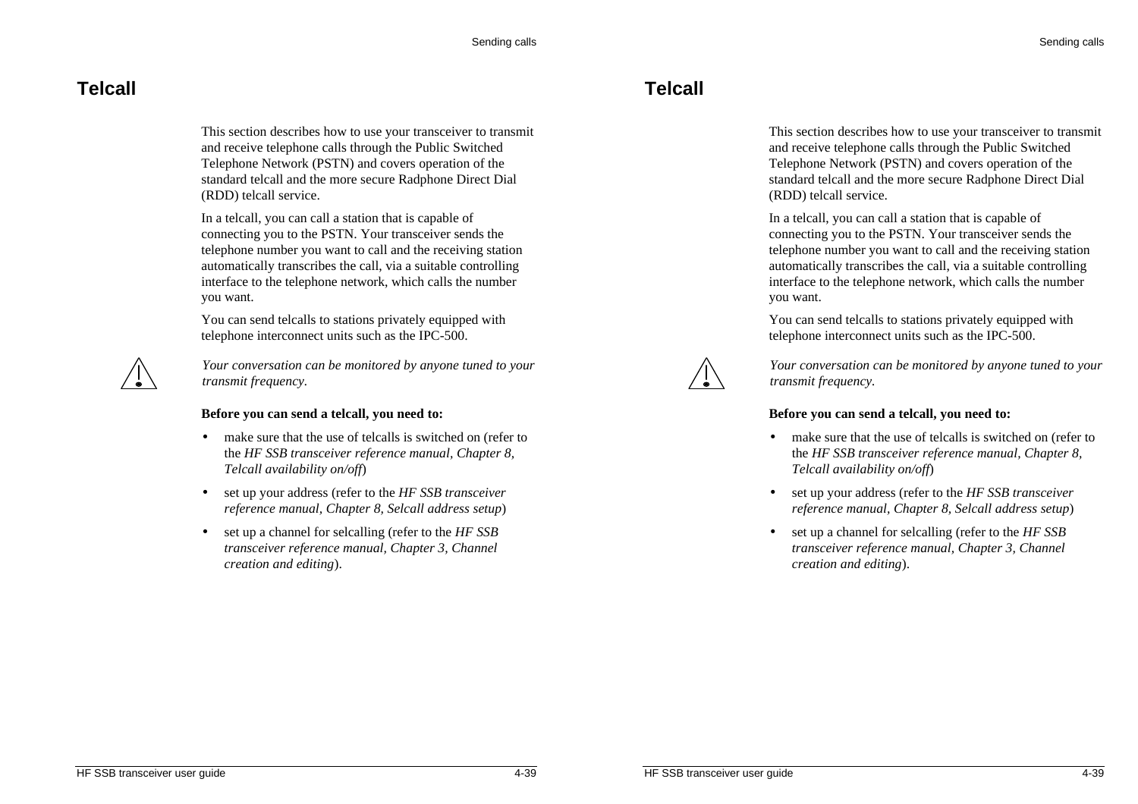# **Telcall**

This section describes how to use your transceiver to transmit and receive telephone calls through the Public Switched Telephone Network (PSTN) and covers operation of the standard telcall and the more secure Radphone Direct Dial (RDD) telcall service.

In a telcall, you can call a station that is capable of connecting you to the PSTN. Your transceiver sends the telephone number you want to call and the receiving station automatically transcribes the call, via a suitable controlling interface to the telephone network, which calls the number you want.

You can send telcalls to stations privately equipped with telephone interconnect units such as the IPC-500.



*Your conversation can be monitored by anyone tuned to your transmit frequency.*

#### **Before you can send a telcall, you need to:**

- make sure that the use of telcalls is switched on (refer to the *HF SSB transceiver reference manual, Chapter 8, Telcall availability on/off*)
- set up your address (refer to the *HF SSB transceiver reference manual, Chapter 8, Selcall address setup*)
- set up a channel for selcalling (refer to the *HF SSB transceiver reference manual, Chapter 3, Channel creation and editing*).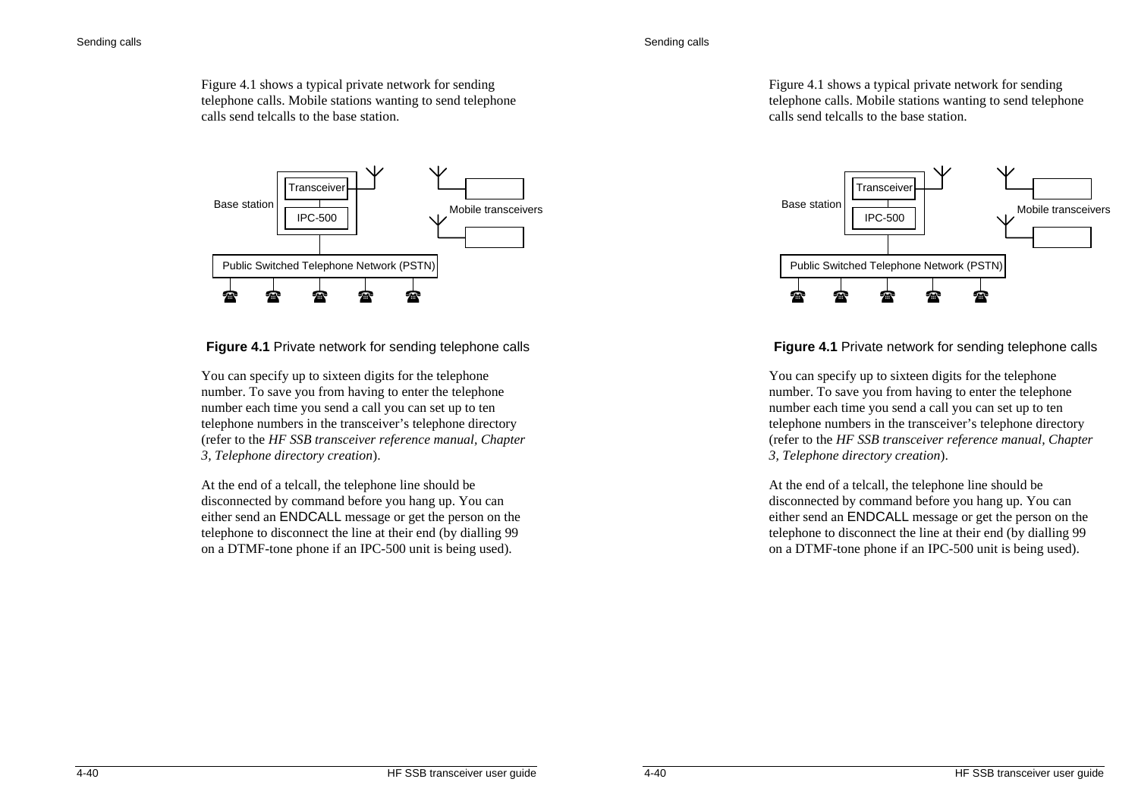Figure 4.1 shows a typical private network for sending telephone calls. Mobile stations wanting to send telephone calls send telcalls to the base station.





You can specify up to sixteen digits for the telephone number. To save you from having to enter the telephone number each time you send a call you can set up to ten telephone numbers in the transceiver's telephone directory (refer to the *HF SSB transceiver reference manual, Chapter 3, Telephone directory creation*).

At the end of a telcall, the telephone line should be disconnected by command before you hang up. You can either send an ENDCALL message or get the person on the telephone to disconnect the line at their end (by dialling 99 on a DTMF-tone phone if an IPC-500 unit is being used).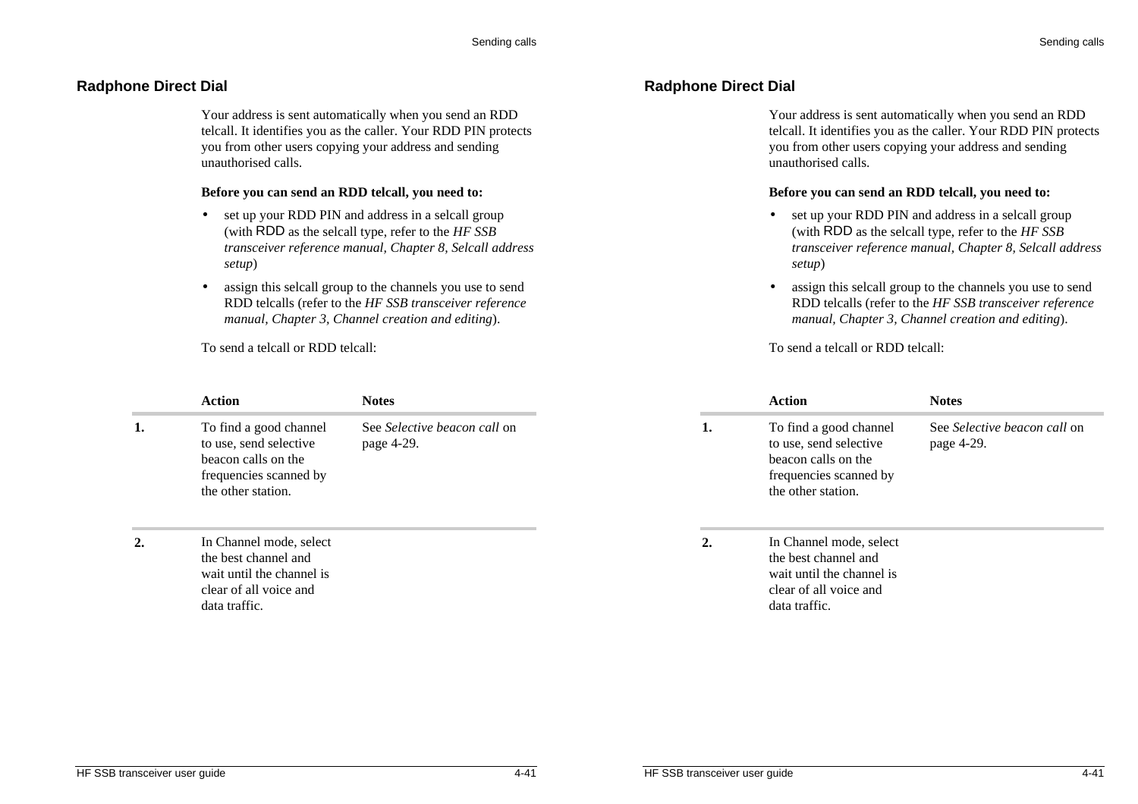## **Radphone Direct Dial**

Your address is sent automatically when you send an RDD telcall. It identifies you as the caller. Your RDD PIN protects you from other users copying your address and sending unauthorised calls.

### **Before you can send an RDD telcall, you need to:**

- set up your RDD PIN and address in a selcall group (with RDD as the selcall type, refer to the *HF SSB transceiver reference manual, Chapter 8, Selcall address setup*)
- assign this selcall group to the channels you use to send RDD telcalls (refer to the *HF SSB transceiver reference manual, Chapter 3, Channel creation and editing*).

To send a telcall or RDD telcall:

| Action                                                                                                                  | <b>Notes</b>                               |
|-------------------------------------------------------------------------------------------------------------------------|--------------------------------------------|
| To find a good channel<br>to use, send selective<br>beacon calls on the<br>frequencies scanned by<br>the other station. | See Selective beacon call on<br>page 4-29. |
| In Channel mode, select<br>the best channel and<br>wait until the channel is<br>clear of all voice and<br>data traffic. |                                            |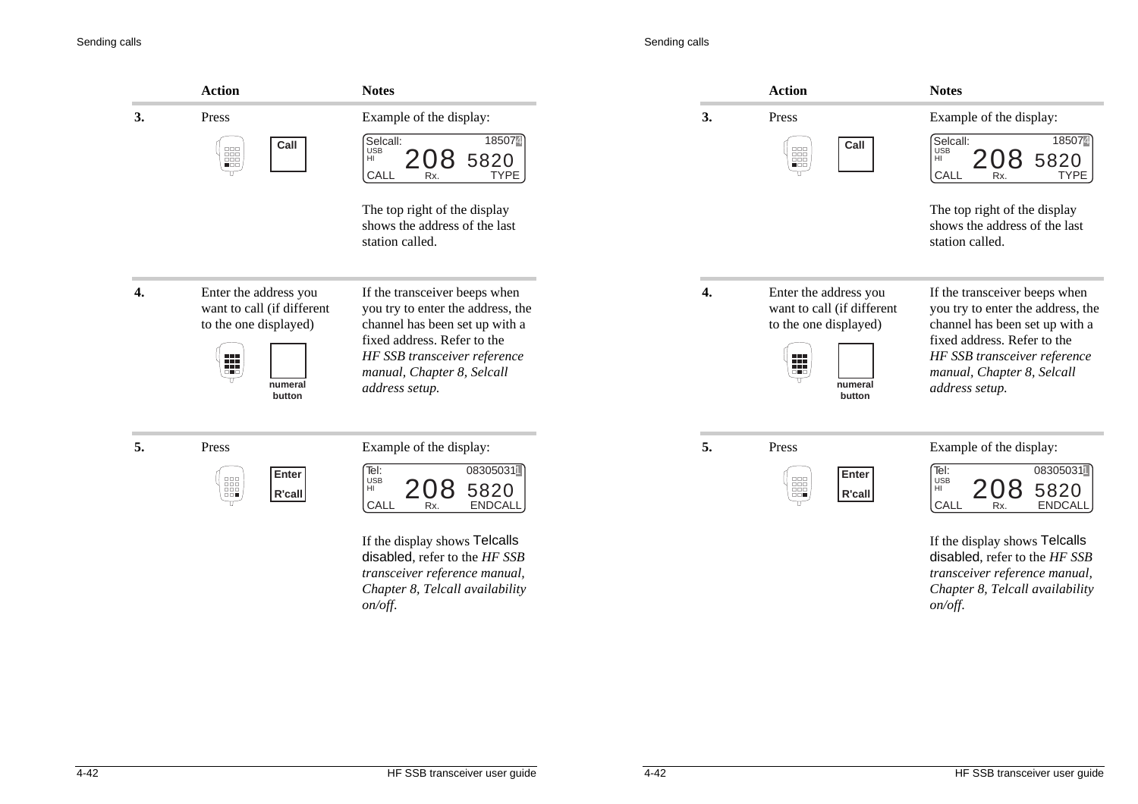|    | <b>Action</b>                                                                                     | <b>Notes</b>                                                                                                                                                                                                        |  |
|----|---------------------------------------------------------------------------------------------------|---------------------------------------------------------------------------------------------------------------------------------------------------------------------------------------------------------------------|--|
| 3. | Press<br>Call<br><b>000</b><br>$\Box$<br>000<br>-00                                               | Example of the display:<br>185074<br>Selcall:<br><b>USB</b><br>5820<br>HI<br><b>TYPE</b><br>CALL<br>The top right of the display<br>shows the address of the last<br>station called.                                |  |
| 4. | Enter the address you<br>want to call (if different<br>to the one displayed)<br>numeral<br>button | If the transceiver beeps when<br>you try to enter the address, the<br>channel has been set up with a<br>fixed address. Refer to the<br>HF SSB transceiver reference<br>manual, Chapter 8, Selcall<br>address setup. |  |
| 5. | Press<br><b>Enter</b><br>888<br>000<br>00C<br>R'call<br>ורור                                      | Example of the display:<br>08305031<br>Tel:<br><b>USB</b><br>5820<br>HI<br>CALI<br><b>ENDCA</b><br>Rx.                                                                                                              |  |

If the display shows Telcalls disabled, refer to the *HF SSB transceiver reference manual, Chapter 8, Telcall availability on/off*.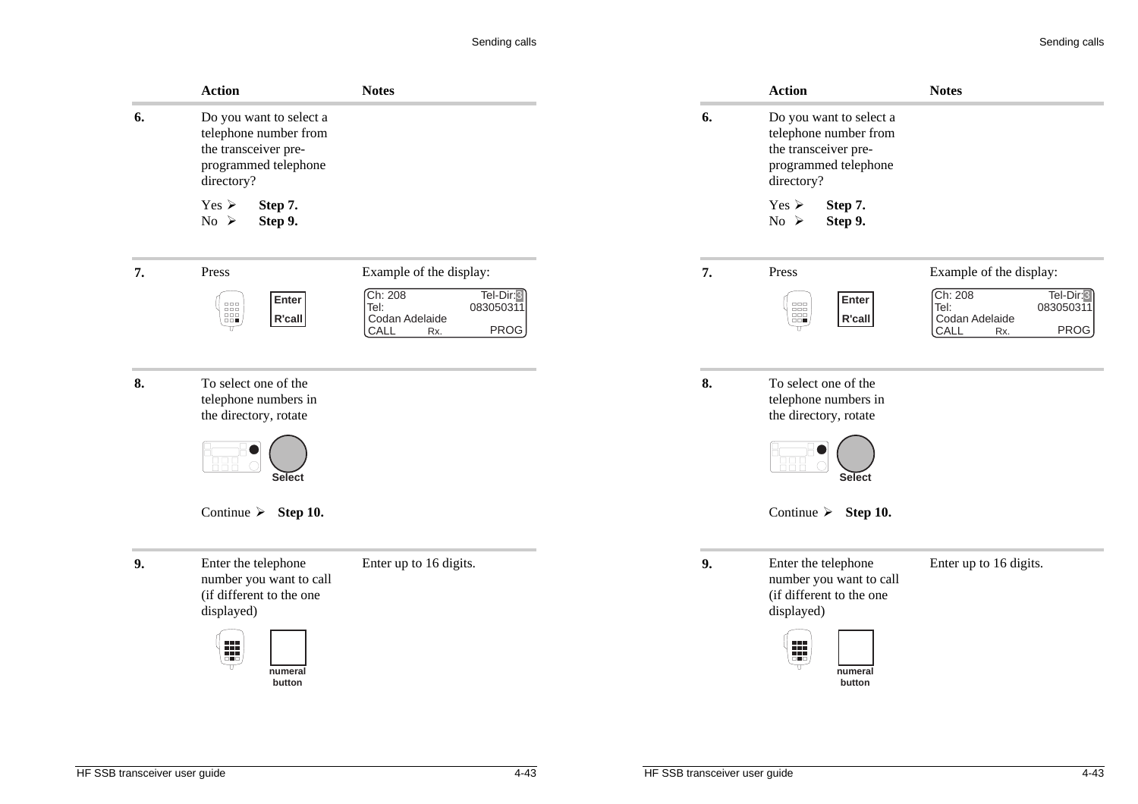|    | <b>Action</b>                                                                                                  | <b>Notes</b>                                                                             |
|----|----------------------------------------------------------------------------------------------------------------|------------------------------------------------------------------------------------------|
| 6. | Do you want to select a<br>telephone number from<br>the transceiver pre-<br>programmed telephone<br>directory? |                                                                                          |
|    | Yes $\triangleright$<br>Step 7.<br>No $\triangleright$<br>Step 9.                                              |                                                                                          |
| 7. | Press                                                                                                          | Example of the display:                                                                  |
|    | Enter<br>IОD<br>88<br>R'call                                                                                   | Ch: 208<br>Tel-Dir:<br>Tel:<br>083050311<br>Codan Adelaide<br><b>PROG</b><br>CALL<br>Rx. |
| 8. | To select one of the<br>telephone numbers in<br>the directory, rotate                                          |                                                                                          |
|    | Select                                                                                                         |                                                                                          |
|    | Continue $\geq$<br>Step 10.                                                                                    |                                                                                          |
| 9. | Enter the telephone<br>number you want to call<br>(if different to the one<br>displayed)                       | Enter up to 16 digits.                                                                   |
|    | numeral<br>button                                                                                              |                                                                                          |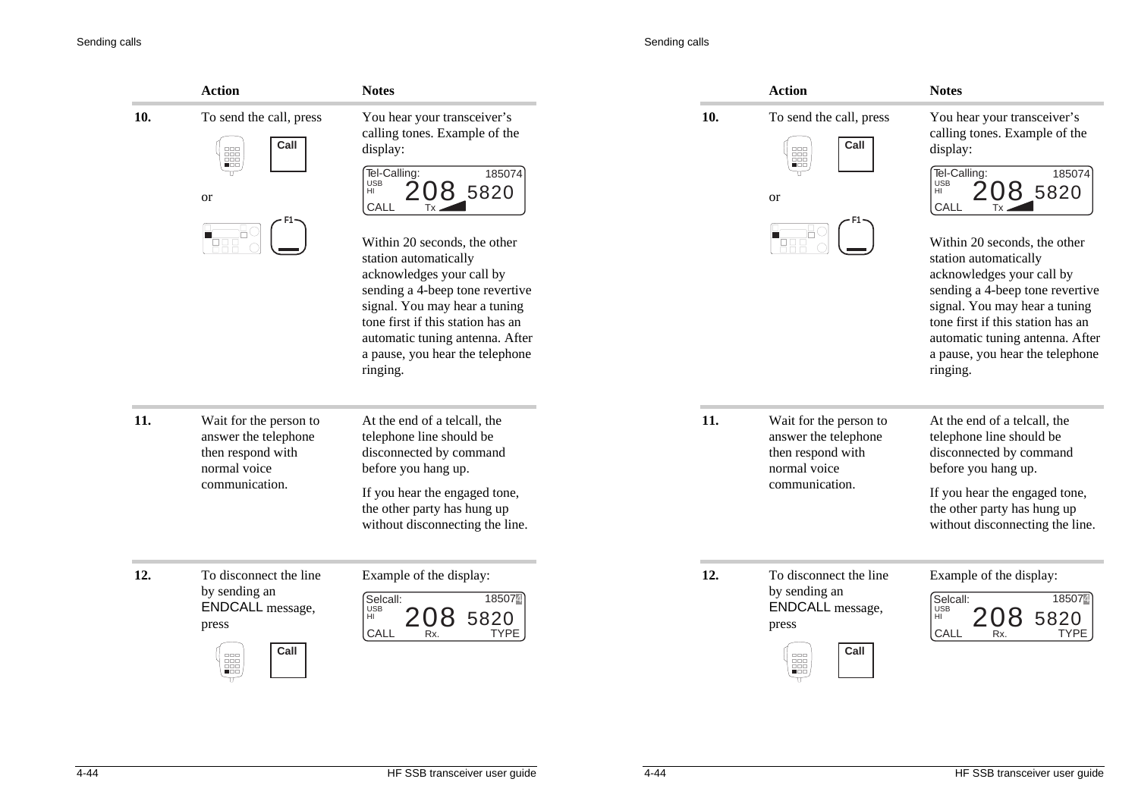|     | <b>Action</b>                                                                                         | <b>Notes</b>                                                                                                                                                                                                                                                                                                                                                                                                            |
|-----|-------------------------------------------------------------------------------------------------------|-------------------------------------------------------------------------------------------------------------------------------------------------------------------------------------------------------------------------------------------------------------------------------------------------------------------------------------------------------------------------------------------------------------------------|
| 10. | To send the call, press<br>Call<br>or                                                                 | You hear your transceiver's<br>calling tones. Example of the<br>display:<br>Tel-Calling:<br>185074<br><b>USB</b><br>5820<br>HI<br>CALL<br>Within 20 seconds, the other<br>station automatically<br>acknowledges your call by<br>sending a 4-beep tone revertive<br>signal. You may hear a tuning<br>tone first if this station has an<br>automatic tuning antenna. After<br>a pause, you hear the telephone<br>ringing. |
| 11. | Wait for the person to<br>answer the telephone<br>then respond with<br>normal voice<br>communication. | At the end of a telcall, the<br>telephone line should be<br>disconnected by command<br>before you hang up.<br>If you hear the engaged tone,<br>the other party has hung up<br>without disconnecting the line.                                                                                                                                                                                                           |
| 12. | To disconnect the line<br>by sending an<br>ENDCALL message,<br>press<br>Call                          | Example of the display:<br>Selcall:<br>185074<br><b>USB</b><br>5820<br>HI<br>TYPE<br>CALL<br>Rx                                                                                                                                                                                                                                                                                                                         |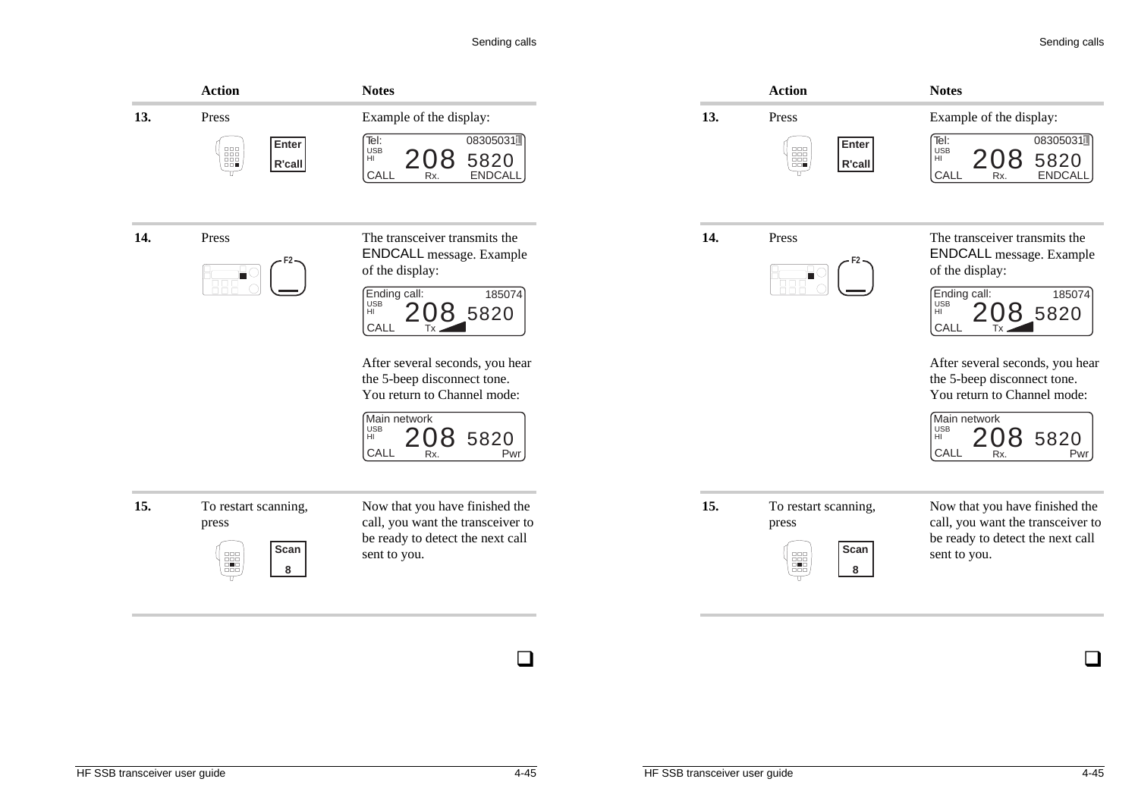

press



call, you want the transceiver to be ready to detect the next call sent to you.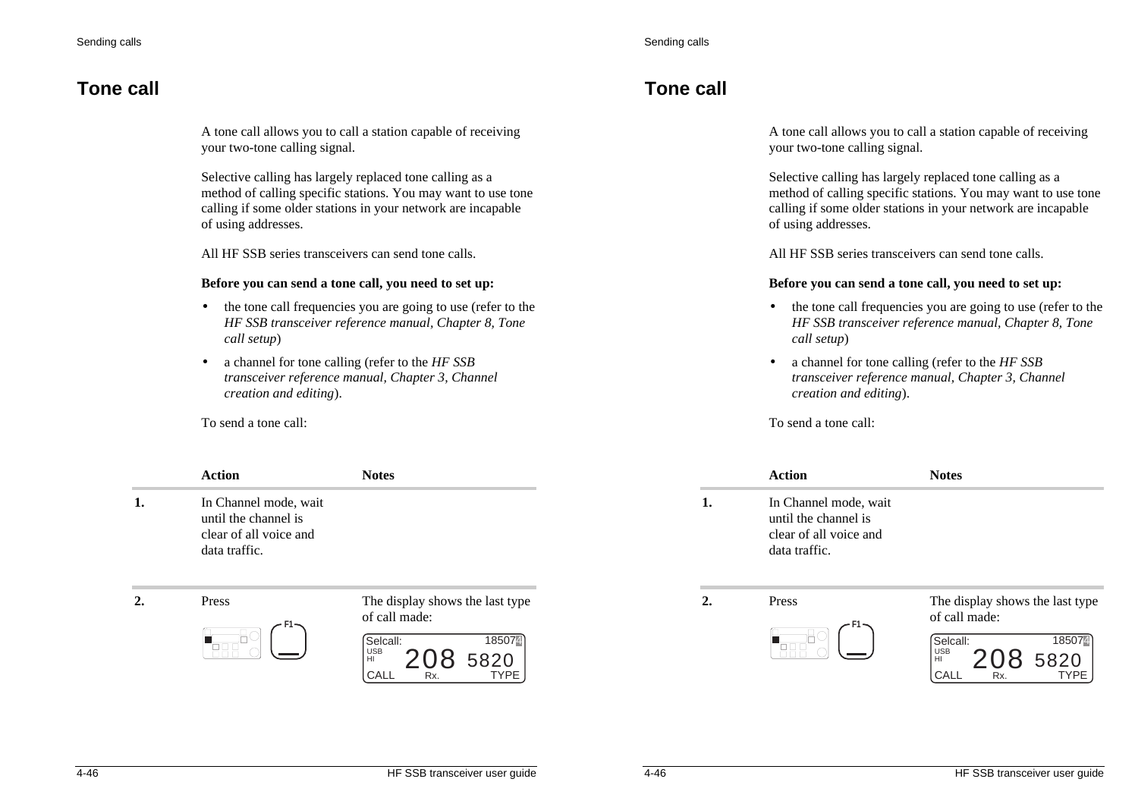# **Tone call**

A tone call allows you to call a station capable of receiving your two-tone calling signal.

Selective calling has largely replaced tone calling as a method of calling specific stations. You may want to use tone calling if some older stations in your network are incapable of using addresses.

All HF SSB series transceivers can send tone calls.

#### **Before you can send a tone call, you need to set up:**

- the tone call frequencies you are going to use (refer to the *HF SSB transceiver reference manual, Chapter 8, Tone call setup*)
- a channel for tone calling (refer to the *HF SSB transceiver reference manual, Chapter 3, Channel creation and editing*).

To send a tone call:

|                             | Action                                                                                   | <b>Notes</b>                                                                                                      |
|-----------------------------|------------------------------------------------------------------------------------------|-------------------------------------------------------------------------------------------------------------------|
| 1.                          | In Channel mode, wait<br>until the channel is<br>clear of all voice and<br>data traffic. |                                                                                                                   |
| $\mathcal{D}_{\mathcal{L}}$ | Press                                                                                    | The display shows the last type<br>of call made:<br>Selcall:<br>18507<br><b>USB</b><br>$\Gamma$ $\Omega$ $\Omega$ |

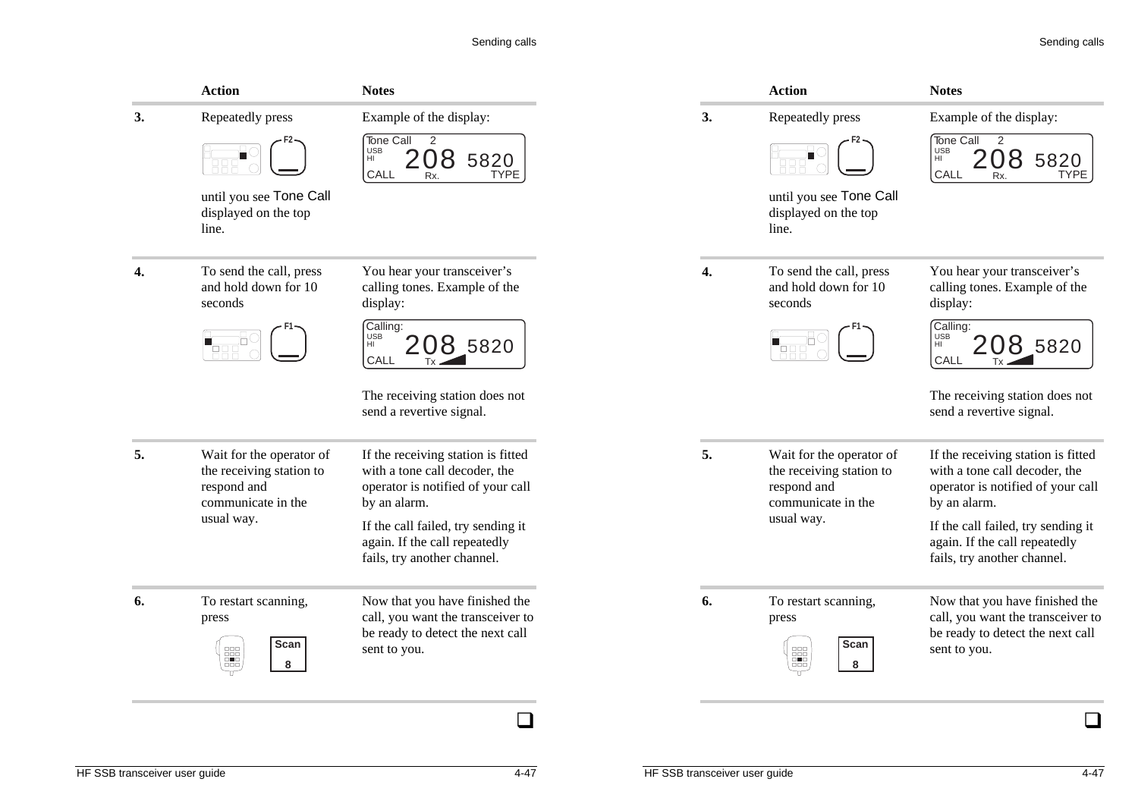|    | <b>Action</b>                                                                                           | <b>Notes</b>                                                                                                                                                                                                                   |  |
|----|---------------------------------------------------------------------------------------------------------|--------------------------------------------------------------------------------------------------------------------------------------------------------------------------------------------------------------------------------|--|
| 3. | Repeatedly press<br>until you see Tone Call<br>displayed on the top<br>line.                            | Example of the display:<br>Tone Call<br><b>USB</b><br>582<br>HI<br>CALL                                                                                                                                                        |  |
| 4. | To send the call, press<br>and hold down for 10<br>seconds                                              | You hear your transceiver's<br>calling tones. Example of the<br>display:<br>Calling:<br><b>USB</b><br>5820<br>HI<br>CALL<br>The receiving station does not<br>send a revertive signal.                                         |  |
| 5. | Wait for the operator of<br>the receiving station to<br>respond and<br>communicate in the<br>usual way. | If the receiving station is fitted<br>with a tone call decoder, the<br>operator is notified of your call<br>by an alarm.<br>If the call failed, try sending it<br>again. If the call repeatedly<br>fails, try another channel. |  |
| 6. | To restart scanning,<br>press<br>Scan                                                                   | Now that you have finished the<br>call, you want the transceiver to<br>be ready to detect the next call<br>sent to you.                                                                                                        |  |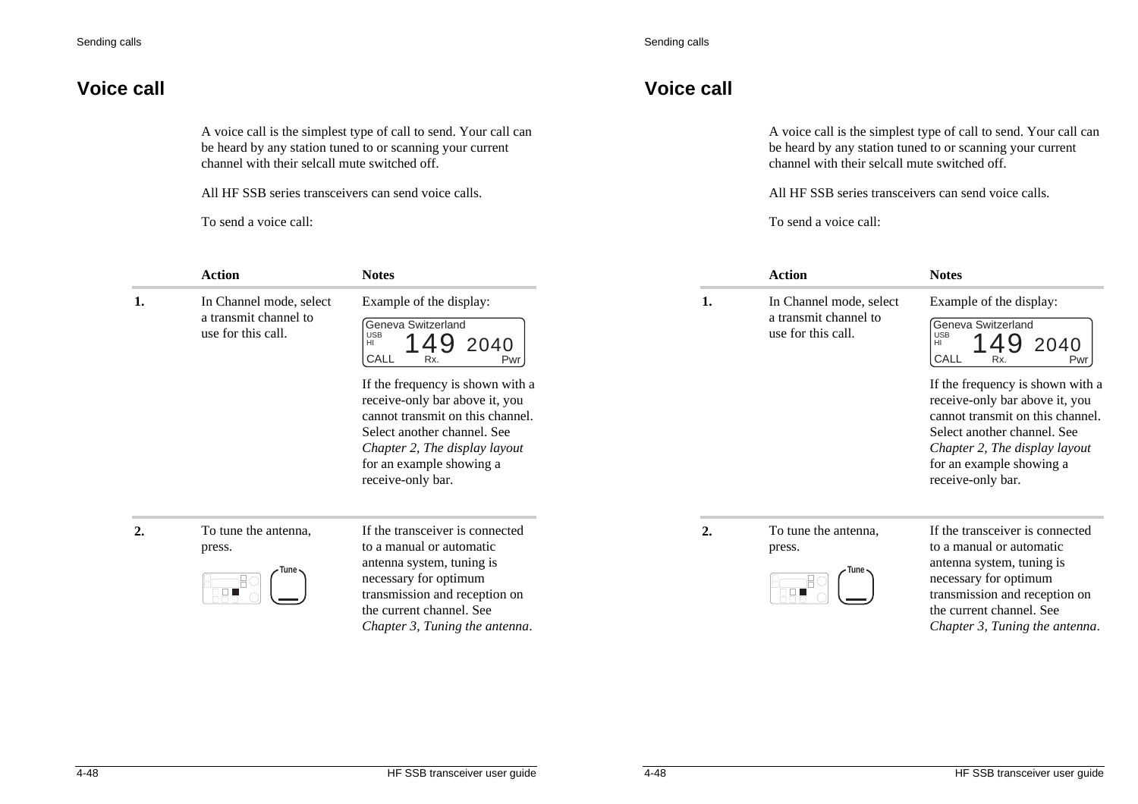# **Voice call**

A voice call is the simplest type of call to send. Your call can be heard by any station tuned to or scanning your current channel with their selcall mute switched off.

All HF SSB series transceivers can send voice calls.

To send a voice call:

|                  | Action                                                                 | <b>Notes</b>                                                                                                                                                                                                            |
|------------------|------------------------------------------------------------------------|-------------------------------------------------------------------------------------------------------------------------------------------------------------------------------------------------------------------------|
| 1.               | In Channel mode, select<br>a transmit channel to<br>use for this call. | Example of the display:<br>Geneva Switzerland<br><b>USB</b><br>149 2040<br>HI<br>CALL<br>Pwr<br>Rx.                                                                                                                     |
|                  |                                                                        | If the frequency is shown with a<br>receive-only bar above it, you<br>cannot transmit on this channel.<br>Select another channel. See<br>Chapter 2, The display layout<br>for an example showing a<br>receive-only bar. |
| $\overline{2}$ . | To tune the antenna,<br>press.<br>Tune                                 | If the transceiver is connected<br>to a manual or automatic<br>antenna system, tuning is<br>necessary for optimum<br>transmission and reception on<br>the current channel. See<br>Chapter 3, Tuning the antenna.        |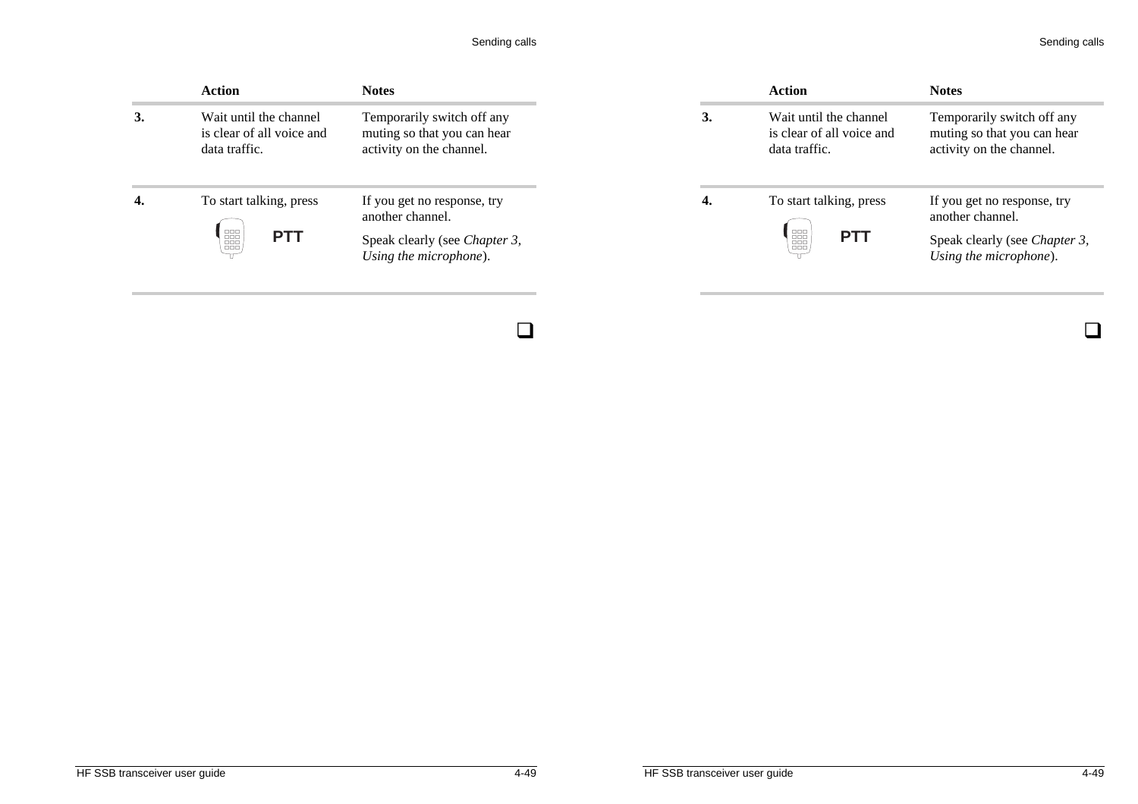|    | Action                                                               | <b>Notes</b>                                                                          |
|----|----------------------------------------------------------------------|---------------------------------------------------------------------------------------|
| 3. | Wait until the channel<br>is clear of all voice and<br>data traffic. | Temporarily switch off any<br>muting so that you can hear<br>activity on the channel. |
|    | To start talking, press                                              | If you get no response, try<br>another channel.                                       |
|    | PTT                                                                  | Speak clearly (see Chapter 3,<br>Using the microphone).                               |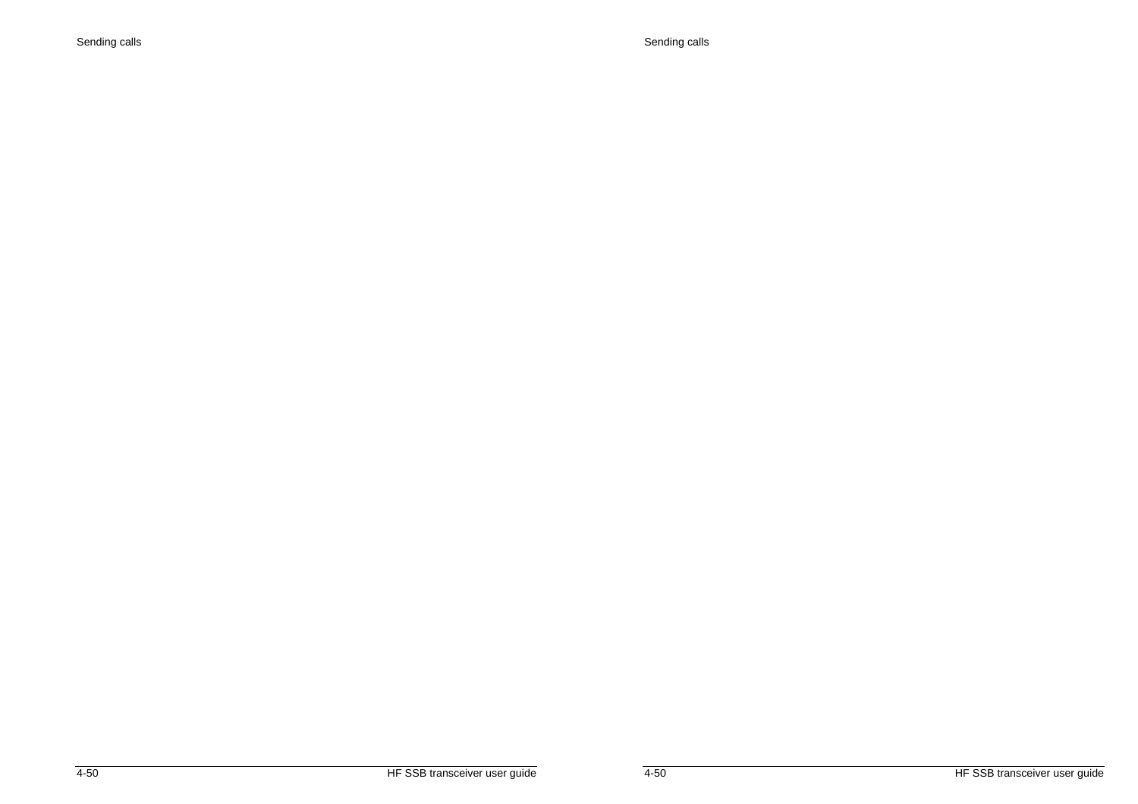Sending calls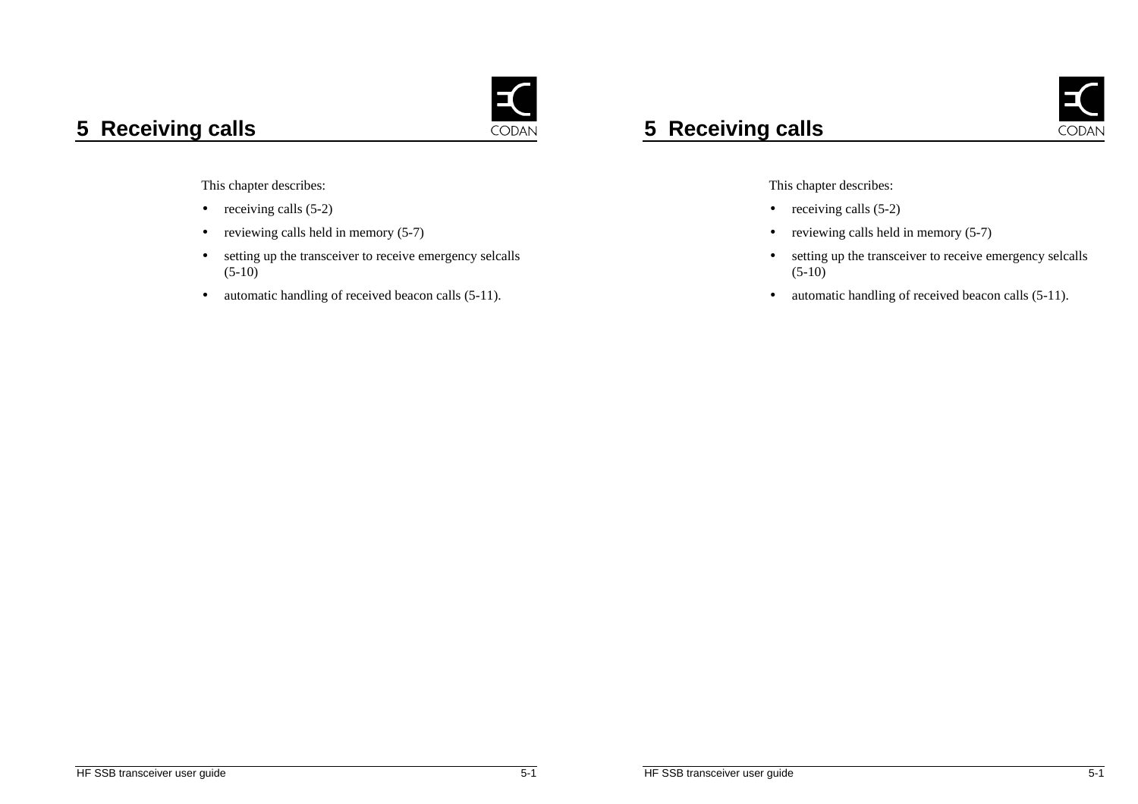

# **5 Receiving calls**

This chapter describes:

- receiving calls  $(5-2)$
- reviewing calls held in memory  $(5-7)$
- setting up the transceiver to receive emergency selcalls  $(5-10)$
- automatic handling of received beacon calls (5-11).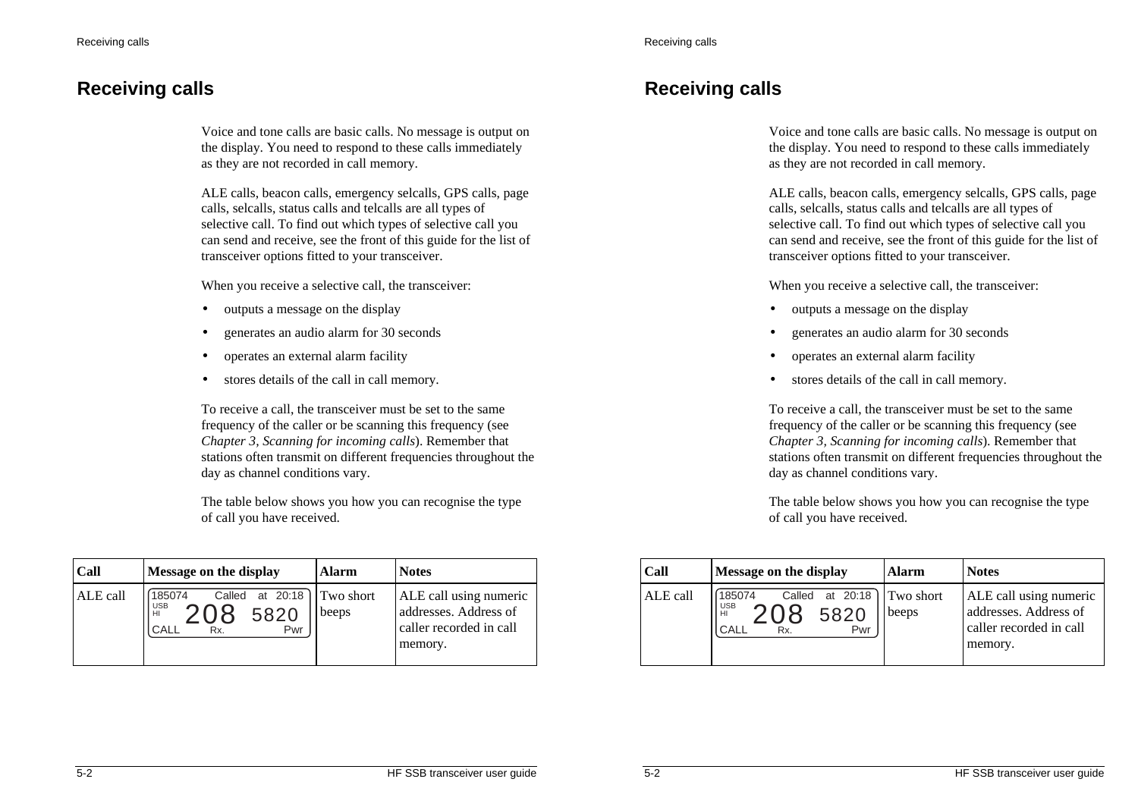# **Receiving calls**

Voice and tone calls are basic calls. No message is output on the display. You need to respond to these calls immediately as they are not recorded in call memory.

ALE calls, beacon calls, emergency selcalls, GPS calls, page calls, selcalls, status calls and telcalls are all types of selective call. To find out which types of selective call you can send and receive, see the front of this guide for the list of transceiver options fitted to your transceiver.

When you receive a selective call, the transceiver:

- outputs a message on the display
- generates an audio alarm for 30 seconds
- operates an external alarm facility
- stores details of the call in call memory.

To receive a call, the transceiver must be set to the same frequency of the caller or be scanning this frequency (see *Chapter 3, Scanning for incoming calls*). Remember that stations often transmit on different frequencies throughout the day as channel conditions vary.

The table below shows you how you can recognise the type of call you have received.

| Call     | Message on the display                                                      | Alarm              | <b>Notes</b>                                                                          |
|----------|-----------------------------------------------------------------------------|--------------------|---------------------------------------------------------------------------------------|
| ALE call | Called at 20:18<br>185074<br><b>USB</b><br>5820<br>HI<br>CALL<br>Pwr<br>Rx. | Two short<br>beeps | ALE call using numeric<br>addresses. Address of<br>caller recorded in call<br>memory. |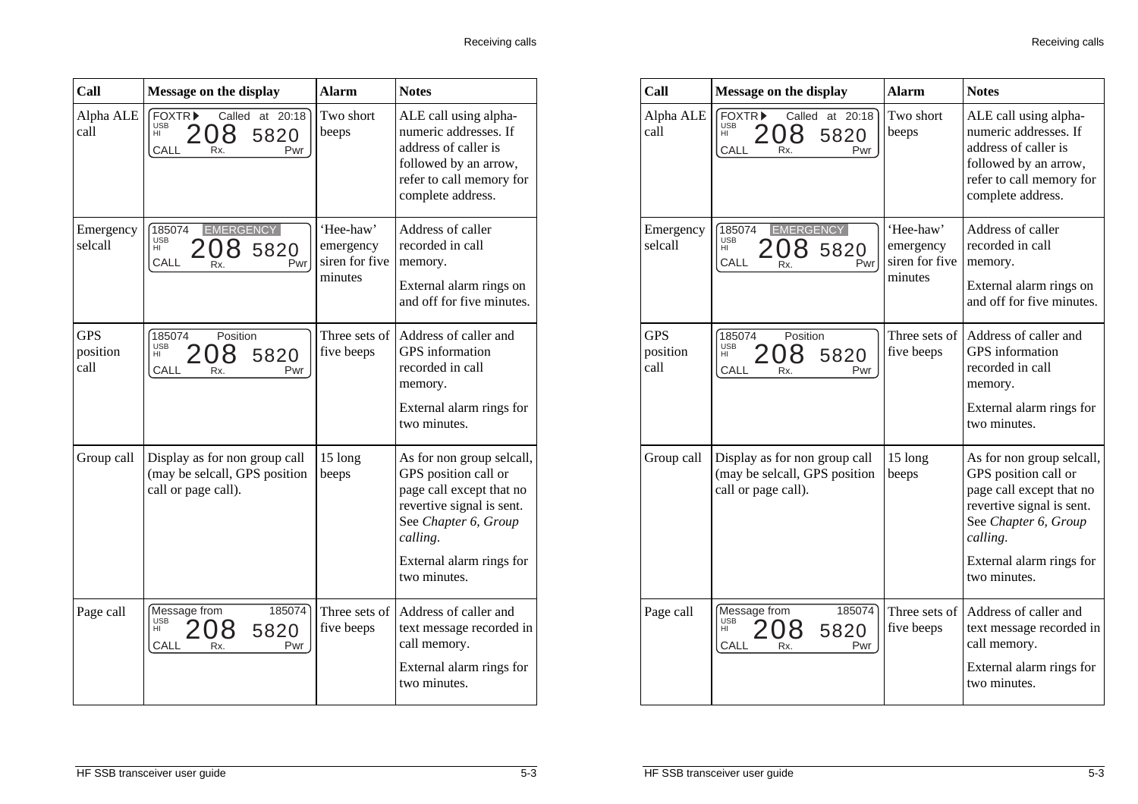| Call                           | Message on the display                                                                | <b>Alarm</b>                                        | <b>Notes</b>                                                                                                                                                                               |
|--------------------------------|---------------------------------------------------------------------------------------|-----------------------------------------------------|--------------------------------------------------------------------------------------------------------------------------------------------------------------------------------------------|
| Alpha ALE<br>call              | FOXTR<br>Called at 20:18<br><b>USB</b><br>08<br>5820<br>ĤĹ<br>Pwr<br>CALL<br>Rx.      | Two short<br>beeps                                  | ALE call using alpha-<br>numeric addresses. If<br>address of caller is<br>followed by an arrow,<br>refer to call memory for<br>complete address.                                           |
| Emergency<br>selcall           | <b>EMERGENCY</b><br>185074<br><b>USB</b><br>208 5820<br>HI<br>CALL<br>Pwr<br>Rx.      | 'Hee-haw'<br>emergency<br>siren for five<br>minutes | Address of caller<br>recorded in call<br>memory.<br>External alarm rings on<br>and off for five minutes.                                                                                   |
| <b>GPS</b><br>position<br>call | Position<br>185074<br><b>USB</b><br>78<br>5820<br>HI<br>Pwr<br>CALL<br>Rx.            | Three sets of<br>five beeps                         | Address of caller and<br><b>GPS</b> information<br>recorded in call<br>memory.<br>External alarm rings for<br>two minutes.                                                                 |
| Group call                     | Display as for non group call<br>(may be selcall, GPS position<br>call or page call). | 15 long<br>beeps                                    | As for non group selcall,<br>GPS position call or<br>page call except that no<br>revertive signal is sent.<br>See Chapter 6, Group<br>calling.<br>External alarm rings for<br>two minutes. |
| Page call                      | 185074<br>Message from<br><b>USB</b><br>5820<br>HI.<br>Pwr<br>CALL<br>Rx.             | Three sets of<br>five beeps                         | Address of caller and<br>text message recorded in<br>call memory.<br>External alarm rings for<br>two minutes.                                                                              |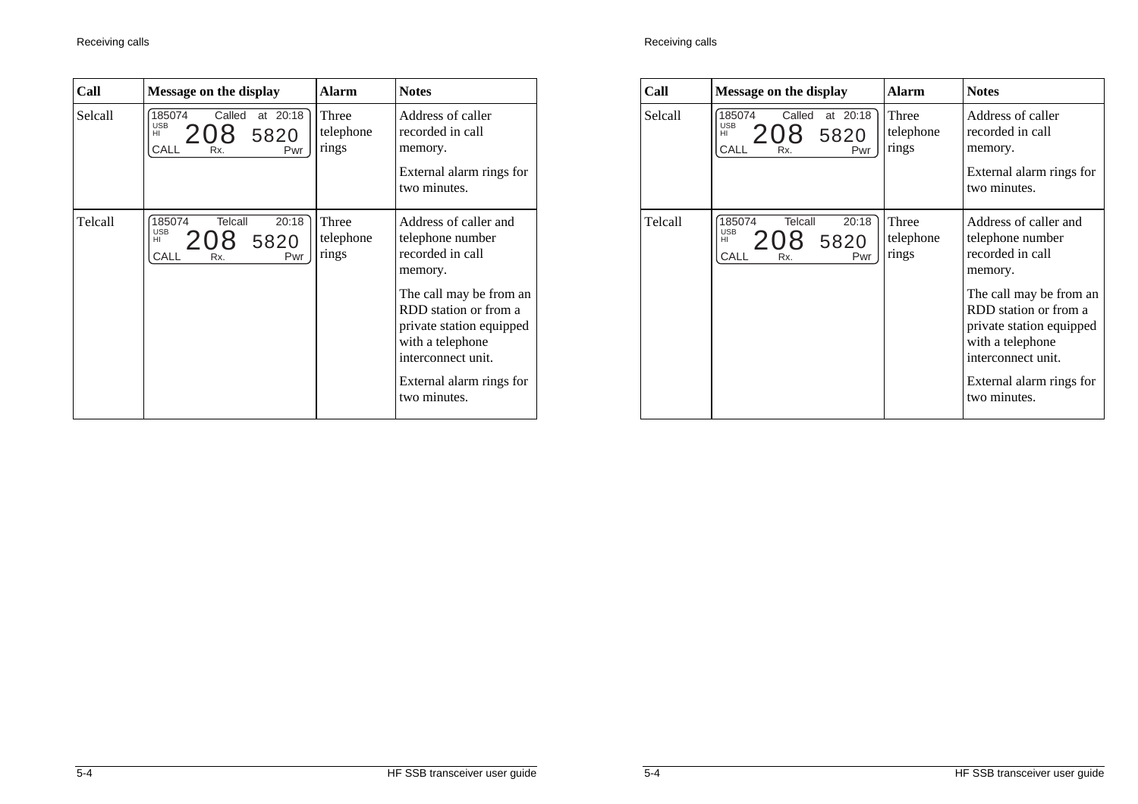| Call    | Message on the display                                                                | Alarm                       | <b>Notes</b>                                                                                                                                                                                                                                   |
|---------|---------------------------------------------------------------------------------------|-----------------------------|------------------------------------------------------------------------------------------------------------------------------------------------------------------------------------------------------------------------------------------------|
| Selcall | at 20:18<br>185074<br>Called<br><b>USB</b><br>208<br>5820<br>HI<br>CALL<br>Rx.<br>Pwr | Three<br>telephone<br>rings | Address of caller<br>recorded in call<br>memory.<br>External alarm rings for<br>two minutes.                                                                                                                                                   |
| Telcall | 20:18<br>185074<br>Telcall<br><b>USB</b><br>208 5820<br>HI<br>CALL<br>Pwr<br>Rx.      | Three<br>telephone<br>rings | Address of caller and<br>telephone number<br>recorded in call<br>memory.<br>The call may be from an<br>RDD station or from a<br>private station equipped<br>with a telephone<br>interconnect unit.<br>External alarm rings for<br>two minutes. |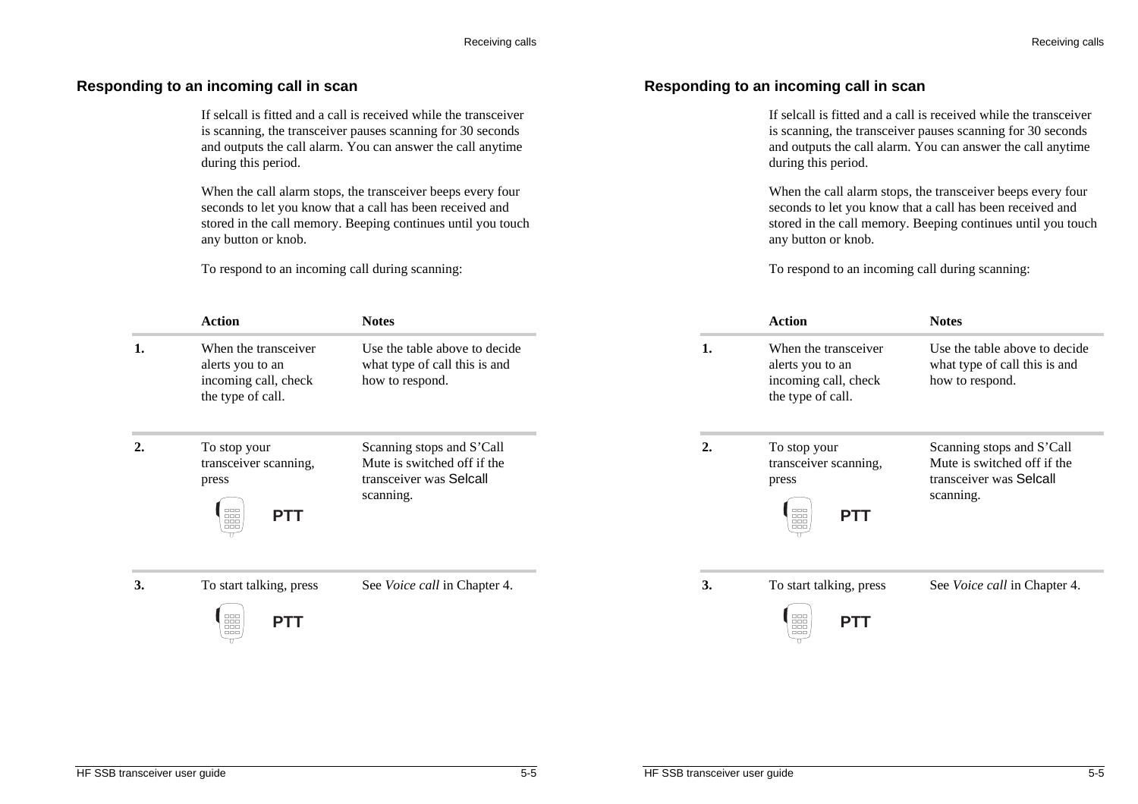## **Responding to an incoming call in scan**

If selcall is fitted and a call is received while the transceiver is scanning, the transceiver pauses scanning for 30 seconds and outputs the call alarm. You can answer the call anytime during this period.

When the call alarm stops, the transceiver beeps every four seconds to let you know that a call has been received and stored in the call memory. Beeping continues until you touch any button or knob.

To respond to an incoming call during scanning:

|    | Action                                                                                | <b>Notes</b>                                                                                     |
|----|---------------------------------------------------------------------------------------|--------------------------------------------------------------------------------------------------|
| 1. | When the transceiver<br>alerts you to an<br>incoming call, check<br>the type of call. | Use the table above to decide<br>what type of call this is and<br>how to respond.                |
| 2. | To stop your<br>transceiver scanning,<br>press<br>器<br><b>PTT</b><br>88 B.C           | Scanning stops and S'Call<br>Mute is switched off if the<br>transceiver was Selcall<br>scanning. |
| 3. | To start talking, press<br>PTT<br>$\Box$                                              | See <i>Voice call</i> in Chapter 4.                                                              |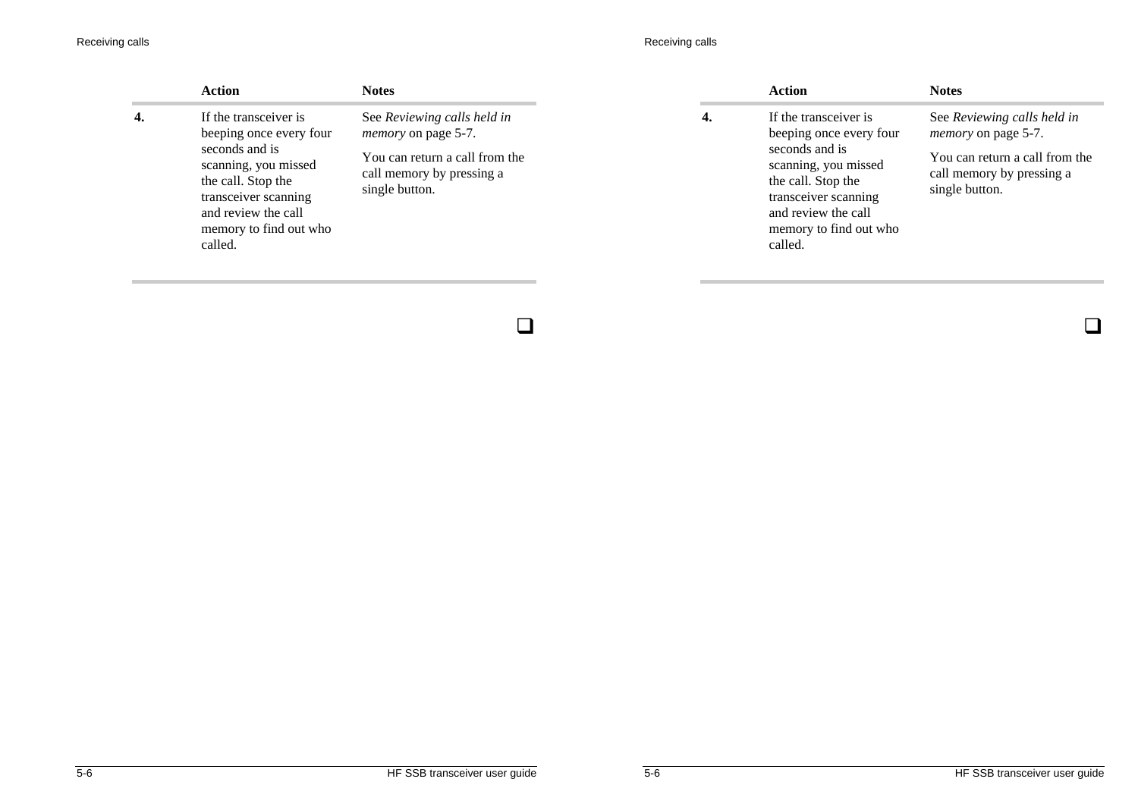| Action                                                                                                                                                                                               | <b>Notes</b>                                                                                                                               |
|------------------------------------------------------------------------------------------------------------------------------------------------------------------------------------------------------|--------------------------------------------------------------------------------------------------------------------------------------------|
| If the transceiver is<br>beeping once every four<br>seconds and is<br>scanning, you missed<br>the call. Stop the<br>transceiver scanning<br>and review the call<br>memory to find out who<br>called. | See Reviewing calls held in<br><i>memory</i> on page 5-7.<br>You can return a call from the<br>call memory by pressing a<br>single button. |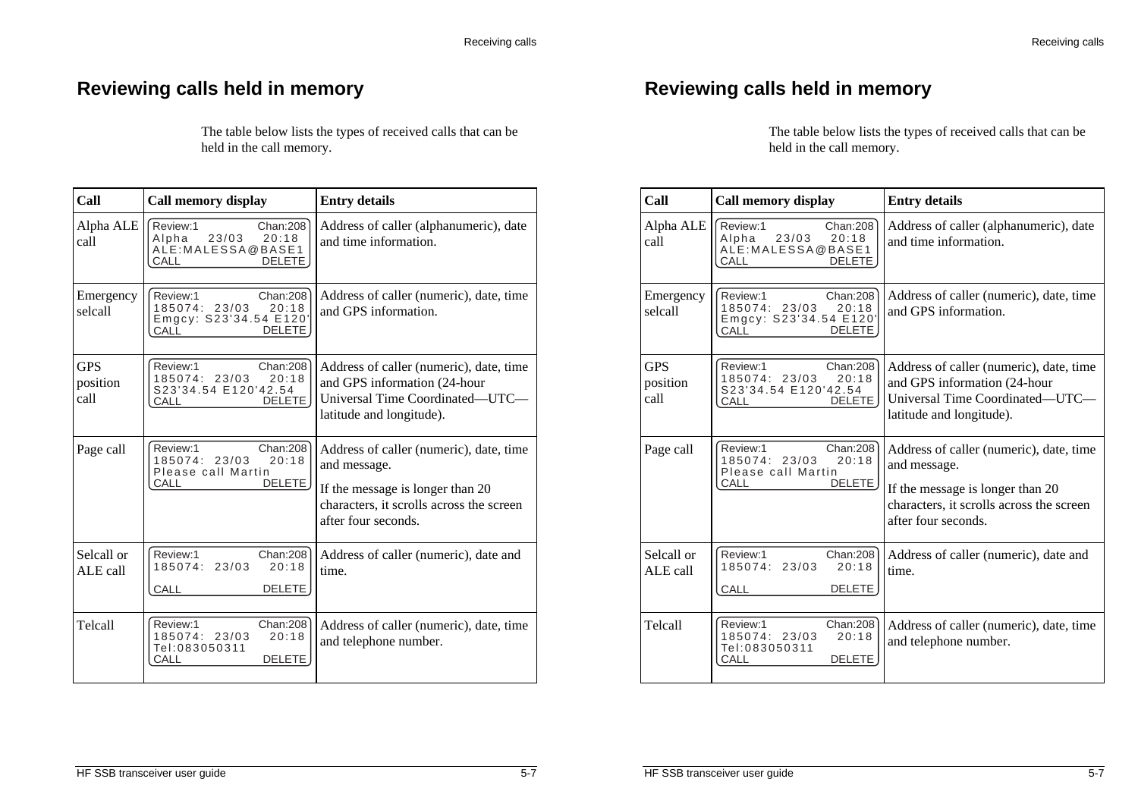# **Reviewing calls held in memory**

The table below lists the types of received calls that can be held in the call memory.

| Call                           | <b>Call memory display</b>                                                                         | <b>Entry details</b>                                                                                                                                           |
|--------------------------------|----------------------------------------------------------------------------------------------------|----------------------------------------------------------------------------------------------------------------------------------------------------------------|
| Alpha ALE<br>call              | Review:1<br>Chan: 208<br>23/03<br>20:18<br>Alpha<br>ALE: MALESSA@BASE1<br><b>DELETE</b><br>CALL    | Address of caller (alphanumeric), date<br>and time information.                                                                                                |
| Emergency<br>selcall           | Review:1<br>Chan: 208<br>185074: 23/03<br>20:18<br>Emgcy: S23'34.54 E120'<br><b>DELETE</b><br>CALL | Address of caller (numeric), date, time<br>and GPS information.                                                                                                |
| <b>GPS</b><br>position<br>call | Chan:208<br>Review:1<br>185074: 23/03<br>20:18<br>S23'34.54 E120'42.54<br>DELETE<br>CALL           | Address of caller (numeric), date, time<br>and GPS information (24-hour<br>Universal Time Coordinated-UTC-<br>latitude and longitude).                         |
| Page call                      | Chan: 208<br>Review:1<br>185074: 23/03<br>20:18<br>Please call Martin<br><b>DELETE</b><br>CALL     | Address of caller (numeric), date, time<br>and message.<br>If the message is longer than 20<br>characters, it scrolls across the screen<br>after four seconds. |
| Selcall or<br>ALE call         | Review:1<br>Chan: 208<br>23/03<br>185074:<br>20:18<br><b>DELETE</b><br>CALL                        | Address of caller (numeric), date and<br>time.                                                                                                                 |
| Telcall                        | Review:1<br>Chan: 208<br>20:18<br>185074: 23/03<br>Tel:083050311<br><b>DELETE</b><br>CALL          | Address of caller (numeric), date, time<br>and telephone number.                                                                                               |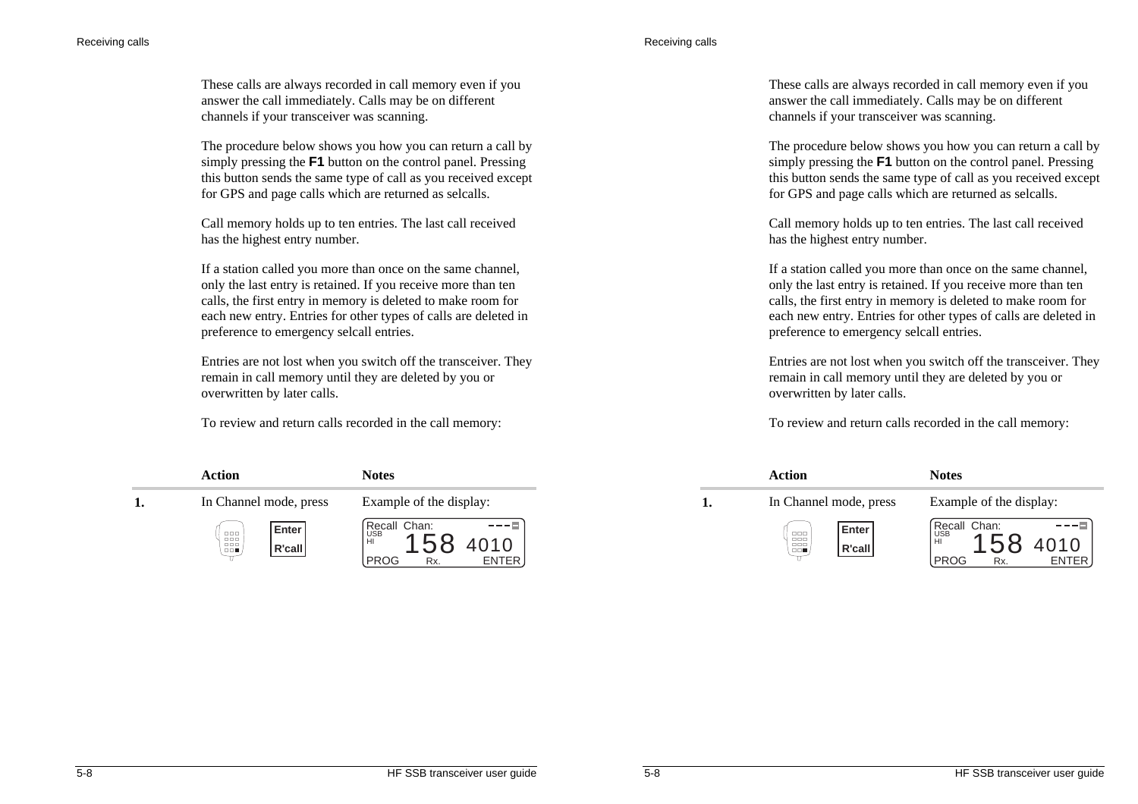These calls are always recorded in call memory even if you answer the call immediately. Calls may be on different channels if your transceiver was scanning.

The procedure below shows you how you can return a call by simply pressing the **F1** button on the control panel. Pressing this button sends the same type of call as you received except for GPS and page calls which are returned as selcalls.

Call memory holds up to ten entries. The last call received has the highest entry number.

If a station called you more than once on the same channel, only the last entry is retained. If you receive more than ten calls, the first entry in memory is deleted to make room for each new entry. Entries for other types of calls are deleted in preference to emergency selcall entries.

Entries are not lost when you switch off the transceiver. They remain in call memory until they are deleted by you or overwritten by later calls.

To review and return calls recorded in the call memory:

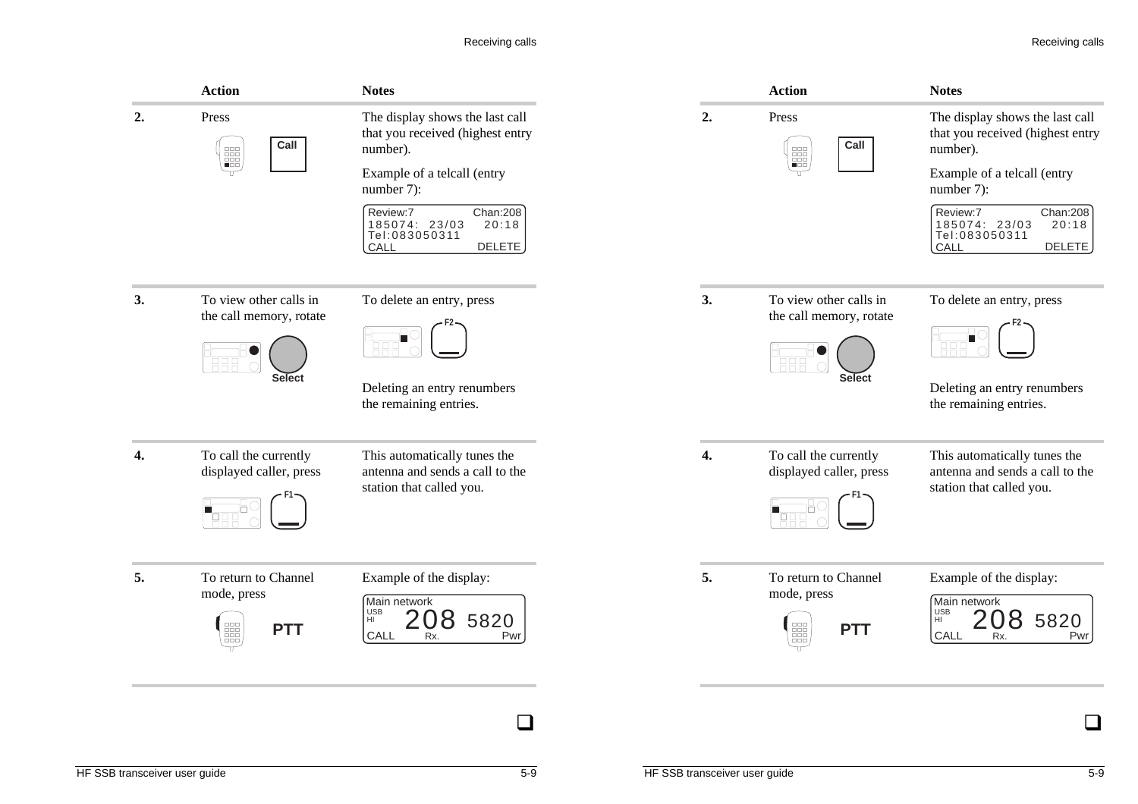|    | <b>Action</b>                                     | <b>Notes</b>                                                                                 |
|----|---------------------------------------------------|----------------------------------------------------------------------------------------------|
| 2. | Press<br>Call<br>88 88<br>300                     | The display shows the last call<br>that you received (highest entry<br>number).              |
|    |                                                   | Example of a telcall (entry<br>number 7):                                                    |
|    |                                                   | Review:7<br>Chan: 208<br>185074:<br>23/03<br>20:18<br>Tel:083050311<br><b>DELETE</b><br>CALL |
| 3. | To view other calls in<br>the call memory, rotate | To delete an entry, press                                                                    |
|    |                                                   |                                                                                              |
|    | <b>Select</b>                                     | Deleting an entry renumbers<br>the remaining entries.                                        |
| 4. | To call the currently<br>displayed caller, press  | This automatically tunes the<br>antenna and sends a call to the<br>station that called you.  |
| 5. | To return to Channel                              | Example of the display:                                                                      |
|    | mode, press                                       | Main network<br><b>USB</b><br>5820<br>HI<br>CALL<br>Pwr<br>Rx                                |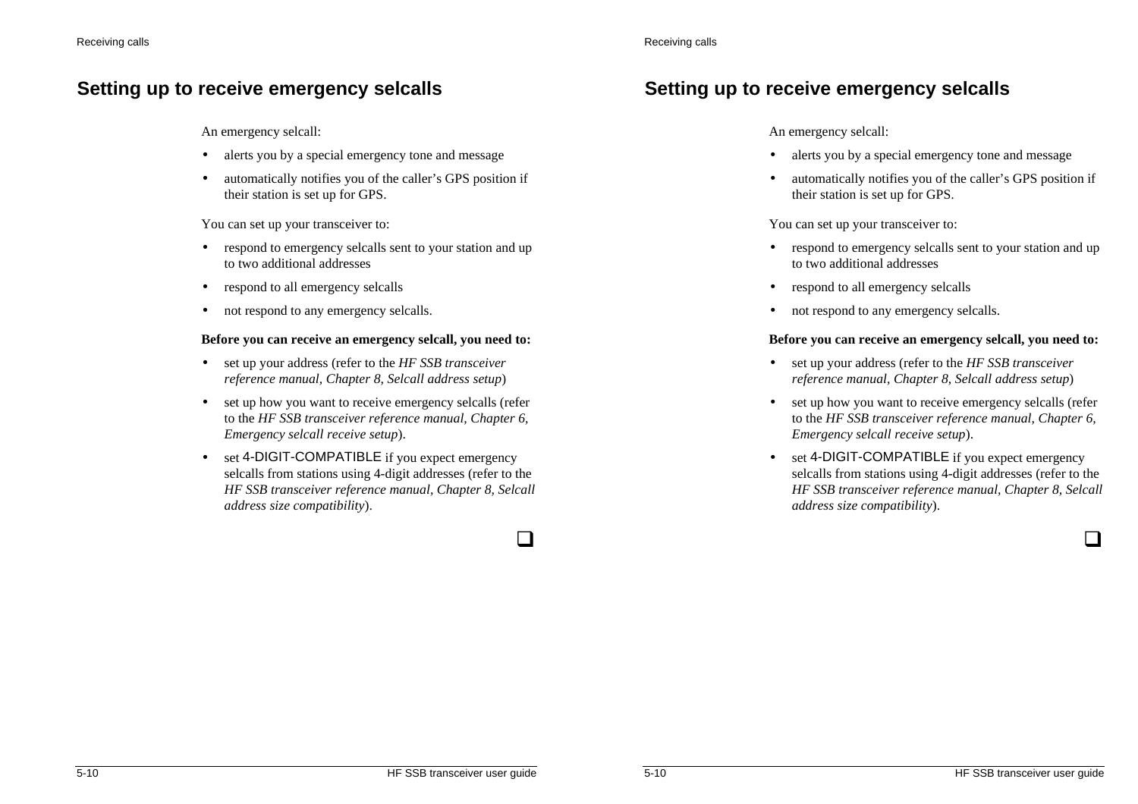# **Setting up to receive emergency selcalls**

An emergency selcall:

- alerts you by a special emergency tone and message
- automatically notifies you of the caller's GPS position if their station is set up for GPS.

You can set up your transceiver to:

- respond to emergency selcalls sent to your station and up to two additional addresses
- respond to all emergency selcalls
- not respond to any emergency selcalls.

#### **Before you can receive an emergency selcall, you need to:**

- set up your address (refer to the *HF SSB transceiver reference manual, Chapter 8, Selcall address setup*)
- set up how you want to receive emergency selcalls (refer to the *HF SSB transceiver reference manual, Chapter 6, Emergency selcall receive setup*).
- set 4-DIGIT-COMPATIBLE if you expect emergency selcalls from stations using 4-digit addresses (refer to the *HF SSB transceiver reference manual, Chapter 8, Selcall address size compatibility*).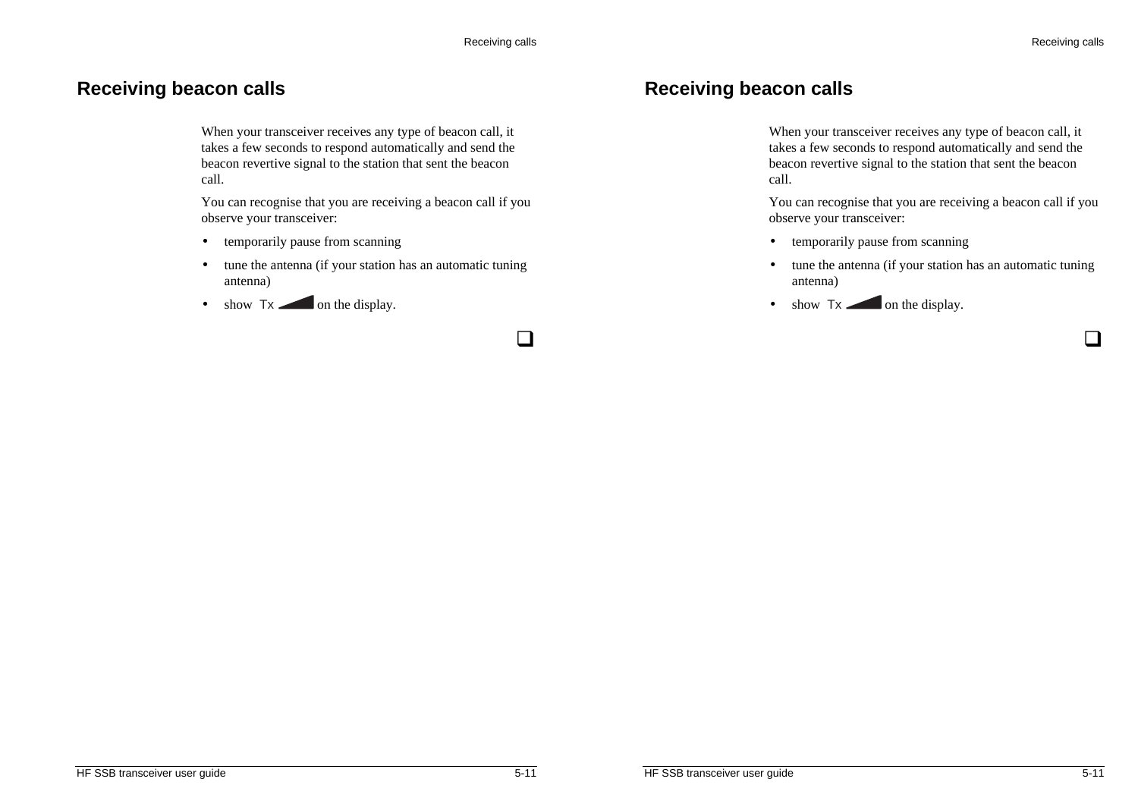# **Receiving beacon calls**

When your transceiver receives any type of beacon call, it takes a few seconds to respond automatically and send the beacon revertive signal to the station that sent the beacon call.

You can recognise that you are receiving a beacon call if you observe your transceiver:

- temporarily pause from scanning
- tune the antenna (if your station has an automatic tuning antenna)
- show  $Tx$  on the display.

⊓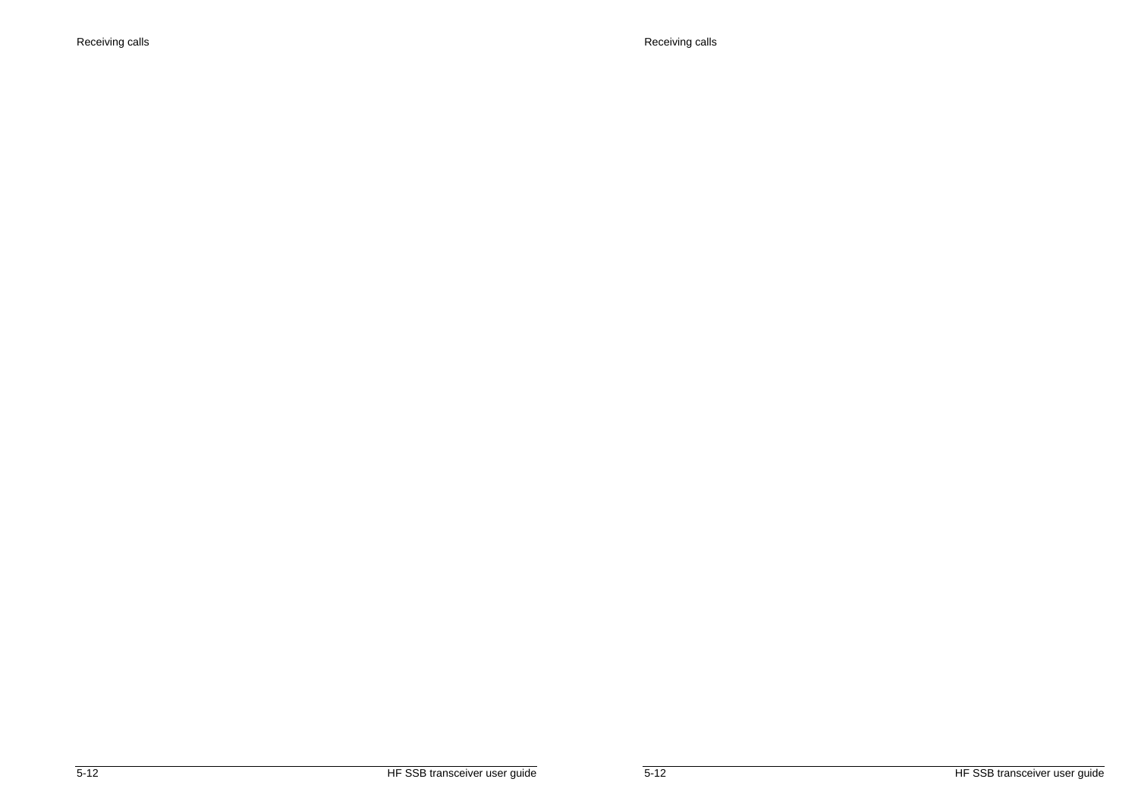Receiving calls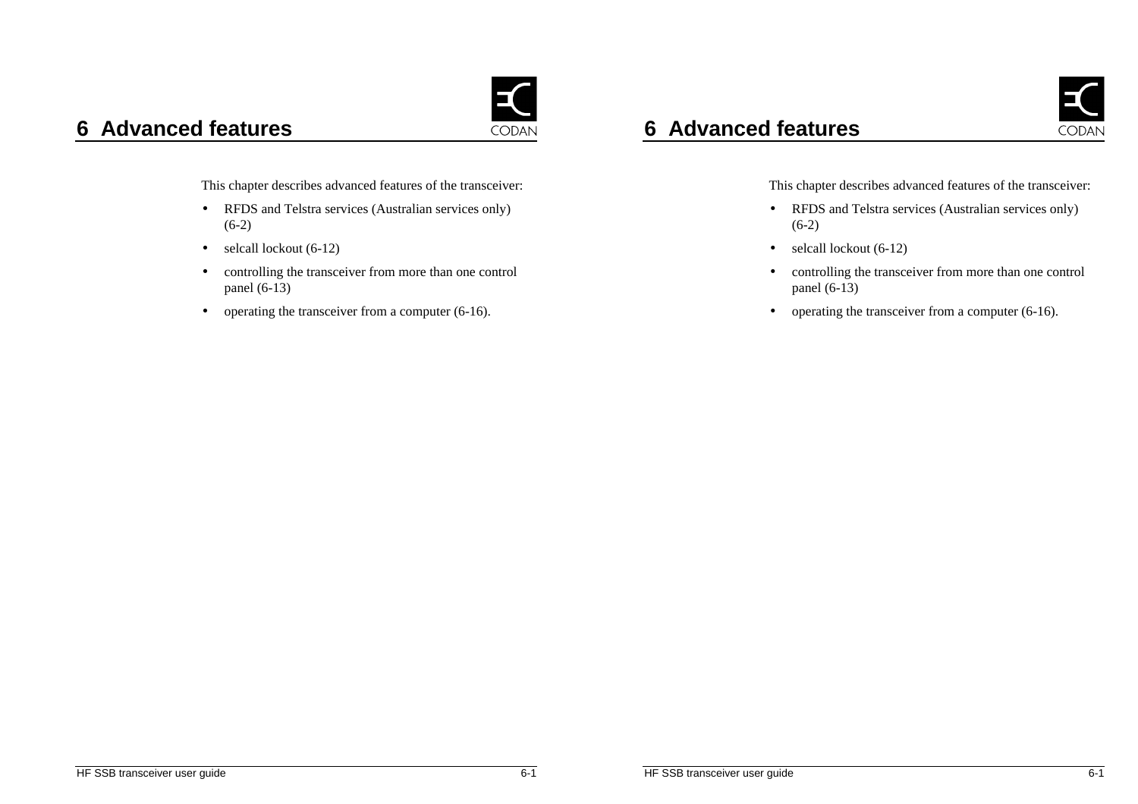

# **6 Advanced features**

This chapter describes advanced features of the transceiver:

- RFDS and Telstra services (Australian services only)  $(6-2)$
- $\bullet$  selcall lockout (6-12)
- controlling the transceiver from more than one control panel (6-13)
- operating the transceiver from a computer (6-16).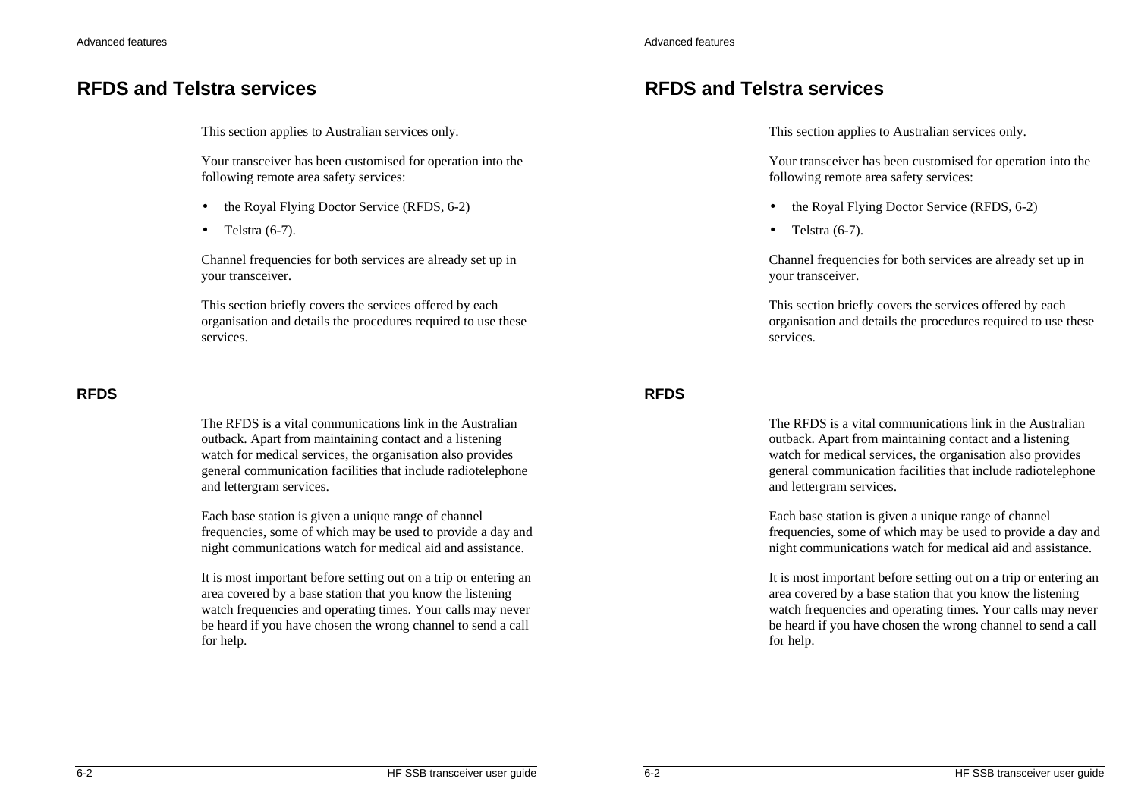# **RFDS and Telstra services**

This section applies to Australian services only.

Your transceiver has been customised for operation into the following remote area safety services:

- the Royal Flying Doctor Service (RFDS, 6-2)
- Telstra (6-7).

Channel frequencies for both services are already set up in your transceiver.

This section briefly covers the services offered by each organisation and details the procedures required to use these services.

# **RFDS**

The RFDS is a vital communications link in the Australian outback. Apart from maintaining contact and a listening watch for medical services, the organisation also provides general communication facilities that include radiotelephone and lettergram services.

Each base station is given a unique range of channel frequencies, some of which may be used to provide a day and night communications watch for medical aid and assistance.

It is most important before setting out on a trip or entering an area covered by a base station that you know the listening watch frequencies and operating times. Your calls may never be heard if you have chosen the wrong channel to send a call for help.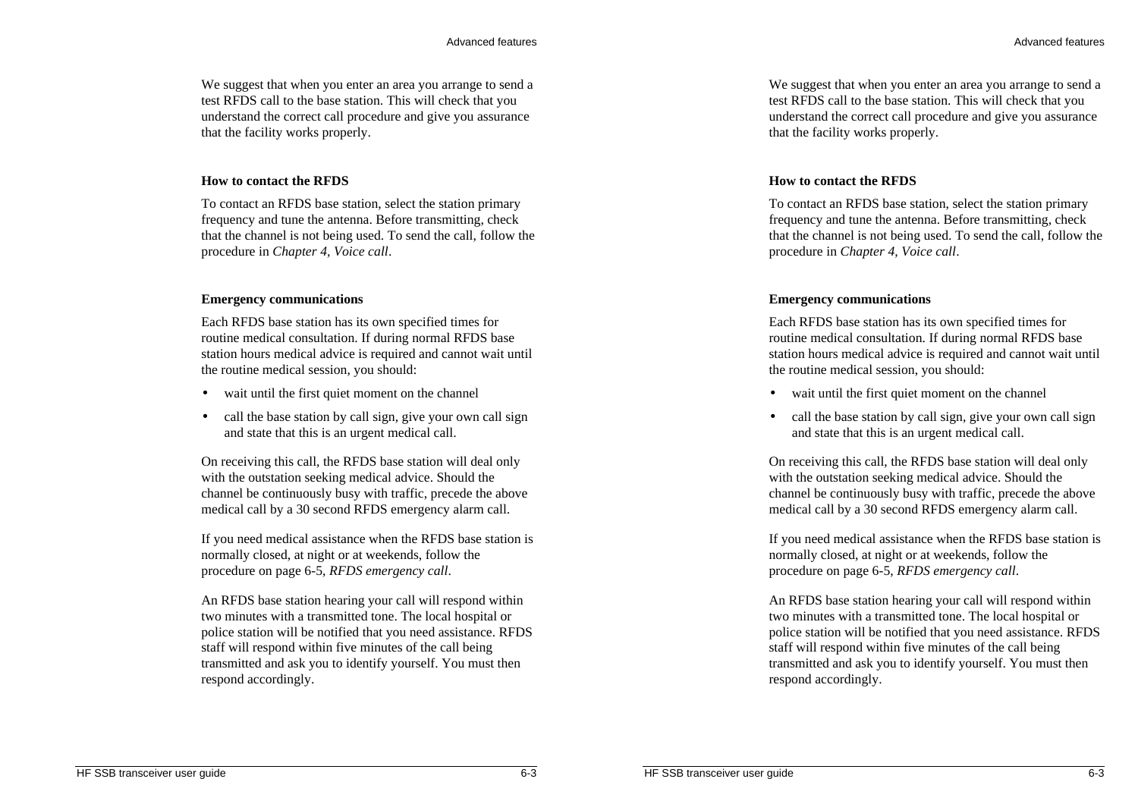We suggest that when you enter an area you arrange to send a test RFDS call to the base station. This will check that you understand the correct call procedure and give you assurance that the facility works properly.

### **How to contact the RFDS**

To contact an RFDS base station, select the station primary frequency and tune the antenna. Before transmitting, check that the channel is not being used. To send the call, follow the procedure in *Chapter 4, Voice call*.

### **Emergency communications**

Each RFDS base station has its own specified times for routine medical consultation. If during normal RFDS base station hours medical advice is required and cannot wait until the routine medical session, you should:

- wait until the first quiet moment on the channel
- call the base station by call sign, give your own call sign and state that this is an urgent medical call.

On receiving this call, the RFDS base station will deal only with the outstation seeking medical advice. Should the channel be continuously busy with traffic, precede the above medical call by a 30 second RFDS emergency alarm call.

If you need medical assistance when the RFDS base station is normally closed, at night or at weekends, follow the procedure on page 6-5, *RFDS emergency call*.

An RFDS base station hearing your call will respond within two minutes with a transmitted tone. The local hospital or police station will be notified that you need assistance. RFDS staff will respond within five minutes of the call being transmitted and ask you to identify yourself. You must then respond accordingly.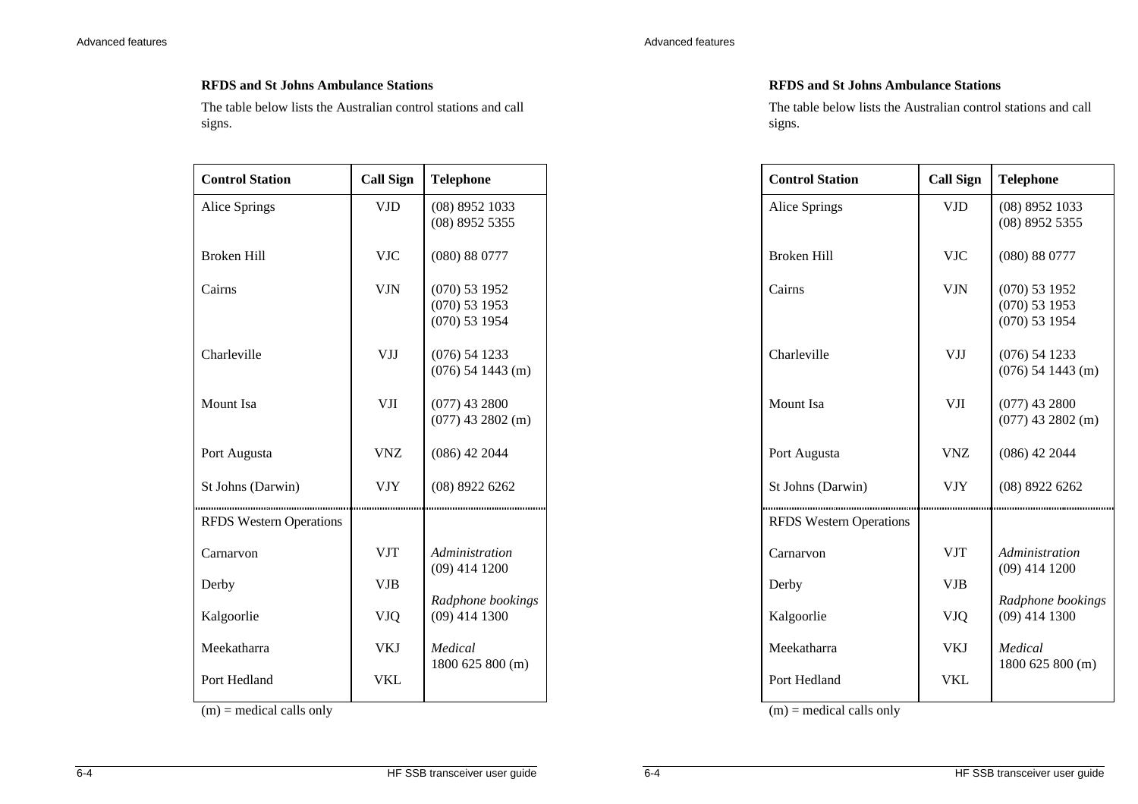## **RFDS and St Johns Ambulance Stations**

The table below lists the Australian control stations and call signs.

| <b>Control Station</b>         | <b>Call Sign</b> | <b>Telephone</b>                                      |
|--------------------------------|------------------|-------------------------------------------------------|
| Alice Springs                  | <b>VJD</b>       | (08) 8952 1033<br>(08) 8952 5355                      |
| <b>Broken Hill</b>             | <b>VJC</b>       | (080) 88 0777                                         |
| Cairns                         | <b>VJN</b>       | $(070)$ 53 1952<br>$(070)$ 53 1953<br>$(070)$ 53 1954 |
| Charleville                    | VJJ              | $(076)$ 54 1233<br>$(076)$ 54 1443 (m)                |
| Mount Isa                      | <b>VII</b>       | $(077)$ 43 2800<br>$(077)$ 43 2802 (m)                |
| Port Augusta                   | <b>VNZ</b>       | $(086)$ 42 2044                                       |
| St Johns (Darwin)              | <b>VJY</b>       | (08) 8922 6262                                        |
| <b>RFDS Western Operations</b> |                  |                                                       |
| Carnarvon                      | <b>VJT</b>       | Administration<br>$(09)$ 414 1200                     |
| Derby                          | <b>VJB</b>       | Radphone bookings                                     |
| Kalgoorlie                     | VJQ              | $(09)$ 414 1300                                       |
| Meekatharra                    | <b>VKI</b>       | Medical<br>1800 625 800 (m)                           |
| Port Hedland                   | <b>VKL</b>       |                                                       |

(m) = medical calls only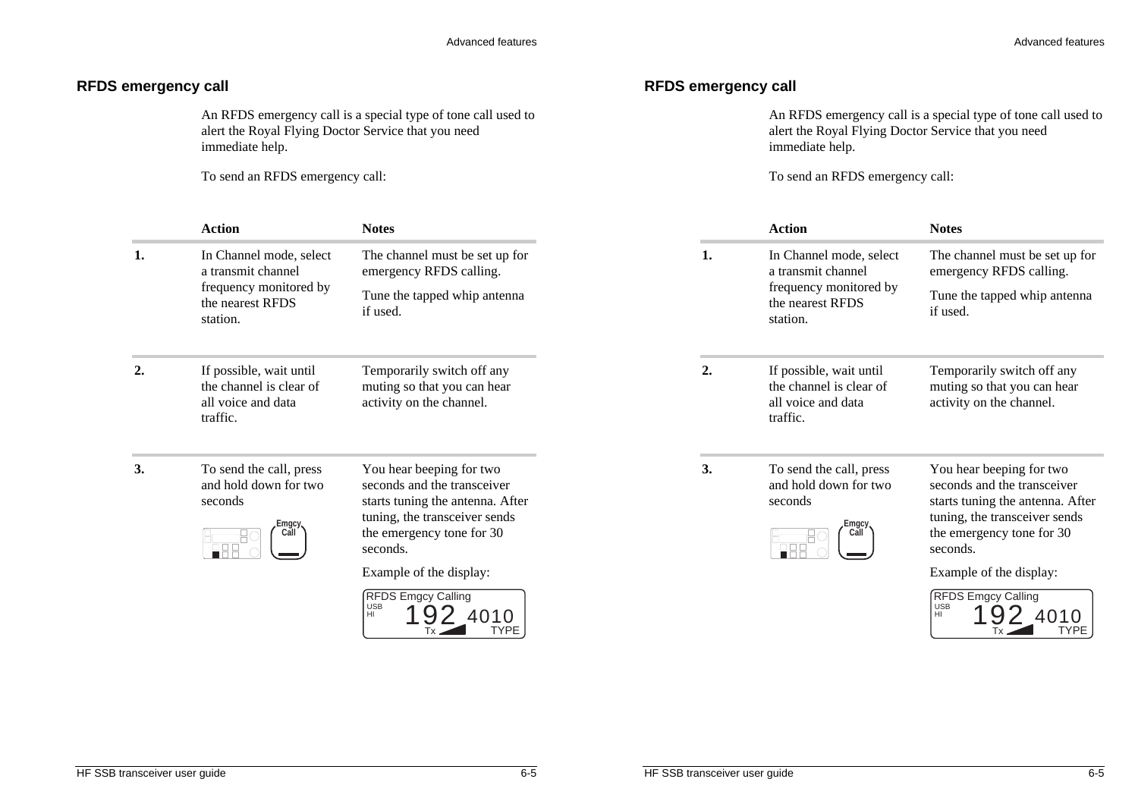# **RFDS emergency call**

An RFDS emergency call is a special type of tone call used to alert the Royal Flying Doctor Service that you need immediate help.

To send an RFDS emergency call:

|                  | Action                                                                                                  | <b>Notes</b>                                                                                                                                                          |
|------------------|---------------------------------------------------------------------------------------------------------|-----------------------------------------------------------------------------------------------------------------------------------------------------------------------|
| 1.               | In Channel mode, select<br>a transmit channel<br>frequency monitored by<br>the nearest RFDS<br>station. | The channel must be set up for<br>emergency RFDS calling.<br>Tune the tapped whip antenna<br>if used.                                                                 |
| $\overline{2}$ . | If possible, wait until<br>the channel is clear of<br>all voice and data<br>traffic.                    | Temporarily switch off any<br>muting so that you can hear<br>activity on the channel.                                                                                 |
| 3.               | To send the call, press<br>and hold down for two<br>seconds<br>Emgcy,<br>Call                           | You hear beeping for two<br>seconds and the transceiver<br>starts tuning the antenna. After<br>tuning, the transceiver sends<br>the emergency tone for 30<br>seconds. |
|                  |                                                                                                         | Example of the display:                                                                                                                                               |

USB<br>HI

RFDS Emgcy Calling

 $92\substack{+8.010\text{p}}$  TYP

**TYPE**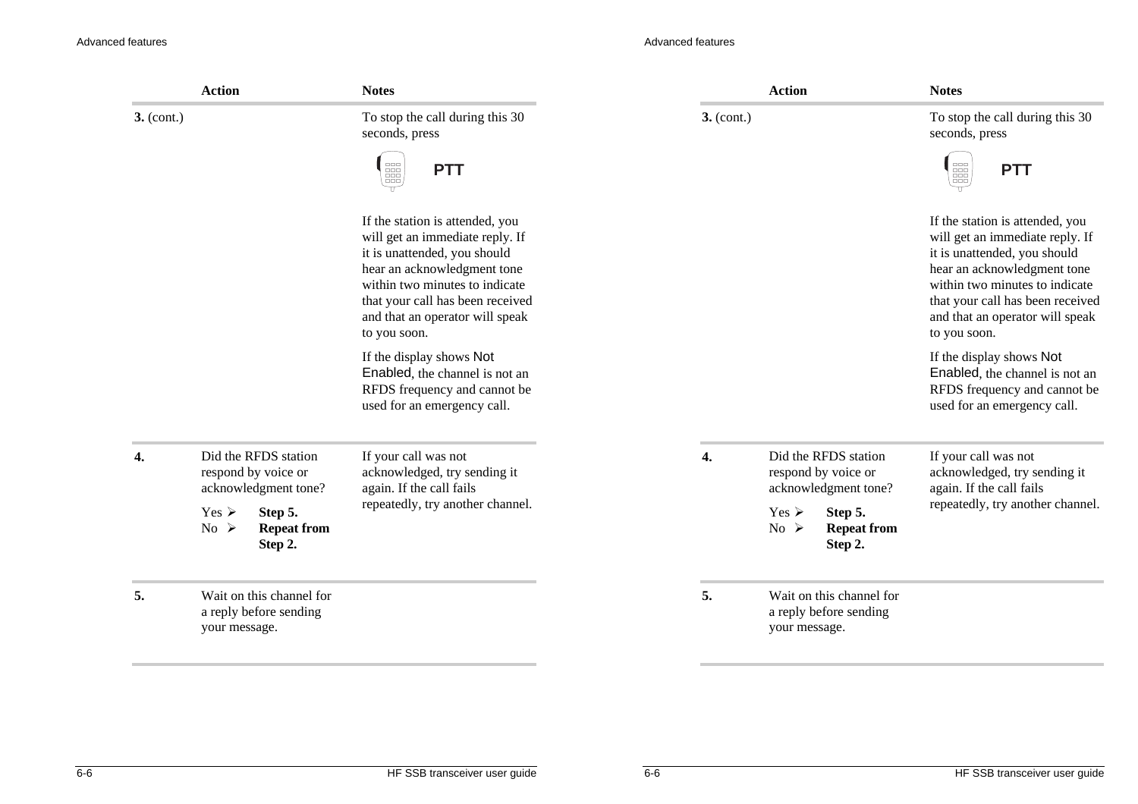|            | <b>Action</b>                                                       | <b>Notes</b>                                                                                                                                                                                                                                               |
|------------|---------------------------------------------------------------------|------------------------------------------------------------------------------------------------------------------------------------------------------------------------------------------------------------------------------------------------------------|
| 3. (cont.) |                                                                     | To stop the call during this 30<br>seconds, press<br><b>PTT</b>                                                                                                                                                                                            |
|            |                                                                     | If the station is attended, you<br>will get an immediate reply. If<br>it is unattended, you should<br>hear an acknowledgment tone<br>within two minutes to indicate<br>that your call has been received<br>and that an operator will speak<br>to you soon. |
|            |                                                                     | If the display shows Not<br>Enabled, the channel is not an<br>RFDS frequency and cannot be<br>used for an emergency call.                                                                                                                                  |
| 4.         | Did the RFDS station<br>respond by voice or<br>acknowledgment tone? | If your call was not<br>acknowledged, try sending it<br>again. If the call fails<br>repeatedly, try another channel.                                                                                                                                       |
|            | Yes ><br>Step 5.<br>No ><br><b>Repeat from</b><br>Step 2.           |                                                                                                                                                                                                                                                            |
| 5.         | Wait on this channel for<br>a reply before sending<br>your message. |                                                                                                                                                                                                                                                            |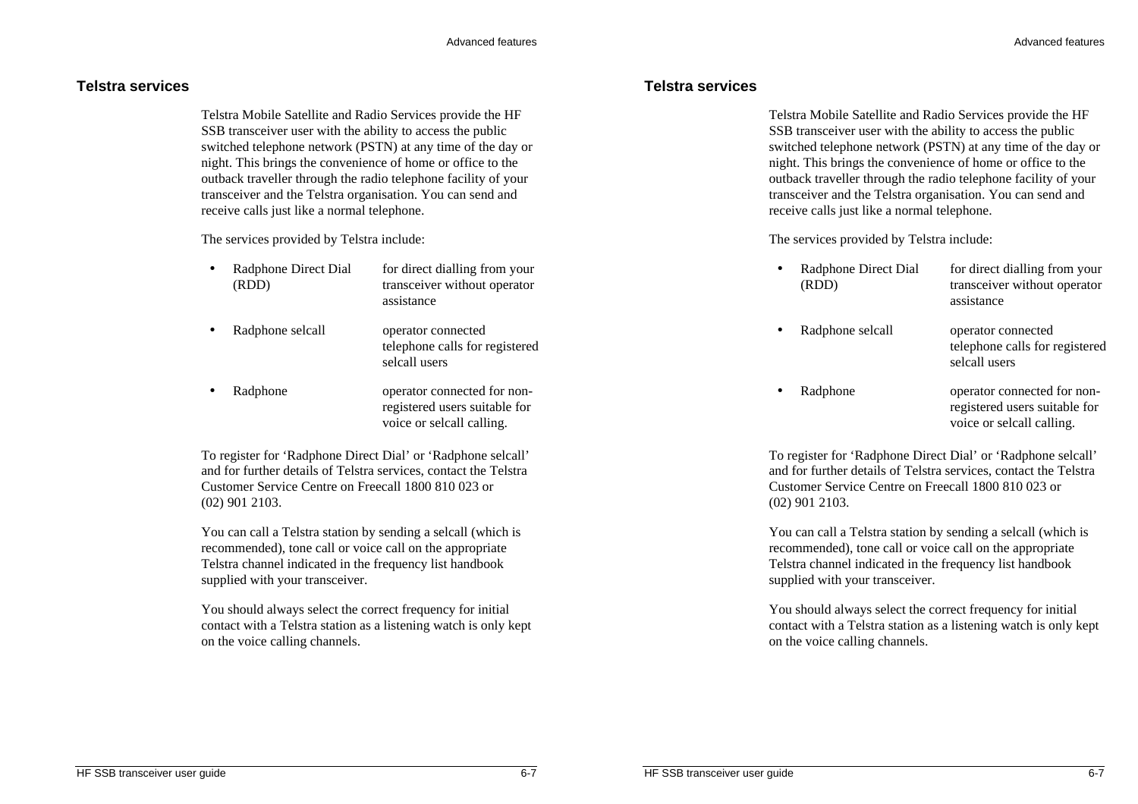## **Telstra services**

Telstra Mobile Satellite and Radio Services provide the HF SSB transceiver user with the ability to access the public switched telephone network (PSTN) at any time of the day or night. This brings the convenience of home or office to the outback traveller through the radio telephone facility of your transceiver and the Telstra organisation. You can send and receive calls just like a normal telephone.

The services provided by Telstra include:

| Radphone Direct Dial<br>(RDD) | for direct dialling from your<br>transceiver without operator<br>assistance               |
|-------------------------------|-------------------------------------------------------------------------------------------|
| Radphone selcall              | operator connected<br>telephone calls for registered<br>selcall users                     |
| Radphone                      | operator connected for non-<br>registered users suitable for<br>voice or selcall calling. |

To register for 'Radphone Direct Dial' or 'Radphone selcall' and for further details of Telstra services, contact the Telstra Customer Service Centre on Freecall 1800 810 023 or (02) 901 2103.

You can call a Telstra station by sending a selcall (which is recommended), tone call or voice call on the appropriate Telstra channel indicated in the frequency list handbook supplied with your transceiver.

You should always select the correct frequency for initial contact with a Telstra station as a listening watch is only kept on the voice calling channels.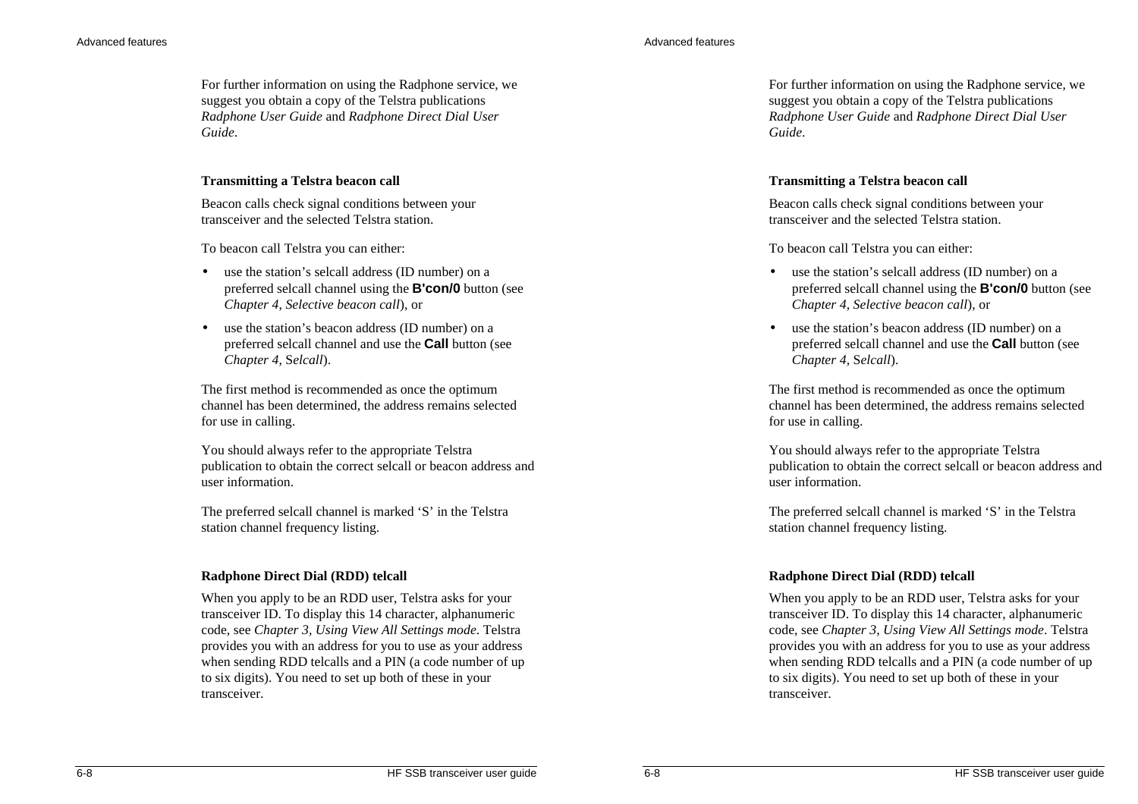For further information on using the Radphone service, we suggest you obtain a copy of the Telstra publications *Radphone User Guide* and *Radphone Direct Dial User Guide*.

### **Transmitting a Telstra beacon call**

Beacon calls check signal conditions between your transceiver and the selected Telstra station.

To beacon call Telstra you can either:

- use the station's selcall address (ID number) on a preferred selcall channel using the **B'con/0** button (see *Chapter 4*, *Selective beacon call*), or
- use the station's beacon address (ID number) on a preferred selcall channel and use the **Call** button (see *Chapter 4*, S*elcall*).

The first method is recommended as once the optimum channel has been determined, the address remains selected for use in calling.

You should always refer to the appropriate Telstra publication to obtain the correct selcall or beacon address and user information.

The preferred selcall channel is marked 'S' in the Telstra station channel frequency listing.

## **Radphone Direct Dial (RDD) telcall**

When you apply to be an RDD user, Telstra asks for your transceiver ID. To display this 14 character, alphanumeric code, see *Chapter 3, Using View All Settings mode*. Telstra provides you with an address for you to use as your address when sending RDD telcalls and a PIN (a code number of up to six digits). You need to set up both of these in your transceiver.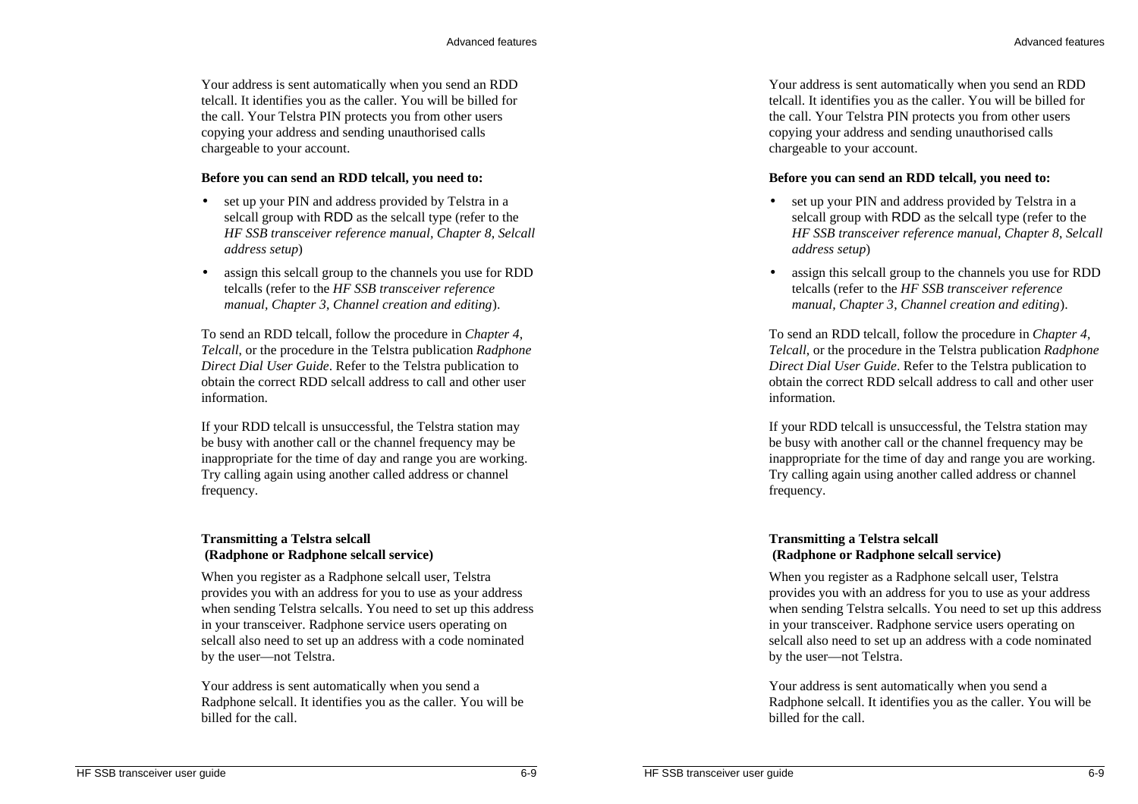Your address is sent automatically when you send an RDD telcall. It identifies you as the caller. You will be billed for the call. Your Telstra PIN protects you from other users copying your address and sending unauthorised calls chargeable to your account.

#### **Before you can send an RDD telcall, you need to:**

- set up your PIN and address provided by Telstra in a selcall group with RDD as the selcall type (refer to the *HF SSB transceiver reference manual, Chapter 8*, *Selcall address setup*)
- assign this selcall group to the channels you use for RDD telcalls (refer to the *HF SSB transceiver reference manual, Chapter 3*, *Channel creation and editing*).

To send an RDD telcall, follow the procedure in *Chapter 4*, *Telcall*, or the procedure in the Telstra publication *Radphone Direct Dial User Guide*. Refer to the Telstra publication to obtain the correct RDD selcall address to call and other user information.

If your RDD telcall is unsuccessful, the Telstra station may be busy with another call or the channel frequency may be inappropriate for the time of day and range you are working. Try calling again using another called address or channel frequency.

## **Transmitting a Telstra selcall (Radphone or Radphone selcall service)**

When you register as a Radphone selcall user, Telstra provides you with an address for you to use as your address when sending Telstra selcalls. You need to set up this address in your transceiver. Radphone service users operating on selcall also need to set up an address with a code nominated by the user—not Telstra.

Your address is sent automatically when you send a Radphone selcall. It identifies you as the caller. You will be billed for the call.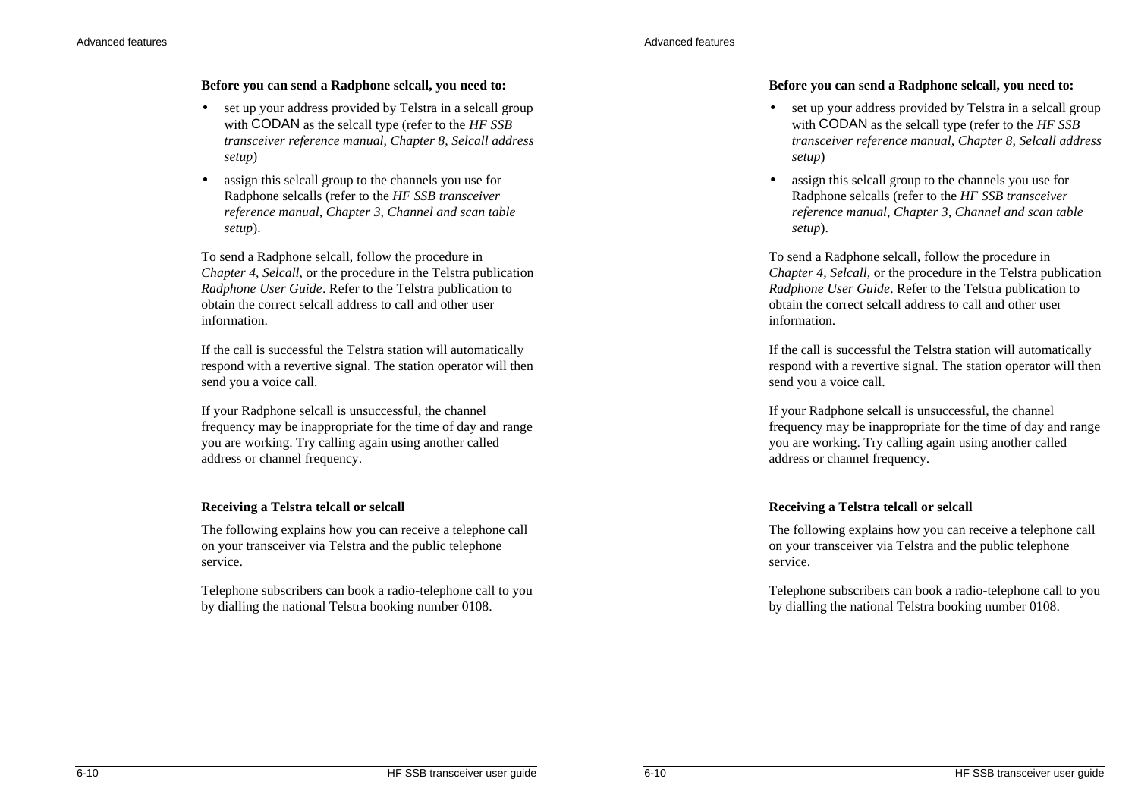#### **Before you can send a Radphone selcall, you need to:**

- set up your address provided by Telstra in a selcall group with CODAN as the selcall type (refer to the *HF SSB transceiver reference manual, Chapter 8, Selcall address setup*)
- assign this selcall group to the channels you use for Radphone selcalls (refer to the *HF SSB transceiver reference manual, Chapter 3, Channel and scan table setup*).

To send a Radphone selcall, follow the procedure in *Chapter 4, Selcall*, or the procedure in the Telstra publication *Radphone User Guide*. Refer to the Telstra publication to obtain the correct selcall address to call and other user information.

If the call is successful the Telstra station will automatically respond with a revertive signal. The station operator will then send you a voice call.

If your Radphone selcall is unsuccessful, the channel frequency may be inappropriate for the time of day and range you are working. Try calling again using another called address or channel frequency.

### **Receiving a Telstra telcall or selcall**

The following explains how you can receive a telephone call on your transceiver via Telstra and the public telephone service.

Telephone subscribers can book a radio-telephone call to you by dialling the national Telstra booking number 0108.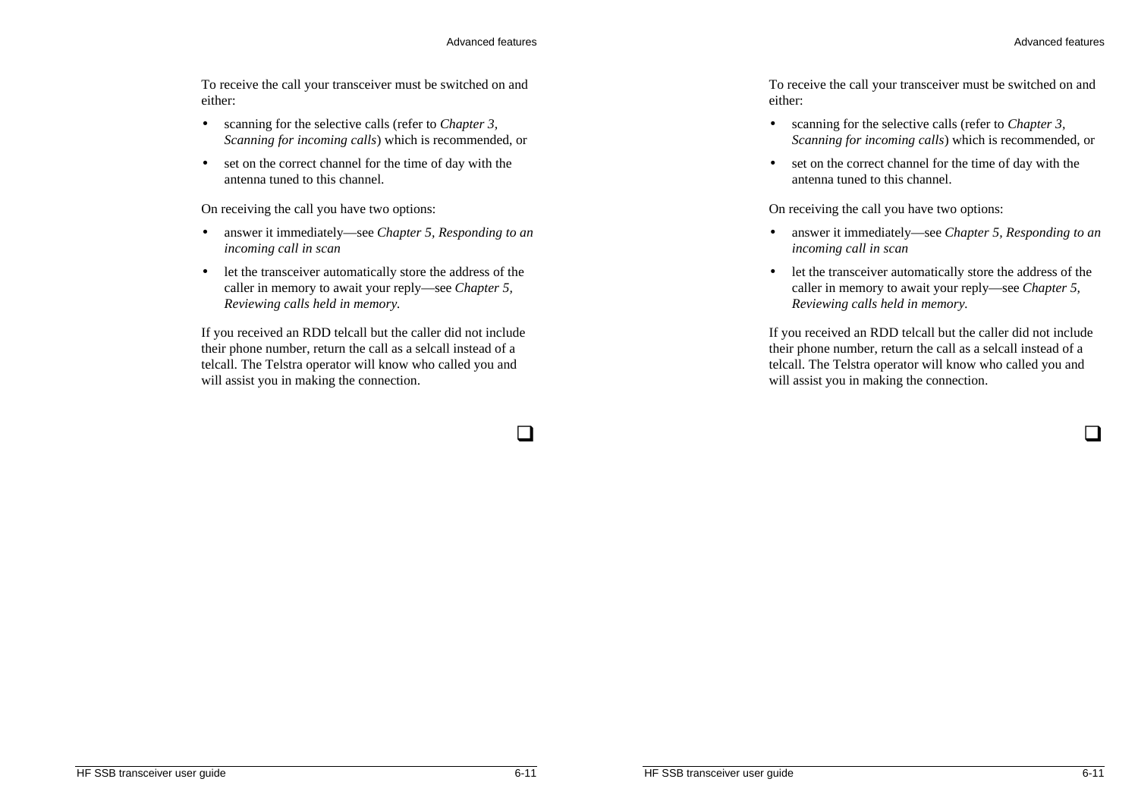To receive the call your transceiver must be switched on and either:

- scanning for the selective calls (refer to *Chapter 3, Scanning for incoming calls*) which is recommended, or
- set on the correct channel for the time of day with the antenna tuned to this channel.

On receiving the call you have two options:

- answer it immediately—see *Chapter 5, Responding to an incoming call in scan*
- let the transceiver automatically store the address of the caller in memory to await your reply—see *Chapter 5, Reviewing calls held in memory.*

If you received an RDD telcall but the caller did not include their phone number, return the call as a selcall instead of a telcall. The Telstra operator will know who called you and will assist you in making the connection.

 $\Box$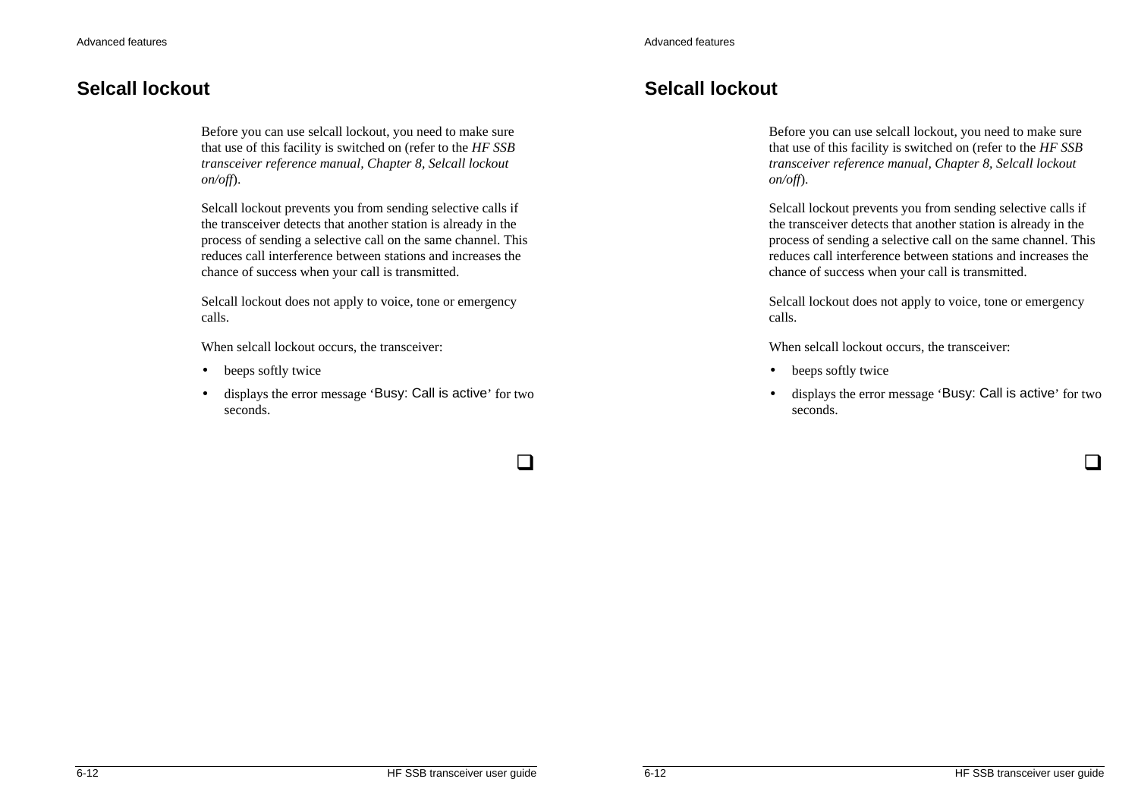# **Selcall lockout**

Before you can use selcall lockout, you need to make sure that use of this facility is switched on (refer to the *HF SSB transceiver reference manual, Chapter 8, Selcall lockout on/off*).

Selcall lockout prevents you from sending selective calls if the transceiver detects that another station is already in the process of sending a selective call on the same channel. This reduces call interference between stations and increases the chance of success when your call is transmitted.

Selcall lockout does not apply to voice, tone or emergency calls.

When selcall lockout occurs, the transceiver:

- beeps softly twice
- displays the error message 'Busy: Call is active' for two seconds.

 $\Box$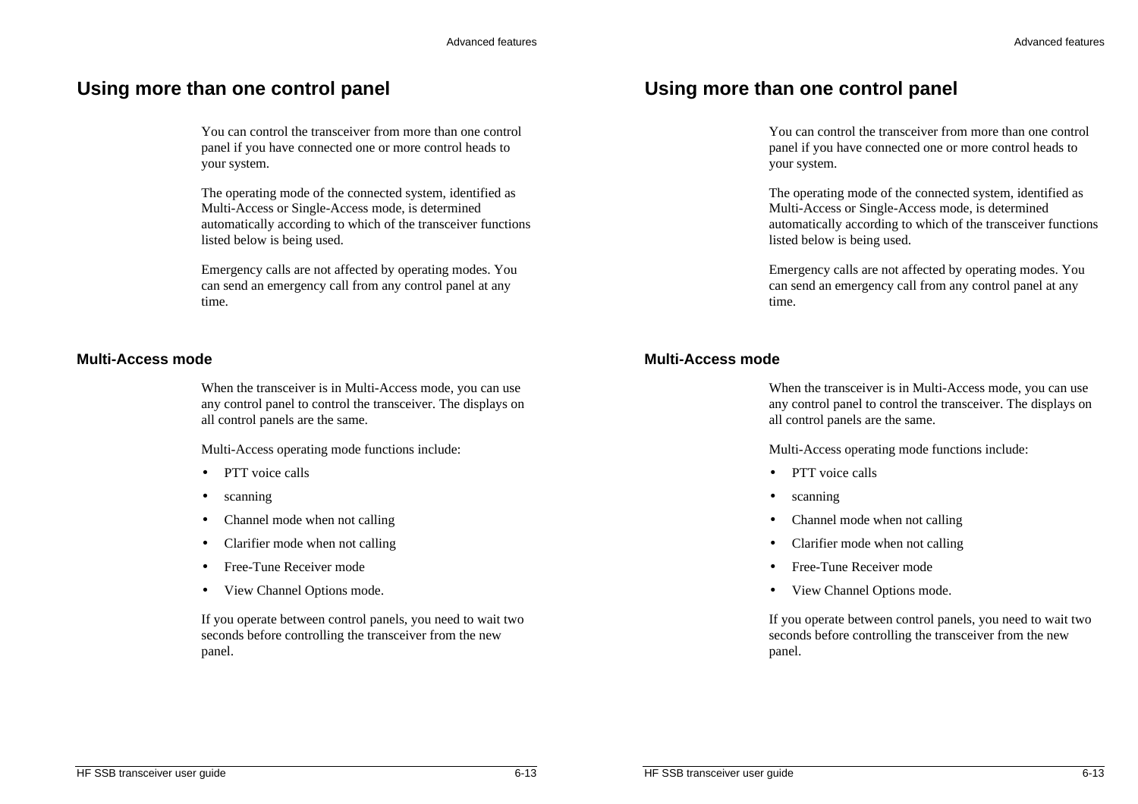### **Using more than one control panel**

You can control the transceiver from more than one control panel if you have connected one or more control heads to your system.

The operating mode of the connected system, identified as Multi-Access or Single-Access mode, is determined automatically according to which of the transceiver functions listed below is being used.

Emergency calls are not affected by operating modes. You can send an emergency call from any control panel at any time.

### **Multi-Access mode**

When the transceiver is in Multi-Access mode, you can use any control panel to control the transceiver. The displays on all control panels are the same.

Multi-Access operating mode functions include:

- PTT voice calls
- scanning
- Channel mode when not calling
- Clarifier mode when not calling
- Free-Tune Receiver mode
- View Channel Options mode.

If you operate between control panels, you need to wait two seconds before controlling the transceiver from the new panel.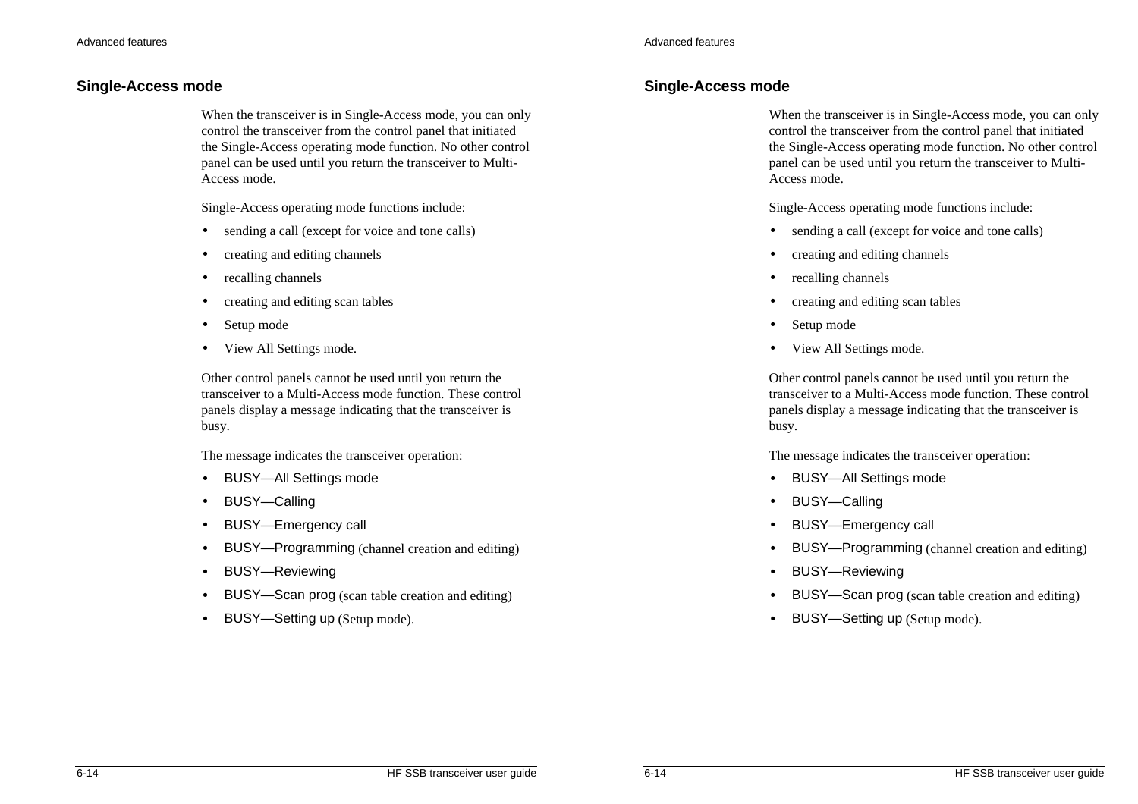### **Single-Access mode**

When the transceiver is in Single-Access mode, you can only control the transceiver from the control panel that initiated the Single-Access operating mode function. No other control panel can be used until you return the transceiver to Multi-Access mode.

Single-Access operating mode functions include:

- sending a call (except for voice and tone calls)
- creating and editing channels
- recalling channels
- creating and editing scan tables
- Setup mode
- View All Settings mode.

Other control panels cannot be used until you return the transceiver to a Multi-Access mode function. These control panels display a message indicating that the transceiver is busy.

The message indicates the transceiver operation:

- BUSY—All Settings mode
- BUSY—Calling
- BUSY—Emergency call
- BUSY—Programming (channel creation and editing)
- BUSY—Reviewing
- BUSY—Scan prog (scan table creation and editing)
- BUSY—Setting up (Setup mode).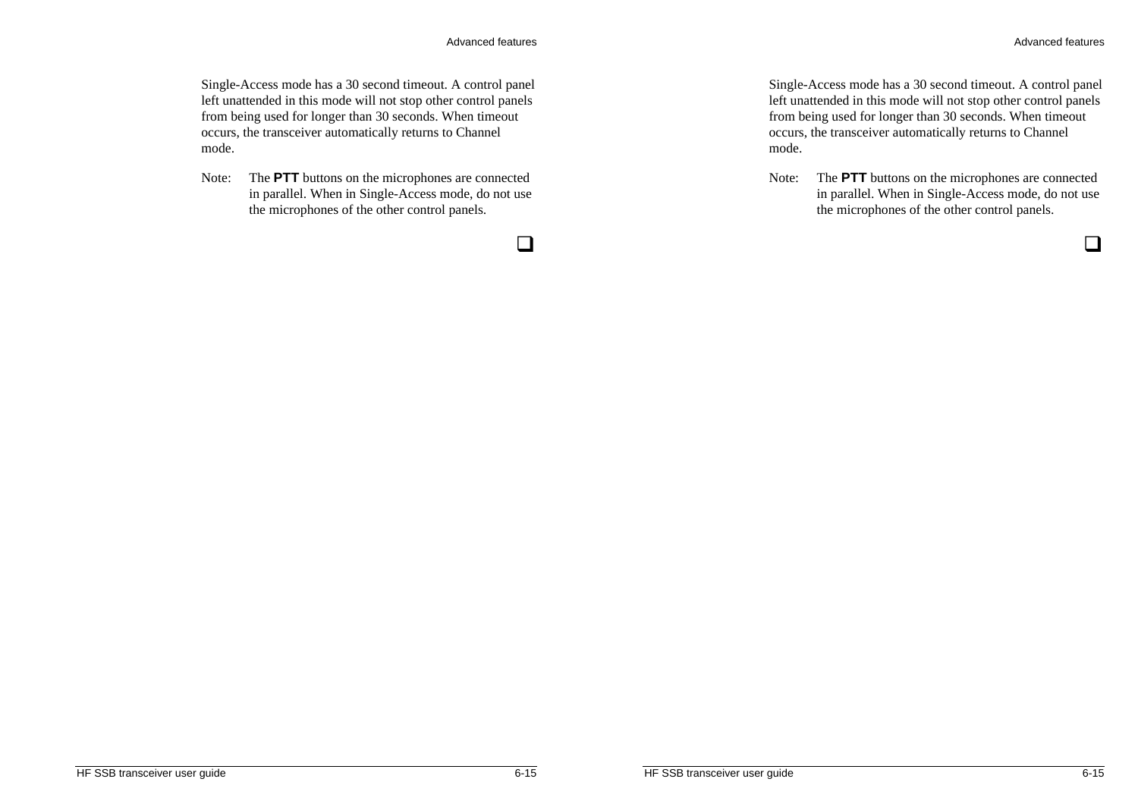$\Box$ 

Single-Access mode has a 30 second timeout. A control panel left unattended in this mode will not stop other control panels from being used for longer than 30 seconds. When timeout occurs, the transceiver automatically returns to Channel mode.

Note: The **PTT** buttons on the microphones are connected in parallel. When in Single-Access mode, do not use the microphones of the other control panels.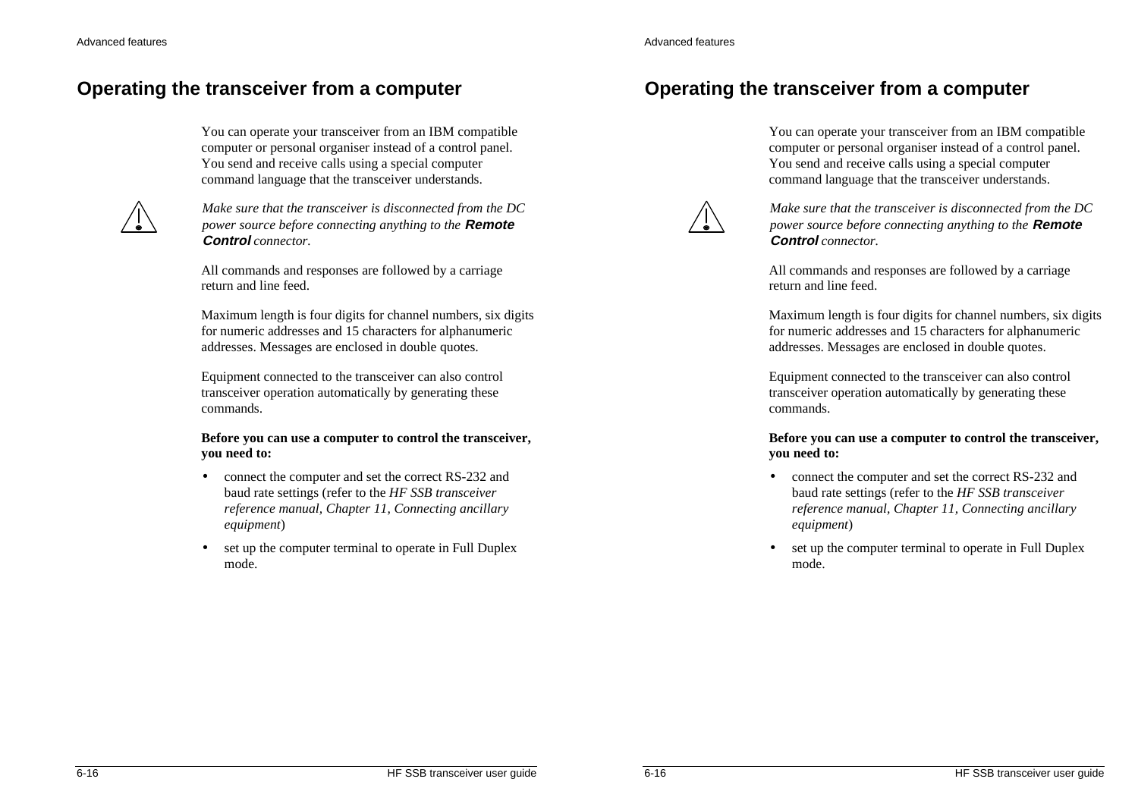## **Operating the transceiver from a computer**

You can operate your transceiver from an IBM compatible computer or personal organiser instead of a control panel. You send and receive calls using a special computer command language that the transceiver understands.



*Make sure that the transceiver is disconnected from the DC power source before connecting anything to the* **Remote Control** *connector.*

All commands and responses are followed by a carriage return and line feed.

Maximum length is four digits for channel numbers, six digits for numeric addresses and 15 characters for alphanumeric addresses. Messages are enclosed in double quotes.

Equipment connected to the transceiver can also control transceiver operation automatically by generating these commands.

#### **Before you can use a computer to control the transceiver, you need to:**

- connect the computer and set the correct RS-232 and baud rate settings (refer to the *HF SSB transceiver reference manual, Chapter 11, Connecting ancillary equipment*)
- set up the computer terminal to operate in Full Duplex mode.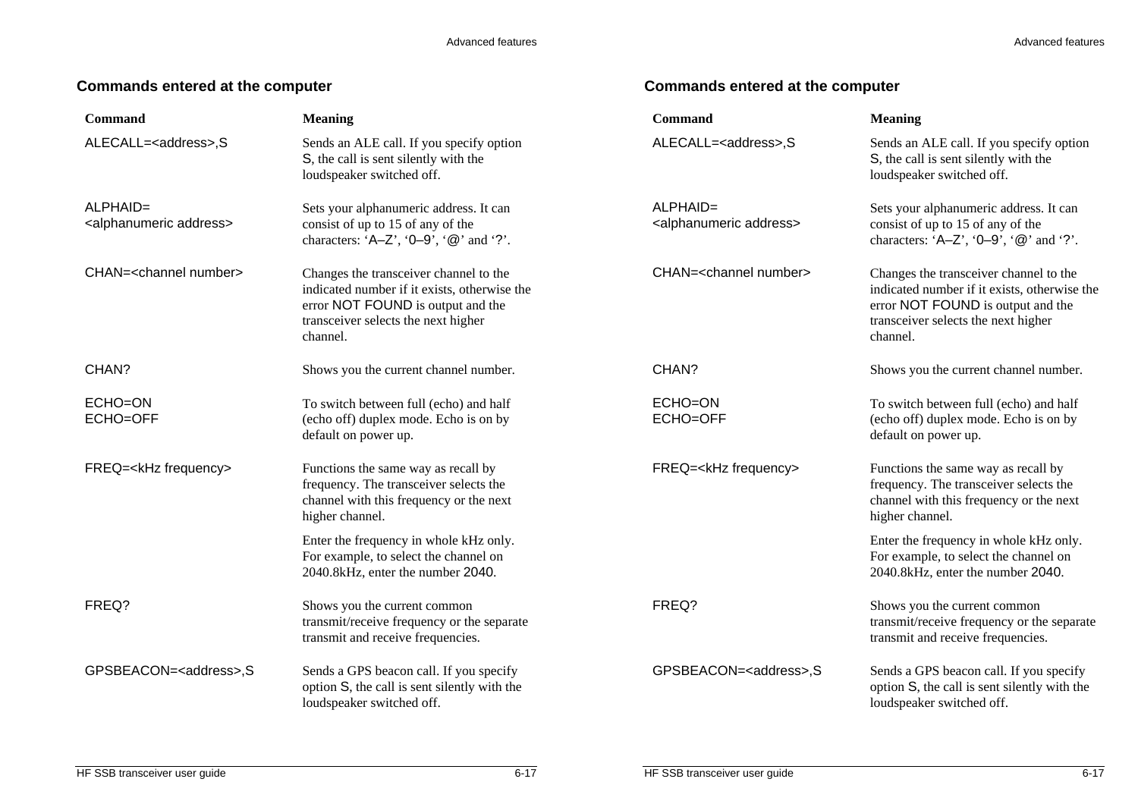### **Commands entered at the computer**

| Command                                              | <b>Meaning</b>                                                                                                                                                                 |
|------------------------------------------------------|--------------------------------------------------------------------------------------------------------------------------------------------------------------------------------|
| ALECALL= <address>,S</address>                       | Sends an ALE call. If you specify option<br>S, the call is sent silently with the<br>loudspeaker switched off.                                                                 |
| ALPHAID=<br><alphanumeric address=""></alphanumeric> | Sets your alphanumeric address. It can<br>consist of up to 15 of any of the<br>characters: 'A-Z', '0-9', ' $@$ ' and '?'.                                                      |
| CHAN= <channel number=""></channel>                  | Changes the transceiver channel to the<br>indicated number if it exists, otherwise the<br>error NOT FOUND is output and the<br>transceiver selects the next higher<br>channel. |
| CHAN?                                                | Shows you the current channel number.                                                                                                                                          |
| ECHO=ON<br>ECHO=OFF                                  | To switch between full (echo) and half<br>(echo off) duplex mode. Echo is on by<br>default on power up.                                                                        |
| FREQ= <khz frequency=""></khz>                       | Functions the same way as recall by<br>frequency. The transceiver selects the<br>channel with this frequency or the next<br>higher channel.                                    |
|                                                      | Enter the frequency in whole kHz only.<br>For example, to select the channel on<br>2040.8kHz, enter the number 2040.                                                           |
| FREQ?                                                | Shows you the current common<br>transmit/receive frequency or the separate<br>transmit and receive frequencies.                                                                |
| GPSBEACON= <address>,S</address>                     | Sends a GPS beacon call. If you specify<br>option S, the call is sent silently with the<br>loudspeaker switched off.                                                           |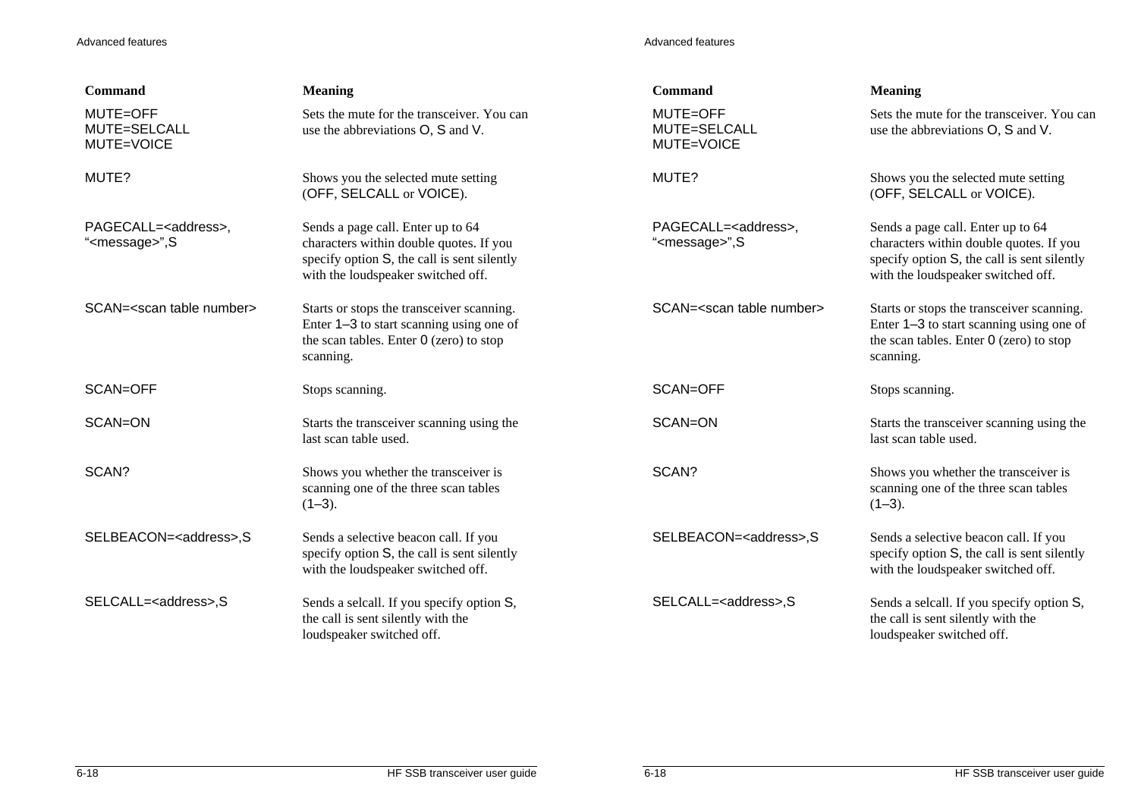| <b>Command</b>                                             | <b>Meaning</b>                                                                                                                                                    |
|------------------------------------------------------------|-------------------------------------------------------------------------------------------------------------------------------------------------------------------|
| MUTE=OFF<br>MUTE=SELCALL<br>MUTE=VOICE                     | Sets the mute for the transceiver. You can<br>use the abbreviations O, S and V.                                                                                   |
| MUTE?                                                      | Shows you the selected mute setting<br>(OFF, SELCALL or VOICE).                                                                                                   |
| PAGECALL= <address>,<br/>"<message>",S</message></address> | Sends a page call. Enter up to 64<br>characters within double quotes. If you<br>specify option S, the call is sent silently<br>with the loudspeaker switched off. |
| SCAN= <scan number="" table=""></scan>                     | Starts or stops the transceiver scanning.<br>Enter 1–3 to start scanning using one of<br>the scan tables. Enter 0 (zero) to stop<br>scanning.                     |
| SCAN=OFF                                                   | Stops scanning.                                                                                                                                                   |
| SCAN=ON                                                    | Starts the transceiver scanning using the<br>last scan table used.                                                                                                |
| SCAN?                                                      | Shows you whether the transceiver is<br>scanning one of the three scan tables<br>$(1-3)$ .                                                                        |
| SELBEACON= <address>,S</address>                           | Sends a selective beacon call. If you<br>specify option S, the call is sent silently<br>with the loudspeaker switched off.                                        |
| SELCALL= <address>,S</address>                             | Sends a selcall. If you specify option S,<br>the call is sent silently with the<br>loudspeaker switched off.                                                      |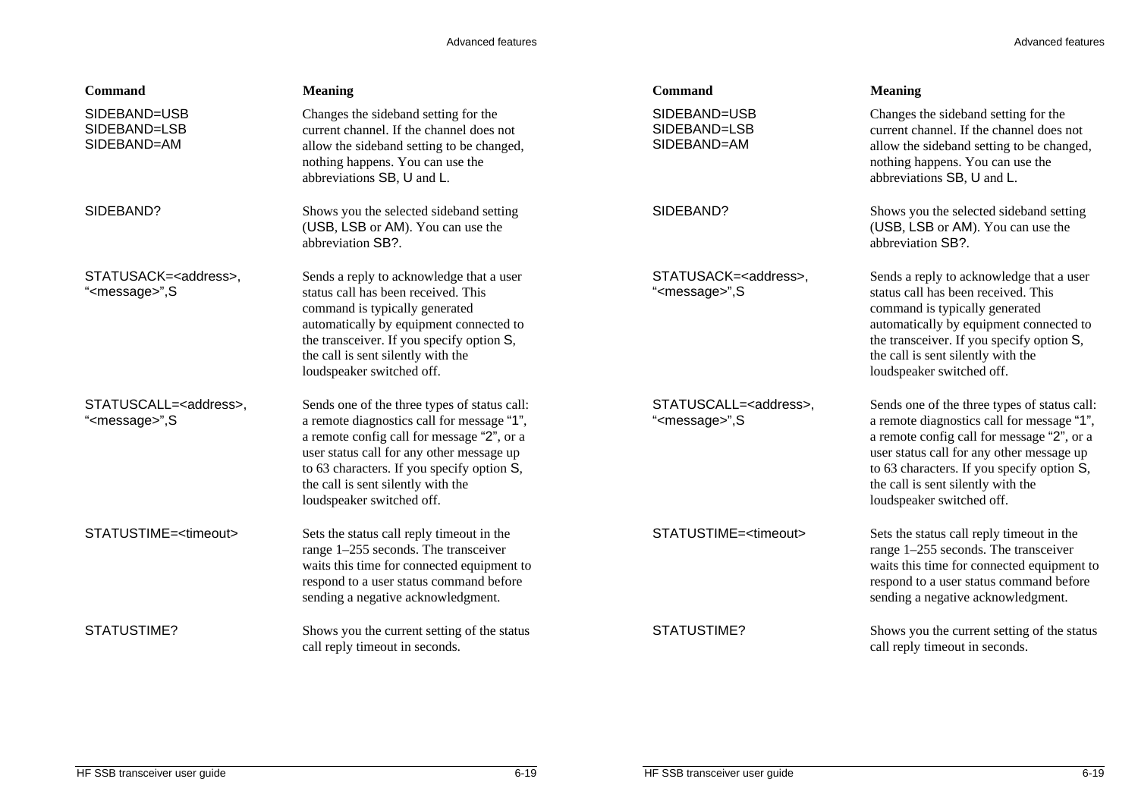| Command                                                      | <b>Meaning</b>                                                                                                                                                                                                                                                                                         |
|--------------------------------------------------------------|--------------------------------------------------------------------------------------------------------------------------------------------------------------------------------------------------------------------------------------------------------------------------------------------------------|
| SIDEBAND=USB<br>SIDEBAND=LSB<br>SIDEBAND=AM                  | Changes the sideband setting for the<br>current channel. If the channel does not<br>allow the sideband setting to be changed,<br>nothing happens. You can use the<br>abbreviations SB, U and L.                                                                                                        |
| SIDEBAND?                                                    | Shows you the selected sideband setting<br>(USB, LSB or AM). You can use the<br>abbreviation SB?.                                                                                                                                                                                                      |
| STATUSACK= <address>,<br/>"<message>",S</message></address>  | Sends a reply to acknowledge that a user<br>status call has been received. This<br>command is typically generated<br>automatically by equipment connected to<br>the transceiver. If you specify option S,<br>the call is sent silently with the<br>loudspeaker switched off.                           |
| STATUSCALL= <address>,<br/>"<message>",S</message></address> | Sends one of the three types of status call:<br>a remote diagnostics call for message "1",<br>a remote config call for message "2", or a<br>user status call for any other message up<br>to 63 characters. If you specify option S,<br>the call is sent silently with the<br>loudspeaker switched off. |
| STATUSTIME= <timeout></timeout>                              | Sets the status call reply timeout in the<br>range 1-255 seconds. The transceiver<br>waits this time for connected equipment to<br>respond to a user status command before<br>sending a negative acknowledgment.                                                                                       |
| STATUSTIME?                                                  | Shows you the current setting of the status<br>call reply timeout in seconds.                                                                                                                                                                                                                          |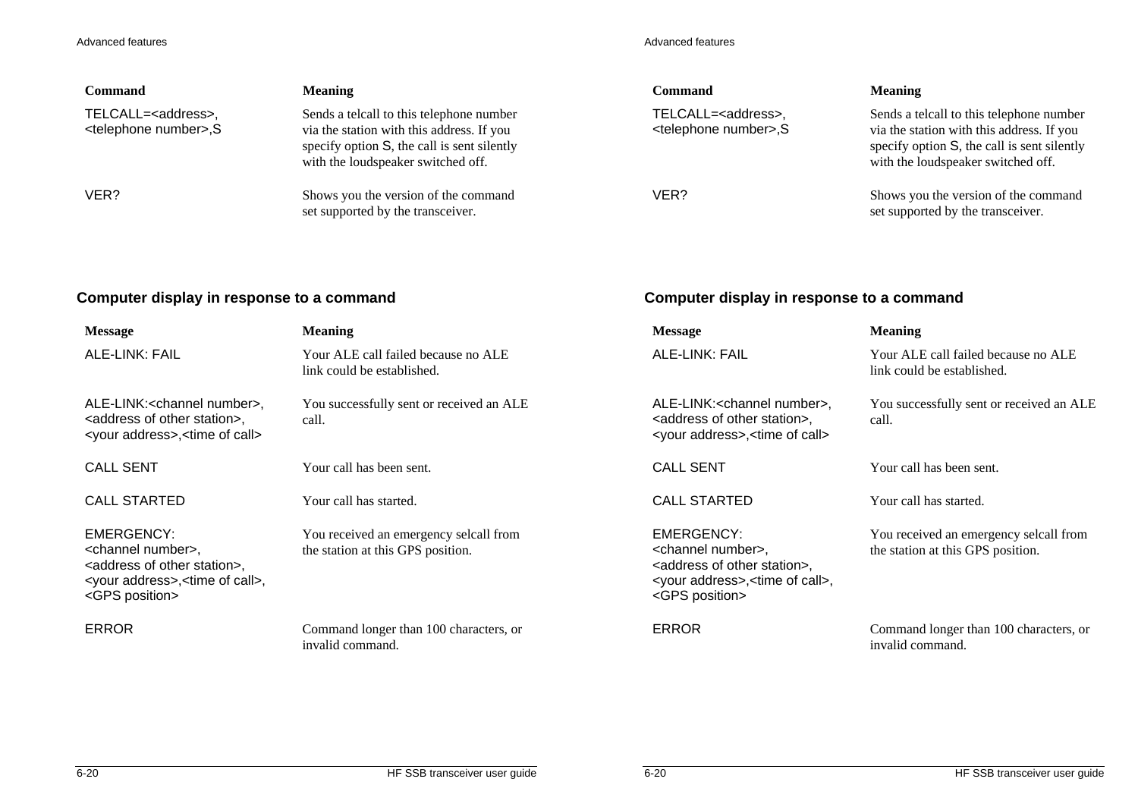| <b>Command</b>                                                        | <b>Meaning</b>                                                                                                                                                             |
|-----------------------------------------------------------------------|----------------------------------------------------------------------------------------------------------------------------------------------------------------------------|
| TELCALL= <address>,<br/><telephone number="">,S</telephone></address> | Sends a telcall to this telephone number<br>via the station with this address. If you<br>specify option S, the call is sent silently<br>with the loudspeaker switched off. |
| VER?                                                                  | Shows you the version of the command<br>set supported by the transceiver.                                                                                                  |

### **Computer display in response to a command**

| <b>Message</b>                                                                                                                                                                         | <b>Meaning</b>                                                              |
|----------------------------------------------------------------------------------------------------------------------------------------------------------------------------------------|-----------------------------------------------------------------------------|
| ALE-LINK: FAIL                                                                                                                                                                         | Your ALE call failed because no ALE<br>link could be established.           |
| ALE-LINK: <channel number="">,<br/><address of="" other="" station="">.<br/><your address="">, <time call="" of=""></time></your></address></channel>                                  | You successfully sent or received an ALE<br>call.                           |
| <b>CALL SENT</b>                                                                                                                                                                       | Your call has been sent.                                                    |
| <b>CALL STARTED</b>                                                                                                                                                                    | Your call has started.                                                      |
| EMERGENCY:<br><channel number="">,<br/><address of="" other="" station="">,<br/><your address="">, <time call="" of="">,<br/><gps position=""></gps></time></your></address></channel> | You received an emergency selcall from<br>the station at this GPS position. |
| <b>ERROR</b>                                                                                                                                                                           | Command longer than 100 characters, or<br>invalid command.                  |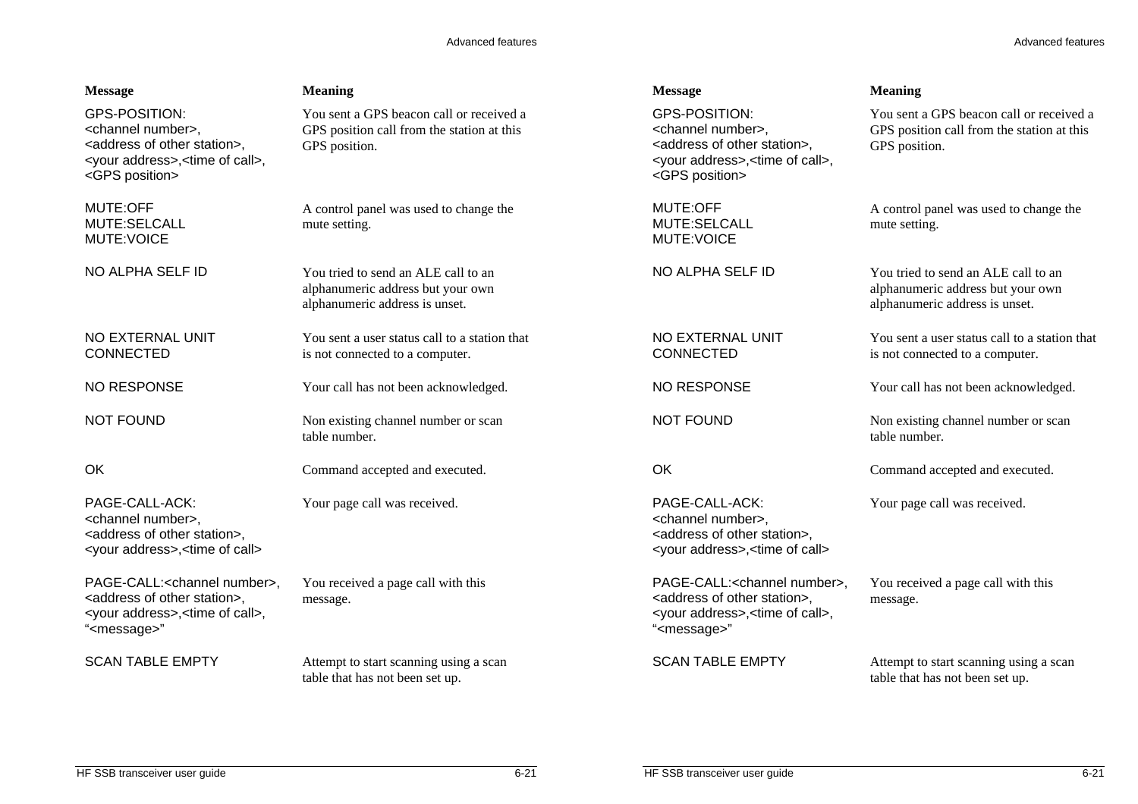| <b>Message</b>                                                                                                                                                                                   | <b>Meaning</b>                                                                                             |
|--------------------------------------------------------------------------------------------------------------------------------------------------------------------------------------------------|------------------------------------------------------------------------------------------------------------|
| <b>GPS-POSITION:</b><br><channel number="">,<br/><address of="" other="" station="">,<br/><your address="">, <time call="" of="">,<br/><gps position=""></gps></time></your></address></channel> | You sent a GPS beacon call or received a<br>GPS position call from the station at this<br>GPS position.    |
| <b>MUTE:OFF</b><br>MUTE:SELCALL<br><b>MUTE:VOICE</b>                                                                                                                                             | A control panel was used to change the<br>mute setting.                                                    |
| NO ALPHA SELF ID                                                                                                                                                                                 | You tried to send an ALE call to an<br>alphanumeric address but your own<br>alphanumeric address is unset. |
| <b>NO EXTERNAL UNIT</b><br><b>CONNECTED</b>                                                                                                                                                      | You sent a user status call to a station that<br>is not connected to a computer.                           |
| <b>NO RESPONSE</b>                                                                                                                                                                               | Your call has not been acknowledged.                                                                       |
| <b>NOT FOUND</b>                                                                                                                                                                                 | Non existing channel number or scan<br>table number.                                                       |
| OK                                                                                                                                                                                               | Command accepted and executed.                                                                             |
| PAGE-CALL-ACK:<br><channel number="">,<br/><address of="" other="" station="">,<br/><your address="">, <time call="" of=""></time></your></address></channel>                                    | Your page call was received.                                                                               |
| PAGE-CALL: <channel number="">,<br/><address of="" other="" station="">,<br/><your address="">,<time call="" of="">,<br/>"<message>"</message></time></your></address></channel>                 | You received a page call with this<br>message.                                                             |
| <b>SCAN TABLE EMPTY</b>                                                                                                                                                                          | Attempt to start scanning using a scan<br>table that has not been set up.                                  |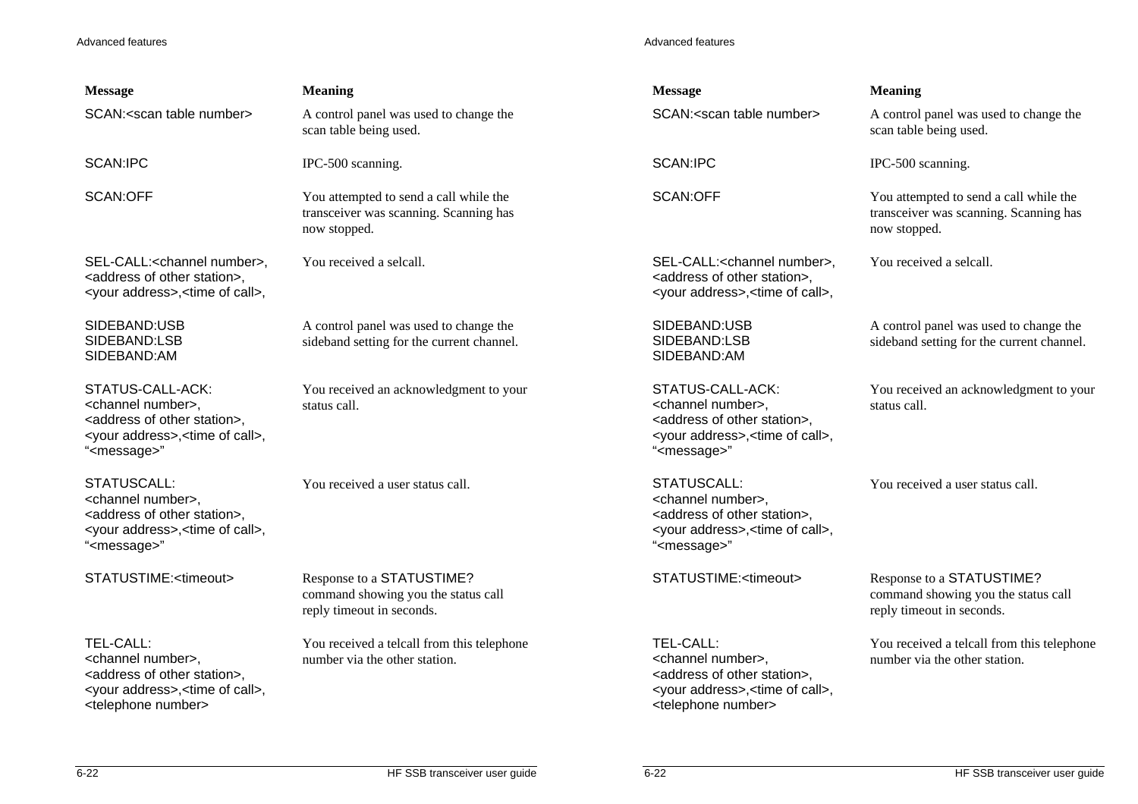| <b>Message</b>                                                                                                                                                                             | <b>Meaning</b>                                                                                   |
|--------------------------------------------------------------------------------------------------------------------------------------------------------------------------------------------|--------------------------------------------------------------------------------------------------|
| SCAN: <scan number="" table=""></scan>                                                                                                                                                     | A control panel was used to change the<br>scan table being used.                                 |
| SCAN:IPC                                                                                                                                                                                   | IPC-500 scanning.                                                                                |
| SCAN:OFF                                                                                                                                                                                   | You attempted to send a call while the<br>transceiver was scanning. Scanning has<br>now stopped. |
| SEL-CALL: <channel number="">,<br/><address of="" other="" station="">,<br/><your address="">, <time call="" of="">,</time></your></address></channel>                                     | You received a selcall.                                                                          |
| SIDEBAND:USB<br>SIDEBAND:LSB<br>SIDEBAND:AM                                                                                                                                                | A control panel was used to change the<br>sideband setting for the current channel.              |
| STATUS-CALL-ACK:<br><channel number="">,<br/><address of="" other="" station="">,<br/><your address="">, <time call="" of="">,<br/>"<message>"</message></time></your></address></channel> | You received an acknowledgment to your<br>status call.                                           |
| STATUSCALL:<br><channel number="">,<br/><address of="" other="" station="">,<br/><your address="">, <time call="" of="">,<br/>"<message>"</message></time></your></address></channel>      | You received a user status call.                                                                 |
| STATUSTIME: <timeout></timeout>                                                                                                                                                            | Response to a STATUSTIME?<br>command showing you the status call<br>reply timeout in seconds.    |
| TEL-CALL:<br><channel number="">,<br/><address of="" other="" station="">,</address></channel>                                                                                             | You received a telcall from this telephone<br>number via the other station.                      |

<your address>,<time of call>,

<telephone number>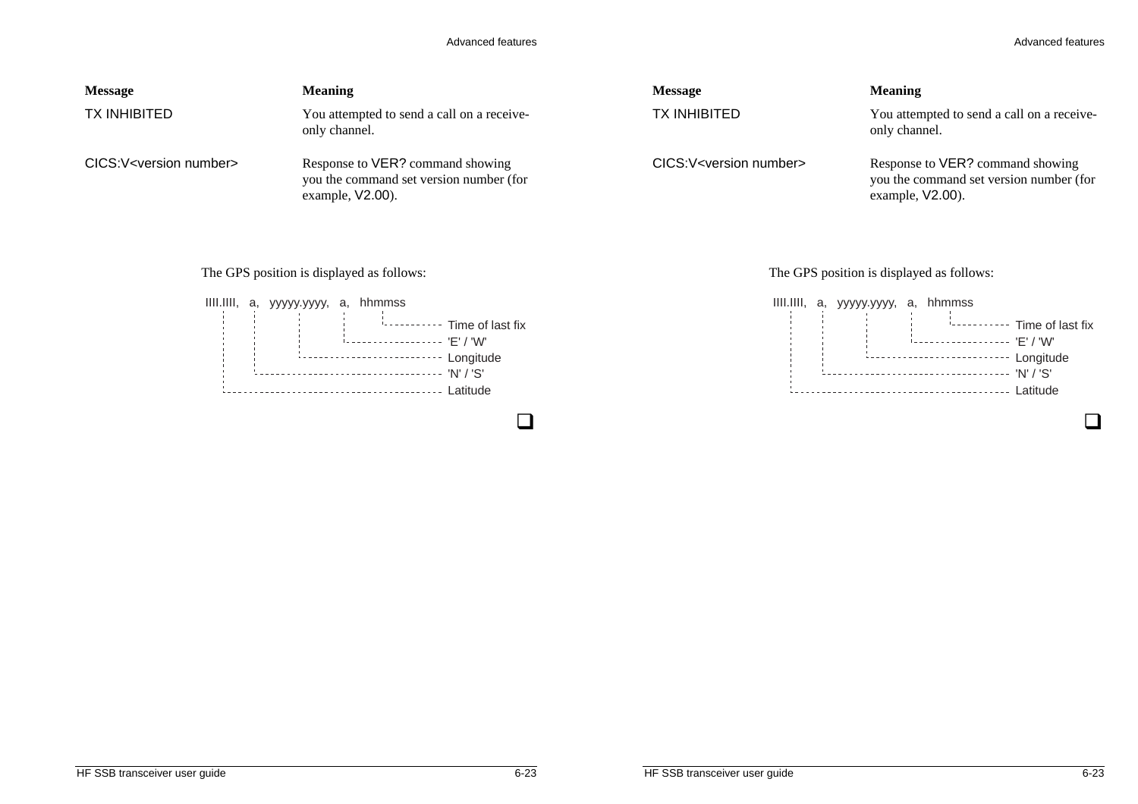| <b>Message</b>                        | <b>Meaning</b>                                                                                  |
|---------------------------------------|-------------------------------------------------------------------------------------------------|
| TX INHIBITED                          | You attempted to send a call on a receive-<br>only channel.                                     |
| CICS: V <version number=""></version> | Response to VER? command showing<br>you the command set version number (for<br>example, V2.00). |

The GPS position is displayed as follows:

|  | IIII.IIII, a, yyyyy.yyyy, a, hhmmss |                  |
|--|-------------------------------------|------------------|
|  | <b><i><u>A.</u></i></b>             | Time of last fix |
|  |                                     |                  |
|  |                                     | Longitude        |
|  | -------------------------           | 'N' / 'S'        |
|  |                                     | Latitude         |
|  |                                     |                  |

∩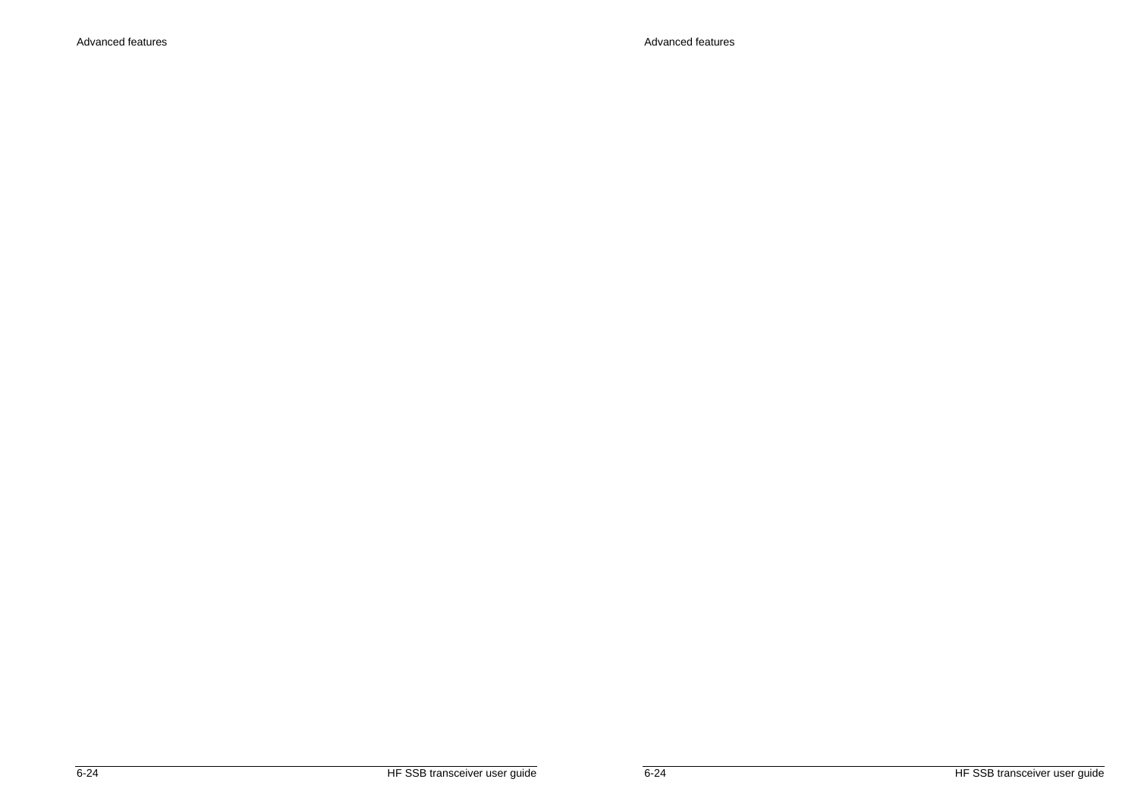Advanced features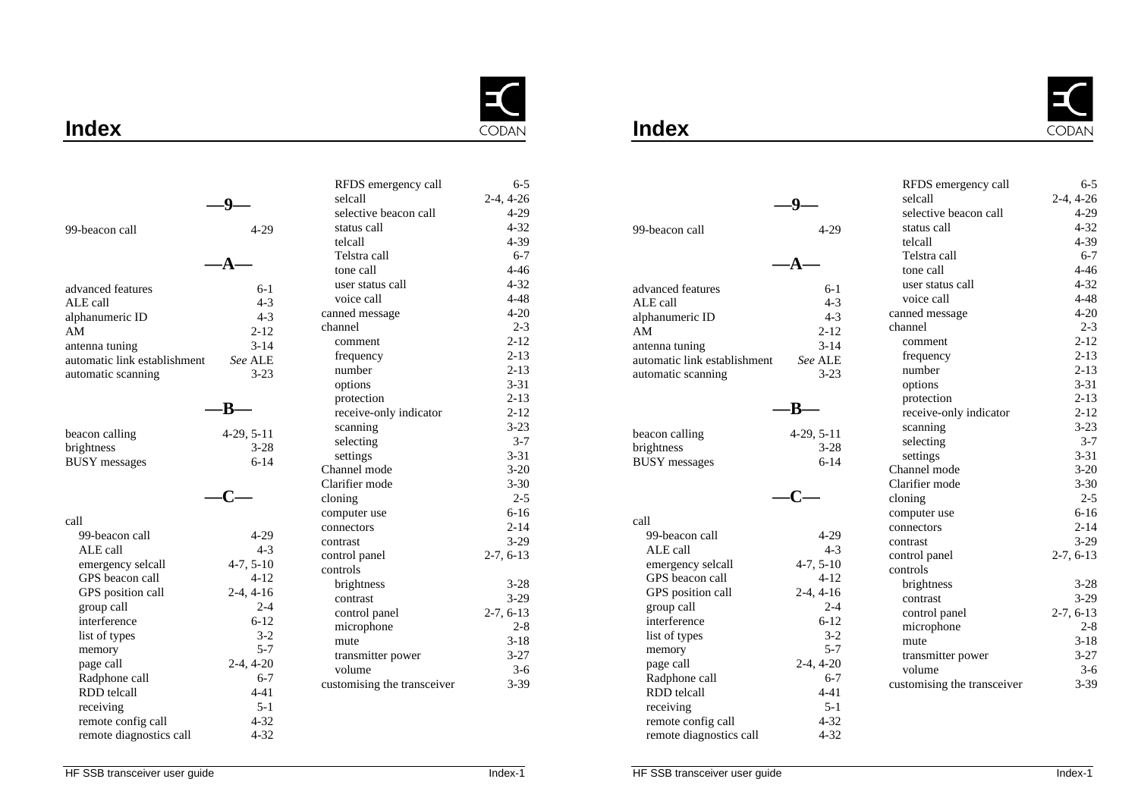# **Index**

| 99-beacon call                                                                                                                 | 4-29                                                                 |
|--------------------------------------------------------------------------------------------------------------------------------|----------------------------------------------------------------------|
|                                                                                                                                |                                                                      |
| advanced features<br>ALE call<br>alphanumeric ID<br>AM<br>antenna tuning<br>automatic link establishment<br>automatic scanning | 6-1<br>$4 - 3$<br>$4 - 3$<br>$2 - 12$<br>$3 - 14$<br>See ALE<br>3-23 |
|                                                                                                                                | —R—                                                                  |
| beacon calling<br>brightness<br><b>BUSY</b> messages                                                                           | 4-29, 5-11<br>$3 - 28$<br>$6 - 14$                                   |
|                                                                                                                                |                                                                      |
| call                                                                                                                           |                                                                      |
| 99-beacon call                                                                                                                 | $4 - 29$                                                             |
| ALE call                                                                                                                       | $4 - 3$                                                              |
| emergency selcall                                                                                                              | $4-7, 5-10$                                                          |
| GPS beacon call                                                                                                                | $4 - 12$                                                             |
| GPS position call                                                                                                              | $2-4, 4-16$                                                          |
| group call                                                                                                                     | $2 - 4$                                                              |
| interference                                                                                                                   | $6 - 12$                                                             |
| list of types                                                                                                                  | $3-2$                                                                |
| memory                                                                                                                         | $5 - 7$                                                              |
| page call                                                                                                                      | $2-4, 4-20$<br>$6 - 7$                                               |
| Radphone call<br>RDD telcall                                                                                                   | $4 - 41$                                                             |
| receiving                                                                                                                      | $5 - 1$                                                              |
| remote config call                                                                                                             | $4 - 32$                                                             |
| remote diagnostics call                                                                                                        | $4 - 32$                                                             |

| ۱Δ<br>Г |
|---------|

| RFDS emergency call         | $6 - 5$     |
|-----------------------------|-------------|
| selcall                     | $2-4, 4-26$ |
| selective beacon call       | $4 - 29$    |
| status call                 | $4 - 32$    |
| telcall                     | 4-39        |
| Telstra call                | $6 - 7$     |
| tone call                   | $4 - 46$    |
| user status call            | $4 - 32$    |
| voice call                  | $4 - 48$    |
| canned message              | $4 - 20$    |
| channel                     | $2 - 3$     |
| comment                     | $2 - 12$    |
| frequency                   | $2 - 13$    |
| number                      | $2 - 13$    |
| options                     | $3 - 31$    |
| protection                  | $2 - 13$    |
| receive-only indicator      | $2 - 12$    |
| scanning                    | $3 - 23$    |
| selecting                   | $3 - 7$     |
| settings                    | $3 - 31$    |
| Channel mode                | $3 - 20$    |
| Clarifier mode              | $3 - 30$    |
| cloning                     | $2 - 5$     |
| computer use                | $6 - 16$    |
| connectors                  | $2 - 14$    |
| contrast                    | $3-29$      |
| control panel               | $2-7, 6-13$ |
| controls                    |             |
| brightness                  | $3-28$      |
| contrast                    | $3-29$      |
| control panel               | $2-7, 6-13$ |
| microphone                  | $2 - 8$     |
| mute                        | $3 - 18$    |
| transmitter power           | $3 - 27$    |
| volume                      | $3-6$       |
| customising the transceiver | $3 - 39$    |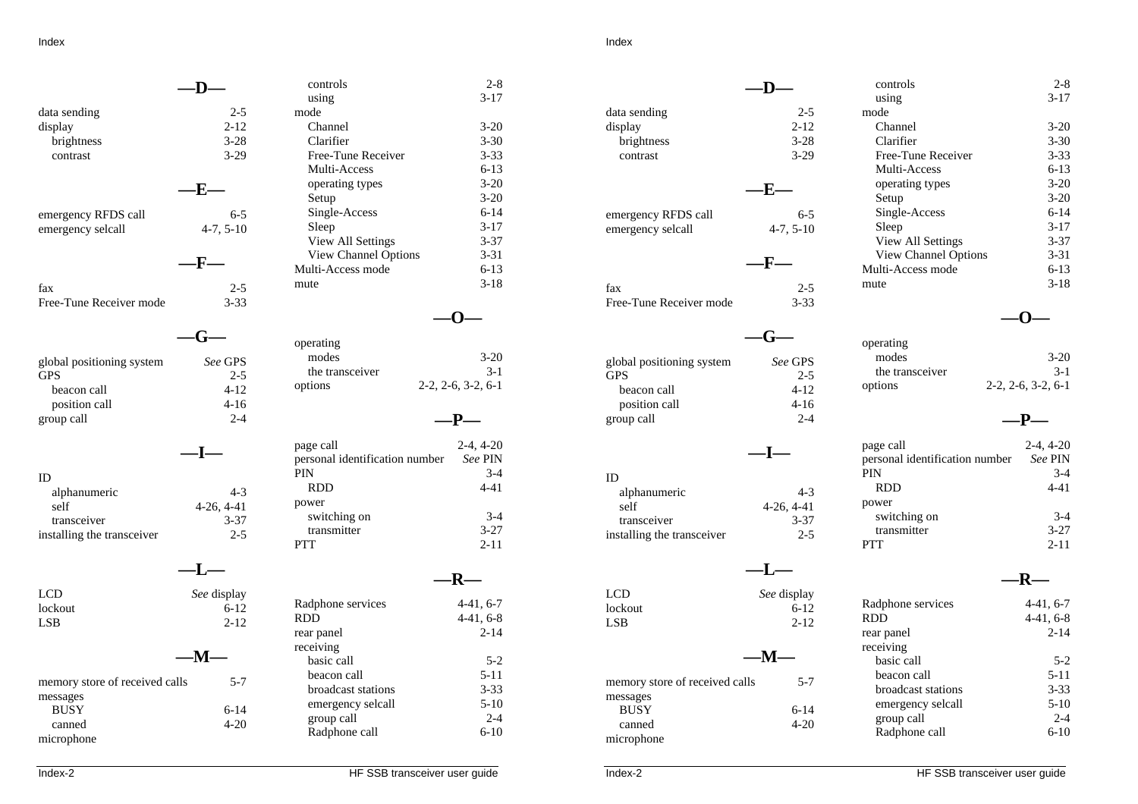Index

|                                                                                   | -D—                                                 |                              |
|-----------------------------------------------------------------------------------|-----------------------------------------------------|------------------------------|
| data sending<br>display<br>brightness<br>contrast                                 | $2 - 5$<br>$2 - 12$<br>$3 - 28$<br>$3-29$           | $\mathbf n$                  |
| emergency RFDS call<br>emergency selcall                                          | $-$ E $-$<br>$6 - 5$<br>$4-7, 5-10$                 |                              |
| fax<br>Free-Tune Receiver mode                                                    | $-F-$<br>$2 - 5$<br>$3 - 33$                        | N<br>$\mathbf n$             |
| global positioning system<br><b>GPS</b><br>beacon call<br>position call           | $-G-$<br>See GPS<br>$2 - 5$<br>$4 - 12$<br>$4 - 16$ | $\mathbf{O}$<br>$\mathbf{O}$ |
| group call<br>ID                                                                  | $2 - 4$<br>$-I-$                                    | p<br>p<br>P                  |
| alphanumeric<br>self<br>transceiver<br>installing the transceiver                 | $4 - 3$<br>$4-26, 4-41$<br>$3 - 37$<br>$2 - 5$      | p<br>P                       |
| LCD<br>lockout<br><b>LSB</b>                                                      | $-L-$<br>See display<br>$6 - 12$<br>$2 - 12$        | R<br>R<br>r                  |
|                                                                                   | $-M$ —                                              | r                            |
| memory store of received calls<br>messages<br><b>BUSY</b><br>canned<br>microphone | $5 - 7$<br>$6 - 14$<br>$4 - 20$                     |                              |

| controls             | $2 - 8$  |
|----------------------|----------|
| using                | $3 - 17$ |
| mode                 |          |
| Channel              | $3-20$   |
| Clarifier            | $3 - 30$ |
| Free-Tune Receiver   | $3 - 33$ |
| Multi-Access         | $6 - 13$ |
| operating types      | $3-20$   |
| Setup                | $3 - 20$ |
| Single-Access        | $6 - 14$ |
| Sleep                | $3 - 17$ |
| View All Settings    | $3 - 37$ |
| View Channel Options | $3 - 31$ |
| Multi-Access mode    | $6 - 13$ |
| mute                 | $3-18$   |
|                      |          |

**—O—**

| operating       |                      |
|-----------------|----------------------|
| modes           | $3-20$               |
| the transceiver | $3-1$                |
| options         | $2-2, 2-6, 3-2, 6-1$ |

### **—P—**

| page call                      | $2-4, 4-20$ |
|--------------------------------|-------------|
| personal identification number | See PIN     |
| PIN                            | $3 - 4$     |
| <b>RDD</b>                     | $4 - 41$    |
| power                          |             |
| switching on                   | $3-4$       |
| transmitter                    | $3 - 27$    |
| PTT                            | $2 - 11$    |

| Radphone services  | $4-41, 6-7$ |
|--------------------|-------------|
| RDD                | $4-41, 6-8$ |
| rear panel         | $2 - 14$    |
| receiving          |             |
| basic call         | $5-2$       |
| beacon call        | $5 - 11$    |
| broadcast stations | $3 - 33$    |
| emergency selcall  | $5-10$      |
| group call         | $2 - 4$     |
| Radphone call      | 6-10        |
|                    |             |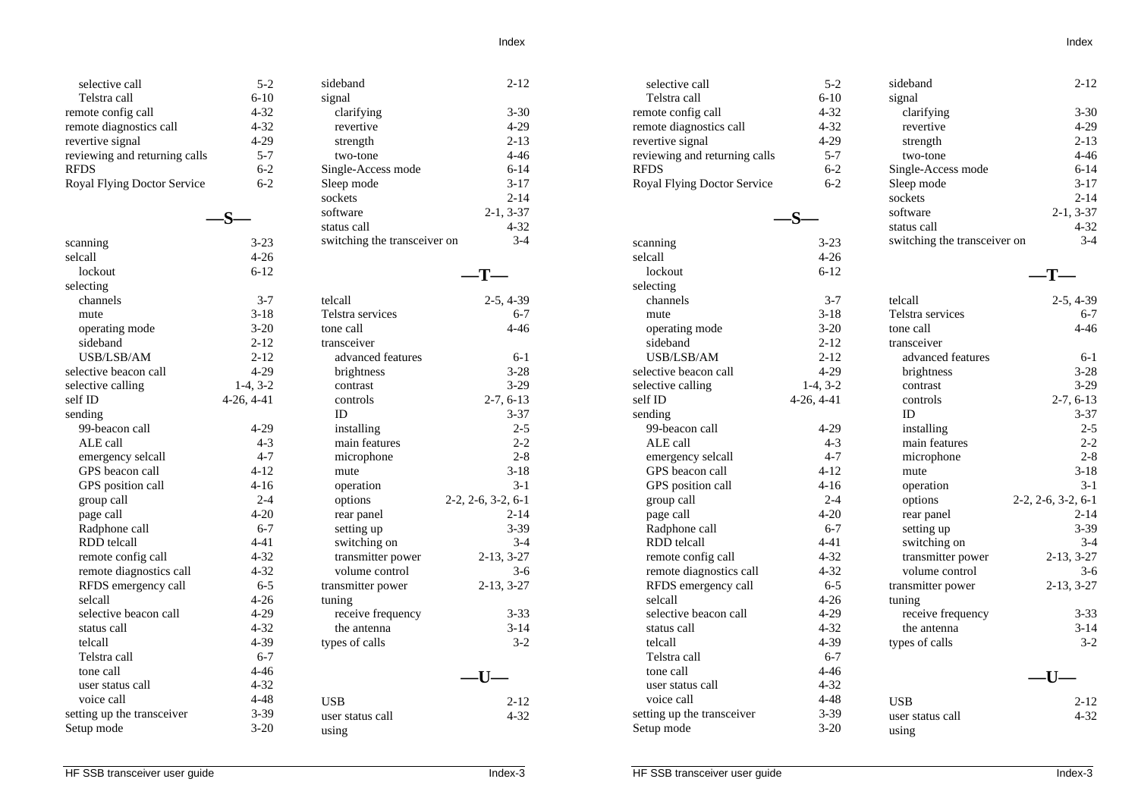| selcall               |  |
|-----------------------|--|
|                       |  |
| selective beacon call |  |
| status call           |  |

| RFDS emergency call   | 6-5      |
|-----------------------|----------|
| selcall               | $4 - 26$ |
| selective beacon call | $4 - 29$ |
| status call           | $4 - 32$ |
| telcall               | 4-39     |
| Telstra call          | $6 - 7$  |
| tone call             | $4 - 46$ |
| user status call      | $4 - 32$ |
| voice call            | 4-48     |

setting up the transceiver 3-39 Setup mode 3-20

selective call 5-2 Telstra call 6-10 remote config call  $4-32$ remote diagnostics call 4-32 revertive signal 4-29<br>reviewing and returning calls 5-7

RFDS 6-2 Royal Flying Doctor Service 6-2

scanning 3-23 selcall 4-26  $\text{lockout}$  6-12

channels 3-7 mute 3-18 operating mode 3-20 sideband 2-12 USB/LSB/AM  $2-12$ selective beacon call  $4-29$ selective calling 1-4, 3-2 self ID 4-26, 4-41

99-beacon call 4-29 ALE call 4-3 emergency selcall  $4-7$ GPS beacon call  $4-12$ GPS position call  $4-16$ group call 2-4 page call 4-20 Radphone call 6-7 RDD telcall 4-41 remote config call  $4-32$ remote diagnostics call  $4-32$ 

**—S—**

reviewing and returning calls

selecting

sending

| sideband                     | $2 - 12$    |
|------------------------------|-------------|
| signal                       |             |
| clarifying                   | $3 - 30$    |
| revertive                    | 4-29        |
| strength                     | $2 - 13$    |
| two-tone                     | 4-46        |
| Single-Access mode           | $6 - 14$    |
| Sleep mode                   | $3 - 17$    |
| sockets                      | $2 - 14$    |
| software                     | $2-1, 3-37$ |
| status call                  | 4-32        |
| switching the transceiver on | $3-4$       |
|                              |             |

|                   | -'T`—                |
|-------------------|----------------------|
| telcall           | $2-5, 4-39$          |
| Telstra services  | $6-7$                |
| tone call         | $4 - 46$             |
| transceiver       |                      |
| advanced features | 6-1                  |
| brightness        | $3-28$               |
| contrast          | $3-29$               |
| controls          | $2-7, 6-13$          |
| ID                | $3 - 37$             |
| installing        | $2 - 5$              |
| main features     | $2-2$                |
| microphone        | $2 - 8$              |
| mute              | $3 - 18$             |
| operation         | $3-1$                |
| options           | $2-2, 2-6, 3-2, 6-1$ |
| rear panel        | $2 - 14$             |
| setting up        | $3-39$               |
| switching on      | $3 - 4$              |
| transmitter power | 2-13, 3-27           |
| volume control    | $3-6$                |
| transmitter power | 2-13, 3-27           |
| tuning            |                      |
| receive frequency | $3 - 33$             |
| the antenna       | $3 - 14$             |
| types of calls    | $3-2$                |
|                   |                      |

| <b>USB</b>       | $2 - 12$ |
|------------------|----------|
| user status call | $4 - 32$ |
| using            |          |